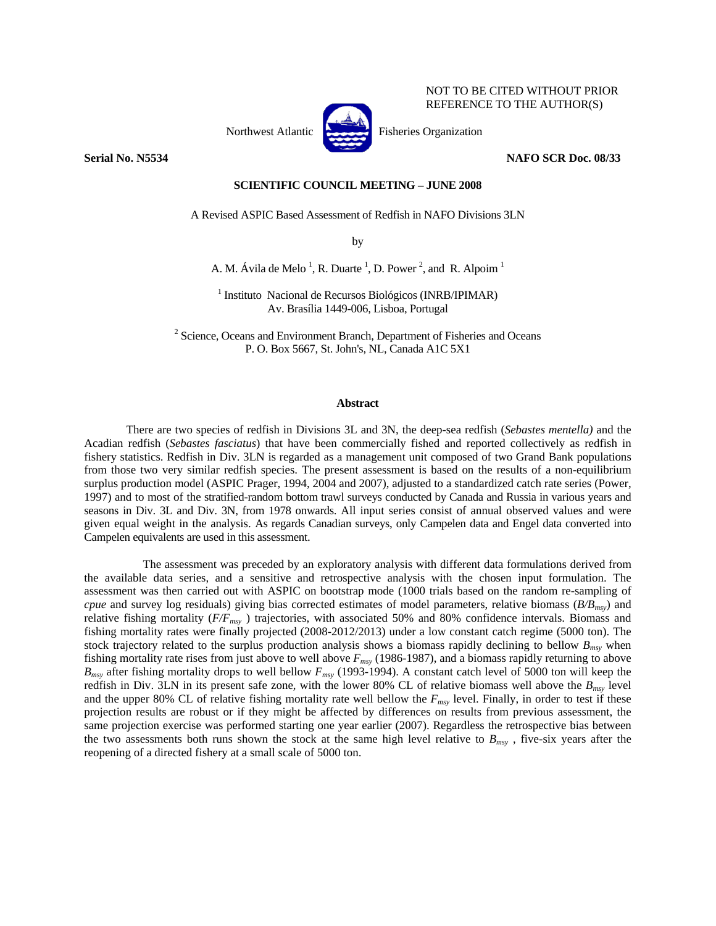

NOT TO BE CITED WITHOUT PRIOR REFERENCE TO THE AUTHOR(S)

**Serial No. N5534 NAFO SCR Doc. 08/33** 

# **SCIENTIFIC COUNCIL MEETING – JUNE 2008**

A Revised ASPIC Based Assessment of Redfish in NAFO Divisions 3LN

by

A. M. Ávila de Melo<sup>1</sup>, R. Duarte<sup>1</sup>, D. Power<sup>2</sup>, and R. Alpoim<sup>1</sup>

<sup>1</sup> Instituto Nacional de Recursos Biológicos (INRB/IPIMAR) Av. Brasília 1449-006, Lisboa, Portugal

 $2^2$  Science, Oceans and Environment Branch, Department of Fisheries and Oceans P. O. Box 5667, St. John's, NL, Canada A1C 5X1

## **Abstract**

There are two species of redfish in Divisions 3L and 3N, the deep-sea redfish (*Sebastes mentella)* and the Acadian redfish (*Sebastes fasciatus*) that have been commercially fished and reported collectively as redfish in fishery statistics. Redfish in Div. 3LN is regarded as a management unit composed of two Grand Bank populations from those two very similar redfish species. The present assessment is based on the results of a non-equilibrium surplus production model (ASPIC Prager, 1994, 2004 and 2007), adjusted to a standardized catch rate series (Power, 1997) and to most of the stratified-random bottom trawl surveys conducted by Canada and Russia in various years and seasons in Div. 3L and Div. 3N, from 1978 onwards. All input series consist of annual observed values and were given equal weight in the analysis. As regards Canadian surveys, only Campelen data and Engel data converted into Campelen equivalents are used in this assessment.

The assessment was preceded by an exploratory analysis with different data formulations derived from the available data series, and a sensitive and retrospective analysis with the chosen input formulation. The assessment was then carried out with ASPIC on bootstrap mode (1000 trials based on the random re-sampling of *cpue* and survey log residuals) giving bias corrected estimates of model parameters, relative biomass (*B/Bmsy*) and relative fishing mortality (*F/Fmsy* ) trajectories, with associated 50% and 80% confidence intervals. Biomass and fishing mortality rates were finally projected (2008-2012/2013) under a low constant catch regime (5000 ton). The stock trajectory related to the surplus production analysis shows a biomass rapidly declining to bellow  $B_{msv}$  when fishing mortality rate rises from just above to well above *Fmsy* (1986-1987), and a biomass rapidly returning to above *Bmsy* after fishing mortality drops to well bellow *Fmsy* (1993-1994). A constant catch level of 5000 ton will keep the redfish in Div. 3LN in its present safe zone, with the lower 80% CL of relative biomass well above the *Bmsy* level and the upper 80% CL of relative fishing mortality rate well bellow the *Fmsy* level. Finally, in order to test if these projection results are robust or if they might be affected by differences on results from previous assessment, the same projection exercise was performed starting one year earlier (2007). Regardless the retrospective bias between the two assessments both runs shown the stock at the same high level relative to  $B_{msv}$ , five-six years after the reopening of a directed fishery at a small scale of 5000 ton.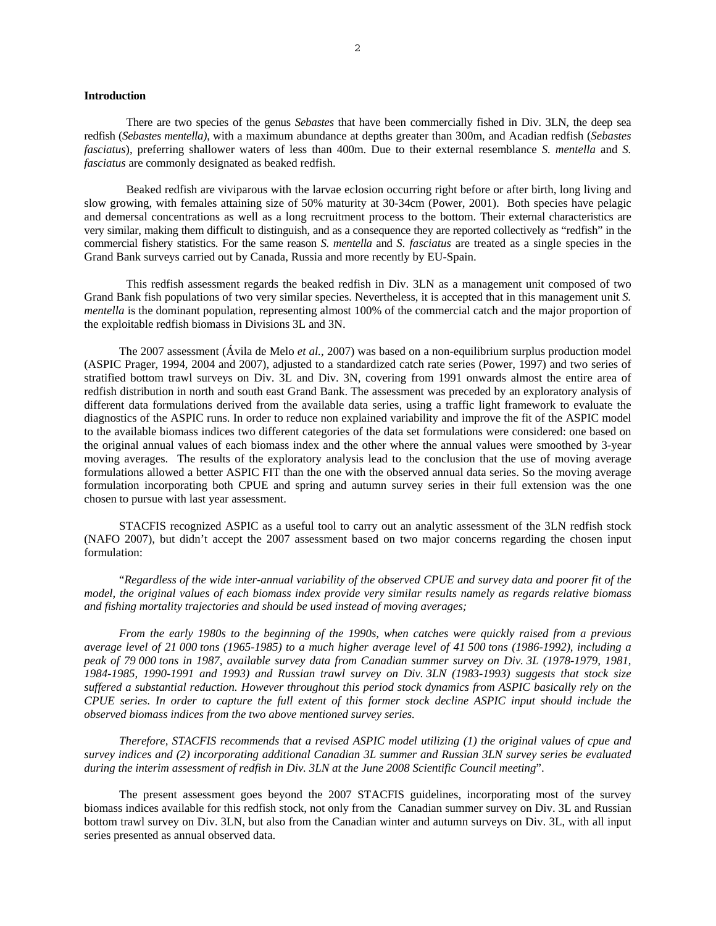# **Introduction**

There are two species of the genus *Sebastes* that have been commercially fished in Div. 3LN, the deep sea redfish (*Sebastes mentella)*, with a maximum abundance at depths greater than 300m, and Acadian redfish (*Sebastes fasciatus*), preferring shallower waters of less than 400m. Due to their external resemblance *S. mentella* and *S. fasciatus* are commonly designated as beaked redfish.

Beaked redfish are viviparous with the larvae eclosion occurring right before or after birth, long living and slow growing, with females attaining size of 50% maturity at 30-34cm (Power, 2001). Both species have pelagic and demersal concentrations as well as a long recruitment process to the bottom. Their external characteristics are very similar, making them difficult to distinguish, and as a consequence they are reported collectively as "redfish" in the commercial fishery statistics. For the same reason *S. mentella* and *S. fasciatus* are treated as a single species in the Grand Bank surveys carried out by Canada, Russia and more recently by EU-Spain.

This redfish assessment regards the beaked redfish in Div. 3LN as a management unit composed of two Grand Bank fish populations of two very similar species. Nevertheless, it is accepted that in this management unit *S. mentella* is the dominant population, representing almost 100% of the commercial catch and the major proportion of the exploitable redfish biomass in Divisions 3L and 3N.

The 2007 assessment (Ávila de Melo *et al.*, 2007) was based on a non-equilibrium surplus production model (ASPIC Prager, 1994, 2004 and 2007), adjusted to a standardized catch rate series (Power, 1997) and two series of stratified bottom trawl surveys on Div. 3L and Div. 3N, covering from 1991 onwards almost the entire area of redfish distribution in north and south east Grand Bank. The assessment was preceded by an exploratory analysis of different data formulations derived from the available data series, using a traffic light framework to evaluate the diagnostics of the ASPIC runs. In order to reduce non explained variability and improve the fit of the ASPIC model to the available biomass indices two different categories of the data set formulations were considered: one based on the original annual values of each biomass index and the other where the annual values were smoothed by 3-year moving averages. The results of the exploratory analysis lead to the conclusion that the use of moving average formulations allowed a better ASPIC FIT than the one with the observed annual data series. So the moving average formulation incorporating both CPUE and spring and autumn survey series in their full extension was the one chosen to pursue with last year assessment.

STACFIS recognized ASPIC as a useful tool to carry out an analytic assessment of the 3LN redfish stock (NAFO 2007), but didn't accept the 2007 assessment based on two major concerns regarding the chosen input formulation:

"*Regardless of the wide inter-annual variability of the observed CPUE and survey data and poorer fit of the model, the original values of each biomass index provide very similar results namely as regards relative biomass and fishing mortality trajectories and should be used instead of moving averages;* 

*From the early 1980s to the beginning of the 1990s, when catches were quickly raised from a previous average level of 21 000 tons (1965-1985) to a much higher average level of 41 500 tons (1986-1992), including a peak of 79 000 tons in 1987, available survey data from Canadian summer survey on Div. 3L (1978-1979, 1981, 1984-1985, 1990-1991 and 1993) and Russian trawl survey on Div. 3LN (1983-1993) suggests that stock size suffered a substantial reduction. However throughout this period stock dynamics from ASPIC basically rely on the CPUE series. In order to capture the full extent of this former stock decline ASPIC input should include the observed biomass indices from the two above mentioned survey series.* 

*Therefore, STACFIS recommends that a revised ASPIC model utilizing (1) the original values of cpue and survey indices and (2) incorporating additional Canadian 3L summer and Russian 3LN survey series be evaluated during the interim assessment of redfish in Div. 3LN at the June 2008 Scientific Council meeting*".

The present assessment goes beyond the 2007 STACFIS guidelines, incorporating most of the survey biomass indices available for this redfish stock, not only from the Canadian summer survey on Div. 3L and Russian bottom trawl survey on Div. 3LN, but also from the Canadian winter and autumn surveys on Div. 3L, with all input series presented as annual observed data.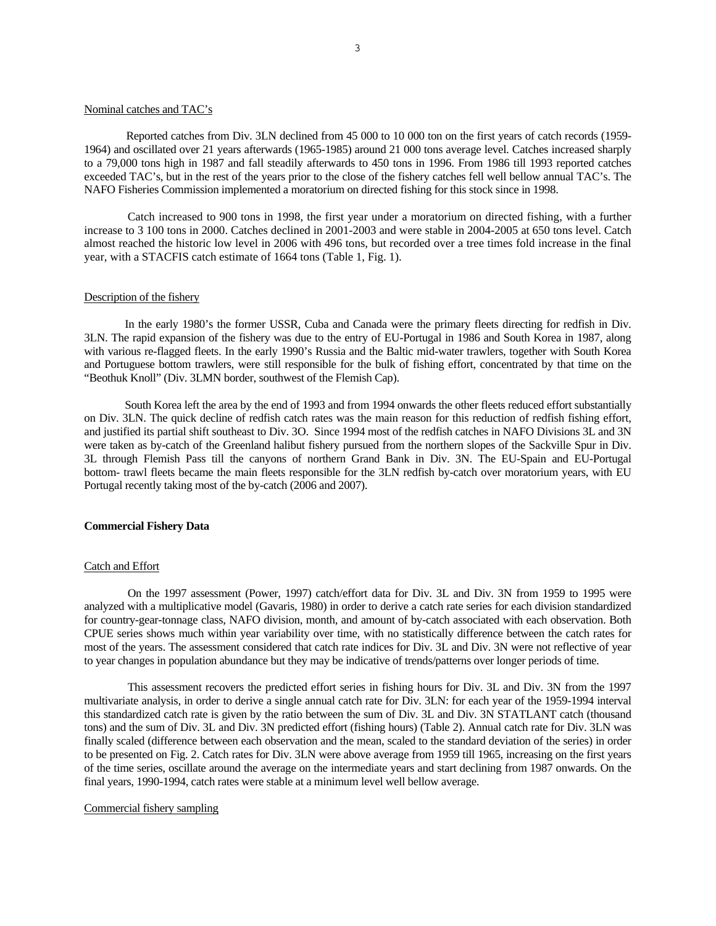# Nominal catches and TAC's

 Reported catches from Div. 3LN declined from 45 000 to 10 000 ton on the first years of catch records (1959- 1964) and oscillated over 21 years afterwards (1965-1985) around 21 000 tons average level. Catches increased sharply to a 79,000 tons high in 1987 and fall steadily afterwards to 450 tons in 1996. From 1986 till 1993 reported catches exceeded TAC's, but in the rest of the years prior to the close of the fishery catches fell well bellow annual TAC's. The NAFO Fisheries Commission implemented a moratorium on directed fishing for this stock since in 1998.

Catch increased to 900 tons in 1998, the first year under a moratorium on directed fishing, with a further increase to 3 100 tons in 2000. Catches declined in 2001-2003 and were stable in 2004-2005 at 650 tons level. Catch almost reached the historic low level in 2006 with 496 tons, but recorded over a tree times fold increase in the final year, with a STACFIS catch estimate of 1664 tons (Table 1, Fig. 1).

### Description of the fishery

In the early 1980's the former USSR, Cuba and Canada were the primary fleets directing for redfish in Div. 3LN. The rapid expansion of the fishery was due to the entry of EU-Portugal in 1986 and South Korea in 1987, along with various re-flagged fleets. In the early 1990's Russia and the Baltic mid-water trawlers, together with South Korea and Portuguese bottom trawlers, were still responsible for the bulk of fishing effort, concentrated by that time on the "Beothuk Knoll" (Div. 3LMN border, southwest of the Flemish Cap).

South Korea left the area by the end of 1993 and from 1994 onwards the other fleets reduced effort substantially on Div. 3LN. The quick decline of redfish catch rates was the main reason for this reduction of redfish fishing effort, and justified its partial shift southeast to Div. 3O. Since 1994 most of the redfish catches in NAFO Divisions 3L and 3N were taken as by-catch of the Greenland halibut fishery pursued from the northern slopes of the Sackville Spur in Div. 3L through Flemish Pass till the canyons of northern Grand Bank in Div. 3N. The EU-Spain and EU-Portugal bottom- trawl fleets became the main fleets responsible for the 3LN redfish by-catch over moratorium years, with EU Portugal recently taking most of the by-catch (2006 and 2007).

### **Commercial Fishery Data**

## Catch and Effort

On the 1997 assessment (Power, 1997) catch/effort data for Div. 3L and Div. 3N from 1959 to 1995 were analyzed with a multiplicative model (Gavaris, 1980) in order to derive a catch rate series for each division standardized for country-gear-tonnage class, NAFO division, month, and amount of by-catch associated with each observation. Both CPUE series shows much within year variability over time, with no statistically difference between the catch rates for most of the years. The assessment considered that catch rate indices for Div. 3L and Div. 3N were not reflective of year to year changes in population abundance but they may be indicative of trends/patterns over longer periods of time.

This assessment recovers the predicted effort series in fishing hours for Div. 3L and Div. 3N from the 1997 multivariate analysis, in order to derive a single annual catch rate for Div. 3LN: for each year of the 1959-1994 interval this standardized catch rate is given by the ratio between the sum of Div. 3L and Div. 3N STATLANT catch (thousand tons) and the sum of Div. 3L and Div. 3N predicted effort (fishing hours) (Table 2). Annual catch rate for Div. 3LN was finally scaled (difference between each observation and the mean, scaled to the standard deviation of the series) in order to be presented on Fig. 2. Catch rates for Div. 3LN were above average from 1959 till 1965, increasing on the first years of the time series, oscillate around the average on the intermediate years and start declining from 1987 onwards. On the final years, 1990-1994, catch rates were stable at a minimum level well bellow average.

## Commercial fishery sampling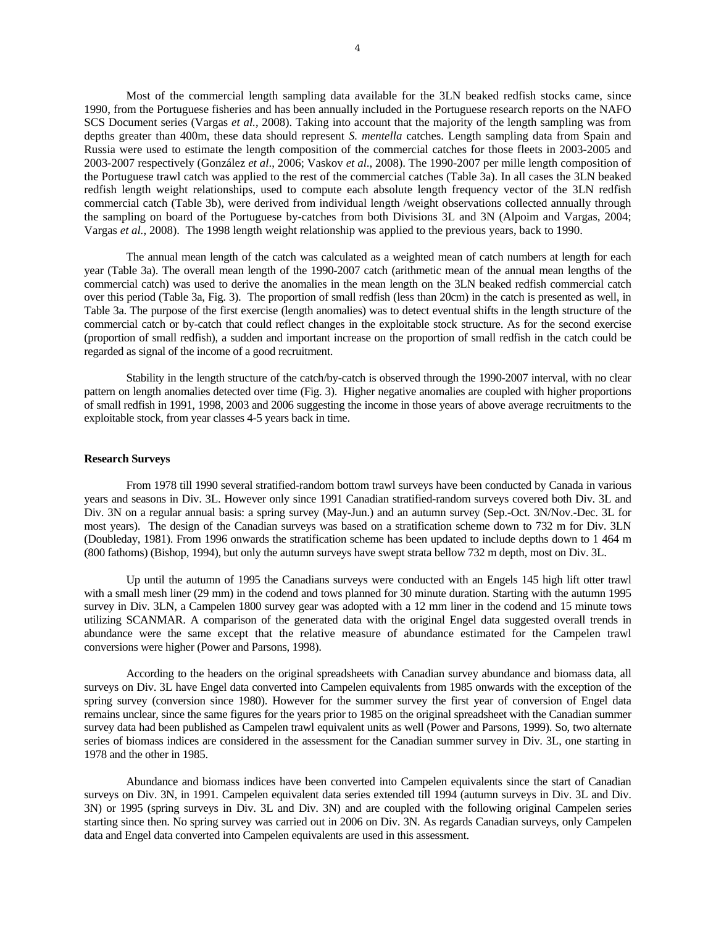Most of the commercial length sampling data available for the 3LN beaked redfish stocks came, since 1990, from the Portuguese fisheries and has been annually included in the Portuguese research reports on the NAFO SCS Document series (Vargas *et al.*, 2008). Taking into account that the majority of the length sampling was from depths greater than 400m, these data should represent *S. mentella* catches. Length sampling data from Spain and Russia were used to estimate the length composition of the commercial catches for those fleets in 2003-2005 and 2003-2007 respectively (González *et al*., 2006; Vaskov *et al*., 2008). The 1990-2007 per mille length composition of the Portuguese trawl catch was applied to the rest of the commercial catches (Table 3a). In all cases the 3LN beaked redfish length weight relationships, used to compute each absolute length frequency vector of the 3LN redfish commercial catch (Table 3b), were derived from individual length /weight observations collected annually through the sampling on board of the Portuguese by-catches from both Divisions 3L and 3N (Alpoim and Vargas, 2004; Vargas *et al.*, 2008). The 1998 length weight relationship was applied to the previous years, back to 1990.

The annual mean length of the catch was calculated as a weighted mean of catch numbers at length for each year (Table 3a). The overall mean length of the 1990-2007 catch (arithmetic mean of the annual mean lengths of the commercial catch) was used to derive the anomalies in the mean length on the 3LN beaked redfish commercial catch over this period (Table 3a, Fig. 3). The proportion of small redfish (less than 20cm) in the catch is presented as well, in Table 3a. The purpose of the first exercise (length anomalies) was to detect eventual shifts in the length structure of the commercial catch or by-catch that could reflect changes in the exploitable stock structure. As for the second exercise (proportion of small redfish), a sudden and important increase on the proportion of small redfish in the catch could be regarded as signal of the income of a good recruitment.

Stability in the length structure of the catch/by-catch is observed through the 1990-2007 interval, with no clear pattern on length anomalies detected over time (Fig. 3). Higher negative anomalies are coupled with higher proportions of small redfish in 1991, 1998, 2003 and 2006 suggesting the income in those years of above average recruitments to the exploitable stock, from year classes 4-5 years back in time.

#### **Research Surveys**

 From 1978 till 1990 several stratified-random bottom trawl surveys have been conducted by Canada in various years and seasons in Div. 3L. However only since 1991 Canadian stratified-random surveys covered both Div. 3L and Div. 3N on a regular annual basis: a spring survey (May-Jun.) and an autumn survey (Sep.-Oct. 3N/Nov.-Dec. 3L for most years). The design of the Canadian surveys was based on a stratification scheme down to 732 m for Div. 3LN (Doubleday, 1981). From 1996 onwards the stratification scheme has been updated to include depths down to 1 464 m (800 fathoms) (Bishop, 1994), but only the autumn surveys have swept strata bellow 732 m depth, most on Div. 3L.

 Up until the autumn of 1995 the Canadians surveys were conducted with an Engels 145 high lift otter trawl with a small mesh liner (29 mm) in the codend and tows planned for 30 minute duration. Starting with the autumn 1995 survey in Div. 3LN, a Campelen 1800 survey gear was adopted with a 12 mm liner in the codend and 15 minute tows utilizing SCANMAR. A comparison of the generated data with the original Engel data suggested overall trends in abundance were the same except that the relative measure of abundance estimated for the Campelen trawl conversions were higher (Power and Parsons, 1998).

According to the headers on the original spreadsheets with Canadian survey abundance and biomass data, all surveys on Div. 3L have Engel data converted into Campelen equivalents from 1985 onwards with the exception of the spring survey (conversion since 1980). However for the summer survey the first year of conversion of Engel data remains unclear, since the same figures for the years prior to 1985 on the original spreadsheet with the Canadian summer survey data had been published as Campelen trawl equivalent units as well (Power and Parsons, 1999). So, two alternate series of biomass indices are considered in the assessment for the Canadian summer survey in Div. 3L, one starting in 1978 and the other in 1985.

Abundance and biomass indices have been converted into Campelen equivalents since the start of Canadian surveys on Div. 3N, in 1991. Campelen equivalent data series extended till 1994 (autumn surveys in Div. 3L and Div. 3N) or 1995 (spring surveys in Div. 3L and Div. 3N) and are coupled with the following original Campelen series starting since then. No spring survey was carried out in 2006 on Div. 3N. As regards Canadian surveys, only Campelen data and Engel data converted into Campelen equivalents are used in this assessment.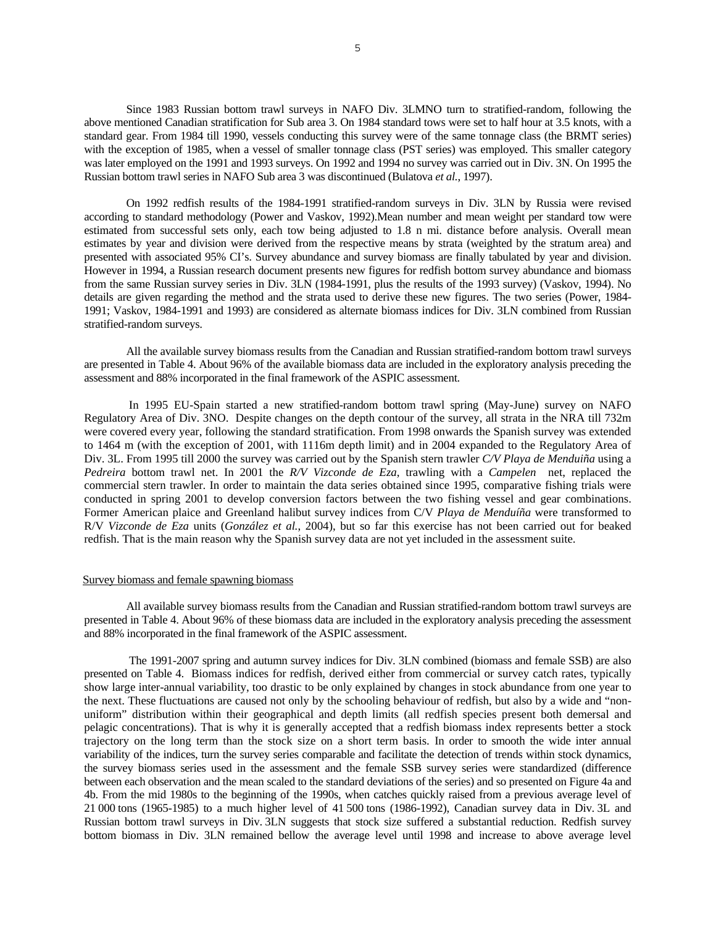Since 1983 Russian bottom trawl surveys in NAFO Div. 3LMNO turn to stratified-random, following the above mentioned Canadian stratification for Sub area 3. On 1984 standard tows were set to half hour at 3.5 knots, with a standard gear. From 1984 till 1990, vessels conducting this survey were of the same tonnage class (the BRMT series) with the exception of 1985, when a vessel of smaller tonnage class (PST series) was employed. This smaller category was later employed on the 1991 and 1993 surveys. On 1992 and 1994 no survey was carried out in Div. 3N. On 1995 the Russian bottom trawl series in NAFO Sub area 3 was discontinued (Bulatova *et al.*, 1997).

On 1992 redfish results of the 1984-1991 stratified-random surveys in Div. 3LN by Russia were revised according to standard methodology (Power and Vaskov, 1992).Mean number and mean weight per standard tow were estimated from successful sets only, each tow being adjusted to 1.8 n mi. distance before analysis. Overall mean estimates by year and division were derived from the respective means by strata (weighted by the stratum area) and presented with associated 95% CI's. Survey abundance and survey biomass are finally tabulated by year and division. However in 1994, a Russian research document presents new figures for redfish bottom survey abundance and biomass from the same Russian survey series in Div. 3LN (1984-1991, plus the results of the 1993 survey) (Vaskov, 1994). No details are given regarding the method and the strata used to derive these new figures. The two series (Power, 1984- 1991; Vaskov, 1984-1991 and 1993) are considered as alternate biomass indices for Div. 3LN combined from Russian stratified-random surveys.

All the available survey biomass results from the Canadian and Russian stratified-random bottom trawl surveys are presented in Table 4. About 96% of the available biomass data are included in the exploratory analysis preceding the assessment and 88% incorporated in the final framework of the ASPIC assessment.

 In 1995 EU-Spain started a new stratified-random bottom trawl spring (May-June) survey on NAFO Regulatory Area of Div. 3NO. Despite changes on the depth contour of the survey, all strata in the NRA till 732m were covered every year, following the standard stratification. From 1998 onwards the Spanish survey was extended to 1464 m (with the exception of 2001, with 1116m depth limit) and in 2004 expanded to the Regulatory Area of Div. 3L. From 1995 till 2000 the survey was carried out by the Spanish stern trawler *C/V Playa de Menduiña* using a *Pedreira* bottom trawl net. In 2001 the *R/V Vizconde de Eza*, trawling with a *Campelen* net, replaced the commercial stern trawler. In order to maintain the data series obtained since 1995, comparative fishing trials were conducted in spring 2001 to develop conversion factors between the two fishing vessel and gear combinations. Former American plaice and Greenland halibut survey indices from C/V *Playa de Menduíña* were transformed to R/V *Vizconde de Eza* units (*González et al.*, 2004), but so far this exercise has not been carried out for beaked redfish. That is the main reason why the Spanish survey data are not yet included in the assessment suite.

#### Survey biomass and female spawning biomass

All available survey biomass results from the Canadian and Russian stratified-random bottom trawl surveys are presented in Table 4. About 96% of these biomass data are included in the exploratory analysis preceding the assessment and 88% incorporated in the final framework of the ASPIC assessment.

The 1991-2007 spring and autumn survey indices for Div. 3LN combined (biomass and female SSB) are also presented on Table 4. Biomass indices for redfish, derived either from commercial or survey catch rates, typically show large inter-annual variability, too drastic to be only explained by changes in stock abundance from one year to the next. These fluctuations are caused not only by the schooling behaviour of redfish, but also by a wide and "nonuniform" distribution within their geographical and depth limits (all redfish species present both demersal and pelagic concentrations). That is why it is generally accepted that a redfish biomass index represents better a stock trajectory on the long term than the stock size on a short term basis. In order to smooth the wide inter annual variability of the indices, turn the survey series comparable and facilitate the detection of trends within stock dynamics, the survey biomass series used in the assessment and the female SSB survey series were standardized (difference between each observation and the mean scaled to the standard deviations of the series) and so presented on Figure 4a and 4b. From the mid 1980s to the beginning of the 1990s, when catches quickly raised from a previous average level of 21 000 tons (1965-1985) to a much higher level of 41 500 tons (1986-1992), Canadian survey data in Div. 3L and Russian bottom trawl surveys in Div. 3LN suggests that stock size suffered a substantial reduction. Redfish survey bottom biomass in Div. 3LN remained bellow the average level until 1998 and increase to above average level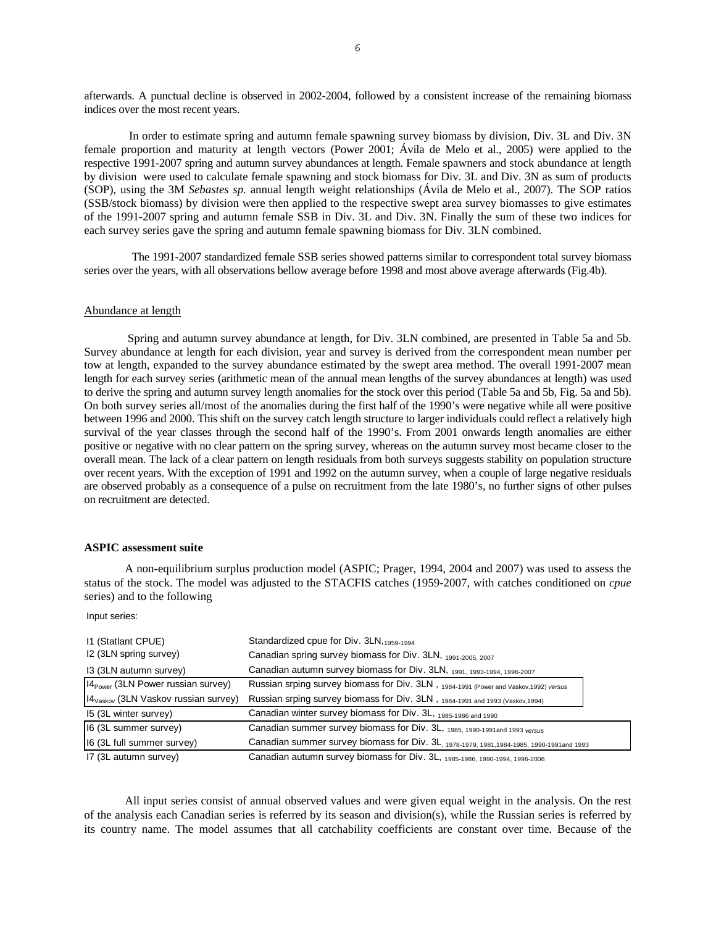afterwards. A punctual decline is observed in 2002-2004, followed by a consistent increase of the remaining biomass indices over the most recent years.

In order to estimate spring and autumn female spawning survey biomass by division, Div. 3L and Div. 3N female proportion and maturity at length vectors (Power 2001; Ávila de Melo et al., 2005) were applied to the respective 1991-2007 spring and autumn survey abundances at length. Female spawners and stock abundance at length by division were used to calculate female spawning and stock biomass for Div. 3L and Div. 3N as sum of products (SOP), using the 3M *Sebastes sp.* annual length weight relationships (Ávila de Melo et al., 2007). The SOP ratios (SSB/stock biomass) by division were then applied to the respective swept area survey biomasses to give estimates of the 1991-2007 spring and autumn female SSB in Div. 3L and Div. 3N. Finally the sum of these two indices for each survey series gave the spring and autumn female spawning biomass for Div. 3LN combined.

 The 1991-2007 standardized female SSB series showed patterns similar to correspondent total survey biomass series over the years, with all observations bellow average before 1998 and most above average afterwards (Fig.4b).

### Abundance at length

Spring and autumn survey abundance at length, for Div. 3LN combined, are presented in Table 5a and 5b. Survey abundance at length for each division, year and survey is derived from the correspondent mean number per tow at length, expanded to the survey abundance estimated by the swept area method. The overall 1991-2007 mean length for each survey series (arithmetic mean of the annual mean lengths of the survey abundances at length) was used to derive the spring and autumn survey length anomalies for the stock over this period (Table 5a and 5b, Fig. 5a and 5b). On both survey series all/most of the anomalies during the first half of the 1990's were negative while all were positive between 1996 and 2000. This shift on the survey catch length structure to larger individuals could reflect a relatively high survival of the year classes through the second half of the 1990's. From 2001 onwards length anomalies are either positive or negative with no clear pattern on the spring survey, whereas on the autumn survey most became closer to the overall mean. The lack of a clear pattern on length residuals from both surveys suggests stability on population structure over recent years. With the exception of 1991 and 1992 on the autumn survey, when a couple of large negative residuals are observed probably as a consequence of a pulse on recruitment from the late 1980's, no further signs of other pulses on recruitment are detected.

# **ASPIC assessment suite**

A non-equilibrium surplus production model (ASPIC; Prager, 1994, 2004 and 2007) was used to assess the status of the stock. The model was adjusted to the STACFIS catches (1959-2007, with catches conditioned on *cpue* series) and to the following

Input series:

| 11 (Statlant CPUE)                               | Standardized cpue for Div. 3LN, 1959-1994                                                  |
|--------------------------------------------------|--------------------------------------------------------------------------------------------|
| I2 (3LN spring survey)                           | Canadian spring survey biomass for Div. 3LN, 1991-2005, 2007                               |
| 13 (3LN autumn survey)                           | Canadian autumn survey biomass for Div. 3LN, 1991, 1993-1994, 1996-2007                    |
| $14_{Power}$ (3LN Power russian survey)          | Russian srping survey biomass for Div. 3LN, 1984-1991 (Power and Vaskov, 1992) versus      |
| 14 <sub>Vaskov</sub> (3LN Vaskov russian survey) | Russian srping survey biomass for Div. 3LN, 1984-1991 and 1993 (Vaskov, 1994)              |
| 15 (3L winter survey)                            | Canadian winter survey biomass for Div. 3L, 1985-1986 and 1990                             |
| 16 (3L summer survey)                            | Canadian summer survey biomass for Div. 3L, 1985, 1990-1991 and 1993 versus                |
| 16 (3L full summer survey)                       | Canadian summer survey biomass for Div. 3L, 1978-1979, 1981, 1984-1985, 1990-1991 and 1993 |
| 17 (3L autumn survey)                            | Canadian autumn survey biomass for Div. 3L, 1985-1986, 1990-1994, 1996-2006                |

All input series consist of annual observed values and were given equal weight in the analysis. On the rest of the analysis each Canadian series is referred by its season and division(s), while the Russian series is referred by its country name. The model assumes that all catchability coefficients are constant over time. Because of the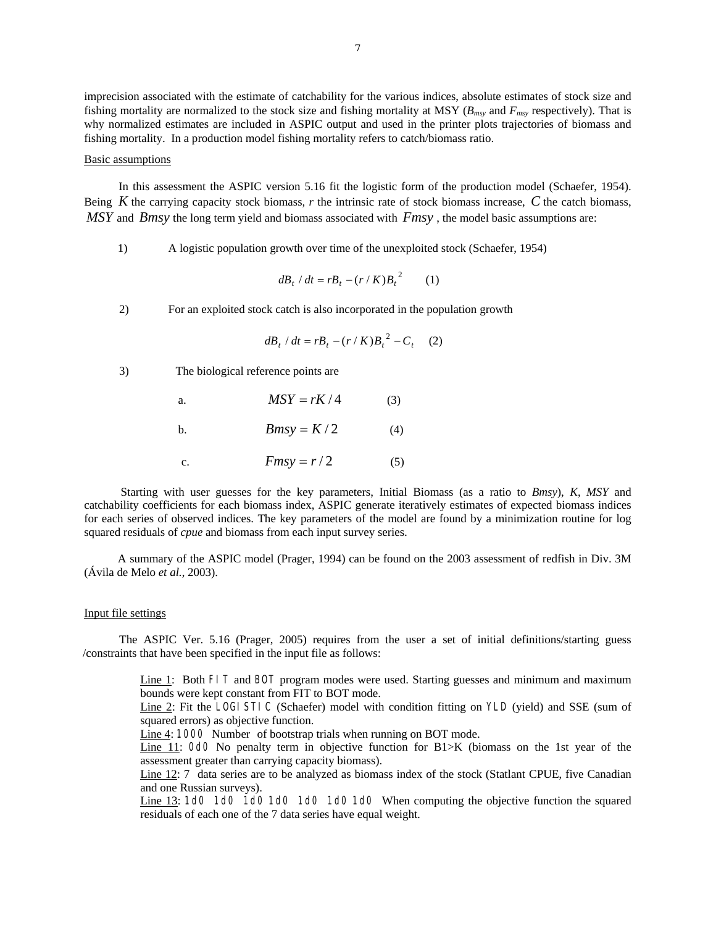imprecision associated with the estimate of catchability for the various indices, absolute estimates of stock size and fishing mortality are normalized to the stock size and fishing mortality at MSY (*Bmsy* and *Fmsy* respectively). That is why normalized estimates are included in ASPIC output and used in the printer plots trajectories of biomass and fishing mortality. In a production model fishing mortality refers to catch/biomass ratio.

#### Basic assumptions

In this assessment the ASPIC version 5.16 fit the logistic form of the production model (Schaefer, 1954). Being *K* the carrying capacity stock biomass, *r* the intrinsic rate of stock biomass increase, *C* the catch biomass, *MSY* and *Bmsy* the long term yield and biomass associated with *Fmsy* , the model basic assumptions are:

1) A logistic population growth over time of the unexploited stock (Schaefer, 1954)

$$
dB_t / dt = rB_t - (r / K)B_t^2 \qquad (1)
$$

2) For an exploited stock catch is also incorporated in the population growth

$$
dB_t / dt = rB_t - (r / K)B_t^2 - C_t \quad (2)
$$

3) The biological reference points are

| $MSY = rK/4$ | (3) |
|--------------|-----|
| $Bmsv = K/2$ |     |

$$
\mathcal{L}(\mathcal{L}) = \mathcal{L}(\mathcal{L})
$$

c.  $Fmsy = r/2$  (5)

 Starting with user guesses for the key parameters, Initial Biomass (as a ratio to *Bmsy*), *K*, *MSY* and catchability coefficients for each biomass index, ASPIC generate iteratively estimates of expected biomass indices for each series of observed indices. The key parameters of the model are found by a minimization routine for log squared residuals of *cpue* and biomass from each input survey series.

A summary of the ASPIC model (Prager, 1994) can be found on the 2003 assessment of redfish in Div. 3M (Ávila de Melo *et al.*, 2003).

### Input file settings

The ASPIC Ver. 5.16 (Prager, 2005) requires from the user a set of initial definitions/starting guess /constraints that have been specified in the input file as follows:

> Line 1: Both FIT and BOT program modes were used. Starting guesses and minimum and maximum bounds were kept constant from FIT to BOT mode.

> Line 2: Fit the LOGI STIC (Schaefer) model with condition fitting on YLD (yield) and SSE (sum of squared errors) as objective function.

Line 4: 1000 Number of bootstrap trials when running on BOT mode.

Line 11: OdO No penalty term in objective function for B1>K (biomass on the 1st year of the assessment greater than carrying capacity biomass).

Line 12: 7 data series are to be analyzed as biomass index of the stock (Statlant CPUE, five Canadian and one Russian surveys).

Line 13: 1d0 1d0 1d0 1d0 1d0 1d0 1d0 When computing the objective function the squared residuals of each one of the 7 data series have equal weight.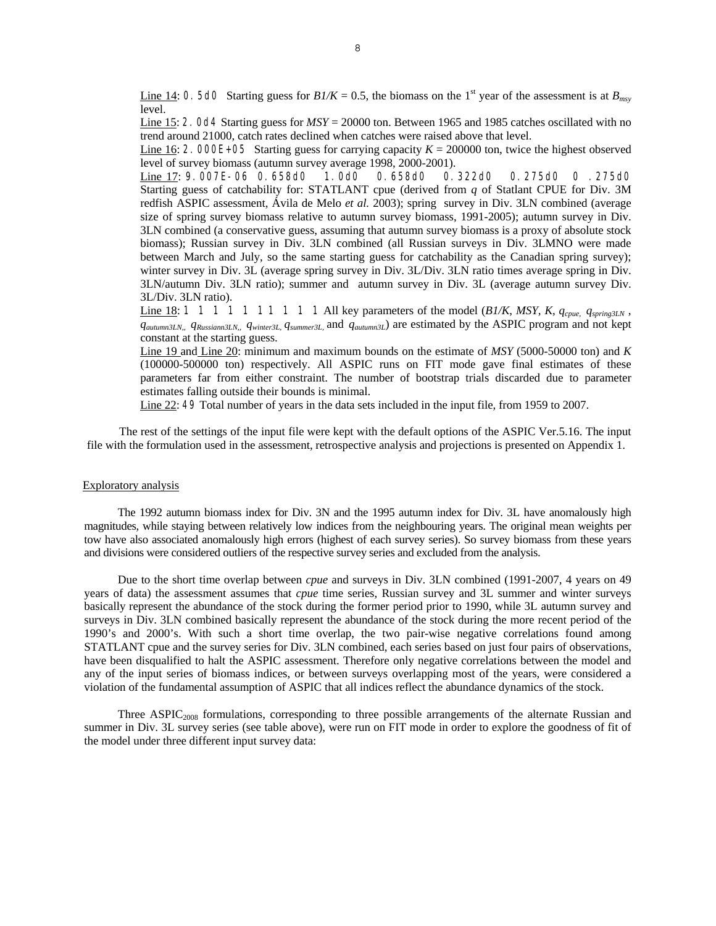Line 14: 0. 5d0 Starting guess for  $B1/K = 0.5$ , the biomass on the 1<sup>st</sup> year of the assessment is at  $B_{msy}$ level.

Line 15: 2. 0d4 Starting guess for *MSY* = 20000 ton. Between 1965 and 1985 catches oscillated with no trend around 21000, catch rates declined when catches were raised above that level.

Line 16: 2. 000E+05 Starting guess for carrying capacity  $K = 200000$  ton, twice the highest observed level of survey biomass (autumn survey average 1998, 2000-2001).

Line 17: 9.007E-06 0.658d0 1.0d0 0.658d0 0.322d0 0.275d0 0 .275d0 Starting guess of catchability for: STATLANT cpue (derived from *q* of Statlant CPUE for Div. 3M redfish ASPIC assessment, Ávila de Melo *et al.* 2003); spring survey in Div. 3LN combined (average size of spring survey biomass relative to autumn survey biomass, 1991-2005); autumn survey in Div. 3LN combined (a conservative guess, assuming that autumn survey biomass is a proxy of absolute stock biomass); Russian survey in Div. 3LN combined (all Russian surveys in Div. 3LMNO were made between March and July, so the same starting guess for catchability as the Canadian spring survey); winter survey in Div. 3L (average spring survey in Div. 3L/Div. 3LN ratio times average spring in Div. 3LN/autumn Div. 3LN ratio); summer and autumn survey in Div. 3L (average autumn survey Div. 3L/Div. 3LN ratio).

<u>Line 18</u>: 1 1 1 1 1 1 1 1 1 1 1 1 All key parameters of the model  $(B1/K, MSY, K, q_{cque}, q_{sprino3LN}$ , *qautumn3LN,, qRussiann3LN,, qwinter3L, qsummer3L,* and *qautumn3L*) are estimated by the ASPIC program and not kept constant at the starting guess.

Line 19 and Line 20: minimum and maximum bounds on the estimate of *MSY* (5000-50000 ton) and *K* (100000-500000 ton) respectively. All ASPIC runs on FIT mode gave final estimates of these parameters far from either constraint. The number of bootstrap trials discarded due to parameter estimates falling outside their bounds is minimal.

Line 22: 49 Total number of years in the data sets included in the input file, from 1959 to 2007.

The rest of the settings of the input file were kept with the default options of the ASPIC Ver.5.16. The input file with the formulation used in the assessment, retrospective analysis and projections is presented on Appendix 1.

### Exploratory analysis

The 1992 autumn biomass index for Div. 3N and the 1995 autumn index for Div. 3L have anomalously high magnitudes, while staying between relatively low indices from the neighbouring years. The original mean weights per tow have also associated anomalously high errors (highest of each survey series). So survey biomass from these years and divisions were considered outliers of the respective survey series and excluded from the analysis.

Due to the short time overlap between *cpue* and surveys in Div. 3LN combined (1991-2007, 4 years on 49 years of data) the assessment assumes that *cpue* time series, Russian survey and 3L summer and winter surveys basically represent the abundance of the stock during the former period prior to 1990, while 3L autumn survey and surveys in Div. 3LN combined basically represent the abundance of the stock during the more recent period of the 1990's and 2000's. With such a short time overlap, the two pair-wise negative correlations found among STATLANT cpue and the survey series for Div. 3LN combined, each series based on just four pairs of observations, have been disqualified to halt the ASPIC assessment. Therefore only negative correlations between the model and any of the input series of biomass indices, or between surveys overlapping most of the years, were considered a violation of the fundamental assumption of ASPIC that all indices reflect the abundance dynamics of the stock.

Three  $ASPIC<sub>2008</sub>$  formulations, corresponding to three possible arrangements of the alternate Russian and summer in Div. 3L survey series (see table above), were run on FIT mode in order to explore the goodness of fit of the model under three different input survey data: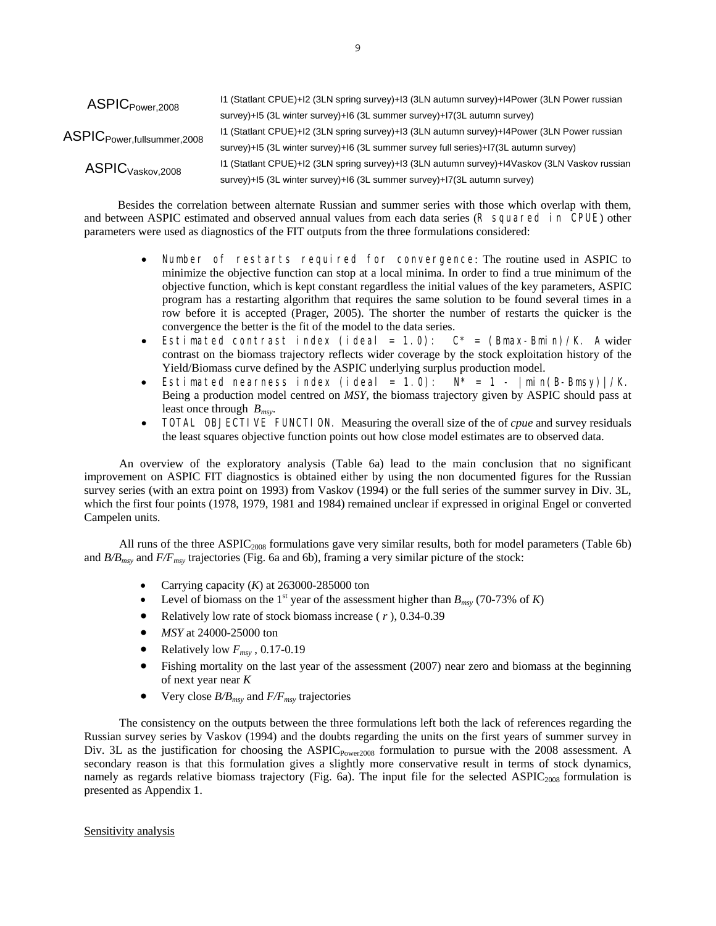| $\mathsf{ASPIC}_{\mathsf{Power}, 2008}$              | 11 (Statlant CPUE)+12 (3LN spring survey)+13 (3LN autumn survey)+14Power (3LN Power russian   |
|------------------------------------------------------|-----------------------------------------------------------------------------------------------|
|                                                      | survey)+15 (3L winter survey)+16 (3L summer survey)+17 (3L autumn survey)                     |
| $\mathsf{ASPIC}_{\mathsf{Power, full summer, 2008}}$ | 11 (Statlant CPUE)+12 (3LN spring survey)+13 (3LN autumn survey)+14Power (3LN Power russian   |
|                                                      | survey)+15 (3L winter survey)+16 (3L summer survey full series)+17 (3L autumn survey)         |
| ASPIC <sub>Vaskov,2008</sub>                         | I1 (Statlant CPUE)+I2 (3LN spring survey)+I3 (3LN autumn survey)+I4Vaskov (3LN Vaskov russian |
|                                                      | survey)+15 (3L winter survey)+16 (3L summer survey)+17(3L autumn survey)                      |

Besides the correlation between alternate Russian and summer series with those which overlap with them, and between ASPIC estimated and observed annual values from each data series (R squared in CPUE) other parameters were used as diagnostics of the FIT outputs from the three formulations considered:

- Number of restarts required for convergence: The routine used in ASPIC to minimize the objective function can stop at a local minima. In order to find a true minimum of the objective function, which is kept constant regardless the initial values of the key parameters, ASPIC program has a restarting algorithm that requires the same solution to be found several times in a row before it is accepted (Prager, 2005). The shorter the number of restarts the quicker is the convergence the better is the fit of the model to the data series.
- Estimated contrast index (ideal = 1.0):  $C^*$  = (Bmax-Bmin)/K. A wider contrast on the biomass trajectory reflects wider coverage by the stock exploitation history of the Yield/Biomass curve defined by the ASPIC underlying surplus production model.
- Estimated nearness index (ideal = 1.0):  $N^* = 1 |min(B-Bmsv)|/K$ . Being a production model centred on *MSY*, the biomass trajectory given by ASPIC should pass at least once through *Bmsy*.
- TOTAL OBJECTIVE FUNCTION. Measuring the overall size of the of *cpue* and survey residuals the least squares objective function points out how close model estimates are to observed data.

An overview of the exploratory analysis (Table 6a) lead to the main conclusion that no significant improvement on ASPIC FIT diagnostics is obtained either by using the non documented figures for the Russian survey series (with an extra point on 1993) from Vaskov (1994) or the full series of the summer survey in Div. 3L, which the first four points (1978, 1979, 1981 and 1984) remained unclear if expressed in original Engel or converted Campelen units.

All runs of the three ASPIC2008 formulations gave very similar results, both for model parameters (Table 6b) and *B/Bmsy* and *F/Fmsy* trajectories (Fig. 6a and 6b), framing a very similar picture of the stock:

- Carrying capacity (*K*) at 263000-285000 ton
- Level of biomass on the 1<sup>st</sup> year of the assessment higher than  $B_{\text{msv}}$  (70-73% of *K*)
- Relatively low rate of stock biomass increase ( *r* ), 0.34-0.39
- *MSY* at 24000-25000 ton
- Relatively low  $F_{msy}$ , 0.17-0.19
- Fishing mortality on the last year of the assessment (2007) near zero and biomass at the beginning of next year near *K*
- Very close  $B/B_{msv}$  and  $F/F_{msv}$  trajectories

The consistency on the outputs between the three formulations left both the lack of references regarding the Russian survey series by Vaskov (1994) and the doubts regarding the units on the first years of summer survey in Div. 3L as the justification for choosing the ASPIC<sub>Power2008</sub> formulation to pursue with the 2008 assessment. A secondary reason is that this formulation gives a slightly more conservative result in terms of stock dynamics, namely as regards relative biomass trajectory (Fig. 6a). The input file for the selected ASPIC<sub>2008</sub> formulation is presented as Appendix 1.

# Sensitivity analysis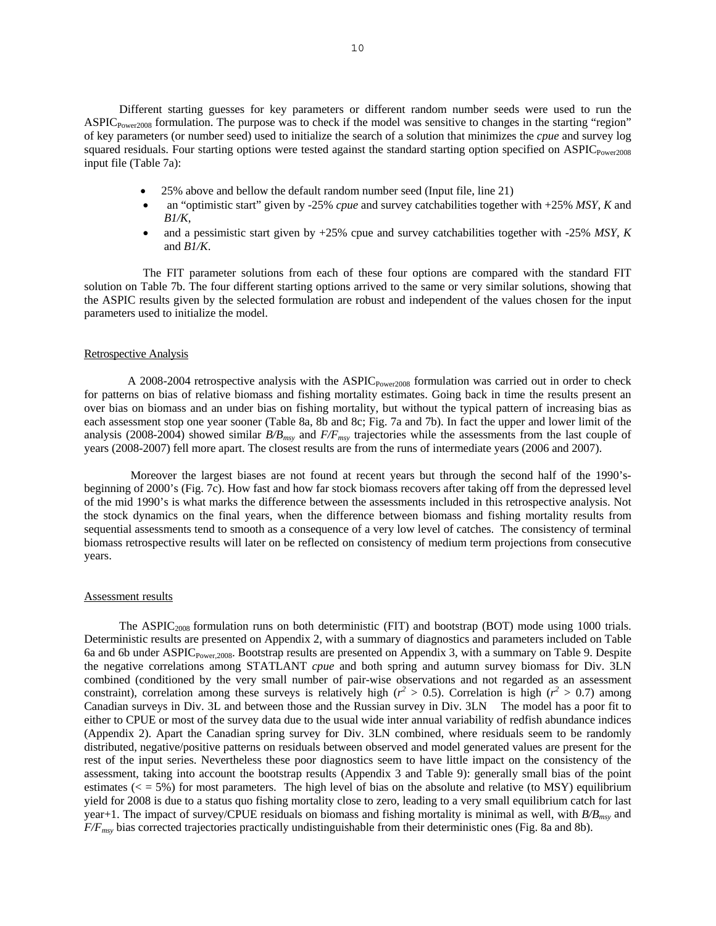Different starting guesses for key parameters or different random number seeds were used to run the  $\text{ASPIC}_{\text{Power2008}}$  formulation. The purpose was to check if the model was sensitive to changes in the starting "region" of key parameters (or number seed) used to initialize the search of a solution that minimizes the *cpue* and survey log squared residuals. Four starting options were tested against the standard starting option specified on ASPIC<sub>Power2008</sub> input file (Table 7a):

- 25% above and bellow the default random number seed (Input file, line 21)
- an "optimistic start" given by -25% *cpue* and survey catchabilities together with +25% *MSY*, *K* and *B1/K*,
- and a pessimistic start given by +25% cpue and survey catchabilities together with -25% *MSY*, *K* and *B1/K*.

The FIT parameter solutions from each of these four options are compared with the standard FIT solution on Table 7b. The four different starting options arrived to the same or very similar solutions, showing that the ASPIC results given by the selected formulation are robust and independent of the values chosen for the input parameters used to initialize the model.

## Retrospective Analysis

A 2008-2004 retrospective analysis with the ASPIC<sub>Power2008</sub> formulation was carried out in order to check for patterns on bias of relative biomass and fishing mortality estimates. Going back in time the results present an over bias on biomass and an under bias on fishing mortality, but without the typical pattern of increasing bias as each assessment stop one year sooner (Table 8a, 8b and 8c; Fig. 7a and 7b). In fact the upper and lower limit of the analysis (2008-2004) showed similar *B/Bmsy* and *F/Fmsy* trajectories while the assessments from the last couple of years (2008-2007) fell more apart. The closest results are from the runs of intermediate years (2006 and 2007).

 Moreover the largest biases are not found at recent years but through the second half of the 1990'sbeginning of 2000's (Fig. 7c). How fast and how far stock biomass recovers after taking off from the depressed level of the mid 1990's is what marks the difference between the assessments included in this retrospective analysis. Not the stock dynamics on the final years, when the difference between biomass and fishing mortality results from sequential assessments tend to smooth as a consequence of a very low level of catches. The consistency of terminal biomass retrospective results will later on be reflected on consistency of medium term projections from consecutive years.

## Assessment results

The ASPIC<sub>2008</sub> formulation runs on both deterministic (FIT) and bootstrap (BOT) mode using 1000 trials. Deterministic results are presented on Appendix 2, with a summary of diagnostics and parameters included on Table 6a and 6b under ASPICPower,2008. Bootstrap results are presented on Appendix 3, with a summary on Table 9. Despite the negative correlations among STATLANT *cpue* and both spring and autumn survey biomass for Div. 3LN combined (conditioned by the very small number of pair-wise observations and not regarded as an assessment constraint), correlation among these surveys is relatively high ( $r^2 > 0.5$ ). Correlation is high ( $r^2 > 0.7$ ) among Canadian surveys in Div. 3L and between those and the Russian survey in Div. 3LN The model has a poor fit to either to CPUE or most of the survey data due to the usual wide inter annual variability of redfish abundance indices (Appendix 2). Apart the Canadian spring survey for Div. 3LN combined, where residuals seem to be randomly distributed, negative/positive patterns on residuals between observed and model generated values are present for the rest of the input series. Nevertheless these poor diagnostics seem to have little impact on the consistency of the assessment, taking into account the bootstrap results (Appendix 3 and Table 9): generally small bias of the point estimates ( $\epsilon$  = 5%) for most parameters. The high level of bias on the absolute and relative (to MSY) equilibrium yield for 2008 is due to a status quo fishing mortality close to zero, leading to a very small equilibrium catch for last year+1. The impact of survey/CPUE residuals on biomass and fishing mortality is minimal as well, with  $B/B<sub>mvv</sub>$  and *F/Fmsy* bias corrected trajectories practically undistinguishable from their deterministic ones (Fig. 8a and 8b).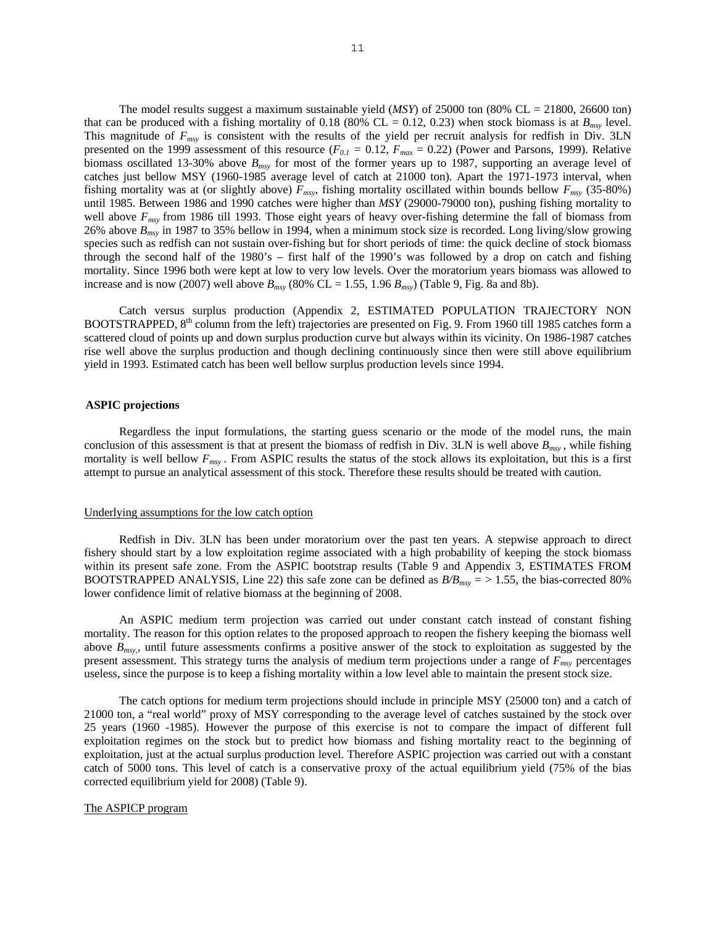The model results suggest a maximum sustainable yield (*MSY*) of 25000 ton (80% CL = 21800, 26600 ton) that can be produced with a fishing mortality of 0.18 (80% CL = 0.12, 0.23) when stock biomass is at  $B_{msy}$  level. This magnitude of *Fmsy* is consistent with the results of the yield per recruit analysis for redfish in Div. 3LN presented on the 1999 assessment of this resource  $(F_{0,I} = 0.12, F_{max} = 0.22)$  (Power and Parsons, 1999). Relative biomass oscillated 13-30% above *Bmsy* for most of the former years up to 1987, supporting an average level of catches just bellow MSY (1960-1985 average level of catch at 21000 ton). Apart the 1971-1973 interval, when fishing mortality was at (or slightly above) *Fmsy*, fishing mortality oscillated within bounds bellow *Fmsy* (35-80%) until 1985. Between 1986 and 1990 catches were higher than *MSY* (29000-79000 ton), pushing fishing mortality to well above *Fmsy* from 1986 till 1993. Those eight years of heavy over-fishing determine the fall of biomass from 26% above *Bmsy* in 1987 to 35% bellow in 1994, when a minimum stock size is recorded. Long living/slow growing species such as redfish can not sustain over-fishing but for short periods of time: the quick decline of stock biomass through the second half of the 1980's – first half of the 1990's was followed by a drop on catch and fishing mortality. Since 1996 both were kept at low to very low levels. Over the moratorium years biomass was allowed to increase and is now (2007) well above  $B_{msv}$  (80% CL = 1.55, 1.96  $B_{msv}$ ) (Table 9, Fig. 8a and 8b).

Catch versus surplus production (Appendix 2, ESTIMATED POPULATION TRAJECTORY NON BOOTSTRAPPED, 8<sup>th</sup> column from the left) trajectories are presented on Fig. 9. From 1960 till 1985 catches form a scattered cloud of points up and down surplus production curve but always within its vicinity. On 1986-1987 catches rise well above the surplus production and though declining continuously since then were still above equilibrium yield in 1993. Estimated catch has been well bellow surplus production levels since 1994.

## **ASPIC projections**

Regardless the input formulations, the starting guess scenario or the mode of the model runs, the main conclusion of this assessment is that at present the biomass of redfish in Div. 3LN is well above *Bmsy* , while fishing mortality is well bellow  $F_{msv}$ . From ASPIC results the status of the stock allows its exploitation, but this is a first attempt to pursue an analytical assessment of this stock. Therefore these results should be treated with caution.

#### Underlying assumptions for the low catch option

Redfish in Div. 3LN has been under moratorium over the past ten years. A stepwise approach to direct fishery should start by a low exploitation regime associated with a high probability of keeping the stock biomass within its present safe zone. From the ASPIC bootstrap results (Table 9 and Appendix 3, ESTIMATES FROM BOOTSTRAPPED ANALYSIS, Line 22) this safe zone can be defined as  $B/B_{msv}$  = > 1.55, the bias-corrected 80% lower confidence limit of relative biomass at the beginning of 2008.

An ASPIC medium term projection was carried out under constant catch instead of constant fishing mortality. The reason for this option relates to the proposed approach to reopen the fishery keeping the biomass well above *Bmsy,*, until future assessments confirms a positive answer of the stock to exploitation as suggested by the present assessment. This strategy turns the analysis of medium term projections under a range of *Fmsy* percentages useless, since the purpose is to keep a fishing mortality within a low level able to maintain the present stock size.

The catch options for medium term projections should include in principle MSY (25000 ton) and a catch of 21000 ton, a "real world" proxy of MSY corresponding to the average level of catches sustained by the stock over 25 years (1960 -1985). However the purpose of this exercise is not to compare the impact of different full exploitation regimes on the stock but to predict how biomass and fishing mortality react to the beginning of exploitation, just at the actual surplus production level. Therefore ASPIC projection was carried out with a constant catch of 5000 tons. This level of catch is a conservative proxy of the actual equilibrium yield (75% of the bias corrected equilibrium yield for 2008) (Table 9).

# The ASPICP program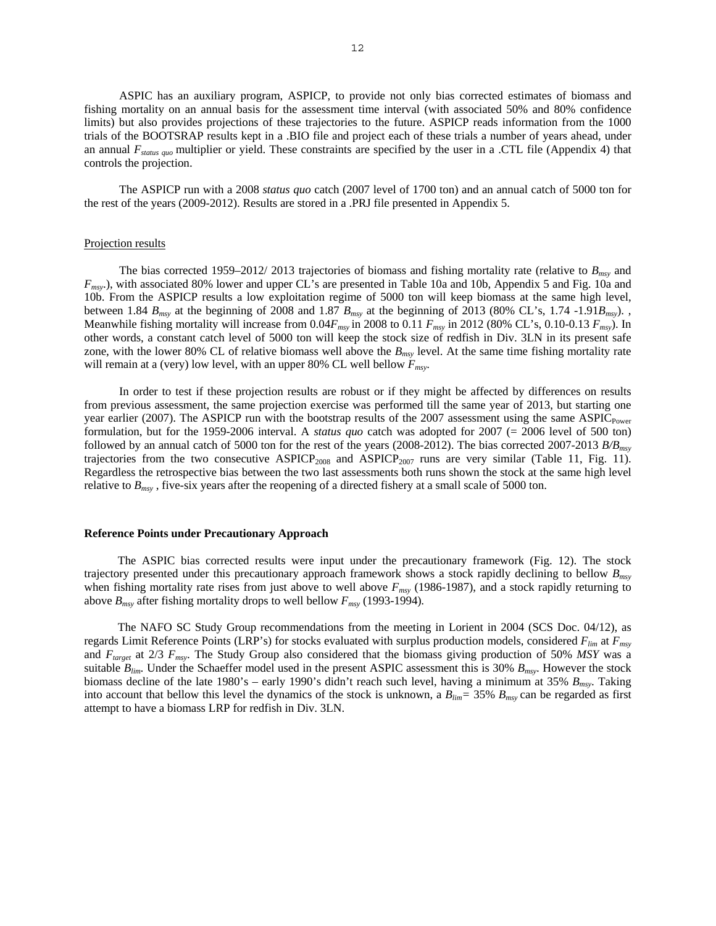ASPIC has an auxiliary program, ASPICP, to provide not only bias corrected estimates of biomass and fishing mortality on an annual basis for the assessment time interval (with associated 50% and 80% confidence limits) but also provides projections of these trajectories to the future. ASPICP reads information from the 1000 trials of the BOOTSRAP results kept in a .BIO file and project each of these trials a number of years ahead, under an annual *Fstatus quo* multiplier or yield. These constraints are specified by the user in a .CTL file (Appendix 4) that controls the projection.

The ASPICP run with a 2008 *status quo* catch (2007 level of 1700 ton) and an annual catch of 5000 ton for the rest of the years (2009-2012). Results are stored in a .PRJ file presented in Appendix 5.

#### Projection results

The bias corrected 1959–2012/ 2013 trajectories of biomass and fishing mortality rate (relative to *Bmsy* and *Fmsy*.), with associated 80% lower and upper CL's are presented in Table 10a and 10b, Appendix 5 and Fig. 10a and 10b. From the ASPICP results a low exploitation regime of 5000 ton will keep biomass at the same high level, between 1.84 *Bmsy* at the beginning of 2008 and 1.87 *Bmsy* at the beginning of 2013 (80% CL's, 1.74 -1.91*Bmsy*). , Meanwhile fishing mortality will increase from 0.04*Fmsy* in 2008 to 0.11 *Fmsy* in 2012 (80% CL's, 0.10-0.13 *Fmsy*). In other words, a constant catch level of 5000 ton will keep the stock size of redfish in Div. 3LN in its present safe zone, with the lower 80% CL of relative biomass well above the *Bmsy* level. At the same time fishing mortality rate will remain at a (very) low level, with an upper 80% CL well bellow  $F_{msv}$ .

In order to test if these projection results are robust or if they might be affected by differences on results from previous assessment, the same projection exercise was performed till the same year of 2013, but starting one year earlier (2007). The ASPICP run with the bootstrap results of the 2007 assessment using the same ASPIC<sub>Power</sub> formulation, but for the 1959-2006 interval. A *status quo* catch was adopted for 2007 (= 2006 level of 500 ton) followed by an annual catch of 5000 ton for the rest of the years (2008-2012). The bias corrected 2007-2013 *B/Bmsy* trajectories from the two consecutive  $ASPICP_{2008}$  and  $ASPICP_{2007}$  runs are very similar (Table 11, Fig. 11). Regardless the retrospective bias between the two last assessments both runs shown the stock at the same high level relative to *Bmsy* , five-six years after the reopening of a directed fishery at a small scale of 5000 ton.

#### **Reference Points under Precautionary Approach**

The ASPIC bias corrected results were input under the precautionary framework (Fig. 12). The stock trajectory presented under this precautionary approach framework shows a stock rapidly declining to bellow *Bmsy* when fishing mortality rate rises from just above to well above  $F_{msv}$  (1986-1987), and a stock rapidly returning to above *Bmsy* after fishing mortality drops to well bellow *Fmsy* (1993-1994)*.* 

The NAFO SC Study Group recommendations from the meeting in Lorient in 2004 (SCS Doc. 04/12), as regards Limit Reference Points (LRP's) for stocks evaluated with surplus production models, considered *Flim* at *Fmsy* and *Ftarget* at 2/3 *Fmsy*. The Study Group also considered that the biomass giving production of 50% *MSY* was a suitable *Blim.* Under the Schaeffer model used in the present ASPIC assessment this is 30% *Bmsy*. However the stock biomass decline of the late 1980's – early 1990's didn't reach such level, having a minimum at 35% *Bmsy*. Taking into account that bellow this level the dynamics of the stock is unknown, a *Blim=* 35% *Bmsy* can be regarded as first attempt to have a biomass LRP for redfish in Div. 3LN.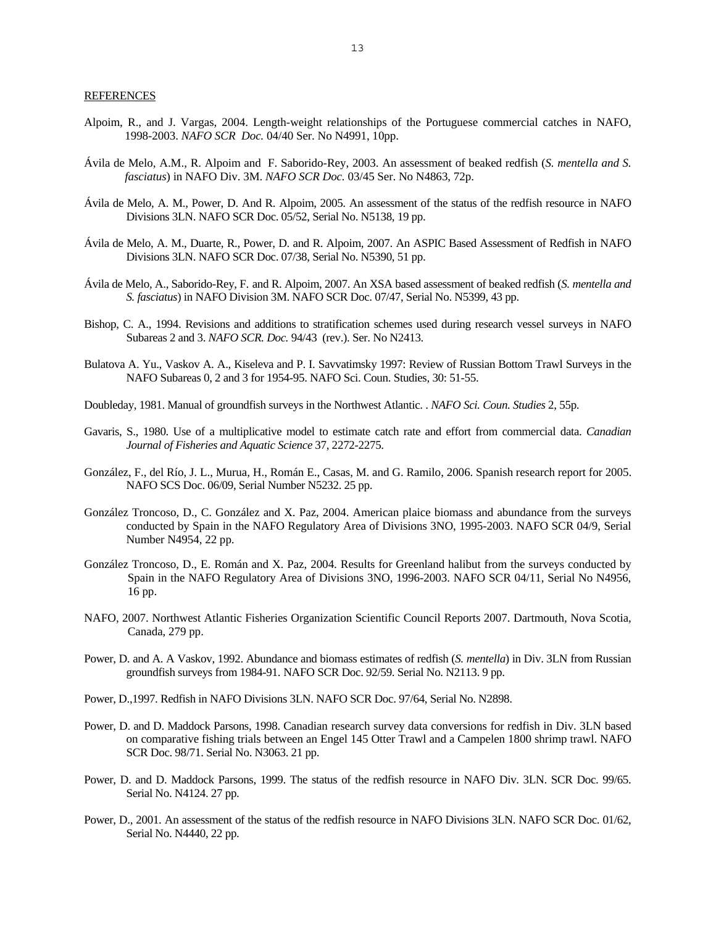#### REFERENCES

- Alpoim, R., and J. Vargas, 2004. Length-weight relationships of the Portuguese commercial catches in NAFO, 1998-2003. *NAFO SCR Doc.* 04/40 Ser. No N4991, 10pp.
- Ávila de Melo, A.M., R. Alpoim and F. Saborido-Rey, 2003. An assessment of beaked redfish (*S. mentella and S. fasciatus*) in NAFO Div. 3M. *NAFO SCR Doc.* 03/45 Ser. No N4863, 72p.
- Ávila de Melo, A. M., Power, D. And R. Alpoim, 2005. An assessment of the status of the redfish resource in NAFO Divisions 3LN. NAFO SCR Doc. 05/52, Serial No. N5138, 19 pp.
- Ávila de Melo, A. M., Duarte, R., Power, D. and R. Alpoim, 2007. An ASPIC Based Assessment of Redfish in NAFO Divisions 3LN. NAFO SCR Doc. 07/38, Serial No. N5390, 51 pp.
- Ávila de Melo, A., Saborido-Rey, F. and R. Alpoim, 2007. An XSA based assessment of beaked redfish (*S. mentella and S. fasciatus*) in NAFO Division 3M. NAFO SCR Doc. 07/47, Serial No. N5399, 43 pp.
- Bishop, C. A., 1994. Revisions and additions to stratification schemes used during research vessel surveys in NAFO Subareas 2 and 3. *NAFO SCR. Doc.* 94/43 (rev.). Ser. No N2413.
- Bulatova A. Yu., Vaskov A. A., Kiseleva and P. I. Savvatimsky 1997: Review of Russian Bottom Trawl Surveys in the NAFO Subareas 0, 2 and 3 for 1954-95. NAFO Sci. Coun. Studies, 30: 51-55.
- Doubleday, 1981. Manual of groundfish surveys in the Northwest Atlantic. . *NAFO Sci. Coun. Studies* 2, 55p.
- Gavaris, S., 1980. Use of a multiplicative model to estimate catch rate and effort from commercial data. *Canadian Journal of Fisheries and Aquatic Science* 37, 2272-2275.
- González, F., del Río, J. L., Murua, H., Román E., Casas, M. and G. Ramilo, 2006. Spanish research report for 2005. NAFO SCS Doc. 06/09, Serial Number N5232. 25 pp.
- González Troncoso, D., C. González and X. Paz, 2004. American plaice biomass and abundance from the surveys conducted by Spain in the NAFO Regulatory Area of Divisions 3NO, 1995-2003. NAFO SCR 04/9, Serial Number N4954, 22 pp.
- González Troncoso, D., E. Román and X. Paz, 2004. Results for Greenland halibut from the surveys conducted by Spain in the NAFO Regulatory Area of Divisions 3NO, 1996-2003. NAFO SCR 04/11, Serial No N4956, 16 pp.
- NAFO, 2007. Northwest Atlantic Fisheries Organization Scientific Council Reports 2007. Dartmouth, Nova Scotia, Canada, 279 pp.
- Power, D. and A. A Vaskov, 1992. Abundance and biomass estimates of redfish (*S. mentella*) in Div. 3LN from Russian groundfish surveys from 1984-91. NAFO SCR Doc. 92/59. Serial No. N2113. 9 pp.
- Power, D.,1997. Redfish in NAFO Divisions 3LN. NAFO SCR Doc. 97/64, Serial No. N2898.
- Power, D. and D. Maddock Parsons, 1998. Canadian research survey data conversions for redfish in Div. 3LN based on comparative fishing trials between an Engel 145 Otter Trawl and a Campelen 1800 shrimp trawl. NAFO SCR Doc. 98/71. Serial No. N3063. 21 pp.
- Power, D. and D. Maddock Parsons, 1999. The status of the redfish resource in NAFO Div. 3LN. SCR Doc. 99/65. Serial No. N4124. 27 pp.
- Power, D., 2001. An assessment of the status of the redfish resource in NAFO Divisions 3LN. NAFO SCR Doc. 01/62, Serial No. N4440, 22 pp.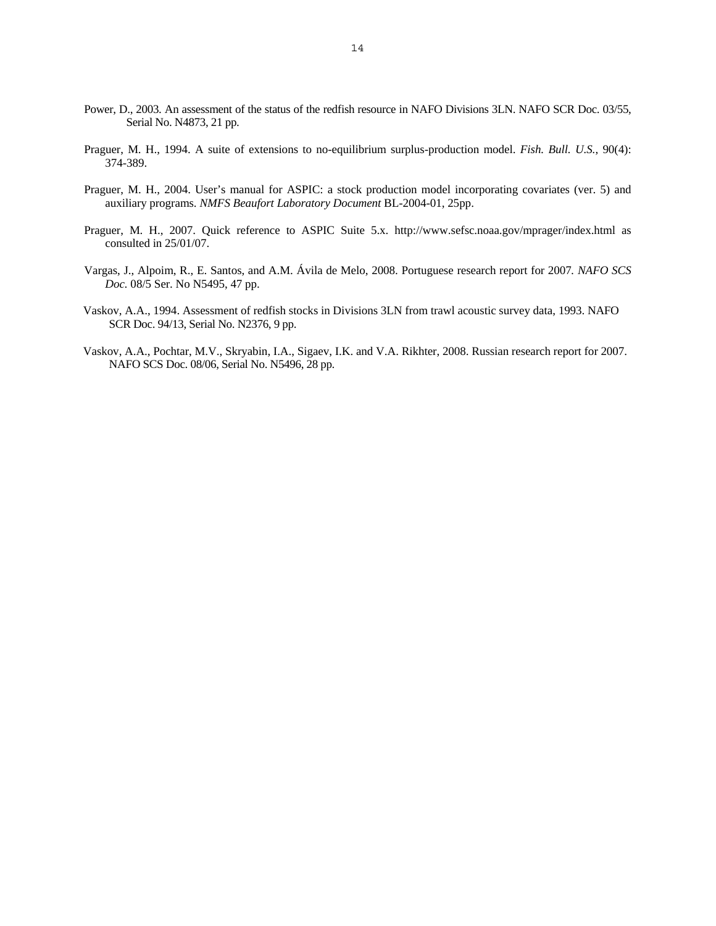- Power, D., 2003. An assessment of the status of the redfish resource in NAFO Divisions 3LN. NAFO SCR Doc. 03/55, Serial No. N4873, 21 pp.
- Praguer, M. H., 1994. A suite of extensions to no-equilibrium surplus-production model. *Fish. Bull. U.S.*, 90(4): 374-389.
- Praguer, M. H., 2004. User's manual for ASPIC: a stock production model incorporating covariates (ver. 5) and auxiliary programs. *NMFS Beaufort Laboratory Document* BL-2004-01, 25pp.
- Praguer, M. H., 2007. Quick reference to ASPIC Suite 5.x. http://www.sefsc.noaa.gov/mprager/index.html as consulted in 25/01/07.
- Vargas, J., Alpoim, R., E. Santos, and A.M. Ávila de Melo, 2008. Portuguese research report for 2007*. NAFO SCS Doc.* 08/5 Ser. No N5495, 47 pp.
- Vaskov, A.A., 1994. Assessment of redfish stocks in Divisions 3LN from trawl acoustic survey data, 1993. NAFO SCR Doc. 94/13, Serial No. N2376, 9 pp.
- Vaskov, A.A., Pochtar, M.V., Skryabin, I.A., Sigaev, I.K. and V.A. Rikhter, 2008. Russian research report for 2007. NAFO SCS Doc. 08/06, Serial No. N5496, 28 pp.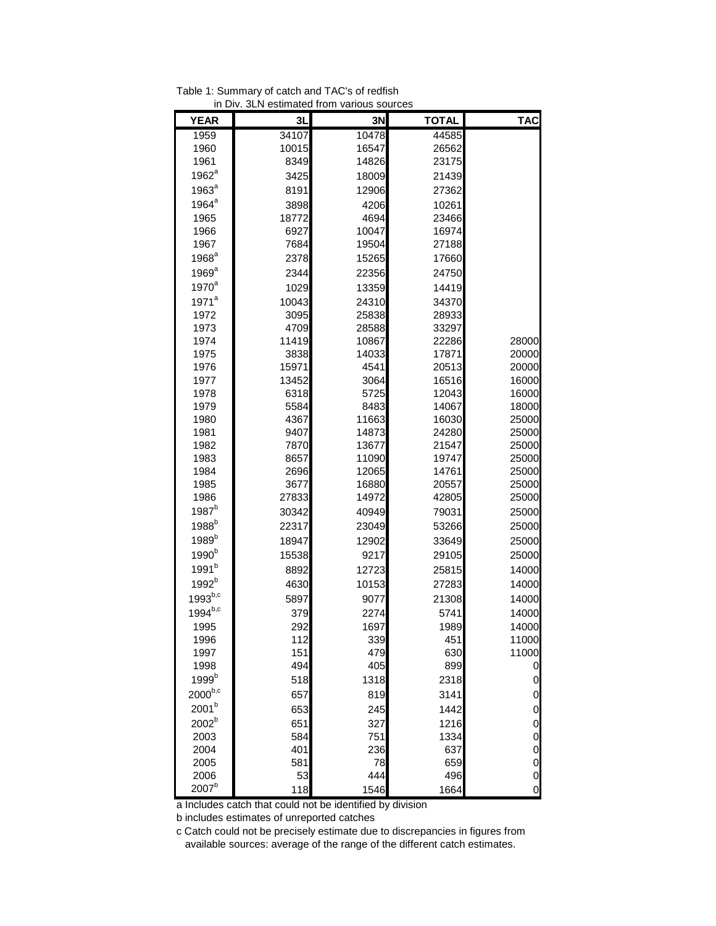| <b>YEAR</b>       | 3L    | 3N    | <b>TOTAL</b> | <b>TAC</b>     |
|-------------------|-------|-------|--------------|----------------|
| 1959              | 34107 | 10478 | 44585        |                |
| 1960              | 10015 | 16547 | 26562        |                |
| 1961              | 8349  | 14826 | 23175        |                |
| $1962^a$          | 3425  | 18009 | 21439        |                |
| $1963^a$          | 8191  | 12906 | 27362        |                |
| $1964^a$          | 3898  | 4206  | 10261        |                |
| 1965              | 18772 | 4694  | 23466        |                |
| 1966              | 6927  | 10047 | 16974        |                |
| 1967              | 7684  | 19504 | 27188        |                |
| $1968^a$          | 2378  | 15265 | 17660        |                |
| $1969^a$          | 2344  | 22356 | 24750        |                |
| $1970^a$          | 1029  | 13359 | 14419        |                |
| $1971^a$          | 10043 | 24310 | 34370        |                |
| 1972              | 3095  | 25838 | 28933        |                |
| 1973              | 4709  | 28588 | 33297        |                |
| 1974              | 11419 | 10867 | 22286        | 28000          |
| 1975              | 3838  | 14033 | 17871        | 20000          |
| 1976              | 15971 | 4541  | 20513        | 20000          |
| 1977              | 13452 | 3064  | 16516        | 16000          |
| 1978              | 6318  | 5725  | 12043        | 16000          |
| 1979              | 5584  | 8483  | 14067        | 18000          |
| 1980              | 4367  | 11663 | 16030        | 25000          |
| 1981              | 9407  | 14873 | 24280        | 25000          |
| 1982              | 7870  | 13677 | 21547        | 25000          |
| 1983              | 8657  | 11090 | 19747        | 25000          |
| 1984              | 2696  | 12065 | 14761        | 25000          |
| 1985              | 3677  | 16880 | 20557        | 25000          |
| 1986              | 27833 | 14972 | 42805        | 25000          |
| $1987^b$          | 30342 | 40949 | 79031        | 25000          |
| 1988 <sup>b</sup> | 22317 | 23049 | 53266        | 25000          |
| $1989^b$          | 18947 | 12902 | 33649        | 25000          |
| $1990^b$          | 15538 | 9217  | 29105        | 25000          |
| 1991 <sup>b</sup> | 8892  | 12723 | 25815        | 14000          |
| $1992^{b}$        | 4630  | 10153 | 27283        | 14000          |
| $1993^{b,c}$      | 5897  | 9077  | 21308        | 14000          |
| $1994^{b,c}$      | 379   | 2274  | 5741         | 14000          |
| 1995              | 292   | 1697  | 1989         | 14000          |
| 1996              | 112   | 339   | 451          | 11000          |
| 1997              | 151   | 479   | 630          | 11000          |
| 1998              | 494   | 405   | 899          | 0              |
| 1999 <sup>b</sup> | 518   | 1318  | 2318         | $\mathbf 0$    |
| $2000^{b,c}$      | 657   | 819   | 3141         | $\mathbf 0$    |
| 2001 <sup>b</sup> | 653   | 245   | 1442         | $\mathbf 0$    |
| $2002^b$          | 651   | 327   | 1216         | $\mathbf 0$    |
| 2003              | 584   | 751   | 1334         | $\mathbf 0$    |
| 2004              | 401   | 236   | 637          | $\mathbf 0$    |
| 2005              | 581   | 78    | 659          | $\mathbf 0$    |
| 2006              | 53    | 444   | 496          | $\overline{0}$ |
| 2007 <sup>b</sup> | 118   | 1546  | 1664         | $\mathbf 0$    |

Table 1: Summary of catch and TAC's of redfish in Div. 3LN estimated from various sources

a Includes catch that could not be identified by division

b includes estimates of unreported catches

c Catch could not be precisely estimate due to discrepancies in figures from available sources: average of the range of the different catch estimates.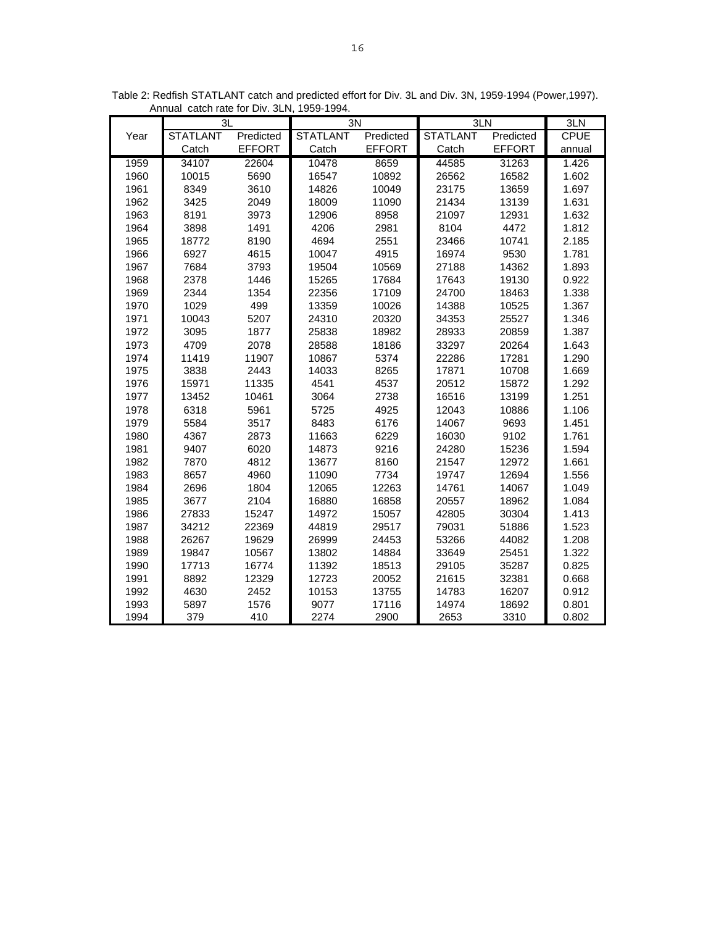|      | 3L              |               | 3N              |               |                 | 3LN           |             |  |
|------|-----------------|---------------|-----------------|---------------|-----------------|---------------|-------------|--|
| Year | <b>STATLANT</b> | Predicted     | <b>STATLANT</b> | Predicted     | <b>STATLANT</b> | Predicted     | <b>CPUE</b> |  |
|      | Catch           | <b>EFFORT</b> | Catch           | <b>EFFORT</b> | Catch           | <b>EFFORT</b> | annual      |  |
| 1959 | 34107           | 22604         | 10478           | 8659          | 44585           | 31263         | 1.426       |  |
| 1960 | 10015           | 5690          | 16547           | 10892         | 26562           | 16582         | 1.602       |  |
| 1961 | 8349            | 3610          | 14826           | 10049         | 23175           | 13659         | 1.697       |  |
| 1962 | 3425            | 2049          | 18009           | 11090         | 21434           | 13139         | 1.631       |  |
| 1963 | 8191            | 3973          | 12906           | 8958          | 21097           | 12931         | 1.632       |  |
| 1964 | 3898            | 1491          | 4206            | 2981          | 8104            | 4472          | 1.812       |  |
| 1965 | 18772           | 8190          | 4694            | 2551          | 23466           | 10741         | 2.185       |  |
| 1966 | 6927            | 4615          | 10047           | 4915          | 16974           | 9530          | 1.781       |  |
| 1967 | 7684            | 3793          | 19504           | 10569         | 27188           | 14362         | 1.893       |  |
| 1968 | 2378            | 1446          | 15265           | 17684         | 17643           | 19130         | 0.922       |  |
| 1969 | 2344            | 1354          | 22356           | 17109         | 24700           | 18463         | 1.338       |  |
| 1970 | 1029            | 499           | 13359           | 10026         | 14388           | 10525         | 1.367       |  |
| 1971 | 10043           | 5207          | 24310           | 20320         | 34353           | 25527         | 1.346       |  |
| 1972 | 3095            | 1877          | 25838           | 18982         | 28933           | 20859         | 1.387       |  |
| 1973 | 4709            | 2078          | 28588           | 18186         | 33297           | 20264         | 1.643       |  |
| 1974 | 11419           | 11907         | 10867           | 5374          | 22286           | 17281         | 1.290       |  |
| 1975 | 3838            | 2443          | 14033           | 8265          | 17871           | 10708         | 1.669       |  |
| 1976 | 15971           | 11335         | 4541            | 4537          | 20512           | 15872         | 1.292       |  |
| 1977 | 13452           | 10461         | 3064            | 2738          | 16516           | 13199         | 1.251       |  |
| 1978 | 6318            | 5961          | 5725            | 4925          | 12043           | 10886         | 1.106       |  |
| 1979 | 5584            | 3517          | 8483            | 6176          | 14067           | 9693          | 1.451       |  |
| 1980 | 4367            | 2873          | 11663           | 6229          | 16030           | 9102          | 1.761       |  |
| 1981 | 9407            | 6020          | 14873           | 9216          | 24280           | 15236         | 1.594       |  |
| 1982 | 7870            | 4812          | 13677           | 8160          | 21547           | 12972         | 1.661       |  |
| 1983 | 8657            | 4960          | 11090           | 7734          | 19747           | 12694         | 1.556       |  |
| 1984 | 2696            | 1804          | 12065           | 12263         | 14761           | 14067         | 1.049       |  |
| 1985 | 3677            | 2104          | 16880           | 16858         | 20557           | 18962         | 1.084       |  |
| 1986 | 27833           | 15247         | 14972           | 15057         | 42805           | 30304         | 1.413       |  |
| 1987 | 34212           | 22369         | 44819           | 29517         | 79031           | 51886         | 1.523       |  |
| 1988 | 26267           | 19629         | 26999           | 24453         | 53266           | 44082         | 1.208       |  |
| 1989 | 19847           | 10567         | 13802           | 14884         | 33649           | 25451         | 1.322       |  |
| 1990 | 17713           | 16774         | 11392           | 18513         | 29105           | 35287         | 0.825       |  |
| 1991 | 8892            | 12329         | 12723           | 20052         | 21615           | 32381         | 0.668       |  |
| 1992 | 4630            | 2452          | 10153           | 13755         | 14783           | 16207         | 0.912       |  |
| 1993 | 5897            | 1576          | 9077            | 17116         | 14974           | 18692         | 0.801       |  |
| 1994 | 379             | 410           | 2274            | 2900          | 2653            | 3310          | 0.802       |  |

Table 2: Redfish STATLANT catch and predicted effort for Div. 3L and Div. 3N, 1959-1994 (Power,1997). Annual catch rate for Div. 3LN, 1959-1994.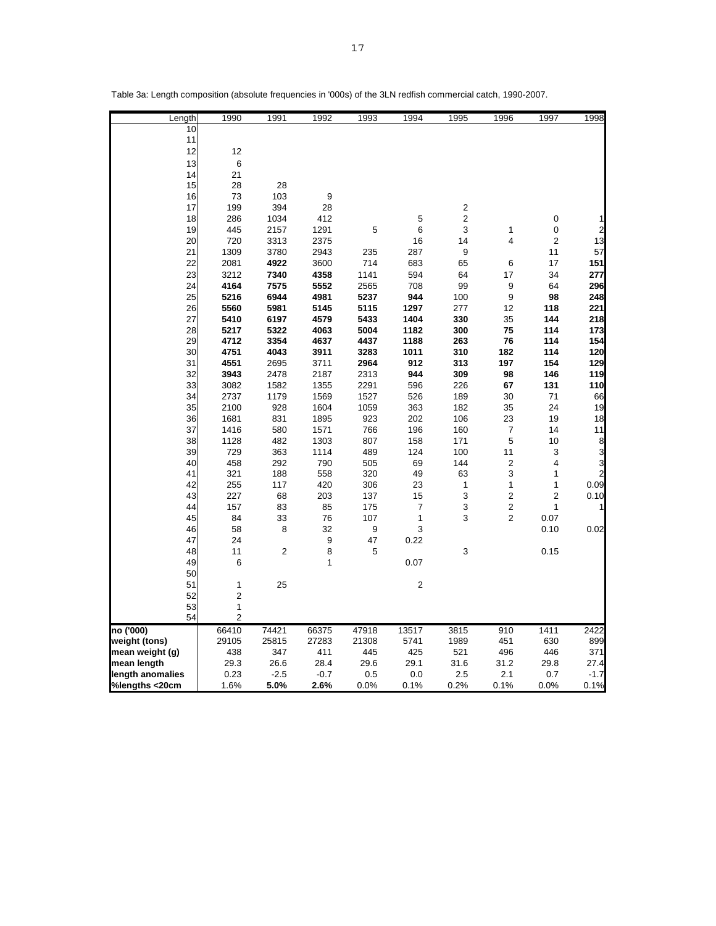| Length           | 1990           | 1991           | 1992           | 1993         | 1994        | 1995                    | 1996                    | 1997           | 1998                    |
|------------------|----------------|----------------|----------------|--------------|-------------|-------------------------|-------------------------|----------------|-------------------------|
| 10               |                |                |                |              |             |                         |                         |                |                         |
| 11               |                |                |                |              |             |                         |                         |                |                         |
| 12               | 12             |                |                |              |             |                         |                         |                |                         |
| 13               | 6              |                |                |              |             |                         |                         |                |                         |
| 14               | 21             |                |                |              |             |                         |                         |                |                         |
| 15               | 28             | 28             |                |              |             |                         |                         |                |                         |
| 16               | 73             | 103            | 9              |              |             |                         |                         |                |                         |
| 17               | 199            | 394            | 28             |              |             | 2                       |                         |                |                         |
| 18               | 286            | 1034           | 412            |              | 5           | $\overline{\mathbf{c}}$ |                         | 0              |                         |
| 19               | 445            | 2157           | 1291           | 5            | 6           | 3                       | 1                       | $\pmb{0}$      | 2                       |
| 20<br>21         | 720<br>1309    | 3313           | 2375           | 235          | 16          | 14<br>9                 | 4                       | $\overline{2}$ | 13<br>57                |
|                  |                | 3780<br>4922   | 2943<br>3600   | 714          | 287<br>683  | 65                      |                         | 11<br>17       | 151                     |
| 22               | 2081           |                |                |              |             |                         | 6                       |                |                         |
| 23               | 3212           | 7340           | 4358           | 1141         | 594         | 64                      | 17                      | 34             | 277                     |
| 24               | 4164           | 7575           | 5552           | 2565         | 708         | 99                      | 9                       | 64             | 296                     |
| 25               | 5216<br>5560   | 6944<br>5981   | 4981<br>5145   | 5237<br>5115 | 944<br>1297 | 100<br>277              | 9<br>12                 | 98<br>118      | 248<br>221              |
| 26<br>27         | 5410           | 6197           | 4579           | 5433         | 1404        | 330                     | 35                      | 144            | 218                     |
| 28               | 5217           | 5322           | 4063           | 5004         | 1182        | 300                     | 75                      | 114            | 173                     |
| 29               | 4712           | 3354           | 4637           | 4437         | 1188        | 263                     | 76                      | 114            | 154                     |
| 30               | 4751           | 4043           | 3911           | 3283         | 1011        | 310                     | 182                     | 114            | 120                     |
| 31               | 4551           | 2695           | 3711           | 2964         | 912         | 313                     | 197                     | 154            | 129                     |
| 32               | 3943           | 2478           | 2187           | 2313         | 944         | 309                     | 98                      | 146            | 119                     |
| 33               | 3082           | 1582           | 1355           | 2291         | 596         | 226                     | 67                      | 131            | 110                     |
| 34               | 2737           | 1179           | 1569           | 1527         | 526         | 189                     | 30                      | 71             | 66                      |
| 35               | 2100           | 928            | 1604           | 1059         | 363         | 182                     | 35                      | 24             | 19                      |
| 36               | 1681           | 831            | 1895           | 923          | 202         | 106                     | 23                      | 19             | 18                      |
| 37               | 1416           | 580            | 1571           | 766          | 196         | 160                     | 7                       | 14             | 11                      |
| 38               | 1128           | 482            | 1303           | 807          | 158         | 171                     | 5                       | 10             | $\bf8$                  |
| 39               | 729            | 363            | 1114           | 489          | 124         | 100                     | 11                      | 3              | 3                       |
| 40               | 458            | 292            | 790            | 505          | 69          | 144                     | $\overline{2}$          | 4              | 3                       |
| 41               | 321            | 188            | 558            | 320          | 49          | 63                      | 3                       | 1              | $\overline{\mathbf{c}}$ |
| 42               | 255            | 117            | 420            | 306          | 23          | 1                       | 1                       | 1              | 0.09                    |
| 43               | 227            | 68             | 203            | 137          | 15          | 3                       | $\overline{\mathbf{c}}$ | $\overline{2}$ | 0.10                    |
| 44               | 157            | 83             | 85             | 175          | 7           | 3                       | $\overline{\mathbf{c}}$ | 1              | 1                       |
| 45               | 84             | 33             | 76             | 107          | 1           | 3                       | $\overline{2}$          | 0.07           |                         |
| 46               | 58             | 8              | 32             | 9            | 3           |                         |                         | 0.10           | 0.02                    |
| 47               | 24             |                | 9              | 47           | 0.22        |                         |                         |                |                         |
| 48               | 11             | 2              | 8              | 5            |             | 3                       |                         | 0.15           |                         |
| 49               | 6              |                | 1              |              | 0.07        |                         |                         |                |                         |
| 50               |                |                |                |              |             |                         |                         |                |                         |
| 51               | 1              | 25             |                |              | $\mathbf 2$ |                         |                         |                |                         |
| 52               | $\overline{2}$ |                |                |              |             |                         |                         |                |                         |
| 53               | 1              |                |                |              |             |                         |                         |                |                         |
| 54               | 2              |                |                |              |             |                         |                         |                |                         |
| no ('000)        | 66410          | 74421          | 66375          | 47918        | 13517       | 3815                    | $\overline{910}$        | 1411           | 2422                    |
| weight (tons)    | 29105          | 25815          | 27283          | 21308        | 5741        | 1989                    | 451                     | 630            | 899                     |
| mean weight (g)  | 438            | 347            | 411            | 445          | 425         | 521                     | 496                     | 446            | 371                     |
| mean length      | 29.3           | 26.6           | 28.4           | 29.6         | 29.1        | 31.6                    | 31.2                    | 29.8           | 27.4                    |
| length anomalies | 0.23<br>1.6%   | $-2.5$<br>5.0% | $-0.7$<br>2.6% | 0.5<br>0.0%  | 0.0<br>0.1% | 2.5<br>0.2%             | 2.1<br>0.1%             | 0.7<br>0.0%    | $-1.7$                  |

Table 3a: Length composition (absolute frequencies in '000s) of the 3LN redfish commercial catch, 1990-2007.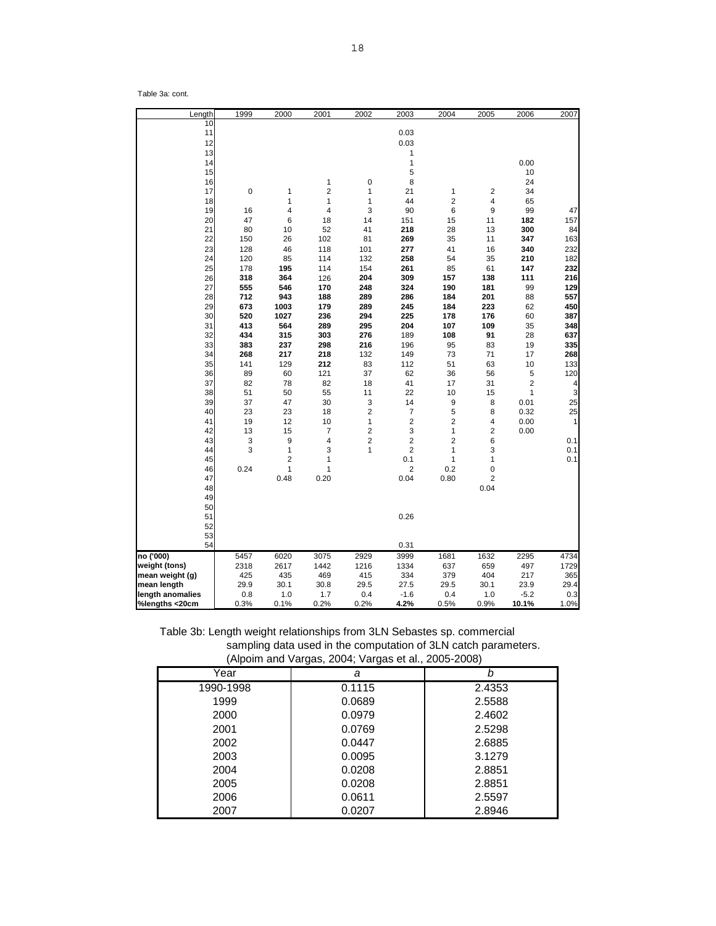Table 3a: cont.

| Length           | 1999     | 2000                           | 2001           | 2002           | 2003                  | 2004                | 2005    | 2006                    | 2007               |
|------------------|----------|--------------------------------|----------------|----------------|-----------------------|---------------------|---------|-------------------------|--------------------|
| 10               |          |                                |                |                |                       |                     |         |                         |                    |
| 11               |          |                                |                |                | 0.03                  |                     |         |                         |                    |
| 12               |          |                                |                |                | 0.03                  |                     |         |                         |                    |
| 13               |          |                                |                |                | 1                     |                     |         |                         |                    |
| 14               |          |                                |                |                | 1                     |                     |         | 0.00                    |                    |
| 15               |          |                                |                |                | 5                     |                     |         | 10                      |                    |
| 16               |          |                                | 1              | $\mathbf 0$    | 8                     |                     |         | 24                      |                    |
| 17               | 0        | 1                              | $\overline{2}$ | $\mathbf{1}$   | 21                    | 1                   | 2       | 34                      |                    |
| 18               |          | 1                              | 1              | 1              | 44                    | $\overline{2}$      | 4       | 65                      |                    |
| 19               | 16       | 4                              | 4              | 3              | 90                    | 6                   | 9       | 99                      | 47                 |
| 20               | 47       | 6                              | 18             | 14             | 151                   | 15                  | 11      | 182                     | 157                |
| 21               | 80       | 10                             | 52             | 41             | 218                   | 28                  | 13      | 300                     | 84                 |
| 22               | 150      | 26                             | 102            | 81             | 269                   | 35                  | 11      | 347                     | 163                |
| 23               | 128      | 46                             | 118            | 101            | 277                   | 41                  | 16      | 340                     | 232                |
| 24               | 120      | 85                             | 114            | 132            | 258                   | 54                  | 35      | 210                     | 182                |
| 25               | 178      | 195                            | 114            | 154            | 261                   | 85                  | 61      | 147                     | 232                |
| 26               | 318      | 364                            | 126            | 204            | 309                   | 157                 | 138     | 111                     | 216                |
| 27               | 555      | 546                            | 170            | 248            | 324                   | 190                 | 181     | 99                      | 129                |
| 28               | 712      | 943                            | 188            | 289            | 286                   | 184                 | 201     | 88                      | 557                |
| 29               | 673      | 1003                           | 179            | 289            | 245                   | 184                 | 223     | 62                      | 450                |
| 30               | 520      | 1027                           | 236            | 294            | 225                   | 178                 | 176     | 60                      | 387                |
| 31               | 413      | 564                            | 289            | 295            | 204                   | 107                 | 109     | 35                      | 348                |
| 32               | 434      | 315                            | 303            | 276            | 189                   | 108                 | 91      | 28                      | 637                |
| 33               | 383      | 237                            | 298            | 216            | 196                   | 95                  | 83      | 19                      | 335                |
| 34               | 268      | 217                            | 218            | 132            | 149                   | 73                  | 71      | 17                      | 268                |
| 35               | 141      | 129                            | 212            | 83             | 112                   | 51                  | 63      | 10                      | 133                |
| 36               | 89       | 60                             | 121            | 37             | 62                    | 36                  | 56      | 5                       | 120                |
| 37               | 82       | 78                             | 82             | 18             | 41                    | 17                  | 31      | $\overline{\mathbf{c}}$ | 4                  |
| 38               | 51       |                                | 55             | 11             | 22                    | 10                  |         | 1                       |                    |
| 39               | 37       | 50<br>47                       | 30             | 3              | 14                    | 9                   | 15<br>8 | 0.01                    | 3<br>25            |
|                  |          |                                |                | $\overline{2}$ |                       |                     |         |                         |                    |
| 40<br>41         | 23<br>19 | 23<br>12                       | 18<br>10       | $\mathbf{1}$   | 7<br>$\overline{c}$   | 5<br>$\overline{2}$ | 8<br>4  | 0.32                    | 25<br>$\mathbf{1}$ |
| 42               | 13       |                                | 7              | $\overline{2}$ | 3                     | 1                   | 2       | 0.00                    |                    |
|                  |          | 15                             |                |                |                       |                     |         | 0.00                    |                    |
| 43               | 3        | 9                              | 4              | $\overline{2}$ | $\overline{2}$        | $\overline{2}$      | 6       |                         | 0.1                |
| 44<br>45         | 3        | 1                              | 3              | $\mathbf{1}$   | $\overline{c}$<br>0.1 | $\mathbf{1}$        | 3       |                         | 0.1                |
| 46               | 0.24     | $\overline{2}$<br>$\mathbf{1}$ | 1<br>1         |                | $\overline{2}$        | 1<br>0.2            | 1<br>0  |                         | 0.1                |
| 47               |          | 0.48                           | 0.20           |                | 0.04                  | 0.80                | 2       |                         |                    |
|                  |          |                                |                |                |                       |                     |         |                         |                    |
| 48               |          |                                |                |                |                       |                     | 0.04    |                         |                    |
| 49               |          |                                |                |                |                       |                     |         |                         |                    |
| 50<br>51         |          |                                |                |                |                       |                     |         |                         |                    |
|                  |          |                                |                |                | 0.26                  |                     |         |                         |                    |
| 52               |          |                                |                |                |                       |                     |         |                         |                    |
| 53               |          |                                |                |                |                       |                     |         |                         |                    |
| 54               |          |                                |                |                | 0.31                  |                     |         |                         |                    |
| no ('000)        | 5457     | 6020                           | 3075           | 2929           | 3999                  | 1681                | 1632    | 2295                    | 4734               |
| weight (tons)    | 2318     | 2617                           | 1442           | 1216           | 1334                  | 637                 | 659     | 497                     | 1729               |
| mean weight (g)  | 425      | 435                            | 469            | 415            | 334                   | 379                 | 404     | 217                     | 365                |
| mean length      | 29.9     | 30.1                           | 30.8           | 29.5           | 27.5                  | 29.5                | 30.1    | 23.9                    | 29.4               |
| length anomalies | 0.8      | 1.0                            | 1.7            | 0.4            | $-1.6$                | 0.4                 | 1.0     | $-5.2$                  | 0.3                |
| %lengths <20cm   | 0.3%     | 0.1%                           | 0.2%           | 0.2%           | 4.2%                  | 0.5%                | 0.9%    | 10.1%                   | 1.0%               |

Table 3b: Length weight relationships from 3LN Sebastes sp. commercial sampling data used in the computation of 3LN catch parameters. (Alpoim and Vargas, 2004; Vargas et al., 2005-2008)

| $\cdot$ $\cdot$ | ັ      | $\mathbf{z}$ |
|-----------------|--------|--------------|
| Year            | a      | b            |
| 1990-1998       | 0.1115 | 2.4353       |
| 1999            | 0.0689 | 2.5588       |
| 2000            | 0.0979 | 2.4602       |
| 2001            | 0.0769 | 2.5298       |
| 2002            | 0.0447 | 2.6885       |
| 2003            | 0.0095 | 3.1279       |
| 2004            | 0.0208 | 2.8851       |
| 2005            | 0.0208 | 2.8851       |
| 2006            | 0.0611 | 2.5597       |
| 2007            | 0.0207 | 2.8946       |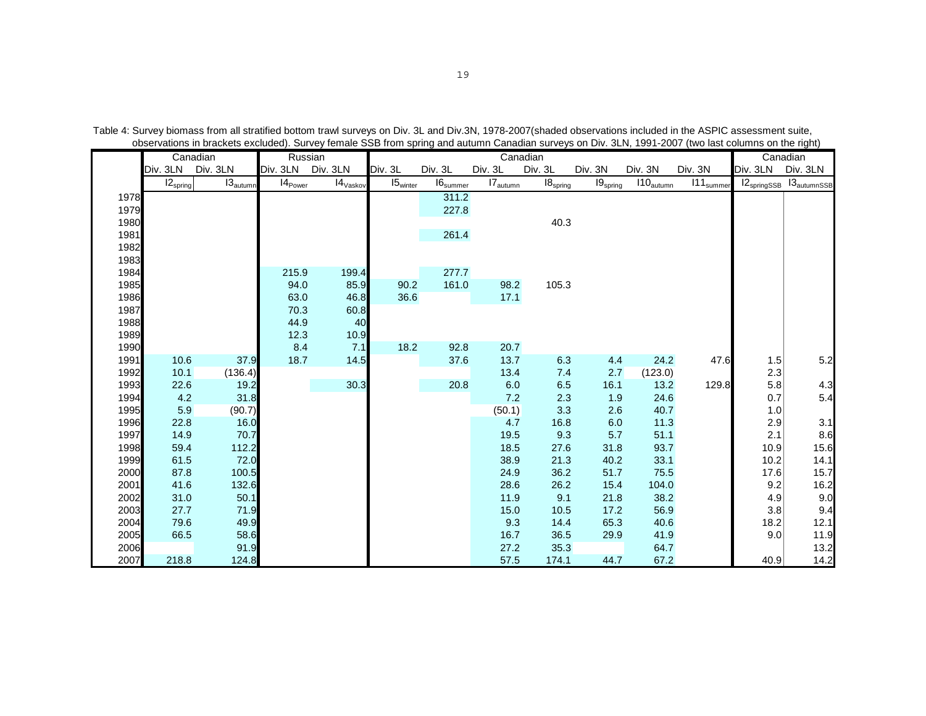|              | Canadian      |                                 | Russian      |                                 |                   |                             |                      | Canadian      |                      |                       |                       |            | Canadian                  |
|--------------|---------------|---------------------------------|--------------|---------------------------------|-------------------|-----------------------------|----------------------|---------------|----------------------|-----------------------|-----------------------|------------|---------------------------|
|              |               | Div. 3LN Div. 3LN               |              | Div. 3LN Div. 3LN               | Div. 3L           | Div. 3L                     | Div. 3L              | Div. 3L       | Div. 3N              | Div. 3N               | Div. 3N               | Div. 3LN   | Div. 3LN                  |
|              | $12_{spring}$ | $\textsf{I3}_{\textsf{autumn}}$ | $14_{Power}$ | $\mathsf{I4}_{\mathsf{Vaskov}}$ | $15_{\rm winter}$ | $\text{I6}_{\text{summer}}$ | $17_{\text{autumn}}$ | $18_{spring}$ | 19 <sub>spring</sub> | $110_{\text{autumn}}$ | 111 <sub>summer</sub> |            | $12springsSB 13autumnSSB$ |
| 1978         |               |                                 |              |                                 |                   | 311.2                       |                      |               |                      |                       |                       |            |                           |
| 1979         |               |                                 |              |                                 |                   | 227.8                       |                      |               |                      |                       |                       |            |                           |
| 1980         |               |                                 |              |                                 |                   |                             |                      | 40.3          |                      |                       |                       |            |                           |
| 1981         |               |                                 |              |                                 |                   | 261.4                       |                      |               |                      |                       |                       |            |                           |
| 1982         |               |                                 |              |                                 |                   |                             |                      |               |                      |                       |                       |            |                           |
| 1983         |               |                                 |              |                                 |                   |                             |                      |               |                      |                       |                       |            |                           |
| 1984         |               |                                 | 215.9        | 199.4                           |                   | 277.7                       |                      |               |                      |                       |                       |            |                           |
| 1985         |               |                                 | 94.0         | 85.9                            | 90.2              | 161.0                       | 98.2                 | 105.3         |                      |                       |                       |            |                           |
| 1986         |               |                                 | 63.0         | 46.8                            | 36.6              |                             | 17.1                 |               |                      |                       |                       |            |                           |
| 1987         |               |                                 | 70.3         | 60.8                            |                   |                             |                      |               |                      |                       |                       |            |                           |
| 1988         |               |                                 | 44.9         | 40                              |                   |                             |                      |               |                      |                       |                       |            |                           |
| 1989         |               |                                 | 12.3         | 10.9                            |                   |                             |                      |               |                      |                       |                       |            |                           |
| 1990<br>1991 | 10.6          | 37.9                            | 8.4<br>18.7  | 7.1                             | 18.2              | 92.8<br>37.6                | 20.7<br>13.7         |               |                      | 24.2                  |                       |            |                           |
| 1992         | 10.1          | (136.4)                         |              | 14.5                            |                   |                             | 13.4                 | 6.3<br>7.4    | 4.4<br>2.7           | (123.0)               | 47.6                  | 1.5<br>2.3 | 5.2                       |
| 1993         | 22.6          | 19.2                            |              | 30.3                            |                   | 20.8                        | 6.0                  | 6.5           | 16.1                 | 13.2                  | 129.8                 | 5.8        | 4.3                       |
| 1994         | 4.2           | 31.8                            |              |                                 |                   |                             | 7.2                  | 2.3           | 1.9                  | 24.6                  |                       | 0.7        | 5.4                       |
| 1995         | 5.9           | (90.7)                          |              |                                 |                   |                             | (50.1)               | 3.3           | 2.6                  | 40.7                  |                       | 1.0        |                           |
| 1996         | 22.8          | 16.0                            |              |                                 |                   |                             | 4.7                  | 16.8          | 6.0                  | 11.3                  |                       | 2.9        | 3.1                       |
| 1997         | 14.9          | 70.7                            |              |                                 |                   |                             | 19.5                 | 9.3           | 5.7                  | 51.1                  |                       | 2.1        | 8.6                       |
| 1998         | 59.4          | 112.2                           |              |                                 |                   |                             | 18.5                 | 27.6          | 31.8                 | 93.7                  |                       | 10.9       | 15.6                      |
| 1999         | 61.5          | 72.0                            |              |                                 |                   |                             | 38.9                 | 21.3          | 40.2                 | 33.1                  |                       | 10.2       | 14.1                      |
| 2000         | 87.8          | 100.5                           |              |                                 |                   |                             | 24.9                 | 36.2          | 51.7                 | 75.5                  |                       | 17.6       | 15.7                      |
| 2001         | 41.6          | 132.6                           |              |                                 |                   |                             | 28.6                 | 26.2          | 15.4                 | 104.0                 |                       | 9.2        | 16.2                      |
| 2002         | 31.0          | 50.1                            |              |                                 |                   |                             | 11.9                 | 9.1           | 21.8                 | 38.2                  |                       | 4.9        | 9.0                       |
| 2003         | 27.7          | 71.9                            |              |                                 |                   |                             | 15.0                 | 10.5          | 17.2                 | 56.9                  |                       | 3.8        | 9.4                       |
| 2004         | 79.6          | 49.9                            |              |                                 |                   |                             | 9.3                  | 14.4          | 65.3                 | 40.6                  |                       | 18.2       | 12.1                      |
| 2005         | 66.5          | 58.6                            |              |                                 |                   |                             | 16.7                 | 36.5          | 29.9                 | 41.9                  |                       | 9.0        | 11.9                      |
| 2006         |               | 91.9                            |              |                                 |                   |                             | 27.2                 | 35.3          |                      | 64.7                  |                       |            | 13.2                      |
| 2007         | 218.8         | 124.8                           |              |                                 |                   |                             | 57.5                 | 174.1         | 44.7                 | 67.2                  |                       | 40.9       | 14.2                      |

Table 4: Survey biomass from all stratified bottom trawl surveys on Div. 3L and Div.3N, 1978-2007(shaded observations included in the ASPIC assessment suite, observations in brackets excluded). Survey female SSB from spring and autumn Canadian surveys on Div. 3LN, 1991-2007 (two last columns on the right)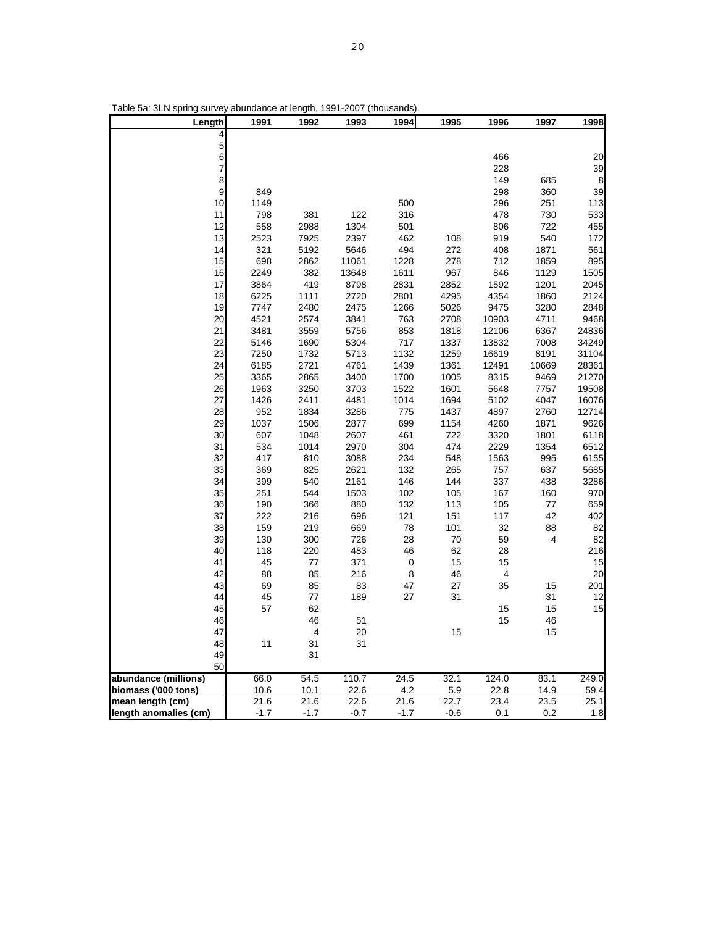| I able 5a:<br>3LN spring survey abundance at length, |            |            | 1991-2007    | (thousands)      |            |                         |           |              |
|------------------------------------------------------|------------|------------|--------------|------------------|------------|-------------------------|-----------|--------------|
| Length                                               | 1991       | 1992       | 1993         | 1994             | 1995       | 1996                    | 1997      | 1998         |
| 4                                                    |            |            |              |                  |            |                         |           |              |
| 5                                                    |            |            |              |                  |            |                         |           |              |
| 6                                                    |            |            |              |                  |            | 466                     |           | 20           |
| $\overline{7}$                                       |            |            |              |                  |            | 228                     |           | 39           |
| 8                                                    |            |            |              |                  |            | 149                     | 685       | $\bf8$       |
| 9                                                    | 849        |            |              |                  |            | 298                     | 360       | 39           |
| 10                                                   | 1149       |            |              | 500              |            | 296                     | 251       | 113          |
| 11                                                   | 798        | 381        | 122          | 316              |            | 478                     | 730       | 533          |
| 12                                                   | 558        | 2988       | 1304         | 501              |            | 806                     | 722       | 455          |
| 13                                                   | 2523       | 7925       | 2397         | 462              | 108        | 919                     | 540       | 172          |
| 14                                                   | 321        | 5192       | 5646         | 494              | 272        | 408                     | 1871      | 561          |
| 15                                                   | 698        | 2862       | 11061        | 1228             | 278        | 712                     | 1859      | 895          |
| 16                                                   | 2249       | 382        | 13648        | 1611             | 967        | 846                     | 1129      | 1505         |
| 17                                                   | 3864       | 419        | 8798         | 2831             | 2852       | 1592                    | 1201      | 2045         |
| 18                                                   | 6225       | 1111       | 2720         | 2801             | 4295       | 4354                    | 1860      | 2124         |
| 19                                                   | 7747       | 2480       | 2475         | 1266             | 5026       | 9475                    | 3280      | 2848         |
| 20                                                   | 4521       | 2574       | 3841         | 763              | 2708       | 10903                   | 4711      | 9468         |
| 21                                                   | 3481       | 3559       | 5756         | 853              | 1818       | 12106                   | 6367      | 24836        |
| 22                                                   | 5146       | 1690       | 5304         | 717              | 1337       | 13832                   | 7008      | 34249        |
| 23                                                   | 7250       | 1732       | 5713         | 1132             | 1259       | 16619                   | 8191      | 31104        |
| 24                                                   | 6185       | 2721       | 4761         | 1439             | 1361       | 12491                   | 10669     | 28361        |
| 25                                                   | 3365       | 2865       | 3400         | 1700             | 1005       | 8315                    | 9469      | 21270        |
| 26                                                   | 1963       | 3250       | 3703         | 1522             | 1601       | 5648                    | 7757      | 19508        |
| 27                                                   | 1426       | 2411       | 4481         | 1014             | 1694       | 5102                    | 4047      | 16076        |
| 28                                                   | 952        | 1834       | 3286         | 775              | 1437       | 4897                    | 2760      | 12714        |
| 29                                                   | 1037       | 1506       | 2877         | 699              | 1154       | 4260                    | 1871      | 9626         |
| 30                                                   | 607        | 1048       | 2607         | 461              | 722        | 3320                    | 1801      | 6118         |
| 31                                                   | 534        | 1014       | 2970         | 304              | 474        | 2229                    | 1354      | 6512         |
| 32<br>33                                             | 417        | 810        | 3088         | 234              | 548        | 1563<br>757             | 995       | 6155<br>5685 |
| 34                                                   | 369<br>399 | 825<br>540 | 2621<br>2161 | 132<br>146       | 265<br>144 | 337                     | 637       | 3286         |
| 35                                                   | 251        | 544        | 1503         | 102              | 105        | 167                     | 438       | 970          |
| 36                                                   | 190        | 366        | 880          | 132              | 113        | 105                     | 160<br>77 | 659          |
| 37                                                   | 222        | 216        | 696          | 121              | 151        | 117                     | 42        | 402          |
| 38                                                   | 159        | 219        | 669          | 78               | 101        | 32                      | 88        | 82           |
| 39                                                   | 130        | 300        | 726          | 28               | 70         | 59                      | 4         | 82           |
| 40                                                   | 118        | 220        | 483          | 46               | 62         | 28                      |           | 216          |
| 41                                                   | 45         | 77         | 371          | $\boldsymbol{0}$ | 15         | 15                      |           | 15           |
| 42                                                   | 88         | 85         | 216          | 8                | 46         | $\overline{\mathbf{4}}$ |           | 20           |
| 43                                                   | 69         | 85         | 83           | 47               | 27         | 35                      | 15        | 201          |
| 44                                                   | 45         | 77         | 189          | 27               | 31         |                         | 31        | 12           |
| 45                                                   | 57         | 62         |              |                  |            | 15                      | 15        | 15           |
| 46                                                   |            | 46         | 51           |                  |            | 15                      | 46        |              |
| 47                                                   |            | 4          | 20           |                  | 15         |                         | 15        |              |
| 48                                                   | 11         | 31         | 31           |                  |            |                         |           |              |
| 49                                                   |            | 31         |              |                  |            |                         |           |              |
| 50                                                   |            |            |              |                  |            |                         |           |              |
| abundance (millions)                                 | 66.0       | 54.5       | 110.7        | 24.5             | 32.1       | 124.0                   | 83.1      | 249.0        |
| biomass ('000 tons)                                  | 10.6       | 10.1       | 22.6         | 4.2              | 5.9        | 22.8                    | 14.9      | 59.4         |
| mean length (cm)                                     | 21.6       | 21.6       | 22.6         | 21.6             | 22.7       | 23.4                    | 23.5      | 25.1         |
| length anomalies (cm)                                | $-1.7$     | $-1.7$     | $-0.7$       | $-1.7$           | $-0.6$     | 0.1                     | 0.2       | 1.8          |

Table 5a: 3LN spring survey abundance at length, 1991-2007 (thousands).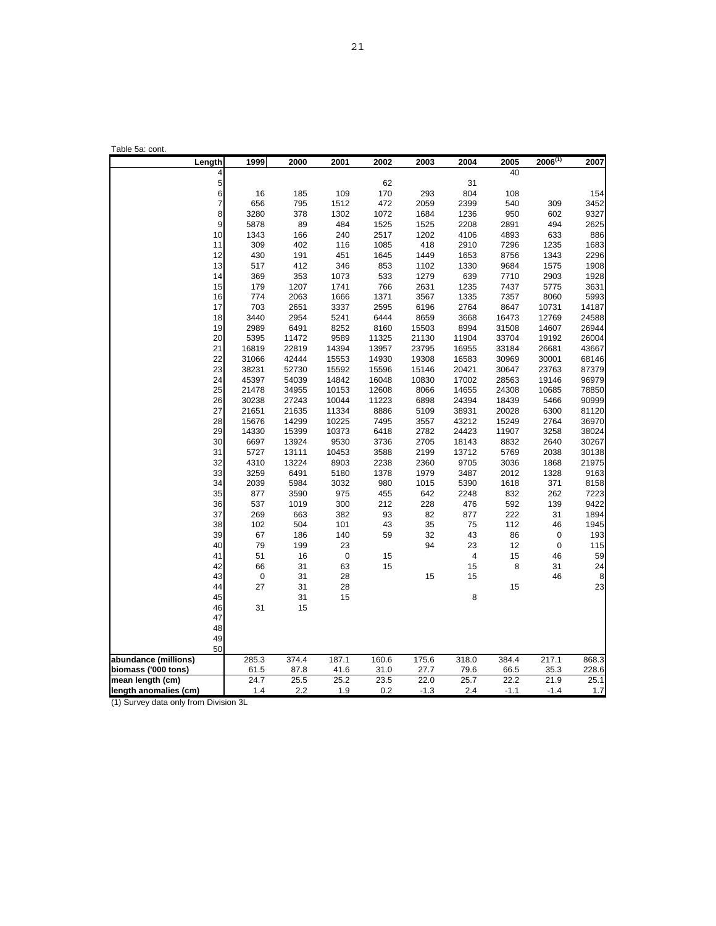| Table 5a: cont.       |             |       |             |       |        |       |            |              |         |
|-----------------------|-------------|-------|-------------|-------|--------|-------|------------|--------------|---------|
| Length                | 1999        | 2000  | 2001        | 2002  | 2003   | 2004  | 2005<br>40 | $2006^{(1)}$ | 2007    |
|                       | 4<br>5      |       |             | 62    |        | 31    |            |              |         |
|                       | 6<br>16     | 185   | 109         | 170   | 293    | 804   | 108        |              | 154     |
| $\overline{7}$        | 656         | 795   | 1512        | 472   | 2059   | 2399  | 540        | 309          | 3452    |
| 8                     | 3280        | 378   | 1302        | 1072  | 1684   | 1236  | 950        | 602          | 9327    |
| 9                     | 5878        | 89    | 484         | 1525  | 1525   | 2208  | 2891       | 494          | 2625    |
| 10                    | 1343        | 166   | 240         | 2517  | 1202   | 4106  | 4893       | 633          | 886     |
| 11                    | 309         | 402   | 116         | 1085  | 418    | 2910  | 7296       | 1235         | 1683    |
| 12                    | 430         | 191   | 451         | 1645  | 1449   | 1653  | 8756       | 1343         | 2296    |
| 13                    | 517         | 412   | 346         | 853   | 1102   | 1330  | 9684       | 1575         | 1908    |
| 14                    | 369         | 353   | 1073        | 533   | 1279   | 639   | 7710       | 2903         | 1928    |
| 15                    | 179         | 1207  | 1741        | 766   | 2631   | 1235  | 7437       | 5775         | 3631    |
| 16                    | 774         | 2063  | 1666        | 1371  | 3567   | 1335  | 7357       | 8060         | 5993    |
| 17                    | 703         | 2651  | 3337        | 2595  | 6196   | 2764  | 8647       | 10731        | 14187   |
| 18                    | 3440        | 2954  | 5241        | 6444  | 8659   | 3668  | 16473      | 12769        | 24588   |
| 19                    | 2989        | 6491  | 8252        | 8160  | 15503  | 8994  | 31508      | 14607        | 26944   |
| 20                    | 5395        | 11472 | 9589        | 11325 | 21130  | 11904 | 33704      | 19192        | 26004   |
| 21                    | 16819       | 22819 | 14394       | 13957 | 23795  | 16955 | 33184      | 26681        | 43667   |
| 22                    | 31066       | 42444 | 15553       | 14930 | 19308  | 16583 | 30969      | 30001        | 68146   |
| 23                    | 38231       | 52730 | 15592       | 15596 | 15146  | 20421 | 30647      | 23763        | 87379   |
| 24                    | 45397       | 54039 | 14842       | 16048 | 10830  | 17002 | 28563      | 19146        | 96979   |
| 25                    | 21478       | 34955 | 10153       | 12608 | 8066   | 14655 | 24308      | 10685        | 78850   |
| 26                    | 30238       | 27243 | 10044       | 11223 | 6898   | 24394 | 18439      | 5466         | 90999   |
| 27                    | 21651       | 21635 | 11334       | 8886  | 5109   | 38931 | 20028      | 6300         | 81120   |
| 28                    | 15676       | 14299 | 10225       | 7495  | 3557   | 43212 | 15249      | 2764         | 36970   |
| 29                    | 14330       | 15399 | 10373       | 6418  | 2782   | 24423 | 11907      | 3258         | 38024   |
| 30                    | 6697        | 13924 | 9530        | 3736  | 2705   | 18143 | 8832       | 2640         | 30267   |
| 31                    | 5727        | 13111 | 10453       | 3588  | 2199   | 13712 | 5769       | 2038         | 30138   |
| 32                    | 4310        | 13224 | 8903        | 2238  | 2360   | 9705  | 3036       | 1868         | 21975   |
| 33                    | 3259        | 6491  | 5180        | 1378  | 1979   | 3487  | 2012       | 1328         | 9163    |
| 34                    | 2039        | 5984  | 3032        | 980   | 1015   | 5390  | 1618       | 371          | 8158    |
| 35                    | 877         | 3590  | 975         | 455   | 642    | 2248  | 832        | 262          | 7223    |
| 36                    | 537         | 1019  | 300         | 212   | 228    | 476   | 592        | 139          | 9422    |
| 37                    | 269         | 663   | 382         | 93    | 82     | 877   | 222        | 31           | 1894    |
| 38                    | 102         | 504   | 101         | 43    | 35     | 75    | 112        | 46           | 1945    |
| 39                    | 67          | 186   | 140         | 59    | 32     | 43    | 86         | 0            | 193     |
| 40                    | 79          | 199   | 23          |       | 94     | 23    | 12         | $\pmb{0}$    | 115     |
| 41                    | 51          | 16    | $\mathbf 0$ | 15    |        | 4     | 15         | 46           | 59      |
| 42                    | 66          | 31    | 63          | 15    |        | 15    | 8          | 31           | 24      |
| 43                    | $\mathbf 0$ | 31    | 28          |       | 15     | 15    |            | 46           | 8<br>23 |
| 44                    | 27          | 31    | 28          |       |        |       | 15         |              |         |
| 45                    |             | 31    | 15          |       |        | 8     |            |              |         |
| 46<br>47              | 31          | 15    |             |       |        |       |            |              |         |
| 48                    |             |       |             |       |        |       |            |              |         |
| 49                    |             |       |             |       |        |       |            |              |         |
| 50                    |             |       |             |       |        |       |            |              |         |
| abundance (millions)  | 285.3       | 374.4 | 187.1       | 160.6 | 175.6  | 318.0 | 384.4      | 217.1        | 868.3   |
| biomass ('000 tons)   | 61.5        | 87.8  | 41.6        | 31.0  | 27.7   | 79.6  | 66.5       | 35.3         | 228.6   |
| mean length (cm)      | 24.7        | 25.5  | 25.2        | 23.5  | 22.0   | 25.7  | 22.2       | 21.9         | 25.1    |
| length anomalies (cm) | 1.4         | 2.2   | 1.9         | 0.2   | $-1.3$ | 2.4   | $-1.1$     | $-1.4$       | 1.7     |

(1) Survey data only from Division 3L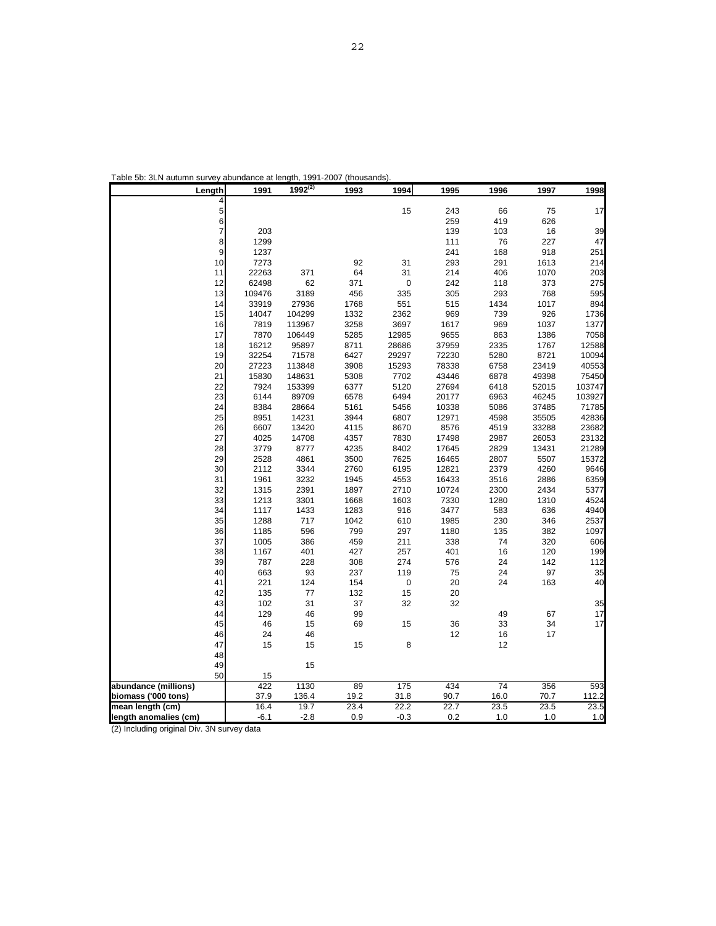| Length                                     | 1991                   | $1992^{(2)}$ | 1993       | 1994       | 1995       | 1996            | 1997       | 1998       |
|--------------------------------------------|------------------------|--------------|------------|------------|------------|-----------------|------------|------------|
|                                            | 4                      |              |            |            |            |                 |            |            |
|                                            | 5                      |              |            | 15         | 243        | 66              | 75         | 17         |
|                                            | $6\overline{6}$        |              |            |            | 259        | 419             | 626        |            |
|                                            | 7<br>203               |              |            |            | 139        | 103             | 16         | 39         |
|                                            | 8<br>1299              |              |            |            | 111        | 76              | 227        | 47         |
|                                            | 9<br>1237              |              |            |            | 241        | 168             | 918        | 251        |
|                                            | 10<br>7273             |              | 92         | 31         | 293        | 291             | 1613       | 214        |
|                                            | 22263<br>11            | 371          | 64         | 31         | 214        | 406             | 1070       | 203        |
|                                            | 12<br>62498            | 62           | 371        | 0          | 242        | 118             | 373        | 275        |
|                                            | 13<br>109476           | 3189         | 456        | 335        | 305        | 293             | 768        | 595        |
|                                            | 14<br>33919            | 27936        | 1768       | 551        | 515        | 1434            | 1017       | 894        |
|                                            | 14047<br>15            | 104299       | 1332       | 2362       | 969        | 739             | 926        | 1736       |
|                                            | 7819<br>16             | 113967       | 3258       | 3697       | 1617       | 969             | 1037       | 1377       |
|                                            | 7870<br>17             | 106449       | 5285       | 12985      | 9655       | 863             | 1386       | 7058       |
|                                            | 16212<br>18            | 95897        | 8711       | 28686      | 37959      | 2335            | 1767       | 12588      |
|                                            | 32254<br>19            | 71578        | 6427       | 29297      | 72230      | 5280            | 8721       | 10094      |
|                                            | 20<br>27223            | 113848       | 3908       | 15293      | 78338      | 6758            | 23419      | 40553      |
|                                            | 15830<br>21            | 148631       | 5308       | 7702       | 43446      | 6878            | 49398      | 75450      |
|                                            | 22<br>7924             | 153399       | 6377       | 5120       | 27694      | 6418            | 52015      | 103747     |
|                                            | 6144<br>23             | 89709        | 6578       | 6494       | 20177      | 6963            | 46245      | 103927     |
|                                            | 24<br>8384             | 28664        | 5161       | 5456       | 10338      | 5086            | 37485      | 71785      |
|                                            | 25<br>8951             | 14231        | 3944       | 6807       | 12971      | 4598            | 35505      | 42836      |
|                                            | 26<br>6607             | 13420        | 4115       | 8670       | 8576       | 4519            | 33288      | 23682      |
|                                            | 27<br>4025             | 14708        | 4357       | 7830       | 17498      | 2987            | 26053      | 23132      |
|                                            | 28<br>3779             | 8777         | 4235       | 8402       | 17645      | 2829            | 13431      | 21289      |
|                                            | 29<br>2528             | 4861         | 3500       | 7625       | 16465      | 2807            | 5507       | 15372      |
|                                            | 30<br>2112             | 3344         | 2760       | 6195       | 12821      | 2379            | 4260       | 9646       |
|                                            | 31<br>1961             | 3232         | 1945       | 4553       | 16433      | 3516            | 2886       | 6359       |
|                                            | 32<br>1315             | 2391         | 1897       | 2710       | 10724      | 2300            | 2434       | 5377       |
|                                            | 33<br>1213             | 3301         | 1668       | 1603       | 7330       | 1280            | 1310       | 4524       |
|                                            | 34<br>1117             | 1433         | 1283       | 916        | 3477       | 583             | 636        | 4940       |
|                                            | 1288<br>35             | 717          | 1042       | 610        | 1985       | 230             | 346        | 2537       |
|                                            | 36<br>1185             | 596          | 799        | 297        | 1180       | 135             | 382        | 1097       |
|                                            | 37<br>1005<br>1167     | 386<br>401   | 459<br>427 | 211<br>257 | 338<br>401 | 74<br>16        | 320<br>120 | 606        |
|                                            | 38                     |              |            | 274        |            | 24              |            | 199<br>112 |
|                                            | 39<br>787<br>663<br>40 | 228<br>93    | 308<br>237 | 119        | 576<br>75  | 24              | 142<br>97  | 35         |
|                                            | 221<br>41              | 124          | 154        | 0          | 20         | 24              | 163        | 40         |
|                                            | 42<br>135              | 77           | 132        | 15         | 20         |                 |            |            |
|                                            | 102<br>43              | 31           | 37         | 32         | 32         |                 |            | 35         |
|                                            | 129<br>44              | 46           | 99         |            |            | 49              | 67         | 17         |
|                                            | 46<br>45               | 15           | 69         | 15         | 36         | 33              | 34         | 17         |
|                                            | 24<br>46               | 46           |            |            | 12         | 16              | 17         |            |
|                                            | 47<br>15               | 15           | 15         | 8          |            | 12              |            |            |
|                                            | 48                     |              |            |            |            |                 |            |            |
|                                            | 49                     | 15           |            |            |            |                 |            |            |
|                                            | 50<br>15               |              |            |            |            |                 |            |            |
| abundance (millions)                       | 422                    | 1130         | 89         | 175        | 434        | $\overline{74}$ | 356        | 593        |
| biomass ('000 tons)                        | 37.9                   | 136.4        | 19.2       | 31.8       | 90.7       | 16.0            | 70.7       | 112.2      |
| mean length (cm)                           | 16.4                   | 19.7         | 23.4       | 22.2       | 22.7       | 23.5            | 23.5       | 23.5       |
| length anomalies (cm)                      | $-6.1$                 | $-2.8$       | 0.9        | $-0.3$     | 0.2        | 1.0             | 1.0        | 1.0        |
| (2) Including original Div. 3N survey data |                        |              |            |            |            |                 |            |            |

Table 5b: 3LN autumn survey abundance at length, 1991-2007 (thousands).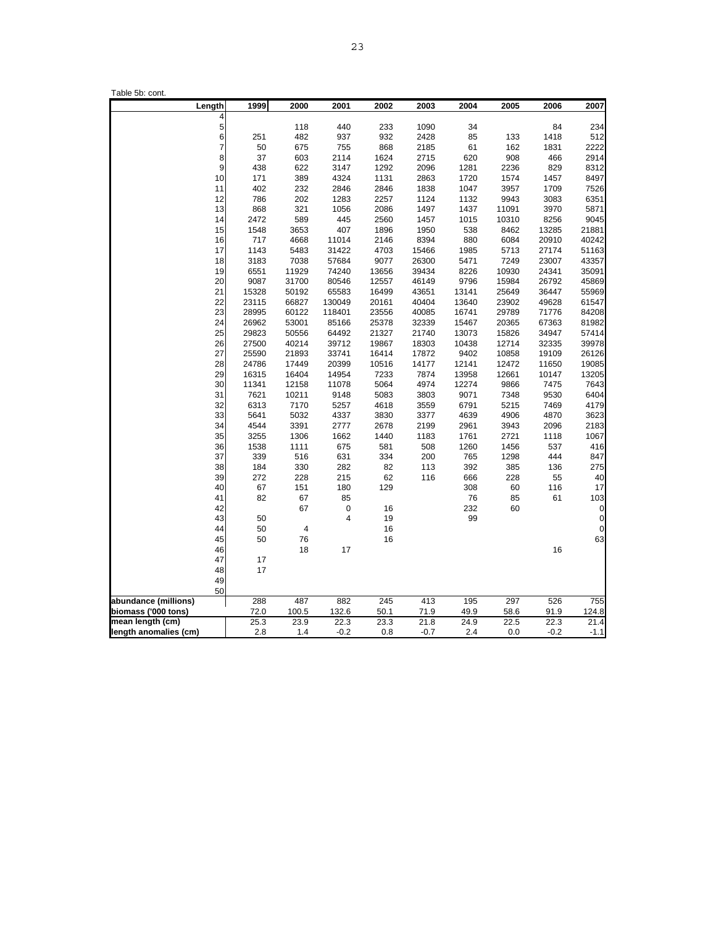| Length                                      | 1999                  | 2000          | 2001                    | 2002         | 2003         | 2004         | 2005         | 2006         | 2007          |
|---------------------------------------------|-----------------------|---------------|-------------------------|--------------|--------------|--------------|--------------|--------------|---------------|
|                                             | 4                     |               |                         |              |              |              |              |              |               |
| $\frac{5}{6}$                               |                       | 118           | 440                     | 233          | 1090         | 34           |              | 84           | 234           |
|                                             | 251<br>$\overline{7}$ | 482           | 937                     | 932          | 2428         | 85           | 133          | 1418         | 512           |
|                                             | 50<br>$\bf{8}$<br>37  | 675           | 755                     | 868          | 2185         | 61           | 162<br>908   | 1831         | 2222<br>2914  |
| 9                                           |                       | 603           | 2114                    | 1624         | 2715         | 620          |              | 466          |               |
| 10                                          | 438                   | 622           | 3147                    | 1292         | 2096         | 1281         | 2236         | 829          | 8312          |
|                                             | 171                   | 389           | 4324                    | 1131         | 2863         | 1720         | 1574         | 1457         | 8497          |
| 11<br>12                                    | 402<br>786            | 232<br>202    | 2846                    | 2846         | 1838<br>1124 | 1047<br>1132 | 3957<br>9943 | 1709         | 7526          |
|                                             |                       |               | 1283                    | 2257         |              |              |              | 3083         | 6351          |
| 13                                          | 868                   | 321           | 1056                    | 2086         | 1497         | 1437         | 11091        | 3970         | 5871          |
| 14                                          | 2472                  | 589           | 445                     | 2560         | 1457         | 1015         | 10310        | 8256         | 9045          |
| 15                                          | 1548                  | 3653          | 407                     | 1896         | 1950         | 538          | 8462         | 13285        | 21881         |
| 16                                          | 717                   | 4668          | 11014                   | 2146         | 8394         | 880          | 6084         | 20910        | 40242         |
| 17                                          | 1143                  | 5483          | 31422                   | 4703         | 15466        | 1985         | 5713         | 27174        | 51163         |
| 18                                          | 3183                  | 7038          | 57684                   | 9077         | 26300        | 5471         | 7249         | 23007        | 43357         |
| 19                                          | 6551                  | 11929         | 74240                   | 13656        | 39434        | 8226         | 10930        | 24341        | 35091         |
| 20                                          | 9087                  | 31700         | 80546                   | 12557        | 46149        | 9796         | 15984        | 26792        | 45869         |
| 21                                          | 15328                 | 50192         | 65583                   | 16499        | 43651        | 13141        | 25649        | 36447        | 55969         |
| 22                                          | 23115                 | 66827         | 130049                  | 20161        | 40404        | 13640        | 23902        | 49628        | 61547         |
| 23                                          | 28995                 | 60122         | 118401                  | 23556        | 40085        | 16741        | 29789        | 71776        | 84208         |
| 24                                          | 26962                 | 53001         | 85166                   | 25378        | 32339        | 15467        | 20365        | 67363        | 81982         |
| 25                                          | 29823                 | 50556         | 64492                   | 21327        | 21740        | 13073        | 15826        | 34947        | 57414         |
| 26                                          | 27500                 | 40214         | 39712                   | 19867        | 18303        | 10438        | 12714        | 32335        | 39978         |
| 27                                          | 25590                 | 21893         | 33741                   | 16414        | 17872        | 9402         | 10858        | 19109        | 26126         |
| 28                                          | 24786                 | 17449         | 20399                   | 10516        | 14177        | 12141        | 12472        | 11650        | 19085         |
| 29                                          | 16315                 | 16404         | 14954                   | 7233         | 7874         | 13958        | 12661        | 10147        | 13205         |
| 30                                          | 11341                 | 12158         | 11078                   | 5064         | 4974         | 12274        | 9866         | 7475         | 7643          |
| 31                                          | 7621                  | 10211         | 9148                    | 5083         | 3803         | 9071         | 7348         | 9530         | 6404          |
| 32                                          | 6313                  | 7170          | 5257                    | 4618         | 3559         | 6791         | 5215         | 7469         | 4179          |
| 33                                          | 5641                  | 5032          | 4337                    | 3830         | 3377         | 4639         | 4906         | 4870         | 3623          |
| 34                                          | 4544                  | 3391          | 2777                    | 2678         | 2199         | 2961         | 3943         | 2096         | 2183          |
| 35                                          | 3255                  | 1306          | 1662                    | 1440         | 1183         | 1761         | 2721         | 1118         | 1067          |
| 36                                          | 1538                  | 1111          | 675                     | 581          | 508          | 1260         | 1456         | 537          | 416           |
| 37                                          | 339                   | 516           | 631                     | 334          | 200          | 765          | 1298         | 444          | 847           |
| 38                                          | 184                   | 330           | 282                     | 82           | 113          | 392          | 385          | 136          | 275           |
| 39                                          | 272                   | 228           | 215                     | 62           | 116          | 666          | 228          | 55           | 40            |
| 40                                          | 67                    | 151           | 180                     | 129          |              | 308          | 60           | 116          | 17            |
| 41                                          | 82                    | 67            | 85                      |              |              | 76<br>232    | 85           | 61           | 103           |
| 42                                          |                       | 67            | 0                       | 16           |              |              | 60           |              | 0             |
| 43<br>44                                    | 50                    |               | $\overline{\mathbf{4}}$ | 19           |              | 99           |              |              | 0             |
|                                             | 50                    | 4             |                         | 16           |              |              |              |              | 0             |
| 45                                          | 50                    | 76            |                         | 16           |              |              |              |              | 63            |
| 46                                          |                       | 18            | 17                      |              |              |              |              | 16           |               |
| 47                                          | 17                    |               |                         |              |              |              |              |              |               |
| 48                                          | 17                    |               |                         |              |              |              |              |              |               |
| 49                                          |                       |               |                         |              |              |              |              |              |               |
| 50                                          | 288                   | 487           | 882                     | 245          | 413          | 195          | 297          | 526          | 755           |
| abundance (millions)<br>biomass ('000 tons) | 72.0                  |               |                         |              |              | 49.9         | 58.6         |              |               |
| mean length (cm)                            | 25.3                  | 100.5<br>23.9 | 132.6<br>22.3           | 50.1<br>23.3 | 71.9<br>21.8 | 24.9         | 22.5         | 91.9<br>22.3 | 124.8<br>21.4 |
| length anomalies (cm)                       | 2.8                   | 1.4           | $-0.2$                  | 0.8          | $-0.7$       | 2.4          | 0.0          | $-0.2$       | $-1.1$        |
|                                             |                       |               |                         |              |              |              |              |              |               |

Table 5b: cont.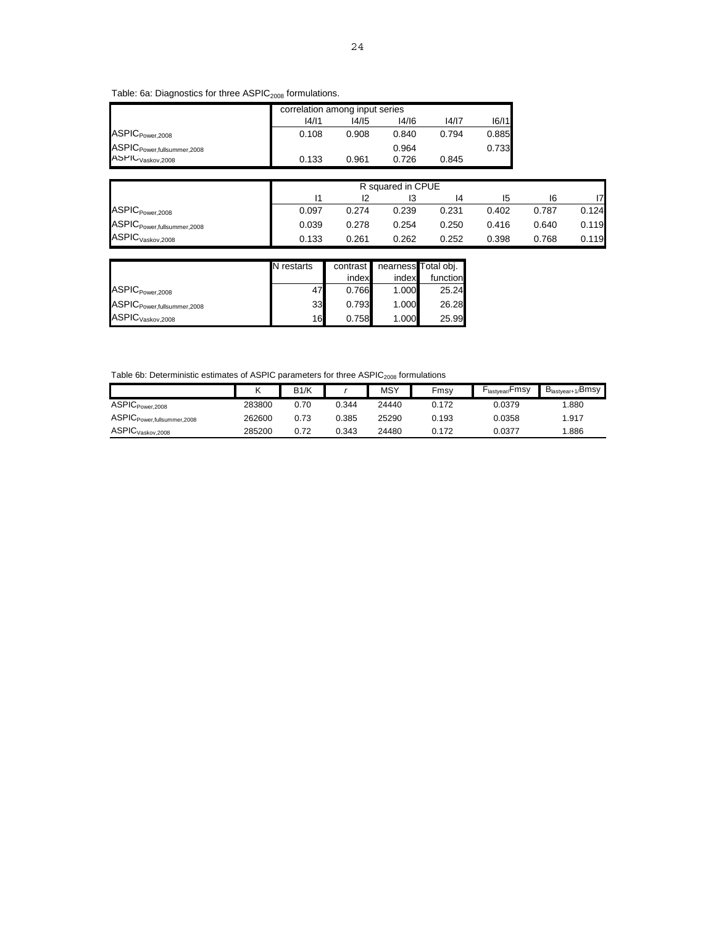# Table: 6a: Diagnostics for three ASPIC<sub>2008</sub> formulations.

|                                        |       | correlation among input series |       |       |       |  |  |  |
|----------------------------------------|-------|--------------------------------|-------|-------|-------|--|--|--|
|                                        | 14/11 | 16/11                          |       |       |       |  |  |  |
| ASPIC <sub>Power,2008</sub>            | 0.108 | 0.908                          | 0.840 | 0.794 | 0.885 |  |  |  |
| ASPIC <sub>Power,fullsummer,2008</sub> |       |                                | 0.964 |       | 0.733 |  |  |  |
| ASPIC <sub>Vaskov,2008</sub>           | 0.133 | 0.961                          | 0.726 | 0.845 |       |  |  |  |

|                                        |                                  | R squared in CPUE |       |       |       |       |       |  |  |
|----------------------------------------|----------------------------------|-------------------|-------|-------|-------|-------|-------|--|--|
|                                        | 17<br>12<br>16<br>ıз<br>14<br>15 |                   |       |       |       |       |       |  |  |
| ASPIC <sub>Power,2008</sub>            | 0.097                            | 0.274             | 0.239 | 0.231 | 0.402 | 0.787 | 0.124 |  |  |
| ASPIC <sub>Power,fullsummer,2008</sub> | 0.039                            | 0.278             | 0.254 | 0.250 | 0.416 | 0.640 | 0.119 |  |  |
| ASPIC <sub>Vaskov,2008</sub>           | 0.133                            | 0.261             | 0.262 | 0.252 | 0.398 | 0.768 | 0.119 |  |  |

|                                        | N restarts | contrast la |       | nearness Total obj. |
|----------------------------------------|------------|-------------|-------|---------------------|
|                                        |            | index       | index | function            |
| ASPIC <sub>Power,2008</sub>            | 47         | 0.766       | 1.000 | 25.24               |
| ASPIC <sub>Power,fullsummer,2008</sub> | 33         | 0.793       | 1.000 | 26.28               |
| ASPIC <sub>Vaskov,2008</sub>           | 16         | 0.758       | 1.000 | 25.99               |

# Table 6b: Deterministic estimates of ASPIC parameters for three  $ASPIC_{2008}$  formulations

|                                        | κ      | B1/K |       | <b>MSY</b> | Fmsv  | F <sub>lastvear/</sub> Fmsy | $B_{\text{lastyear}+1}$<br><sub>1/</sub> Bmsy |
|----------------------------------------|--------|------|-------|------------|-------|-----------------------------|-----------------------------------------------|
| ASPIC <sub>Power.2008</sub>            | 283800 | 0.70 | 0.344 | 24440      | 0.172 | 0.0379                      | .880                                          |
| ASPIC <sub>Power,fullsummer,2008</sub> | 262600 | 0.73 | 0.385 | 25290      | 0.193 | 0.0358                      | 917.ء                                         |
| ASPIC <sub>Vaskov.2008</sub>           | 285200 | 0.72 | 0.343 | 24480      | 0.172 | 0.0377                      | .886                                          |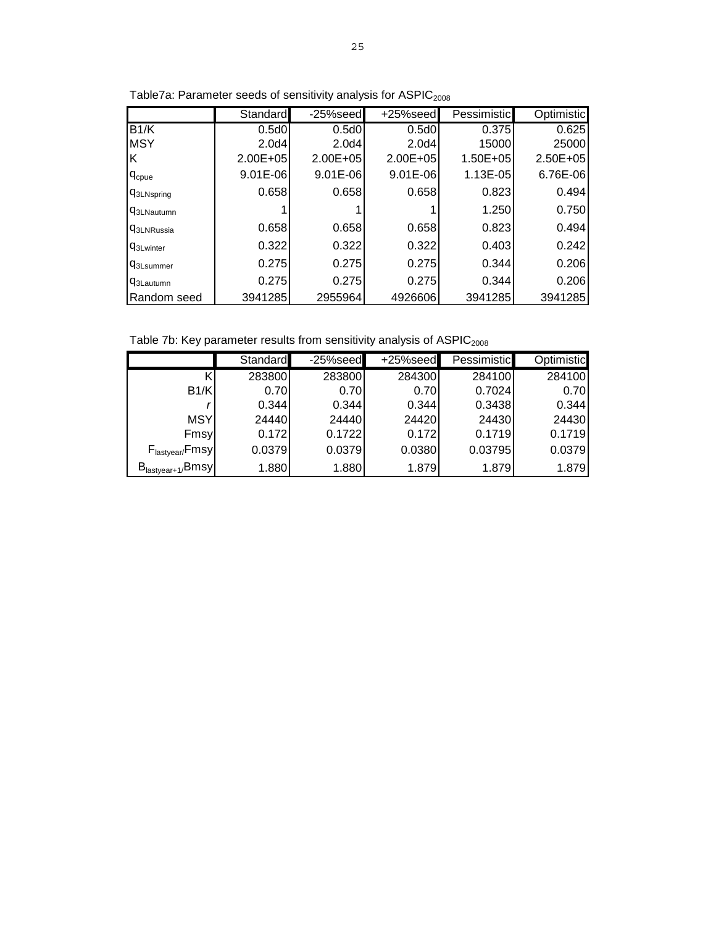|                              | Standard     | $-25%$ seed  | +25%seed          | Pessimistic  | <b>Optimistic</b> |
|------------------------------|--------------|--------------|-------------------|--------------|-------------------|
| B1/K                         | 0.5d0        | 0.5d0        | 0.5d0             | 0.375        | 0.625             |
| <b>MSY</b>                   | 2.0d4        | 2.0d4        | 2.0 <sub>d4</sub> | 15000        | 25000             |
| Κ                            | $2.00E + 05$ | $2.00E + 05$ | $2.00E + 05$      | $1.50E + 05$ | $2.50E + 05$      |
| <b>C</b> <sub>cpue</sub>     | $9.01E-06$   | $9.01E - 06$ | $9.01E - 06$      | 1.13E-05     | 6.76E-06          |
| <b>C</b> 3LNspring           | 0.658        | 0.658        | 0.658             | 0.823        | 0.494             |
| <b>G3LNautumn</b>            |              |              |                   | 1.250        | 0.750             |
| <b>G</b> 3LNRussia           | 0.658        | 0.658        | 0.658             | 0.823        | 0.494             |
| <b>C</b> <sub>3Lwinter</sub> | 0.322        | 0.322        | 0.322             | 0.403        | 0.242             |
| <b>q</b> <sub>3Lsummer</sub> | 0.275        | 0.275        | 0.275             | 0.344        | 0.206             |
| <b>Q</b> 3Lautumn            | 0.275        | 0.275        | 0.275             | 0.344        | 0.206             |
| Random seed                  | 3941285      | 2955964      | 4926606           | 3941285      | 3941285           |

Table7a: Parameter seeds of sensitivity analysis for  $ASPIC_{2008}$ 

Table 7b: Key parameter results from sensitivity analysis of  $ASPIC<sub>2008</sub>$ 

|                               | Standard | $-25%$ seed | $+25%$ seed | Pessimistic | Optimistic |
|-------------------------------|----------|-------------|-------------|-------------|------------|
|                               | 283800   | 283800      | 284300      | 284100      | 284100     |
| B1/K                          | 0.70     | 0.70        | 0.70        | 0.7024      | 0.70       |
|                               | 0.344    | 0.344       | 0.344       | 0.3438      | 0.344      |
| <b>MSY</b>                    | 24440    | 24440       | 24420       | 24430       | 24430      |
| Fmsy                          | 0.172    | 0.1722      | 0.172       | 0.1719      | 0.1719     |
| $F_{\text{lastyear}}$ Fmsy    | 0.0379   | 0.0379      | 0.0380      | 0.03795     | 0.0379     |
| $B_{\text{lastyear}+1}/B$ msy | 1.880    | 1.880       | 1.879       | 1.879       | 1.879      |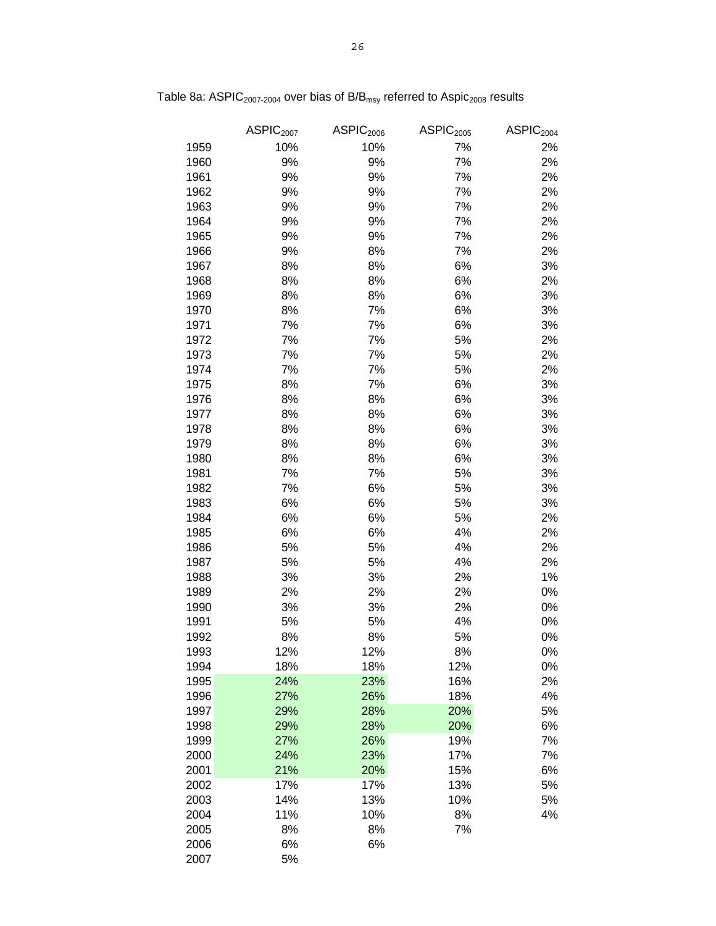|      | ASPIC <sub>2007</sub> | ASPIC <sub>2006</sub> | ASPIC <sub>2005</sub> | ASPIC <sub>2004</sub> |
|------|-----------------------|-----------------------|-----------------------|-----------------------|
| 1959 | 10%                   | 10%                   | 7%                    | 2%                    |
| 1960 | 9%                    | 9%                    | 7%                    | 2%                    |
| 1961 | 9%                    | 9%                    | 7%                    | 2%                    |
| 1962 | 9%                    | 9%                    | 7%                    | 2%                    |
| 1963 | 9%                    | 9%                    | 7%                    | 2%                    |
| 1964 | 9%                    | 9%                    | 7%                    | 2%                    |
| 1965 | 9%                    | 9%                    | 7%                    | 2%                    |
| 1966 | 9%                    | 8%                    | 7%                    | 2%                    |
| 1967 | 8%                    | 8%                    | 6%                    | 3%                    |
| 1968 | 8%                    | 8%                    | 6%                    | 2%                    |
| 1969 | 8%                    | 8%                    | 6%                    | 3%                    |
| 1970 | 8%                    | 7%                    | 6%                    | 3%                    |
| 1971 | 7%                    | 7%                    | 6%                    | 3%                    |
| 1972 | 7%                    | 7%                    | 5%                    | 2%                    |
| 1973 | 7%                    | 7%                    | 5%                    | 2%                    |
| 1974 | 7%                    | 7%                    | 5%                    | 2%                    |
| 1975 | 8%                    | 7%                    | 6%                    | 3%                    |
| 1976 | 8%                    | 8%                    | 6%                    | 3%                    |
| 1977 | 8%                    | 8%                    | 6%                    | 3%                    |
| 1978 | 8%                    | 8%                    | 6%                    | 3%                    |
| 1979 | 8%                    | 8%                    | 6%                    | 3%                    |
| 1980 | 8%                    | 8%                    | 6%                    | 3%                    |
| 1981 | 7%                    | 7%                    | 5%                    | 3%                    |
| 1982 | 7%                    | 6%                    | 5%                    | 3%                    |
| 1983 | 6%                    | 6%                    | 5%                    | 3%                    |
| 1984 | 6%                    | 6%                    | 5%                    | 2%                    |
| 1985 | 6%                    | 6%                    | 4%                    | 2%                    |
| 1986 | 5%                    | 5%                    | 4%                    | 2%                    |
| 1987 | 5%                    | 5%                    | 4%                    | 2%                    |
| 1988 | 3%                    | 3%                    | 2%                    | 1%                    |
| 1989 | 2%                    | 2%                    | 2%                    | 0%                    |
| 1990 | 3%                    | 3%                    | 2%                    | 0%                    |
| 1991 | 5%                    | 5%                    | 4%                    | 0%                    |
| 1992 | 8%                    | 8%                    | 5%                    | 0%                    |
| 1993 | 12%                   | 12%                   | 8%                    | 0%                    |
| 1994 | 18%                   | 18%                   | 12%                   | 0%                    |
| 1995 | 24%                   | 23%                   | 16%                   | 2%                    |
| 1996 | 27%                   | 26%                   | 18%                   | 4%                    |
| 1997 | 29%                   | 28%                   | 20%                   | 5%                    |
| 1998 | 29%                   | 28%                   | 20%                   | 6%                    |
| 1999 | 27%                   | 26%                   | 19%                   | 7%                    |
| 2000 | 24%                   | 23%                   | 17%                   | 7%                    |
| 2001 | 21%                   | 20%                   | 15%                   | 6%                    |
| 2002 | 17%                   | 17%                   | 13%                   | 5%                    |
| 2003 | 14%                   | 13%                   | 10%                   | 5%                    |
| 2004 | 11%                   | 10%                   | 8%                    | 4%                    |
| 2005 | 8%                    | 8%                    | 7%                    |                       |
| 2006 | 6%                    | 6%                    |                       |                       |
| 2007 | 5%                    |                       |                       |                       |

Table 8a:  $ASPIC_{2007\text{-}2004}$  over bias of  $B/B_{\rm msy}$  referred to  $Aspic_{2008}$  results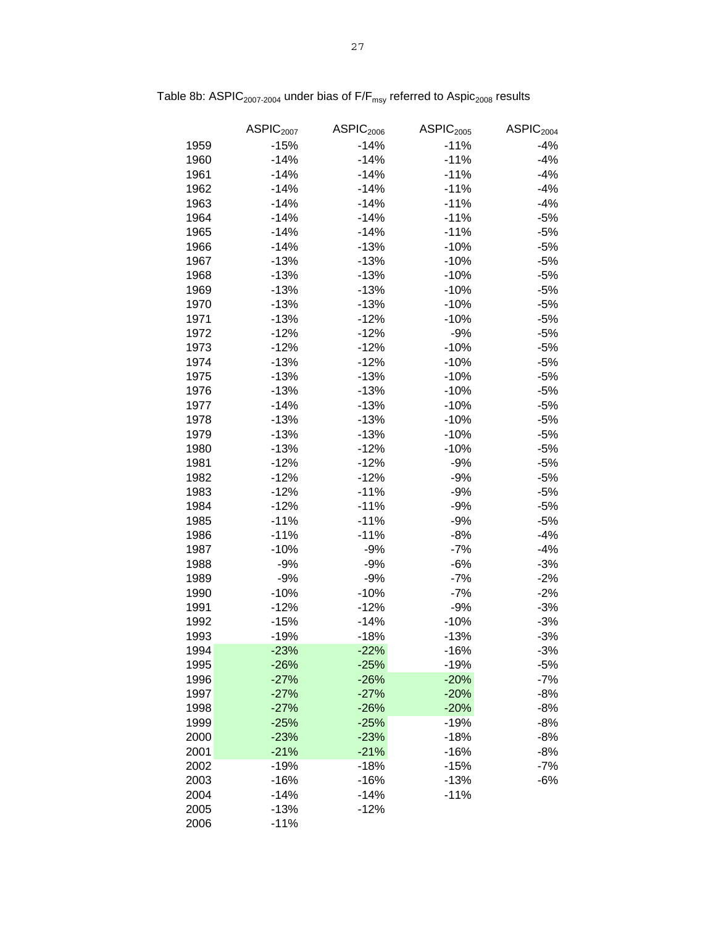|      | ASPIC <sub>2007</sub> | ASPIC <sub>2006</sub> | ASPIC <sub>2005</sub> | ASPIC <sub>2004</sub> |
|------|-----------------------|-----------------------|-----------------------|-----------------------|
| 1959 | $-15%$                | $-14%$                | $-11%$                | $-4%$                 |
| 1960 | $-14%$                | $-14%$                | $-11%$                | $-4%$                 |
| 1961 | $-14%$                | $-14%$                | $-11%$                | $-4%$                 |
| 1962 | $-14%$                | $-14%$                | $-11%$                | $-4%$                 |
| 1963 | $-14%$                | $-14%$                | $-11%$                | $-4%$                 |
| 1964 | $-14%$                | $-14%$                | $-11%$                | $-5%$                 |
| 1965 | $-14%$                | $-14%$                | $-11%$                | $-5%$                 |
| 1966 | $-14%$                | $-13%$                | $-10%$                | $-5%$                 |
| 1967 | $-13%$                | $-13%$                | $-10%$                | $-5%$                 |
| 1968 | $-13%$                | $-13%$                | $-10%$                | $-5%$                 |
| 1969 | $-13%$                | $-13%$                | $-10%$                | $-5%$                 |
| 1970 | $-13%$                | $-13%$                | $-10%$                | $-5%$                 |
| 1971 | $-13%$                | $-12%$                | $-10%$                | $-5%$                 |
| 1972 | $-12%$                | $-12%$                | $-9%$                 | $-5%$                 |
| 1973 | $-12%$                | $-12%$                | $-10%$                | $-5%$                 |
| 1974 | $-13%$                | $-12%$                | $-10%$                | $-5%$                 |
| 1975 | $-13%$                | $-13%$                | $-10%$                | $-5%$                 |
| 1976 | $-13%$                |                       |                       | $-5%$                 |
| 1977 |                       | $-13%$<br>$-13%$      | $-10%$<br>$-10%$      |                       |
|      | $-14%$                |                       |                       | $-5%$                 |
| 1978 | $-13%$                | $-13%$                | $-10%$                | $-5%$                 |
| 1979 | $-13%$                | $-13%$                | $-10%$                | $-5%$                 |
| 1980 | $-13%$                | $-12%$                | $-10%$                | $-5%$                 |
| 1981 | $-12%$                | $-12%$                | $-9%$                 | $-5%$                 |
| 1982 | $-12%$                | $-12%$                | $-9%$                 | $-5%$                 |
| 1983 | $-12%$                | $-11%$                | $-9%$                 | $-5%$                 |
| 1984 | $-12%$                | $-11%$                | $-9%$                 | $-5%$                 |
| 1985 | $-11%$                | $-11%$                | $-9%$                 | $-5%$                 |
| 1986 | $-11%$                | $-11%$                | $-8%$                 | $-4%$                 |
| 1987 | $-10%$                | $-9%$                 | $-7%$                 | $-4%$                 |
| 1988 | $-9%$                 | $-9%$                 | $-6%$                 | $-3%$                 |
| 1989 | $-9%$                 | $-9%$                 | $-7%$                 | $-2%$                 |
| 1990 | $-10%$                | $-10%$                | $-7%$                 | $-2%$                 |
| 1991 | $-12%$                | $-12%$                | $-9%$                 | $-3%$                 |
| 1992 | $-15%$                | $-14%$                | $-10%$                | -3%                   |
| 1993 | $-19%$                | $-18%$                | $-13%$                | $-3%$                 |
| 1994 | $-23%$                | $-22%$                | $-16%$                | $-3%$                 |
| 1995 | $-26%$                | $-25%$                | $-19%$                | $-5%$                 |
| 1996 | $-27%$                | $-26%$                | $-20%$                | $-7%$                 |
| 1997 | $-27%$                | $-27%$                | $-20%$                | $-8%$                 |
| 1998 | $-27%$                | $-26%$                | $-20%$                | $-8%$                 |
| 1999 | $-25%$                | $-25%$                | $-19%$                | $-8%$                 |
| 2000 | $-23%$                | $-23%$                | $-18%$                | $-8%$                 |
| 2001 | $-21%$                | $-21%$                | $-16%$                | $-8%$                 |
| 2002 | $-19%$                | $-18%$                | $-15%$                | $-7%$                 |
| 2003 | $-16%$                | $-16%$                | $-13%$                | $-6%$                 |
| 2004 | -14%                  | $-14%$                | $-11%$                |                       |
| 2005 | $-13%$                | $-12%$                |                       |                       |
| 2006 | $-11%$                |                       |                       |                       |

Table 8b: ASPIC<sub>2007-2004</sub> under bias of  $F/F_{\text{msy}}$  referred to Aspic<sub>2008</sub> results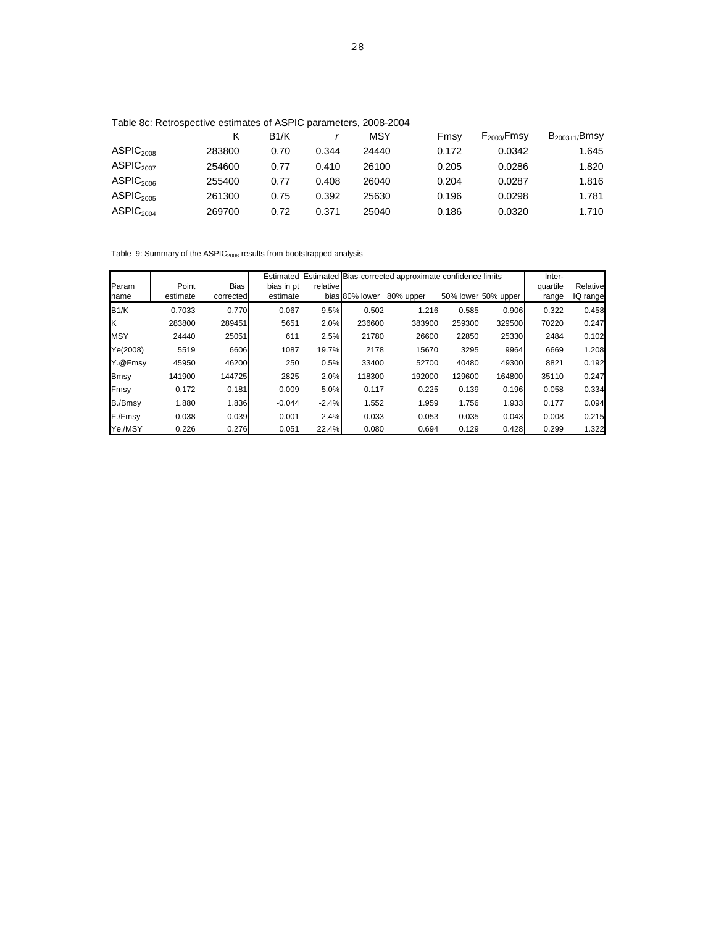|  |  | Table 8c: Retrospective estimates of ASPIC parameters, 2008-2004 |
|--|--|------------------------------------------------------------------|
|--|--|------------------------------------------------------------------|

|                       |        | B1/K |       | MSY   | Fmsv  | $F_{2003}/F$ msy | $B_{2003+1}/B$ msy |
|-----------------------|--------|------|-------|-------|-------|------------------|--------------------|
| ASPIC <sub>2008</sub> | 283800 | 0.70 | 0.344 | 24440 | 0.172 | 0.0342           | 1.645              |
| ASPIC <sub>2007</sub> | 254600 | 0.77 | 0.410 | 26100 | 0.205 | 0.0286           | 1.820              |
| ASPIC <sub>2006</sub> | 255400 | 0.77 | 0.408 | 26040 | 0.204 | 0.0287           | 1.816              |
| ASPIC <sub>2005</sub> | 261300 | 0.75 | 0.392 | 25630 | 0.196 | 0.0298           | 1.781              |
| ASPIC <sub>2004</sub> | 269700 | 0.72 | 0.371 | 25040 | 0.186 | 0.0320           | 1.710              |

Table 9: Summary of the ASPIC $_{2008}$  results from bootstrapped analysis

|             |          |           |            |          |                | Estimated Estimated Bias-corrected approximate confidence limits |        | Inter-              |          |          |
|-------------|----------|-----------|------------|----------|----------------|------------------------------------------------------------------|--------|---------------------|----------|----------|
| Param       | Point    | Bias      | bias in pt | relative |                |                                                                  |        |                     | quartile | Relative |
| name        | estimate | corrected | estimate   |          | bias 80% lower | 80% upper                                                        |        | 50% lower 50% upper | range    | IQ range |
| B1/K        | 0.7033   | 0.770     | 0.067      | 9.5%     | 0.502          | 1.216                                                            | 0.585  | 0.906               | 0.322    | 0.458    |
| Ιĸ          | 283800   | 289451    | 5651       | 2.0%     | 236600         | 383900                                                           | 259300 | 329500              | 70220    | 0.247    |
| <b>MSY</b>  | 24440    | 25051     | 611        | 2.5%     | 21780          | 26600                                                            | 22850  | 25330               | 2484     | 0.102    |
| Ye(2008)    | 5519     | 6606      | 1087       | 19.7%    | 2178           | 15670                                                            | 3295   | 9964                | 6669     | 1.208    |
| Y.@Fmsy     | 45950    | 46200     | 250        | 0.5%     | 33400          | 52700                                                            | 40480  | 49300               | 8821     | 0.192    |
| <b>Bmsy</b> | 141900   | 144725    | 2825       | 2.0%     | 118300         | 192000                                                           | 129600 | 164800              | 35110    | 0.247    |
| Fmsy        | 0.172    | 0.181     | 0.009      | 5.0%     | 0.117          | 0.225                                                            | 0.139  | 0.196               | 0.058    | 0.334    |
| B./Bmsy     | 1.880    | 1.836     | $-0.044$   | $-2.4%$  | 1.552          | 1.959                                                            | 1.756  | 1.933               | 0.177    | 0.094    |
| F./Fmsy     | 0.038    | 0.039     | 0.001      | 2.4%     | 0.033          | 0.053                                                            | 0.035  | 0.043               | 0.008    | 0.215    |
| Ye./MSY     | 0.226    | 0.276     | 0.051      | 22.4%    | 0.080          | 0.694                                                            | 0.129  | 0.428               | 0.299    | 1.322    |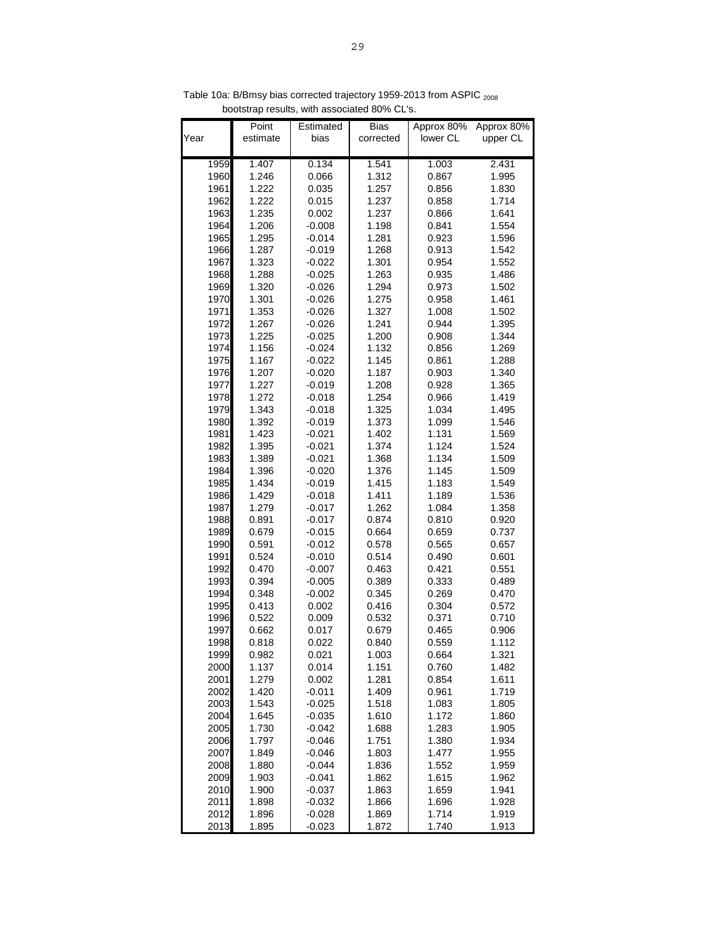| 1.407<br>0.134<br>1.541<br>1.003<br>2.431<br>1959<br>1960<br>1.246<br>0.066<br>1.312<br>0.867<br>1.995<br>1961<br>1.222<br>1.257<br>0.856<br>1.830<br>0.035<br>1962<br>1.222<br>0.015<br>1.237<br>1.714<br>0.858<br>1963<br>1.235<br>1.237<br>1.641<br>0.002<br>0.866<br>1964<br>1.206<br>1.198<br>$-0.008$<br>0.841<br>1.554<br>1965<br>1.295<br>1.281<br>1.596<br>-0.014<br>0.923<br>1966<br>1.287<br>1.268<br>0.913<br>1.542<br>$-0.019$<br>1967<br>1.323<br>1.301<br>0.954<br>1.552<br>$-0.022$<br>1968<br>1.288<br>1.263<br>0.935<br>1.486<br>-0.025<br>1969<br>1.320<br>1.294<br>0.973<br>1.502<br>-0.026<br>1970<br>1.301<br>1.275<br>0.958<br>1.461<br>-0.026<br>1971<br>1.353<br>1.327<br>1.502<br>$-0.026$<br>1.008<br>1972<br>1.267<br>1.241<br>0.944<br>1.395<br>$-0.026$<br>1.344<br>1973<br>1.225<br>1.200<br>0.908<br>$-0.025$<br>1974<br>1.156<br>1.132<br>1.269<br>$-0.024$<br>0.856<br>1975<br>1.167<br>1.145<br>0.861<br>1.288<br>$-0.022$<br>1976<br>1.207<br>$-0.020$<br>1.187<br>0.903<br>1.340<br>1977<br>1.227<br>$-0.019$<br>1.208<br>0.928<br>1.365<br>1978<br>1.272<br>1.254<br>0.966<br>1.419<br>$-0.018$<br>1979<br>1.343<br>1.325<br>1.034<br>1.495<br>-0.018<br>1980<br>1.392<br>1.373<br>1.099<br>1.546<br>-0.019<br>1981<br>1.423<br>1.402<br>1.131<br>1.569<br>-0.021<br>1982<br>1.395<br>1.374<br>1.124<br>1.524<br>$-0.021$<br>1983<br>1.389<br>$-0.021$<br>1.368<br>1.134<br>1.509<br>1984<br>1.396<br>$-0.020$<br>1.376<br>1.145<br>1.509<br>1985<br>1.434<br>$-0.019$<br>1.415<br>1.183<br>1.549<br>1986<br>1.429<br>1.411<br>1.189<br>1.536<br>$-0.018$<br>1987<br>1.279<br>1.262<br>1.358<br>-0.017<br>1.084<br>1988<br>0.891<br>-0.017<br>0.874<br>0.810<br>0.920<br>1989<br>0.679<br>0.664<br>0.737<br>$-0.015$<br>0.659 | Approx 80%<br>upper CL |
|---------------------------------------------------------------------------------------------------------------------------------------------------------------------------------------------------------------------------------------------------------------------------------------------------------------------------------------------------------------------------------------------------------------------------------------------------------------------------------------------------------------------------------------------------------------------------------------------------------------------------------------------------------------------------------------------------------------------------------------------------------------------------------------------------------------------------------------------------------------------------------------------------------------------------------------------------------------------------------------------------------------------------------------------------------------------------------------------------------------------------------------------------------------------------------------------------------------------------------------------------------------------------------------------------------------------------------------------------------------------------------------------------------------------------------------------------------------------------------------------------------------------------------------------------------------------------------------------------------------------------------------------------------------------------------------------------------------------------------------------------------------------|------------------------|
|                                                                                                                                                                                                                                                                                                                                                                                                                                                                                                                                                                                                                                                                                                                                                                                                                                                                                                                                                                                                                                                                                                                                                                                                                                                                                                                                                                                                                                                                                                                                                                                                                                                                                                                                                                     |                        |
|                                                                                                                                                                                                                                                                                                                                                                                                                                                                                                                                                                                                                                                                                                                                                                                                                                                                                                                                                                                                                                                                                                                                                                                                                                                                                                                                                                                                                                                                                                                                                                                                                                                                                                                                                                     |                        |
|                                                                                                                                                                                                                                                                                                                                                                                                                                                                                                                                                                                                                                                                                                                                                                                                                                                                                                                                                                                                                                                                                                                                                                                                                                                                                                                                                                                                                                                                                                                                                                                                                                                                                                                                                                     |                        |
|                                                                                                                                                                                                                                                                                                                                                                                                                                                                                                                                                                                                                                                                                                                                                                                                                                                                                                                                                                                                                                                                                                                                                                                                                                                                                                                                                                                                                                                                                                                                                                                                                                                                                                                                                                     |                        |
|                                                                                                                                                                                                                                                                                                                                                                                                                                                                                                                                                                                                                                                                                                                                                                                                                                                                                                                                                                                                                                                                                                                                                                                                                                                                                                                                                                                                                                                                                                                                                                                                                                                                                                                                                                     |                        |
|                                                                                                                                                                                                                                                                                                                                                                                                                                                                                                                                                                                                                                                                                                                                                                                                                                                                                                                                                                                                                                                                                                                                                                                                                                                                                                                                                                                                                                                                                                                                                                                                                                                                                                                                                                     |                        |
|                                                                                                                                                                                                                                                                                                                                                                                                                                                                                                                                                                                                                                                                                                                                                                                                                                                                                                                                                                                                                                                                                                                                                                                                                                                                                                                                                                                                                                                                                                                                                                                                                                                                                                                                                                     |                        |
|                                                                                                                                                                                                                                                                                                                                                                                                                                                                                                                                                                                                                                                                                                                                                                                                                                                                                                                                                                                                                                                                                                                                                                                                                                                                                                                                                                                                                                                                                                                                                                                                                                                                                                                                                                     |                        |
|                                                                                                                                                                                                                                                                                                                                                                                                                                                                                                                                                                                                                                                                                                                                                                                                                                                                                                                                                                                                                                                                                                                                                                                                                                                                                                                                                                                                                                                                                                                                                                                                                                                                                                                                                                     |                        |
|                                                                                                                                                                                                                                                                                                                                                                                                                                                                                                                                                                                                                                                                                                                                                                                                                                                                                                                                                                                                                                                                                                                                                                                                                                                                                                                                                                                                                                                                                                                                                                                                                                                                                                                                                                     |                        |
|                                                                                                                                                                                                                                                                                                                                                                                                                                                                                                                                                                                                                                                                                                                                                                                                                                                                                                                                                                                                                                                                                                                                                                                                                                                                                                                                                                                                                                                                                                                                                                                                                                                                                                                                                                     |                        |
|                                                                                                                                                                                                                                                                                                                                                                                                                                                                                                                                                                                                                                                                                                                                                                                                                                                                                                                                                                                                                                                                                                                                                                                                                                                                                                                                                                                                                                                                                                                                                                                                                                                                                                                                                                     |                        |
|                                                                                                                                                                                                                                                                                                                                                                                                                                                                                                                                                                                                                                                                                                                                                                                                                                                                                                                                                                                                                                                                                                                                                                                                                                                                                                                                                                                                                                                                                                                                                                                                                                                                                                                                                                     |                        |
|                                                                                                                                                                                                                                                                                                                                                                                                                                                                                                                                                                                                                                                                                                                                                                                                                                                                                                                                                                                                                                                                                                                                                                                                                                                                                                                                                                                                                                                                                                                                                                                                                                                                                                                                                                     |                        |
|                                                                                                                                                                                                                                                                                                                                                                                                                                                                                                                                                                                                                                                                                                                                                                                                                                                                                                                                                                                                                                                                                                                                                                                                                                                                                                                                                                                                                                                                                                                                                                                                                                                                                                                                                                     |                        |
|                                                                                                                                                                                                                                                                                                                                                                                                                                                                                                                                                                                                                                                                                                                                                                                                                                                                                                                                                                                                                                                                                                                                                                                                                                                                                                                                                                                                                                                                                                                                                                                                                                                                                                                                                                     |                        |
|                                                                                                                                                                                                                                                                                                                                                                                                                                                                                                                                                                                                                                                                                                                                                                                                                                                                                                                                                                                                                                                                                                                                                                                                                                                                                                                                                                                                                                                                                                                                                                                                                                                                                                                                                                     |                        |
|                                                                                                                                                                                                                                                                                                                                                                                                                                                                                                                                                                                                                                                                                                                                                                                                                                                                                                                                                                                                                                                                                                                                                                                                                                                                                                                                                                                                                                                                                                                                                                                                                                                                                                                                                                     |                        |
|                                                                                                                                                                                                                                                                                                                                                                                                                                                                                                                                                                                                                                                                                                                                                                                                                                                                                                                                                                                                                                                                                                                                                                                                                                                                                                                                                                                                                                                                                                                                                                                                                                                                                                                                                                     |                        |
|                                                                                                                                                                                                                                                                                                                                                                                                                                                                                                                                                                                                                                                                                                                                                                                                                                                                                                                                                                                                                                                                                                                                                                                                                                                                                                                                                                                                                                                                                                                                                                                                                                                                                                                                                                     |                        |
|                                                                                                                                                                                                                                                                                                                                                                                                                                                                                                                                                                                                                                                                                                                                                                                                                                                                                                                                                                                                                                                                                                                                                                                                                                                                                                                                                                                                                                                                                                                                                                                                                                                                                                                                                                     |                        |
|                                                                                                                                                                                                                                                                                                                                                                                                                                                                                                                                                                                                                                                                                                                                                                                                                                                                                                                                                                                                                                                                                                                                                                                                                                                                                                                                                                                                                                                                                                                                                                                                                                                                                                                                                                     |                        |
|                                                                                                                                                                                                                                                                                                                                                                                                                                                                                                                                                                                                                                                                                                                                                                                                                                                                                                                                                                                                                                                                                                                                                                                                                                                                                                                                                                                                                                                                                                                                                                                                                                                                                                                                                                     |                        |
|                                                                                                                                                                                                                                                                                                                                                                                                                                                                                                                                                                                                                                                                                                                                                                                                                                                                                                                                                                                                                                                                                                                                                                                                                                                                                                                                                                                                                                                                                                                                                                                                                                                                                                                                                                     |                        |
|                                                                                                                                                                                                                                                                                                                                                                                                                                                                                                                                                                                                                                                                                                                                                                                                                                                                                                                                                                                                                                                                                                                                                                                                                                                                                                                                                                                                                                                                                                                                                                                                                                                                                                                                                                     |                        |
|                                                                                                                                                                                                                                                                                                                                                                                                                                                                                                                                                                                                                                                                                                                                                                                                                                                                                                                                                                                                                                                                                                                                                                                                                                                                                                                                                                                                                                                                                                                                                                                                                                                                                                                                                                     |                        |
|                                                                                                                                                                                                                                                                                                                                                                                                                                                                                                                                                                                                                                                                                                                                                                                                                                                                                                                                                                                                                                                                                                                                                                                                                                                                                                                                                                                                                                                                                                                                                                                                                                                                                                                                                                     |                        |
|                                                                                                                                                                                                                                                                                                                                                                                                                                                                                                                                                                                                                                                                                                                                                                                                                                                                                                                                                                                                                                                                                                                                                                                                                                                                                                                                                                                                                                                                                                                                                                                                                                                                                                                                                                     |                        |
|                                                                                                                                                                                                                                                                                                                                                                                                                                                                                                                                                                                                                                                                                                                                                                                                                                                                                                                                                                                                                                                                                                                                                                                                                                                                                                                                                                                                                                                                                                                                                                                                                                                                                                                                                                     |                        |
|                                                                                                                                                                                                                                                                                                                                                                                                                                                                                                                                                                                                                                                                                                                                                                                                                                                                                                                                                                                                                                                                                                                                                                                                                                                                                                                                                                                                                                                                                                                                                                                                                                                                                                                                                                     |                        |
| 1990<br>0.591<br>0.578<br>0.657<br>$-0.012$<br>0.565                                                                                                                                                                                                                                                                                                                                                                                                                                                                                                                                                                                                                                                                                                                                                                                                                                                                                                                                                                                                                                                                                                                                                                                                                                                                                                                                                                                                                                                                                                                                                                                                                                                                                                                |                        |
| 1991<br>0.524<br>0.514<br>0.490<br>0.601<br>$-0.010$                                                                                                                                                                                                                                                                                                                                                                                                                                                                                                                                                                                                                                                                                                                                                                                                                                                                                                                                                                                                                                                                                                                                                                                                                                                                                                                                                                                                                                                                                                                                                                                                                                                                                                                |                        |
| 1992<br>0.470<br>$-0.007$<br>0.463<br>0.421<br>0.551                                                                                                                                                                                                                                                                                                                                                                                                                                                                                                                                                                                                                                                                                                                                                                                                                                                                                                                                                                                                                                                                                                                                                                                                                                                                                                                                                                                                                                                                                                                                                                                                                                                                                                                |                        |
| 1993<br>0.394<br>$-0.005$<br>0.389<br>0.333<br>0.489<br>0.348<br>0.345                                                                                                                                                                                                                                                                                                                                                                                                                                                                                                                                                                                                                                                                                                                                                                                                                                                                                                                                                                                                                                                                                                                                                                                                                                                                                                                                                                                                                                                                                                                                                                                                                                                                                              |                        |
| 1994<br>$-0.002$<br>0.470<br>0.269<br>1995<br>0.413<br>0.002<br>0.416<br>0.304<br>0.572                                                                                                                                                                                                                                                                                                                                                                                                                                                                                                                                                                                                                                                                                                                                                                                                                                                                                                                                                                                                                                                                                                                                                                                                                                                                                                                                                                                                                                                                                                                                                                                                                                                                             |                        |
| 1996<br>0.522<br>0.009<br>0.532<br>0.710<br>0.371                                                                                                                                                                                                                                                                                                                                                                                                                                                                                                                                                                                                                                                                                                                                                                                                                                                                                                                                                                                                                                                                                                                                                                                                                                                                                                                                                                                                                                                                                                                                                                                                                                                                                                                   |                        |
| 1997<br>0.662<br>0.017<br>0.679<br>0.906<br>0.465                                                                                                                                                                                                                                                                                                                                                                                                                                                                                                                                                                                                                                                                                                                                                                                                                                                                                                                                                                                                                                                                                                                                                                                                                                                                                                                                                                                                                                                                                                                                                                                                                                                                                                                   |                        |
| 1998<br>0.818<br>0.022<br>0.840<br>0.559<br>1.112                                                                                                                                                                                                                                                                                                                                                                                                                                                                                                                                                                                                                                                                                                                                                                                                                                                                                                                                                                                                                                                                                                                                                                                                                                                                                                                                                                                                                                                                                                                                                                                                                                                                                                                   |                        |
| 1999<br>0.982<br>0.021<br>1.321<br>1.003<br>0.664                                                                                                                                                                                                                                                                                                                                                                                                                                                                                                                                                                                                                                                                                                                                                                                                                                                                                                                                                                                                                                                                                                                                                                                                                                                                                                                                                                                                                                                                                                                                                                                                                                                                                                                   |                        |
| 2000<br>1.137<br>0.014<br>1.151<br>0.760<br>1.482                                                                                                                                                                                                                                                                                                                                                                                                                                                                                                                                                                                                                                                                                                                                                                                                                                                                                                                                                                                                                                                                                                                                                                                                                                                                                                                                                                                                                                                                                                                                                                                                                                                                                                                   |                        |
| 2001<br>1.279<br>1.281<br>0.854<br>1.611<br>0.002                                                                                                                                                                                                                                                                                                                                                                                                                                                                                                                                                                                                                                                                                                                                                                                                                                                                                                                                                                                                                                                                                                                                                                                                                                                                                                                                                                                                                                                                                                                                                                                                                                                                                                                   |                        |
| 2002<br>1.420<br>$-0.011$<br>1.409<br>0.961<br>1.719                                                                                                                                                                                                                                                                                                                                                                                                                                                                                                                                                                                                                                                                                                                                                                                                                                                                                                                                                                                                                                                                                                                                                                                                                                                                                                                                                                                                                                                                                                                                                                                                                                                                                                                |                        |
| 2003<br>1.543<br>$-0.025$<br>1.518<br>1.083<br>1.805                                                                                                                                                                                                                                                                                                                                                                                                                                                                                                                                                                                                                                                                                                                                                                                                                                                                                                                                                                                                                                                                                                                                                                                                                                                                                                                                                                                                                                                                                                                                                                                                                                                                                                                |                        |
| 2004<br>1.645<br>1.610<br>1.172<br>$-0.035$<br>1.860                                                                                                                                                                                                                                                                                                                                                                                                                                                                                                                                                                                                                                                                                                                                                                                                                                                                                                                                                                                                                                                                                                                                                                                                                                                                                                                                                                                                                                                                                                                                                                                                                                                                                                                |                        |
| 2005<br>1.730<br>1.283<br>1.905<br>-0.042<br>1.688                                                                                                                                                                                                                                                                                                                                                                                                                                                                                                                                                                                                                                                                                                                                                                                                                                                                                                                                                                                                                                                                                                                                                                                                                                                                                                                                                                                                                                                                                                                                                                                                                                                                                                                  |                        |
| 2006<br>1.797<br>$-0.046$<br>1.751<br>1.380<br>1.934                                                                                                                                                                                                                                                                                                                                                                                                                                                                                                                                                                                                                                                                                                                                                                                                                                                                                                                                                                                                                                                                                                                                                                                                                                                                                                                                                                                                                                                                                                                                                                                                                                                                                                                |                        |
| 2007<br>$-0.046$<br>1.803<br>1.477<br>1.849<br>1.955                                                                                                                                                                                                                                                                                                                                                                                                                                                                                                                                                                                                                                                                                                                                                                                                                                                                                                                                                                                                                                                                                                                                                                                                                                                                                                                                                                                                                                                                                                                                                                                                                                                                                                                |                        |
| 2008<br>$-0.044$<br>1.836<br>1.552<br>1.959<br>1.880                                                                                                                                                                                                                                                                                                                                                                                                                                                                                                                                                                                                                                                                                                                                                                                                                                                                                                                                                                                                                                                                                                                                                                                                                                                                                                                                                                                                                                                                                                                                                                                                                                                                                                                |                        |
| 2009<br>1.903<br>1.862<br>1.615<br>1.962<br>$-0.041$                                                                                                                                                                                                                                                                                                                                                                                                                                                                                                                                                                                                                                                                                                                                                                                                                                                                                                                                                                                                                                                                                                                                                                                                                                                                                                                                                                                                                                                                                                                                                                                                                                                                                                                |                        |
| 2010<br>1.900<br>1.863<br>1.659<br>1.941<br>$-0.037$                                                                                                                                                                                                                                                                                                                                                                                                                                                                                                                                                                                                                                                                                                                                                                                                                                                                                                                                                                                                                                                                                                                                                                                                                                                                                                                                                                                                                                                                                                                                                                                                                                                                                                                |                        |
| 2011<br>1.898<br>$-0.032$<br>1.866<br>1.696<br>1.928<br>2012<br>1.896<br>$-0.028$<br>1.869<br>1.714<br>1.919                                                                                                                                                                                                                                                                                                                                                                                                                                                                                                                                                                                                                                                                                                                                                                                                                                                                                                                                                                                                                                                                                                                                                                                                                                                                                                                                                                                                                                                                                                                                                                                                                                                        |                        |
| 2013<br>1.895<br>1.872<br>1.913<br>$-0.023$<br>1.740                                                                                                                                                                                                                                                                                                                                                                                                                                                                                                                                                                                                                                                                                                                                                                                                                                                                                                                                                                                                                                                                                                                                                                                                                                                                                                                                                                                                                                                                                                                                                                                                                                                                                                                |                        |

Table 10a: B/Bmsy bias corrected trajectory 1959-2013 from ASPIC <sub>2008</sub> bootstrap results, with associated 80% CL's.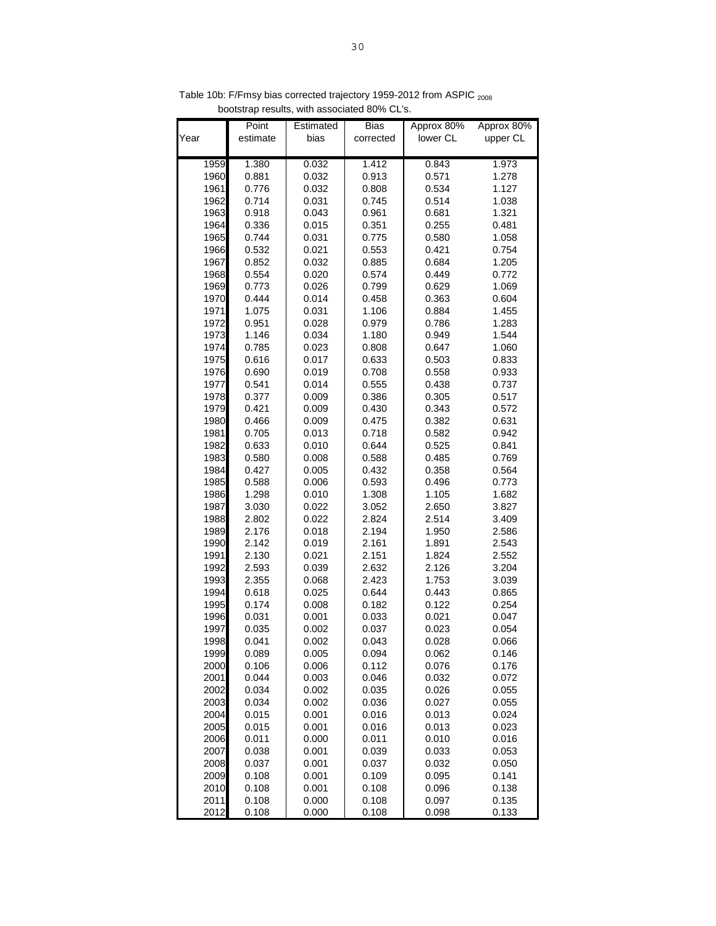| Year         | Point<br>estimate | Estimated<br>bias | <b>Bias</b><br>corrected | Approx 80%<br>lower CL | Approx 80%<br>upper CL |
|--------------|-------------------|-------------------|--------------------------|------------------------|------------------------|
| 1959         | 1.380             | 0.032             | 1.412                    | 0.843                  | 1.973                  |
| 1960         | 0.881             | 0.032             | 0.913                    | 0.571                  | 1.278                  |
| 1961         | 0.776             | 0.032             | 0.808                    | 0.534                  | 1.127                  |
| 1962         | 0.714             | 0.031             | 0.745                    | 0.514                  | 1.038                  |
| 1963         | 0.918             | 0.043             | 0.961                    | 0.681                  | 1.321                  |
| 1964         | 0.336             | 0.015             | 0.351                    | 0.255                  | 0.481                  |
| 1965         | 0.744             | 0.031             | 0.775                    | 0.580                  | 1.058                  |
| 1966         | 0.532             | 0.021             | 0.553                    | 0.421                  | 0.754                  |
| 1967         | 0.852             | 0.032             | 0.885                    | 0.684                  | 1.205                  |
| 1968         | 0.554             | 0.020             | 0.574                    | 0.449                  | 0.772                  |
| 1969         | 0.773             | 0.026             | 0.799                    | 0.629                  | 1.069                  |
| 1970         | 0.444             | 0.014             | 0.458                    | 0.363                  | 0.604                  |
| 1971         | 1.075             | 0.031             | 1.106                    | 0.884                  | 1.455                  |
| 1972         | 0.951             | 0.028             | 0.979                    | 0.786                  | 1.283                  |
| 1973         | 1.146             | 0.034             | 1.180                    | 0.949                  | 1.544                  |
| 1974         | 0.785             | 0.023             | 0.808                    | 0.647                  | 1.060                  |
| 1975         | 0.616             | 0.017             | 0.633                    | 0.503                  | 0.833                  |
| 1976         | 0.690             | 0.019             | 0.708                    | 0.558                  | 0.933                  |
| 1977         | 0.541             | 0.014             | 0.555                    | 0.438                  | 0.737                  |
| 1978         | 0.377             | 0.009             | 0.386                    | 0.305                  | 0.517                  |
| 1979         | 0.421             | 0.009             | 0.430                    | 0.343                  | 0.572                  |
| 1980         | 0.466             | 0.009             | 0.475                    | 0.382                  | 0.631                  |
| 1981         | 0.705             | 0.013             | 0.718                    | 0.582                  | 0.942                  |
| 1982         | 0.633             | 0.010             | 0.644                    | 0.525                  | 0.841                  |
| 1983         | 0.580             | 0.008             | 0.588                    | 0.485                  | 0.769                  |
| 1984         | 0.427             | 0.005             | 0.432                    | 0.358                  | 0.564                  |
| 1985         | 0.588             | 0.006             | 0.593                    | 0.496                  | 0.773                  |
| 1986         | 1.298             | 0.010             | 1.308                    | 1.105                  | 1.682                  |
| 1987         | 3.030             | 0.022             | 3.052                    | 2.650                  | 3.827                  |
| 1988         | 2.802             | 0.022             | 2.824                    | 2.514                  | 3.409                  |
| 1989<br>1990 | 2.176<br>2.142    | 0.018<br>0.019    | 2.194<br>2.161           | 1.950<br>1.891         | 2.586<br>2.543         |
| 1991         | 2.130             | 0.021             | 2.151                    | 1.824                  | 2.552                  |
| 1992         | 2.593             | 0.039             | 2.632                    | 2.126                  | 3.204                  |
| 1993         | 2.355             | 0.068             | 2.423                    | 1.753                  | 3.039                  |
| 1994         | 0.618             | 0.025             | 0.644                    | 0.443                  | 0.865                  |
| 1995         | 0.174             | 0.008             | 0.182                    | 0.122                  | 0.254                  |
| 1996         | 0.031             | 0.001             | 0.033                    | 0.021                  | 0.047                  |
| 1997         | 0.035             | 0.002             | 0.037                    | 0.023                  | 0.054                  |
| 1998         | 0.041             | 0.002             | 0.043                    | 0.028                  | 0.066                  |
| 1999         | 0.089             | 0.005             | 0.094                    | 0.062                  | 0.146                  |
| 2000         | 0.106             | 0.006             | 0.112                    | 0.076                  | 0.176                  |
| 2001         | 0.044             | 0.003             | 0.046                    | 0.032                  | 0.072                  |
| 2002         | 0.034             | 0.002             | 0.035                    | 0.026                  | 0.055                  |
| 2003         | 0.034             | 0.002             | 0.036                    | 0.027                  | 0.055                  |
| 2004         | 0.015             | 0.001             | 0.016                    | 0.013                  | 0.024                  |
| 2005         | 0.015             | 0.001             | 0.016                    | 0.013                  | 0.023                  |
| 2006         | 0.011             | 0.000             | 0.011                    | 0.010                  | 0.016                  |
| 2007         | 0.038             | 0.001             | 0.039                    | 0.033                  | 0.053                  |
| 2008         | 0.037             | 0.001             | 0.037                    | 0.032                  | 0.050                  |
| 2009         | 0.108             | 0.001             | 0.109                    | 0.095                  | 0.141                  |
| 2010         | 0.108             | 0.001             | 0.108                    | 0.096                  | 0.138                  |
| 2011         | 0.108             | 0.000             | 0.108                    | 0.097                  | 0.135                  |
| 2012         | 0.108             | 0.000             | 0.108                    | 0.098                  | 0.133                  |

Table 10b: F/Fmsy bias corrected trajectory 1959-2012 from ASPIC <sub>2008</sub> bootstrap results, with associated 80% CL's.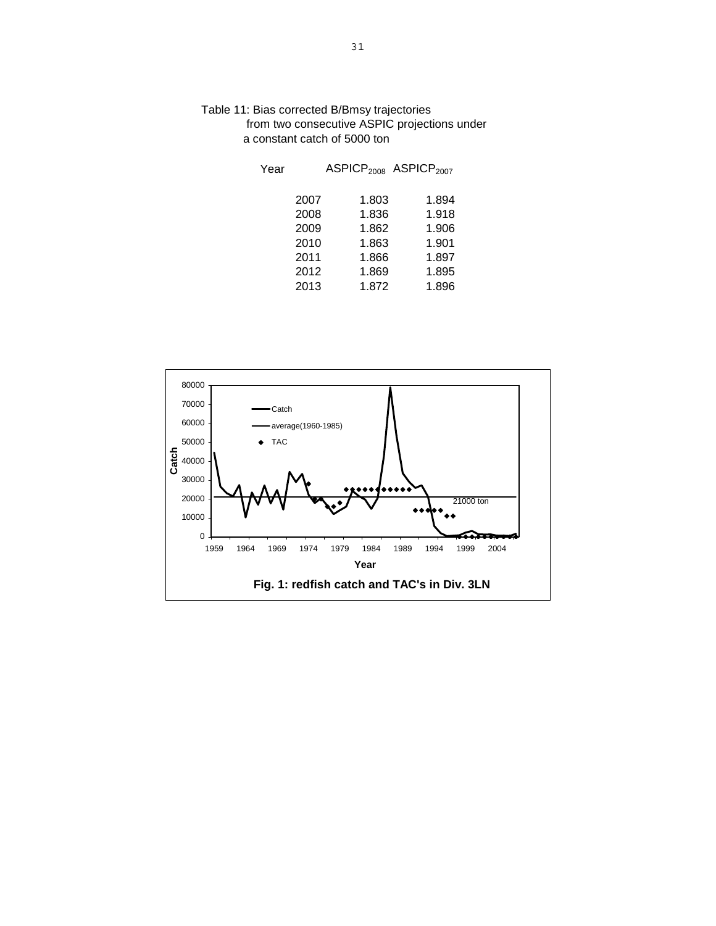| Year |      | ASPICP <sub>2008</sub> ASPICP <sub>2007</sub> |       |
|------|------|-----------------------------------------------|-------|
|      | 2007 | 1.803                                         | 1.894 |
|      | 2008 | 1.836                                         | 1.918 |
|      | 2009 | 1.862                                         | 1.906 |
|      | 2010 | 1.863                                         | 1.901 |
|      | 2011 | 1.866                                         | 1.897 |
|      | 2012 | 1.869                                         | 1.895 |
|      | 2013 | 1.872                                         | 1.896 |



Table 11: Bias corrected B/Bmsy trajectories from two consecutive ASPIC projections under a constant catch of 5000 ton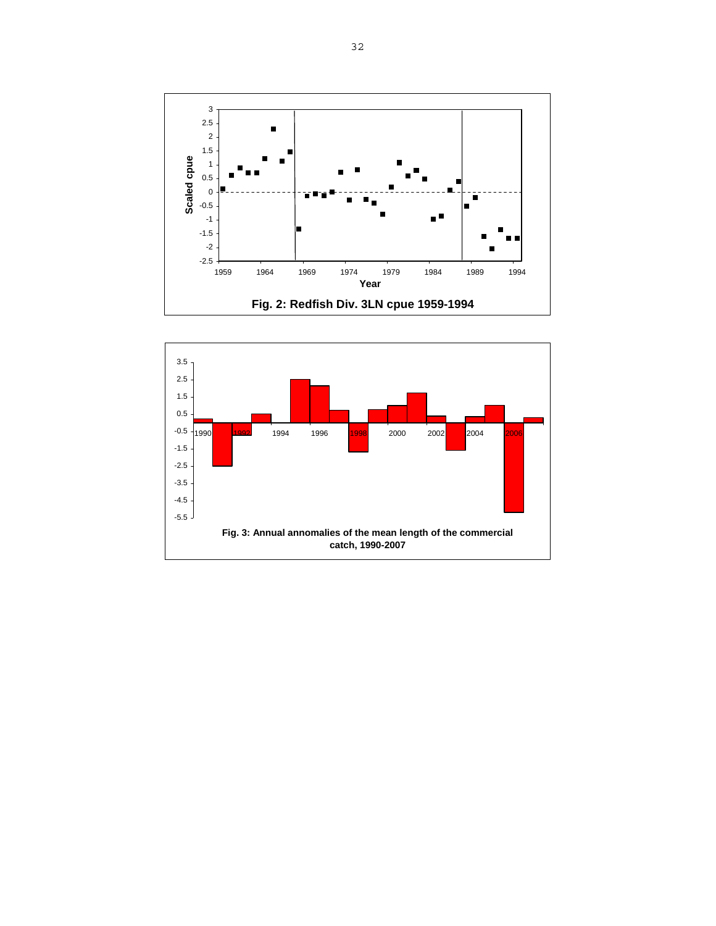

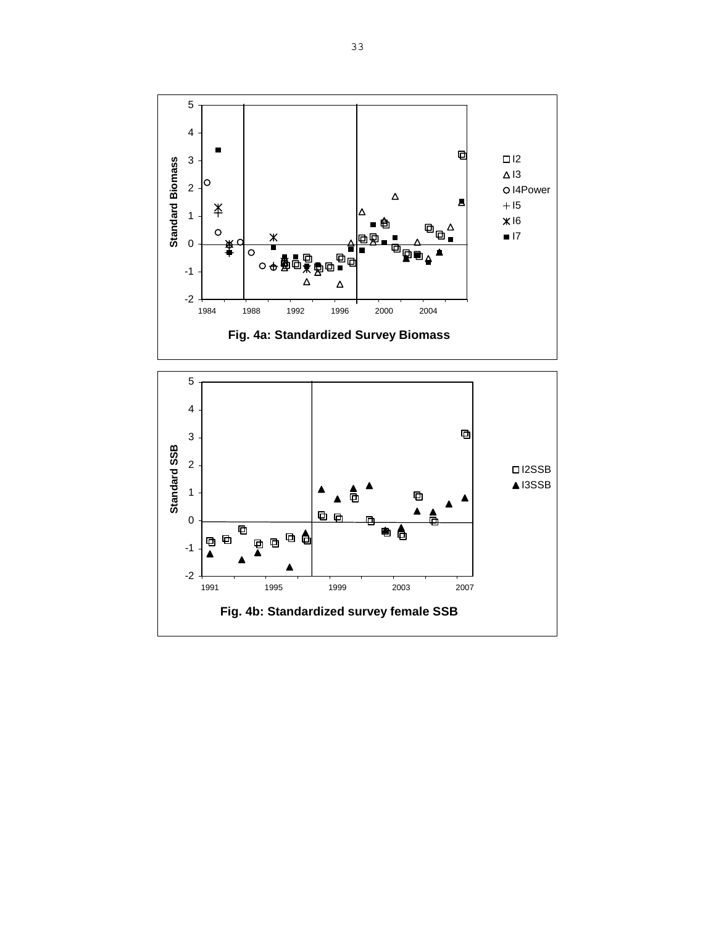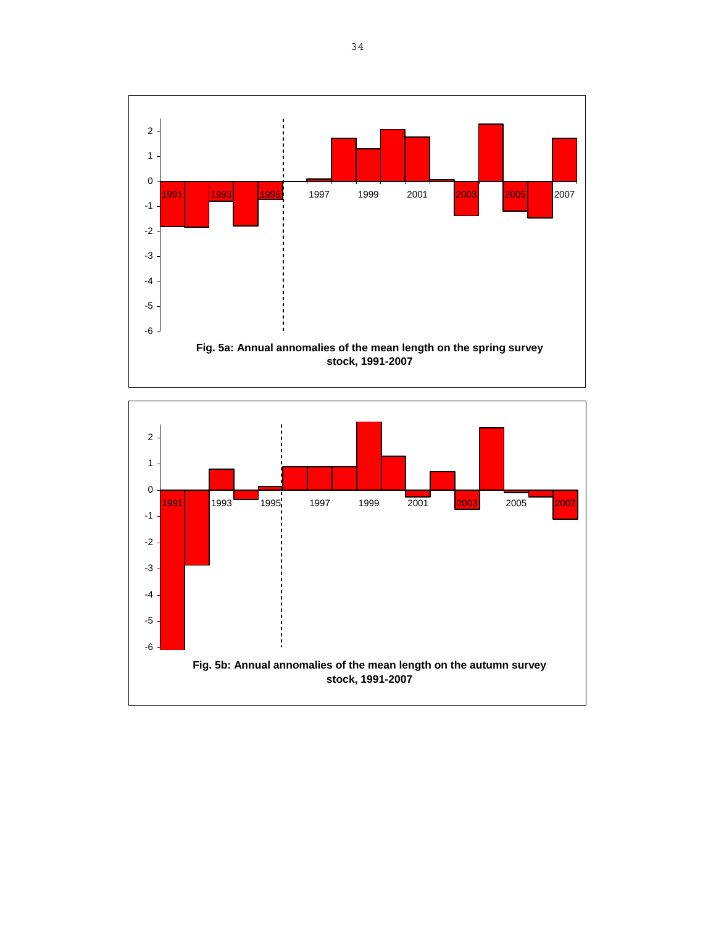

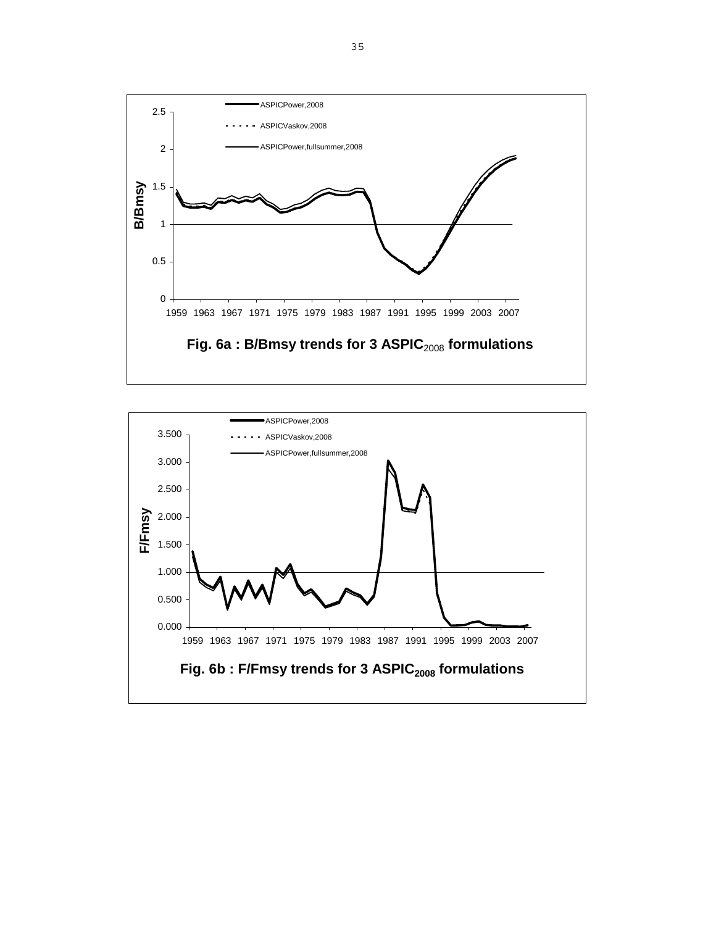

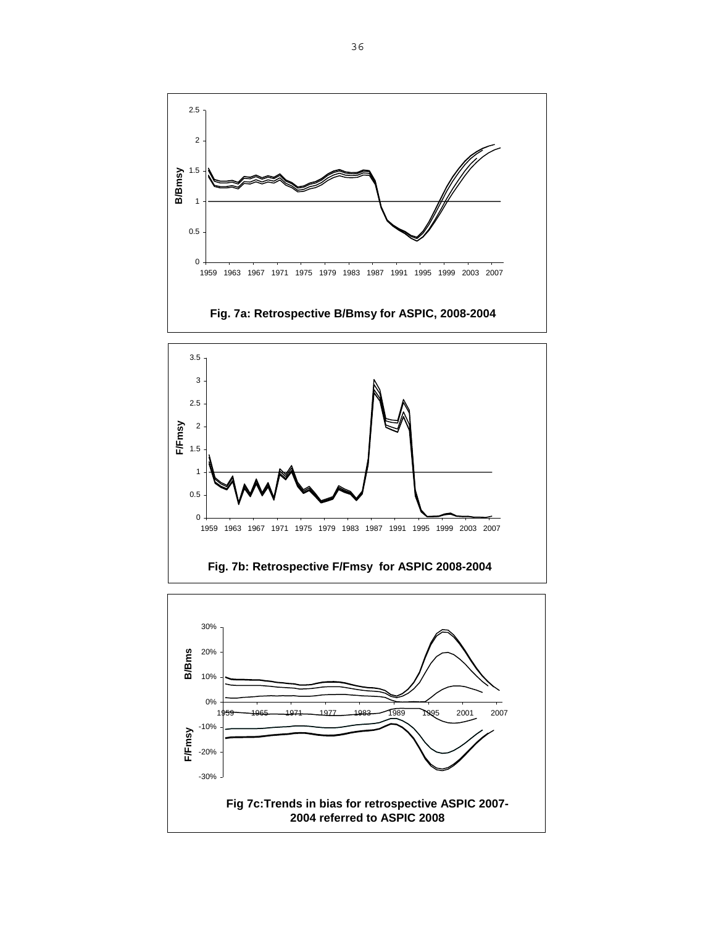



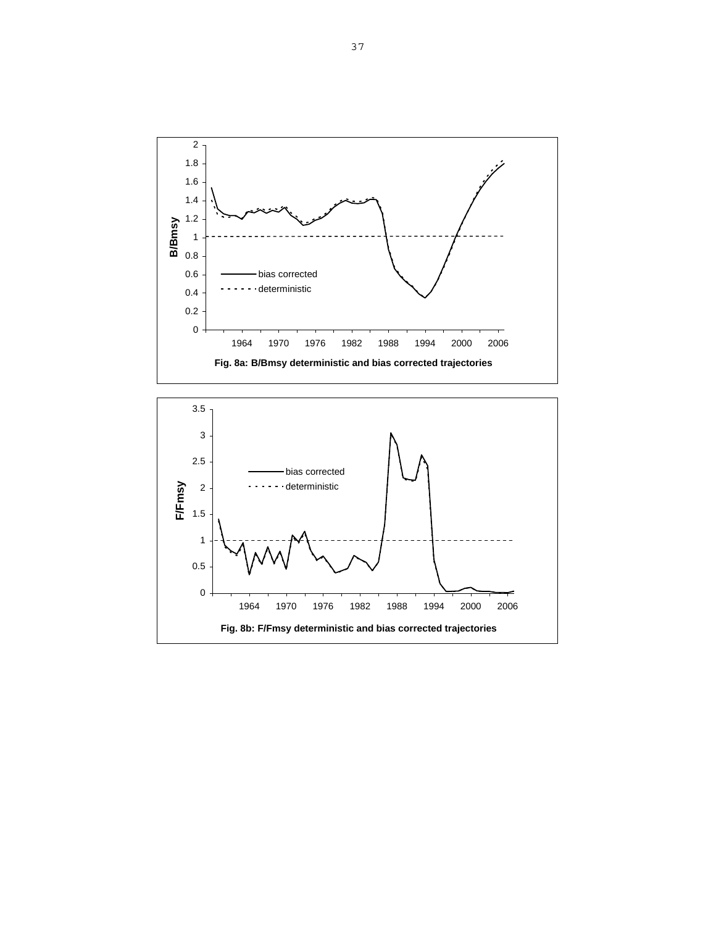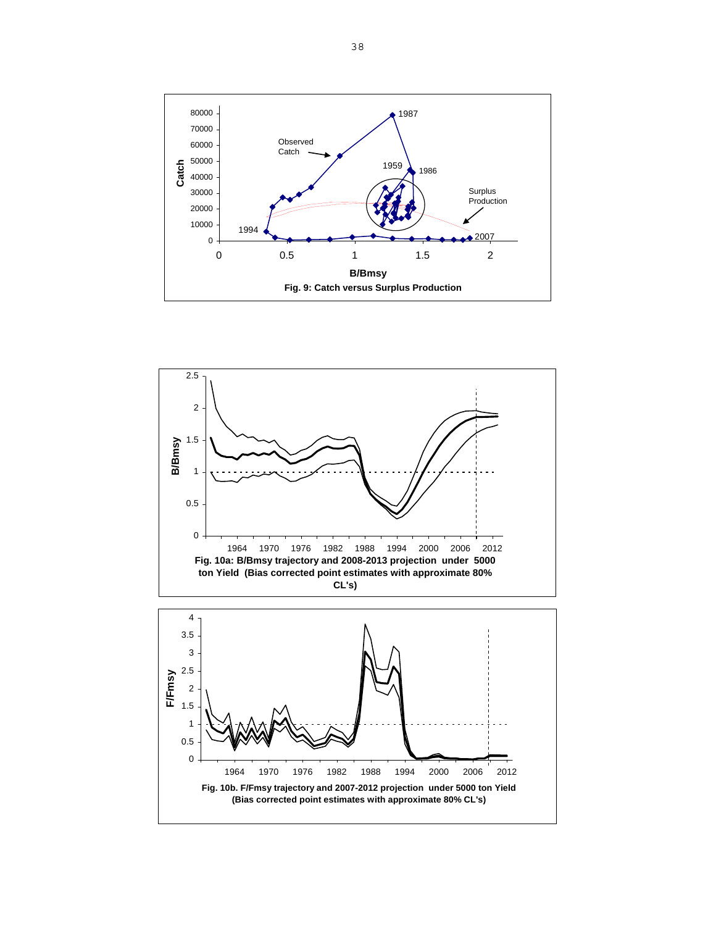



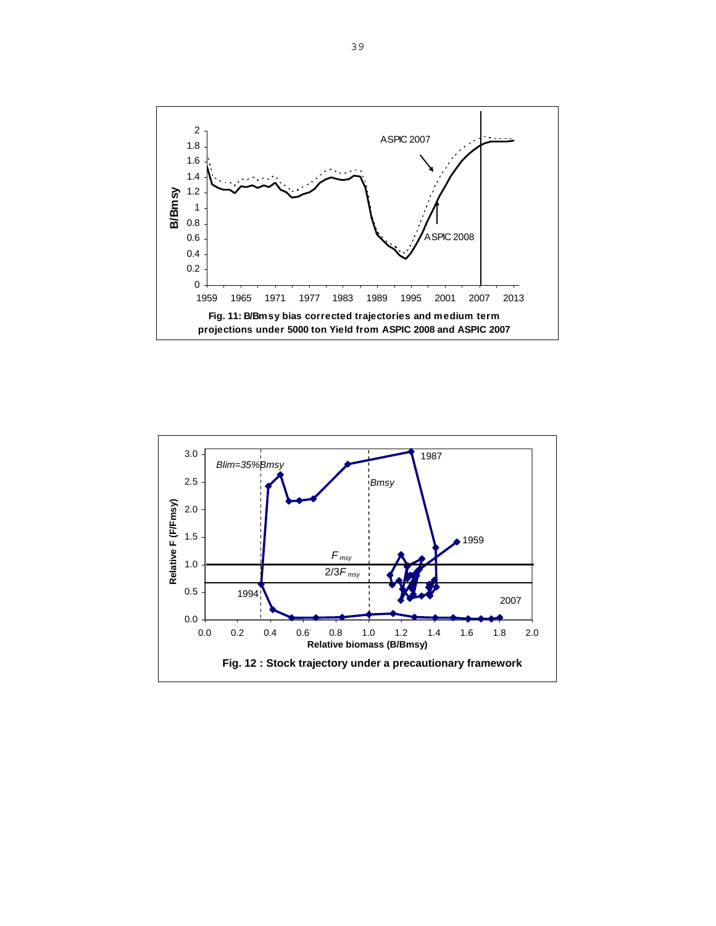

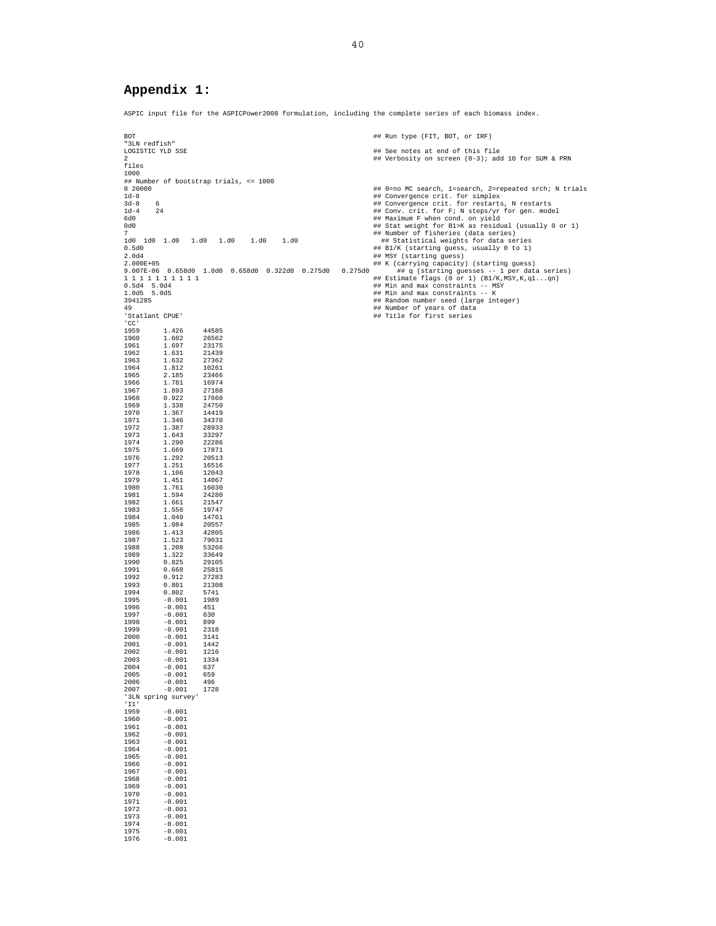## **Appendix 1:**

 $-0.001$ 

ASPIC input file for the ASPICPower2008 formulation, including the complete series of each biomass index.

BOT BOT A RUN TERM IS A RUN TO THE RUN TERM OF THE RUN TERM IS A RUN TO THE RUN TERM OF THE RUN TERM IS A RUN TERM IS A RUN TERM IS A RUN TERM IS A RUN TERM IS A RUN TERM IS A RUN TERM IS A RUN TERM IS A RUN TERM IS A RUN "<br>"3LN redfish"<br>LOGISTIC YLD SSE ## See notes at end of this file 2 ## Verbosity on screen (0-3); add 10 for SUM & PRN files 1000 ## Number of bootstrap trials, <= 1000 0 20000 ## 0=no MC search, 1=search, 2=repeated srch; N trials 1d-8 ## Convergence crit. for simplex 3d-8 6 ## Convergence crit. for restarts, N restarts 1d-4 24 ## Conv. crit. for F; N steps/yr for gen. model 6d0 ## Maximum F when cond. on yield 0d0 ## Stat weight for B1>K as residual (usually 0 or 1) 7 ## Number of fisheries (data series) 1d0 1d0 1.d0 1.d0 1.d0 1.d0 1.d0 ## Statistical weights for data series 0.5d0 ## B1/K (starting guess, usually 0 to 1) %2.002<br>
2.004 ## MSY (starting guess)<br>
2.002E+05 <br>
2.007E-06 0.658d0 1.0d0 0.658d0 0.322d0 0.275d0 0.275d0 ## K (carrying capacity) (starting guesses -- 1 per data series)<br>
2.007E-06 0.658d0 1.0d0 0.658d0 0.322d0 0.275d0 0 49 ## Number of years of data 'Statlant CPUE' ## Title for first series 'CC'<br>1959 1959 1.426 44585 1960 1.602 26562 1961 1.697 23175<br>1962 1.631 21439  $\begin{array}{cccc} 1962 & \quad & 1.631 & \quad & 21439 \\ 1963 & \quad & 1.632 & \quad & 27362 \\ 1964 & \quad & 1.812 & \quad & 10261 \end{array}$ 1963 1.632 27362 1964 1.812 10261 1965 2.185 23466 1966 1.781 16974 1967 1.893 27188 1968 0.922 17660<br>1969 1.338 24750 1969 1.338 24750 1970 1.367<br>1971 1.346 1971 1.346 34370<br>1972 1.387 28933  $\begin{array}{cccc} 1972 & \quad & 1.387 & \quad & 28933 \\ 1973 & \quad & 1.643 & \quad & 33297 \\ 1974 & \quad & 1.290 & \quad & 22286 \end{array}$  $1.643$ <br> $1.290$ 1974 1.290 22286 1.669 1976 1.292 20513 1977 1.251<br>1978 1.106 1978 1.106 12043 1979 1.451 14067 1980 1.761 16030 1981 1.594 24280 1982 1.661 21547 1983 1.556 19747 1984 1.049 14761 1985 1.084 20557<br>1986 1.413 42805 1986 1.413 42805 1987 1.113 1.1265<br>1988 1.208 53266 1988 1.208 53266 1989 1.322<br>1990 0.825 1990 0.825 29105<br>1991 0.668 25815 1991 0.668 25815 1992 0.912<br>1993 0.801 1993 0.801 21308<br>
1994 0.802 5741<br>
1995 -0.001 1989 1994 0.802 5741 1995 -0.001 1989 1996 -0.001 451 1997 -0.001 630 1998 -0.001 899 1999 -0.001 2318  $\begin{array}{cccc} 2000 & \quad & -0.001 & \quad & 3141 \\ 2001 & \quad & -0.001 & \quad & 1442 \\ 2002 & \quad & -0.001 & \quad & 1216 \end{array}$ 2001 -0.001 1442 2002 -0.001 1216  $\begin{array}{cccc} 2003 & \phantom{-} -0.001 & \phantom{-}1334 \\ 2004 & \phantom{-} -0.001 & \phantom{-}637 \end{array}$ 2004 -0.001 133<br>2004 -0.001 637<br>2005 -0.001 659 2005 -0.001 659 2006 -0.001 496<br>2007 -0.001 1728  $-0.001$ '3LN spring survey' 'I1'  $1959 -0.001$ <br>1960 -0.001 1960 -0.001 1961 -0.001 1962 -0.001 1963 -0.001<br>1964 -0.001 1964 -0.001<br>1965 -0.001  $1965 -0.001$ <br>1966 - 0.001 1966 -0.001<br>1967 -0.001  $1967$   $-0.001$ <br>1968  $-0.001$ 1968 -0.001<br>1969 -0.001 1969 -0.001 1970 -0.001 1971 -0.001<br>1972 -0.001 1972 -0.001<br>1973 -0.001 1973 -0.001<br>1974 -0.001 1974 -0.001<br>1975 -0.001  $1975 -0.001$ <br>1976 -0.001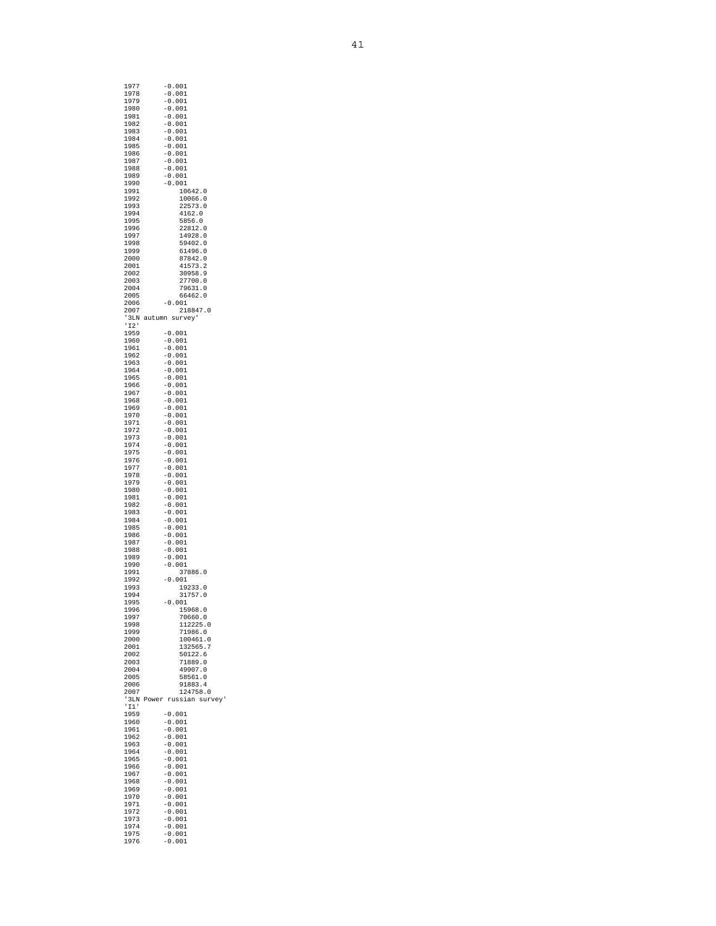| 1977<br>1978                | $-0.001$<br>$-0.001$                |
|-----------------------------|-------------------------------------|
| 1979                        | $-0.001$                            |
| 1980                        | $-0.001$                            |
| 1981                        | $-0.001$                            |
| 1982                        | $-0.001$                            |
| 1983                        | $-0.001$                            |
| 1984                        | $-0.001$                            |
| 1985<br>1986                | $-0.001$<br>$-0.001$                |
| 1987                        | $-0.001$                            |
| 1988                        | $-0.001$                            |
| 1989                        | $-0.001$                            |
| 1990                        | $-0.001$                            |
| 1991                        | 10642.0                             |
| 1992                        | 10066.0                             |
| 1993                        | 22573.0                             |
| 1994<br>1995                | 4162.0<br>5856.0                    |
| 1996                        | 22812.0                             |
| 1997                        | 14928.0                             |
| 1998                        | 59402.0                             |
| 1999                        | 61496.0                             |
| 2000                        | 87842.0                             |
| 2001                        | 41573.2                             |
| 2002<br>2003                | 30958.9<br>27700.0                  |
| 2004                        | 79631.0                             |
| 2005                        | 66462.0                             |
| 2006                        | $-0.001$                            |
| 2007                        | 218847.0                            |
| '3LN                        | autumn survey'                      |
| '12'                        |                                     |
| 1959<br>1960                | $-0.001$<br>$-0.001$                |
| 1961                        | $-0.001$                            |
| 1962                        | $-0.001$                            |
| 1963                        | $-0.001$                            |
| 1964                        | $-0.001$                            |
| 1965                        | $-0.001$                            |
| 1966                        | $-0.001$                            |
| 1967<br>1968                | $-0.001$<br>$-0.001$                |
| 1969                        | $-0.001$                            |
| 1970                        | $-0.001$                            |
| 1971                        | $-0.001$                            |
| 1972                        | $-0.001$                            |
| 1973                        | $-0.001$                            |
| 1974                        | $-0.001$                            |
| 1975                        | $-0.001$                            |
| 1976<br>1977                | $-0.001$<br>$-0.001$                |
| 1978                        | $-0.001$                            |
| 1979                        | $-0.001$                            |
| 1980                        | $-0.001$                            |
| 1981                        | $-0.001$                            |
| 1982                        | $-0.001$                            |
| 1983<br>1984                | $-0.001$<br>$-0.001$                |
| 1985                        | $-0.001$                            |
| 1986                        | $-0.001$                            |
| 1987                        | $-0.001$                            |
| 1988                        | $-0.001$                            |
| 1989                        | $-0.001$                            |
| 1990                        | $-0.001$                            |
| 1991<br>1992                | 37886.0                             |
| 1993                        | $-0.001$<br>19233.0                 |
| 1994                        | 31<br>757.<br>. 0                   |
| 1995                        | $-0.001$                            |
| 1996                        | 15968.0                             |
| 1997                        | 70660.0                             |
| 1998<br>1999                | 112225.0<br>71986.0                 |
| 2000                        | 100461.0                            |
| 2001                        | 132565.7                            |
| 2002                        | 50122.6                             |
| 2003                        | 71889.0                             |
| 2004                        | 49907.0                             |
| 2005                        | 58561.0                             |
| 2006<br>2007                | 91883.4                             |
| '3LN                        | 124758.0<br>russian survey<br>Power |
| $^{\prime}$ I l $^{\prime}$ |                                     |
| 1959                        | $-0.001$                            |
| 1960                        | $-0.001$                            |
| 1961                        | $-0.001$                            |
| 1962                        | $-0.001$                            |
| 1963                        | -0.001                              |
| 1964                        | $-0.001$                            |
| 1965<br>1966                | $-0.001$<br>$-0.001$                |
| 1967                        | $-0.001$                            |
| 1968                        | $-0.001$                            |
| 1969                        | $-0.001$                            |
| 1970                        | $-0.001$                            |
|                             |                                     |
| 1971                        | $-0.001$                            |
| 1972                        | $-0.001$                            |
| 1973                        | $-0.001$                            |
| 1974<br>1975                | $-0.001$<br>$-0.001$                |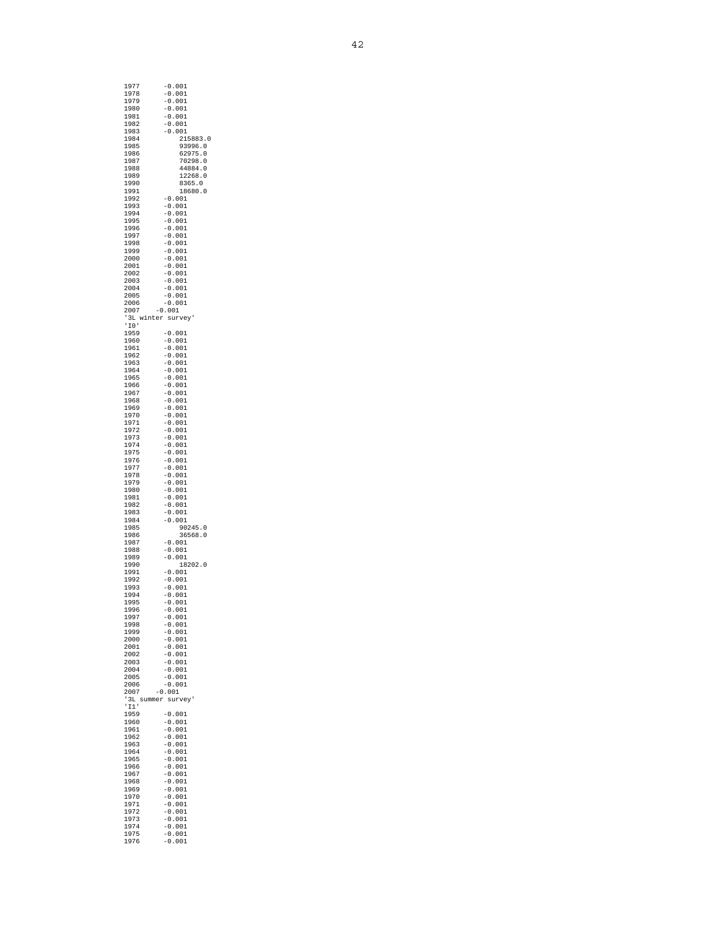| 1977                    | -0.001                           |
|-------------------------|----------------------------------|
| 1978                    | $-0.001$                         |
| 1979                    | $-0.001$                         |
| 1980<br>1981            | -0.001<br>$-0.001$               |
| 1982                    | $-0.001$                         |
| 1983                    | -0.001                           |
| 1984                    | 215883.0                         |
| 1985<br>1986            | 93996.0<br>62975.0               |
| 1987                    | 70298.0                          |
| 1988                    | 44884.0                          |
| 1989                    | 12268.0                          |
| 1990<br>1991            | 8365.0<br>18680.0                |
| 1992                    | $-0.001$                         |
| 1993                    | $-0.001$                         |
| 1994                    | $-0.001$                         |
| 1995<br>1996            | $-0.001$<br>$-0.001$             |
| 1997                    | $-0.001$                         |
| 1998                    | $-0.001$                         |
| 1999<br>2000            | $-0.001$<br>$-0.001$             |
| 2001                    | $-0.001$                         |
| 2002                    | $-0.001$                         |
| 2003                    | $-0.001$                         |
| 2004<br>2005            | $-0.001$                         |
| 2006                    | $-0.001$<br>$-0.001$             |
| 2007                    | $-0.001$                         |
| '3L winter survey'      |                                  |
| $\overline{10}$<br>1959 | $-0.001$                         |
| 1960                    | $-0.001$                         |
| 1961                    | $-0.001$                         |
| 1962                    | $-0.001$                         |
| 1963<br>1964            | $-0.001$<br>$-0.001$             |
| 1965                    | $-0.001$                         |
| 1966                    | $-0.001$                         |
| 1967                    | $-0.001$                         |
| 1968<br>1969            | $-0.001$<br>$-0.001$             |
| 1970                    | $-0.001$                         |
| 1971                    | $-0.001$                         |
| 1972<br>1973            | $-0.001$                         |
| 1974                    | $-0.001$<br>$-0.001$             |
| 1975                    | $-0.001$                         |
| 1976                    | $-0.001$                         |
| 1977<br>1978            | $-0.001$<br>$-0.001$             |
| 1979                    | $-0.001$                         |
| 1980                    | $-0.001$                         |
| 1981                    | $-0.001$                         |
| 1982<br>1983            | $-0.001$<br>$-0.001$             |
| 1984                    | $-0.001$                         |
| 1985                    | 90245.0                          |
| 1986<br>1987            | 36568.0<br>$-0.001$              |
| 1988                    | $-0.001$                         |
| 1989                    | $-0.001$                         |
| 1990                    | 18202.0                          |
| 1991<br>1992            | $-0.001$<br>$-0.001$             |
| 1993                    | $-0.001$                         |
| 1994                    | 0<br>001<br>$\ddot{\phantom{0}}$ |
| 1995                    | $-0.001$                         |
| 1996<br>1997            | $-0.001$<br>$-0.001$             |
| 1998                    | $-0.001$                         |
| 1999                    | $-0.001$                         |
| 2000<br>2001            | $-0.001$<br>$-0.001$             |
| 2002                    | $-0.001$                         |
| 2003                    | $-0.001$                         |
| 2004                    | $-0.001$                         |
| 2005<br>2006            | $-0.001$<br>$-0.001$             |
| 2007                    | $-0.001$                         |
| '3L summer              | survey'                          |
| '11'                    |                                  |
| 1959<br>1960            | $-0.001$                         |
| 1961                    | $-0.001$<br>$-0.001$             |
| 1962                    | $-0.001$                         |
| 1963                    | $-0.001$                         |
| 1964<br>1965            | $-0.001$<br>$-0.001$             |
| 1966                    | $-0.001$                         |
| 1967                    | $-0.001$                         |
| 1968                    | $-0.001$                         |
| 1969<br>1970            | $-0.001$<br>$-0.001$             |
| 1971                    | $-0.001$                         |
| 1972                    | $-0.001$                         |
| 1973                    | $-0.001$                         |
| 1974<br>1975            | $-0.001$<br>$-0.001$             |
| 1976                    | $-0.001$                         |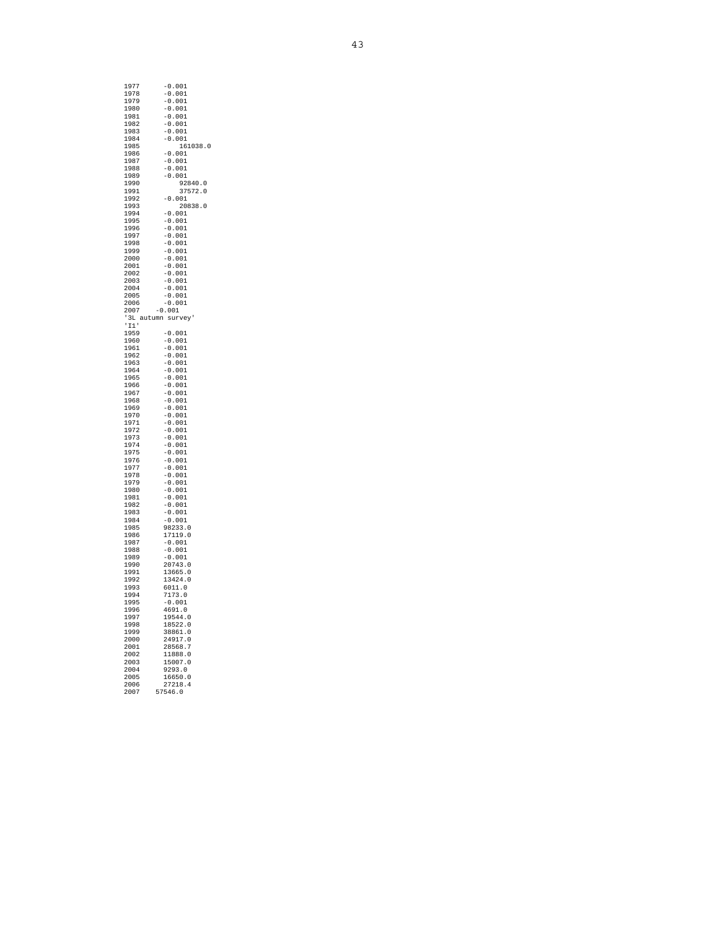| 1977               | -0.001   |
|--------------------|----------|
|                    |          |
| 1978               | $-0.001$ |
| 1979               | $-0.001$ |
| 1980               | $-0.001$ |
| 1981               | $-0.001$ |
|                    |          |
| 1982               | $-0.001$ |
| 1983               | $-0.001$ |
| 1984               | $-0.001$ |
| 1985               | 161038.0 |
|                    |          |
| 1986               | $-0.001$ |
| 1987               | $-0.001$ |
| 1988               | $-0.001$ |
| 1989               | $-0.001$ |
|                    |          |
| 1990               | 92840.0  |
| 1991               | 37572.0  |
| 1992               | $-0.001$ |
| 1993               | 20838.0  |
| 1994               |          |
|                    | $-0.001$ |
| 1995               | $-0.001$ |
| 1996               | $-0.001$ |
| 1997               | $-0.001$ |
| 1998               | $-0.001$ |
|                    |          |
| 1999               | $-0.001$ |
| 2000               | $-0.001$ |
| 2001               | $-0.001$ |
| 2002               | $-0.001$ |
|                    |          |
| 2003               | $-0.001$ |
| 2004               | $-0.001$ |
| 2005               | $-0.001$ |
| 2006               | $-0.001$ |
|                    |          |
| 2007               | $-0.001$ |
| '3L autumn survey' |          |
| 11'                |          |
| 1959               | $-0.001$ |
| 1960               | $-0.001$ |
|                    |          |
| 1961               | $-0.001$ |
| 1962               | $-0.001$ |
| 1963               | $-0.001$ |
| 1964               | $-0.001$ |
| 1965               | $-0.001$ |
| 1966               |          |
|                    | $-0.001$ |
| 1967               | $-0.001$ |
| 1968               | $-0.001$ |
| 1969               | $-0.001$ |
| 1970               | $-0.001$ |
|                    |          |
| 1971               | $-0.001$ |
| 1972               | $-0.001$ |
| 1973               | $-0.001$ |
| 1974               | $-0.001$ |
| 1975               | $-0.001$ |
|                    |          |
| 1976               | $-0.001$ |
| 1977               | $-0.001$ |
| 1978               | $-0.001$ |
| 1979               | $-0.001$ |
|                    |          |
| 1980               | $-0.001$ |
| 1981               | $-0.001$ |
| 1982               | $-0.001$ |
| 1983               | $-0.001$ |
|                    |          |
| 1984               | $-0.001$ |
| 1985               | 98233.0  |
| 1986               | 17119.0  |
| 1987               | $-0.001$ |
| 1988               | $-0.001$ |
|                    |          |
| 1989               | $-0.001$ |
| 1990               | 20743.0  |
| 1991               | 13665.0  |
| 1992               |          |
| 1993               |          |
|                    | 13424.0  |
|                    | 6011.0   |
| 1994               | 7173.0   |
| 1995               | 0.001    |
|                    |          |
| 1996               | 4691.0   |
| 1997               | 19544.0  |
| 1998               | 18522.0  |
| 1999               | 38861.0  |
| 2000               | 24917.0  |
| 2001               | 28568.7  |
|                    |          |
| 2002               | 11888.0  |
| 2003               | 15007.0  |
| 2004               | 9293.0   |
| 2005               | 16650.0  |
| 2006               | 27218.4  |
| 2007               | 57546.0  |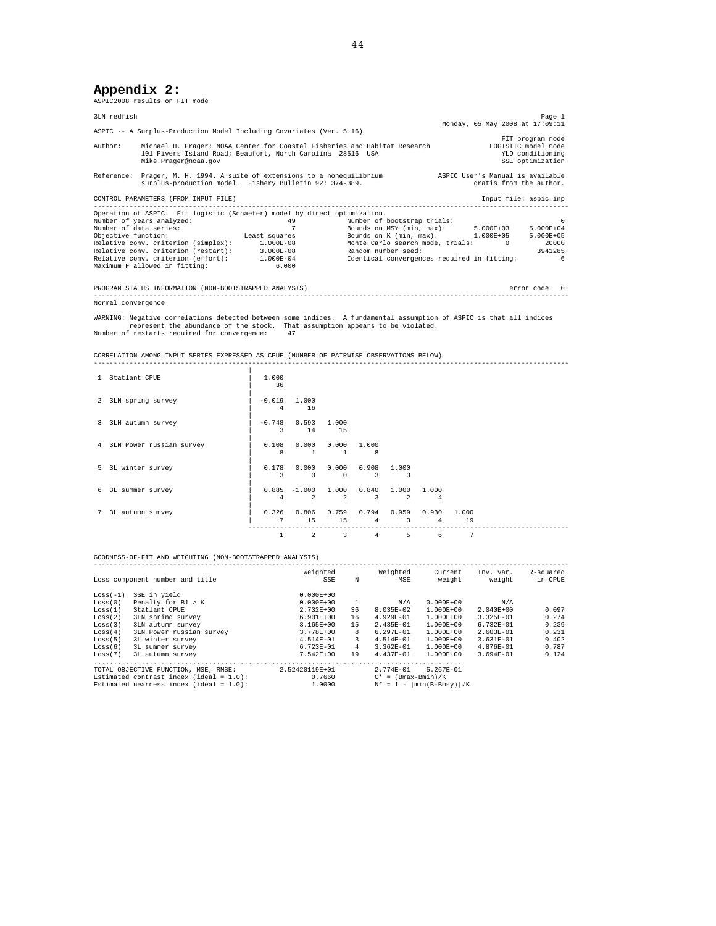## **Appendix 2:**

ASPIC2008 results on FIT mode

| 3LN redfish            |                                                                                    |                                                                           |                                                                                 |                                 | Page 1       |  |
|------------------------|------------------------------------------------------------------------------------|---------------------------------------------------------------------------|---------------------------------------------------------------------------------|---------------------------------|--------------|--|
|                        | ASPIC -- A Surplus-Production Model Including Covariates (Ver. 5.16)               |                                                                           |                                                                                 | Monday, 05 May 2008 at 17:09:11 |              |  |
| Author:                | 101 Pivers Island Road; Beaufort, North Carolina 28516 USA<br>Mike.Prager@noaa.gov | Michael H. Prager; NOAA Center for Coastal Fisheries and Habitat Research | FIT program mode<br>LOGISTIC model mode<br>YLD conditioning<br>SSE optimization |                                 |              |  |
|                        | surplus-production model. Fishery Bulletin 92: 374-389.                            | Reference: Prager, M. H. 1994. A suite of extensions to a nonequilibrium  | ASPIC User's Manual is available<br>gratis from the author.                     |                                 |              |  |
|                        | CONTROL PARAMETERS (FROM INPUT FILE)                                               |                                                                           |                                                                                 | Input file: aspic.inp           |              |  |
|                        | Operation of ASPIC: Fit logistic (Schaefer) model by direct optimization.          |                                                                           |                                                                                 |                                 |              |  |
|                        | Number of years analyzed:                                                          | 49                                                                        | Number of bootstrap trials:                                                     |                                 | $\sim$ 0     |  |
| Number of data series: |                                                                                    |                                                                           | Bounds on MSY (min, $max$ ): $5.000E+03$                                        |                                 | 5.000E+04    |  |
| Objective function:    |                                                                                    | Least squares                                                             | Bounds on $K$ (min, max): $1.000E+05$                                           |                                 | 5.000E+05    |  |
|                        | Relative conv. criterion (simplex): 1.000E-08                                      |                                                                           | Monte Carlo search mode, trials: 0 20000                                        |                                 |              |  |
|                        | Relative conv. criterion (restart): 3.000E-08                                      |                                                                           | Random number seed:                                                             |                                 | 3941285      |  |
|                        | Relative conv. criterion (effort): 1.000E-04                                       |                                                                           | Identical convergences required in fitting:                                     |                                 | -6           |  |
|                        | Maximum F allowed in fitting: 6.000                                                |                                                                           |                                                                                 |                                 |              |  |
|                        | PROGRAM STATUS INFORMATION (NON-BOOTSTRAPPED ANALYSIS)                             |                                                                           |                                                                                 |                                 | error code 0 |  |
| Normal convergence     |                                                                                    |                                                                           |                                                                                 |                                 |              |  |

WARNING: Negative correlations detected between some indices. A fundamental assumption of ASPIC is that all indices<br>represent the abundance of the stock. That assumption appears to be violated.<br>Number of restarts required

CORRELATION AMONG INPUT SERIES EXPRESSED AS CPUE (NUMBER OF PAIRWISE OBSERVATIONS BELOW) ------------------------------------------------------------------------------------------------------------------------

|             | 1 Statlant CPUE            | 1,000<br>36                |                                  |                               |                      |                               |            |             |  |
|-------------|----------------------------|----------------------------|----------------------------------|-------------------------------|----------------------|-------------------------------|------------|-------------|--|
|             | 2 3LN spring survey        | $-0.019$<br>$\overline{4}$ | 1,000<br>16                      |                               |                      |                               |            |             |  |
|             | 3 3LN autumn survey        | 3                          | $-0.748$ 0.593<br>14             | 1,000<br>15                   |                      |                               |            |             |  |
|             | 4 3LN Power russian survey | 0.108<br>8                 | 0.000<br>1                       | $\mathbf{1}$                  | 0.000 1.000<br>8     |                               |            |             |  |
|             | 5 3L winter survey         | 0.178<br>3                 | 0.000<br>$^{\circ}$              | $\Omega$                      | 0.000 0.908<br>3     | 1,000<br>3                    |            |             |  |
| 6           | 3L summer survey           | 4                          | $0.885 -1.000$<br>$\overline{2}$ | 1.000 0.840<br>$\mathfrak{D}$ | 3                    | 1.000 1.000<br>$\mathfrak{D}$ | 4          |             |  |
| $7^{\circ}$ | 3L autumn survey           | 0.326<br>7                 | 0.806<br>15                      | 15                            | $0.759$ $0.794$<br>4 | 0.959<br>3                    | 0.930<br>4 | 1.000<br>19 |  |
|             |                            | 1                          | 2                                | 3                             | $\overline{4}$       | 5                             | 6          | 7           |  |

GOODNESS-OF-FIT AND WEIGHTING (NON-BOOTSTRAPPED ANALYSIS)

|            | Loss component number and title            | Weighted<br><b>SSE</b> | N   | Weighted<br>MSE               | Current<br>weight | Inv. var.<br>weight | R-squared<br>in CPUE |  |  |  |  |
|------------|--------------------------------------------|------------------------|-----|-------------------------------|-------------------|---------------------|----------------------|--|--|--|--|
| $Loss(-1)$ | SSE in vield                               | $0.000E + 00$          |     |                               |                   |                     |                      |  |  |  |  |
| Loss(0)    | Penalty for $B1 > K$                       | $0.000E + 00$          | -1. | N/A                           | $0.000E + 00$     | N/A                 |                      |  |  |  |  |
| Loss(1)    | Statlant CPUE                              | 2.732E+00              | 36  | 8.035E-02                     | $1.000E + 00$     | $2.040E + 00$       | 0.097                |  |  |  |  |
| Loss(2)    | 3LN spring survey                          | $6.901E+00$            | 16  | 4.929E-01                     | $1.000E + 00$     | 3.325E-01           | 0.274                |  |  |  |  |
| Loss(3)    | 3LN autumn survey                          | 3.165E+00              | 15  | 2.435E-01                     | $1.000E + 00$     | 6.732E-01           | 0.239                |  |  |  |  |
| Loss(4)    | 3LN Power russian survey                   | 3.778E+00              | 8   | $6.297E-01$                   | $1.000E + 00$     | 2.603E-01           | 0.231                |  |  |  |  |
| Loss(5)    | 3L winter survey                           | 4.514E-01              | 3   | 4.514E-01                     | 1.000E+00         | 3.631E-01           | 0.402                |  |  |  |  |
| Loss(6)    | 3L summer survey                           | 6.723E-01              | 4   | 3.362E-01                     | $1.000E + 00$     | 4.876E-01           | 0.787                |  |  |  |  |
| Loss(7)    | 3L autumn survey                           | 7.542E+00              | 19  | 4.437E-01                     | $1.000E + 00$     | 3.694E-01           | 0.124                |  |  |  |  |
|            |                                            |                        |     |                               |                   |                     |                      |  |  |  |  |
|            | TOTAL OBJECTIVE FUNCTION, MSE, RMSE:       | 2.52420119E+01         |     | $2.774E - 01$                 | $5.267E - 01$     |                     |                      |  |  |  |  |
|            | Estimated contrast index (ideal = $1.0$ ): | 0.7660                 |     | $C^* = (Bmax-Bmin)/K$         |                   |                     |                      |  |  |  |  |
|            | Estimated nearness index (ideal = $1.0$ ): | 1,0000                 |     | $N^* = 1 -  min(B-Bmsv)  / K$ |                   |                     |                      |  |  |  |  |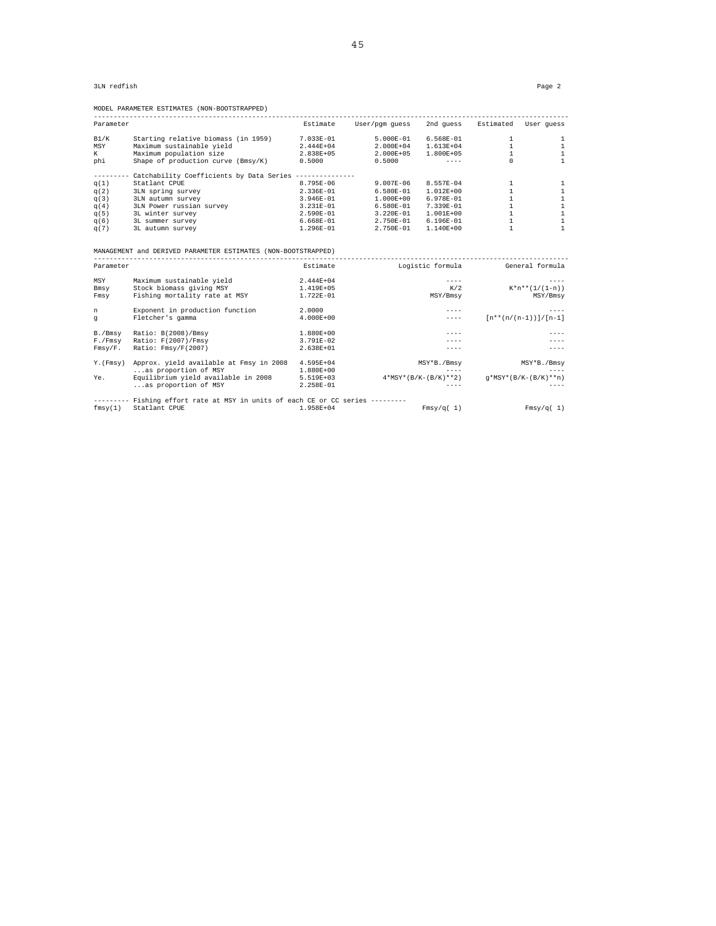| Parameter |                                                                               | Estimate      | User/pqm quess |                                  | 2nd quess Estimated User quess                          |                        |
|-----------|-------------------------------------------------------------------------------|---------------|----------------|----------------------------------|---------------------------------------------------------|------------------------|
| B1/K      | Starting relative biomass (in 1959)                                           | 7.033E-01     | 5.000E-01      | 6.568E-01                        | $\mathbf{1}$                                            | $\mathbf{1}$           |
| MSY       | Maximum sustainable yield                                                     | $2.444E+04$   | 2.000E+04      | 1.613E+04                        | $\mathbf{1}$                                            | $\mathbf{1}$           |
| K         | Maximum population size                                                       | 2.838E+05     | $2.000E + 05$  | $1.800E + 05$                    | $\mathbf{1}$                                            | $\mathbf{1}$           |
| phi       | Shape of production curve (Bmsy/K)                                            | 0.5000        | 0.5000         | $- - - - -$                      | $\Omega$                                                | $\mathbf{1}$           |
|           | --------- Catchability Coefficients by Data Series --------------             |               |                |                                  |                                                         |                        |
| q(1)      | Statlant CPUE                                                                 | 8.795E-06     | $9.007E-06$    | 8.557E-04                        | $\mathbf{1}$                                            | 1                      |
| q(2)      | 3LN spring survey                                                             | 2.336E-01     | 6.580E-01      | $1.012E+00$                      | $\mathbf{1}$                                            | 1                      |
| q(3)      | 3LN autumn survey                                                             | 3.946E-01     | $1.000E + 00$  | 6.978E-01                        | $\mathbf{1}$                                            | $\mathbf{1}$           |
| q(4)      | 3LN Power russian survey                                                      | 3.231E-01     | $6.580E-01$    | 7.339E-01                        | $\mathbf{1}$                                            | $\mathbf{1}$           |
| q(5)      | 3L winter survey                                                              | 2.590E-01     | 3.220E-01      | 1.001E+00                        | $\mathbf{1}$                                            | $\mathbf{1}$           |
| q(6)      | 3L summer survey                                                              | 6.668E-01     | 2.750E-01      | $6.196E-01$                      | $\mathbf{1}$                                            | $\mathbf{1}$           |
| q(7)      | 3L autumn survey                                                              | $1.296E-01$   | 2.750E-01      | 1.140E+00                        | $\mathbf{1}$                                            | $\mathbf{1}$           |
|           | MANAGEMENT and DERIVED PARAMETER ESTIMATES (NON-BOOTSTRAPPED)                 |               |                |                                  |                                                         |                        |
| Parameter |                                                                               | Estimate      |                | Logistic formula General formula |                                                         |                        |
| MSY       | Maximum sustainable yield                                                     | 2.444E+04     |                | $- - - - -$                      |                                                         |                        |
| Bmsy      | Stock biomass giving MSY                                                      | 1.419E+05     |                | K/2                              |                                                         | $K*n**(1/(1-n))$       |
| Fmsy      | Fishing mortality rate at MSY                                                 | 1.722E-01     |                | MSY/Bmsv                         |                                                         | MSY/Bmsv               |
| n         | Exponent in production function                                               | 2.0000        |                | $- - - -$                        |                                                         | $- - - -$              |
| q         | Fletcher's gamma                                                              | $4.000E + 00$ |                | $- - - - -$                      | $\lceil n^* \cdot (n/(n-1)) \rceil / \lceil n-1 \rceil$ |                        |
| B./Bmsy   | Ratio: B(2008)/Bmsy                                                           | 1.880E+00     |                | $- - - -$                        |                                                         |                        |
| F./Fmsy   | Ratio: F(2007)/Fmsy                                                           | 3.791E-02     |                | $---$                            |                                                         |                        |
| Fmsy/F.   | Ratio: Fmsy/F(2007)                                                           | 2.638E+01     |                | $- - - - -$                      |                                                         | $- - - -$              |
| Y. (Fmsy) | Approx. yield available at Fmsy in 2008                                       | 4.595E+04     |                | MSY*B./Bmsy                      |                                                         | MSY*B./Bmsy            |
|           | as proportion of MSY                                                          | 1.880E+00     |                | $- - - -$                        |                                                         | $- - - -$              |
| Ye.       | Equilibrium yield available in 2008                                           | 5.519E+03     |                | $4*MSY*(B/K-(B/K)**2)$           |                                                         | $q*MSY*(B/K-(B/K)**n)$ |
|           | as proportion of MSY                                                          | 2.258E-01     |                | $- - - -$                        |                                                         | $- - - -$              |
|           | -------- Fishing effort rate at MSY in units of each CE or CC series -------- |               |                |                                  |                                                         |                        |
| fmsy(1)   | Statlant CPUE                                                                 | $1.958E + 04$ |                | Fmsy/q(1)                        |                                                         | Fmsy/q(1)              |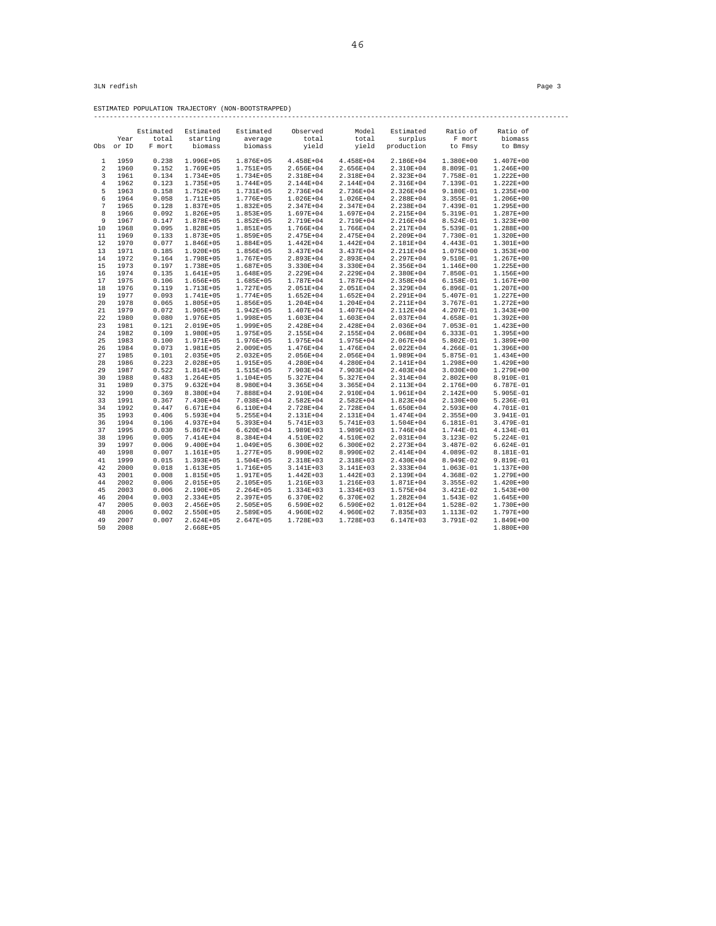------------------------------------------------------------------------------------------------------------------------

ESTIMATED POPULATION TRAJECTORY (NON-BOOTSTRAPPED)

|                |       | Estimated | Estimated     | Estimated     | Observed      | Model         | Estimated     | Ratio of      | Ratio of      |  |
|----------------|-------|-----------|---------------|---------------|---------------|---------------|---------------|---------------|---------------|--|
|                | Year  | total     | starting      | average       | total         | total         | surplus       | F mort        | biomass       |  |
| Obs            | or ID | F mort    | biomass       | biomass       | yield         | yield         | production    | to Fmsy       | to Bmsy       |  |
|                |       |           |               |               |               |               |               |               |               |  |
| 1              | 1959  | 0.238     | 1.996E+05     | 1.876E+05     | 4.458E+04     | 4.458E+04     | 2.186E+04     | $1.380E+00$   | $1.407E + 00$ |  |
| 2              | 1960  | 0.152     | 1.769E+05     | 1.751E+05     | 2.656E+04     | 2.656E+04     | 2.310E+04     | 8.809E-01     | $1.246E+00$   |  |
| 3              | 1961  | 0.134     | 1.734E+05     | 1.734E+05     | 2.318E+04     | 2.318E+04     | 2.323E+04     | 7.758E-01     | $1.222E+00$   |  |
| $\overline{4}$ | 1962  | 0.123     | 1.735E+05     | $1.744E + 05$ | 2.144E+04     | 2.144E+04     | 2.316E+04     | 7.139E-01     | $1.222E+00$   |  |
| 5              | 1963  | 0.158     | $1.752E + 05$ | 1.731E+05     | 2.736E+04     | 2.736E+04     | 2.326E+04     | $9.180E-01$   | $1.235E+00$   |  |
| 6              | 1964  | 0.058     | 1.711E+05     | 1.776E+05     | $1.026E + 04$ | 1.026E+04     | 2.288E+04     | 3.355E-01     | $1.206E + 00$ |  |
| 7              | 1965  | 0.128     | 1.837E+05     | 1.832E+05     | 2.347E+04     | 2.347E+04     | 2.238E+04     | 7.439E-01     | $1.295E+00$   |  |
| 8              | 1966  | 0.092     | $1.826E + 05$ | $1.853E+05$   | 1.697E+04     | 1.697E+04     | 2.215E+04     | 5.319E-01     | $1.287E+00$   |  |
| 9              | 1967  | 0.147     | 1.878E+05     | $1.852E + 05$ | 2.719E+04     | 2.719E+04     | 2.216E+04     | 8.524E-01     | $1.323E+00$   |  |
| 10             | 1968  | 0.095     | 1.828E+05     | 1.851E+05     | 1.766E+04     | 1.766E+04     | 2.217E+04     | 5.539E-01     | 1.288E+00     |  |
| 11             | 1969  | 0.133     | 1.873E+05     | 1.859E+05     | 2.475E+04     | 2.475E+04     | 2.209E+04     | 7.730E-01     | $1.320E+00$   |  |
| 12             | 1970  | 0.077     | 1.846E+05     | 1.884E+05     | $1.442E + 04$ | $1.442E + 04$ | 2.181E+04     | 4.443E-01     | $1.301E+00$   |  |
| 13             | 1971  | 0.185     | $1.920E + 05$ | 1.856E+05     | 3.437E+04     | 3.437E+04     | 2.211E+04     | $1.075E + 00$ | $1.353E+00$   |  |
| 14             | 1972  | 0.164     | 1.798E+05     | 1.767E+05     | 2.893E+04     | 2.893E+04     | 2.297E+04     | 9.510E-01     | $1.267E+00$   |  |
| 15             | 1973  | 0.197     | 1.738E+05     | 1.687E+05     | 3.330E+04     | 3.330E+04     | 2.356E+04     | $1.146E+00$   | $1.225E+00$   |  |
| 16             | 1974  | 0.135     | 1.641E+05     | 1.648E+05     | 2.229E+04     | 2.229E+04     | 2.380E+04     | 7.850E-01     | 1.156E+00     |  |
| 17             | 1975  | 0.106     | 1.656E+05     | 1.685E+05     | 1.787E+04     | 1.787E+04     | 2.358E+04     | 6.158E-01     | $1.167E + 00$ |  |
| 18             | 1976  | 0.119     | 1.713E+05     | 1.727E+05     | 2.051E+04     | 2.051E+04     | 2.329E+04     | 6.896E-01     | 1.207E+00     |  |
| 19             | 1977  | 0.093     | 1.741E+05     | 1.774E+05     | $1.652E + 04$ | $1.652E + 04$ | 2.291E+04     | 5.407E-01     | $1.227E+00$   |  |
| 20             | 1978  | 0.065     | 1.805E+05     | 1.856E+05     | 1.204E+04     | $1.204E + 04$ | 2.211E+04     | 3.767E-01     | $1.272E+00$   |  |
| 21             | 1979  | 0.072     | $1.905E + 05$ | 1.942E+05     | 1.407E+04     | 1.407E+04     | 2.112E+04     | 4.207E-01     | $1.343E+00$   |  |
| 22             | 1980  | 0.080     | 1.976E+05     | 1.998E+05     | 1.603E+04     | 1.603E+04     | 2.037E+04     | 4.658E-01     | $1.392E + 00$ |  |
| 23             | 1981  | 0.121     | 2.019E+05     | 1.999E+05     | 2.428E+04     | 2.428E+04     | 2.036E+04     | $7.053E-01$   | $1.423E+00$   |  |
| 2.4            | 1982  | 0.109     | 1.980E+05     | 1.975E+05     | 2.155E+04     | 2.155E+04     | 2.068E+04     | $6.333E-01$   | $1.395E+00$   |  |
| 25             | 1983  | 0.100     | 1.971E+05     | 1.976E+05     | 1.975E+04     | 1.975E+04     | 2.067E+04     | 5.802E-01     | $1.389E+00$   |  |
| 26             | 1984  | 0.073     | 1.981E+05     | 2.009E+05     | 1.476E+04     | 1.476E+04     | 2.022E+04     | 4.266E-01     | $1.396E+00$   |  |
| 27             | 1985  | 0.101     | $2.035E + 05$ | $2.032E + 05$ | 2.056E+04     | 2.056E+04     | 1.989E+04     | 5.875E-01     | $1.434E+00$   |  |
| 28             | 1986  | 0.223     | 2.028E+05     | 1.915E+05     | 4.280E+04     | 4.280E+04     | 2.141E+04     | $1.298E+00$   | $1.429E+00$   |  |
| 29             | 1987  | 0.522     | $1.814E+05$   | 1.515E+05     | 7.903E+04     | 7.903E+04     | 2.403E+04     | $3.030E + 00$ | $1.279E + 00$ |  |
| 30             | 1988  | 0.483     | $1.264E + 05$ | 1.104E+05     | 5.327E+04     | 5.327E+04     | 2.314E+04     | $2.802E + 00$ | 8.910E-01     |  |
| 31             | 1989  | 0.375     | $9.632E + 04$ | 8.980E+04     | 3.365E+04     | 3.365E+04     | 2.113E+04     | 2.176E+00     | 6.787E-01     |  |
| 32             | 1990  | 0.369     | 8.380E+04     | 7.888E+04     | 2.910E+04     | 2.910E+04     | 1.961E+04     | $2.142E + 00$ | 5.905E-01     |  |
| 33             | 1991  | 0.367     | 7.430E+04     | 7.038E+04     | 2.582E+04     | 2.582E+04     | 1.823E+04     | 2.130E+00     | 5.236E-01     |  |
| 34             | 1992  | 0.447     | 6.671E+04     | 6.110E+04     | 2.728E+04     | 2.728E+04     | 1.650E+04     | $2.593E+00$   | 4.701E-01     |  |
| 35             | 1993  | 0.406     | 5.593E+04     | 5.255E+04     | 2.131E+04     | 2.131E+04     | 1.474E+04     | $2.355E+00$   | 3.941E-01     |  |
| 36             | 1994  | 0.106     | 4.937E+04     | 5.393E+04     | 5.741E+03     | 5.741E+03     | $1.504E + 04$ | 6.181E-01     | 3.479E-01     |  |
| 37             | 1995  | 0.030     | 5.867E+04     | $6.620E+04$   | 1.989E+03     | 1.989E+03     | 1.746E+04     | 1.744E-01     | 4.134E-01     |  |
| 38             | 1996  | 0.005     | 7.414E+04     | 8.384E+04     | 4.510E+02     | 4.510E+02     | 2.031E+04     | 3.123E-02     | $5.224E-01$   |  |
| 39             | 1997  | 0.006     | 9.400E+04     | 1.049E+05     | 6.300E+02     | 6.300E+02     | 2.273E+04     | 3.487E-02     | $6.624E-01$   |  |
| 40             | 1998  | 0.007     | 1.161E+05     | 1.277E+05     | 8.990E+02     | 8.990E+02     | 2.414E+04     | 4.089E-02     | 8.181E-01     |  |
| 41             | 1999  | 0.015     | $1.393E + 05$ | $1.504E + 05$ | 2.318E+03     | 2.318E+03     | 2.430E+04     | 8.949E-02     | 9.819E-01     |  |
| 42             | 2000  | 0.018     | 1.613E+05     | 1.716E+05     | 3.141E+03     | 3.141E+03     | 2.333E+04     | 1.063E-01     | 1.137E+00     |  |
| 43             | 2001  | 0.008     | 1.815E+05     | 1.917E+05     | $1.442E + 03$ | $1.442E + 03$ | 2.139E+04     | 4.368E-02     | 1.279E+00     |  |
| 44             | 2002  | 0.006     | 2.015E+05     | 2.105E+05     | 1.216E+03     | 1.216E+03     | 1.871E+04     | 3.355E-02     | $1.420E+00$   |  |
| 45             | 2003  | 0.006     | 2.190E+05     | $2.264E+05$   | 1.334E+03     | 1.334E+03     | 1.575E+04     | $3.421E-02$   | $1.543E+00$   |  |
| 46             | 2004  | 0.003     | 2.334E+05     | 2.397E+05     | 6.370E+02     | 6.370E+02     | 1.282E+04     | 1.543E-02     | $1.645E+00$   |  |
| 47             | 2005  | 0.003     | 2.456E+05     | $2.505E+05$   | 6.590E+02     | 6.590E+02     | 1.012E+04     | 1.528E-02     | 1.730E+00     |  |
| 48             | 2006  | 0.002     | 2.550E+05     | 2.589E+05     | 4.960E+02     | 4.960E+02     | 7.835E+03     | 1.113E-02     | $1.797E + 00$ |  |
| 49             | 2007  | 0.007     | $2.624E + 05$ | 2.647E+05     | 1.728E+03     | 1.728E+03     | 6.147E+03     | 3.791E-02     | 1.849E+00     |  |
| 50             | 2008  |           | $2.668E + 05$ |               |               |               |               |               | $1.880E+00$   |  |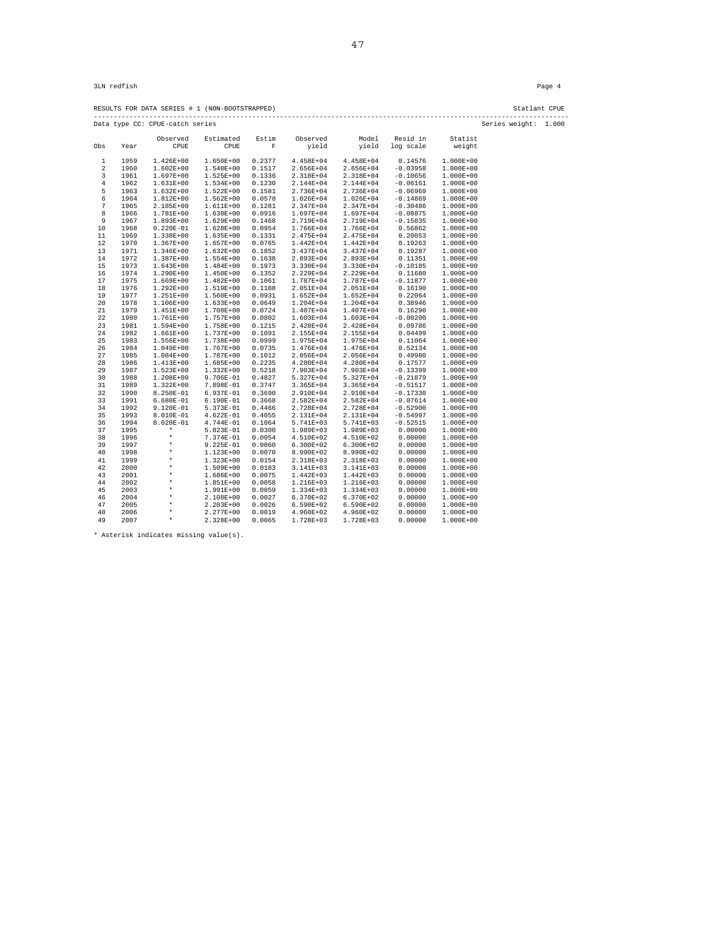RESULTS FOR DATA SERIES # 1 (NON-BOOTSTRAPPED) Statlant CPUE ------------------------------------------------------------------------------------------------------------------------ Data type CC: CPUE-catch series Series weight: 1.000

| rata type | cc.  | CLOP-Caren per tep |               |            |               |               |            |               |  |
|-----------|------|--------------------|---------------|------------|---------------|---------------|------------|---------------|--|
|           |      | Observed           | Estimated     | Estim      | Observed      | Model         | Resid in   | Statist       |  |
| Obs       | Year | CPUE               | CPUE          | $_{\rm F}$ | yield         | yield         | log scale  | weight        |  |
| 1         | 1959 | $1.426E+00$        | 1.650E+00     | 0.2377     | 4.458E+04     | 4.458E+04     | 0.14576    | $1.000E+00$   |  |
| 2         | 1960 | $1.602E+00$        | 1.540E+00     | 0.1517     | 2.656E+04     | 2.656E+04     | $-0.03958$ | $1.000E+00$   |  |
| 3         | 1961 | $1.697E + 00$      | $1.525E+00$   | 0.1336     | 2.318E+04     | 2.318E+04     | $-0.10656$ | 1.000E+00     |  |
| $\,4$     | 1962 | $1.631E+00$        | $1.534E+00$   | 0.1230     | 2.144E+04     | 2.144E+04     | $-0.06161$ | $1.000E+00$   |  |
| 5         | 1963 | $1.632E+00$        | $1.522E+00$   | 0.1581     | 2.736E+04     | 2.736E+04     | $-0.06969$ | $1.000E+00$   |  |
| 6         | 1964 | $1.812E+00$        | $1.562E+00$   | 0.0578     | $1.026E + 04$ | 1.026E+04     | $-0.14869$ | $1.000E+00$   |  |
| 7         | 1965 | 2.185E+00          | 1.611E+00     | 0.1281     | 2.347E+04     | 2.347E+04     | $-0.30486$ | 1.000E+00     |  |
| 8         | 1966 | 1.781E+00          | $1.630E+00$   | 0.0916     | 1.697E+04     | 1.697E+04     | $-0.08875$ | $1.000E+00$   |  |
| 9         | 1967 | $1.893E+00$        | $1.629E+00$   | 0.1468     | 2.719E+04     | 2.719E+04     | $-0.15035$ | $1.000E+00$   |  |
| 10        | 1968 | $9.220E-01$        | 1.628E+00     | 0.0954     | 1.766E+04     | 1.766E+04     | 0.56862    | $1.000E+00$   |  |
| 11        | 1969 | 1.338E+00          | $1.635E+00$   | 0.1331     | 2.475E+04     | 2.475E+04     | 0.20053    | $1.000E+00$   |  |
| 12        | 1970 | $1.367E+00$        | $1.657E+00$   | 0.0765     | $1.442E+04$   | 1.442E+04     | 0.19263    | $1.000E + 00$ |  |
| 13        | 1971 | 1.346E+00          | $1.632E+00$   | 0.1852     | 3.437E+04     | $3.437E + 04$ | 0.19287    | $1.000E + 00$ |  |
| 14        | 1972 | 1.387E+00          | $1.554E+00$   | 0.1638     | 2.893E+04     | 2.893E+04     | 0.11351    | $1.000E + 00$ |  |
| 15        | 1973 | $1.643E+00$        | $1.484E+00$   | 0.1973     | 3.330E+04     | 3.330E+04     | $-0.10185$ | 1.000E+00     |  |
| 16        | 1974 | 1.290E+00          | 1.450E+00     | 0.1352     | 2.229E+04     | 2.229E+04     | 0.11680    | $1.000E + 00$ |  |
| 17        | 1975 | 1.669E+00          | 1.482E+00     | 0.1061     | 1.787E+04     | 1.787E+04     | $-0.11877$ | 1.000E+00     |  |
| 18        | 1976 | $1.292E + 00$      | 1.519E+00     | 0.1188     | $2.051E+04$   | 2.051E+04     | 0.16190    | $1.000E + 00$ |  |
| 19        | 1977 | $1.251E+00$        | $1.560E+00$   | 0.0931     | $1.652E+04$   | $1.652E+04$   | 0.22064    | $1.000E + 00$ |  |
| 20        | 1978 | 1.106E+00          | $1.633E+00$   | 0.0649     | $1.204E + 04$ | 1.204E+04     | 0.38946    | $1.000E + 00$ |  |
| 21        | 1979 | $1.451E+00$        | 1.708E+00     | 0.0724     | 1.407E+04     | 1.407E+04     | 0.16290    | $1.000E + 00$ |  |
| 22        | 1980 | 1.761E+00          | 1.757E+00     | 0.0802     | $1.603E + 04$ | 1.603E+04     | $-0.00200$ | $1.000E + 00$ |  |
| 23        | 1981 | $1.594E+00$        | 1.758E+00     | 0.1215     | 2.428E+04     | 2.428E+04     | 0.09786    | $1.000E + 00$ |  |
| 24        | 1982 | $1.661E+00$        | 1.737E+00     | 0.1091     | 2.155E+04     | 2.155E+04     | 0.04499    | $1.000E + 00$ |  |
| 25        | 1983 | 1.556E+00          | 1.738E+00     | 0.0999     | 1.975E+04     | 1.975E+04     | 0.11064    | $1.000E + 00$ |  |
| 26        | 1984 | 1.049E+00          | $1.767E + 00$ | 0.0735     | 1.476E+04     | 1.476E+04     | 0.52134    | 1.000E+00     |  |
| 27        | 1985 | $1.084E + 00$      | 1.787E+00     | 0.1012     | 2.056E+04     | 2.056E+04     | 0.49980    | $1.000E + 00$ |  |
| 28        | 1986 | $1.413E+00$        | $1.685E+00$   | 0.2235     | 4.280E+04     | 4.280E+04     | 0.17577    | $1.000E + 00$ |  |
| 29        | 1987 | $1.523E+00$        | 1.332E+00     | 0.5218     | 7.903E+04     | 7.903E+04     | $-0.13399$ | $1.000E + 00$ |  |
| 30        | 1988 | $1.208E+00$        | 9.706E-01     | 0.4827     | 5.327E+04     | 5.327E+04     | $-0.21879$ | $1.000E + 00$ |  |
| 31        | 1989 | $1.322E+00$        | 7.898E-01     | 0.3747     | $3.365E + 04$ | $3.365E+04$   | $-0.51517$ | $1.000E + 00$ |  |
| 32        | 1990 | 8.250E-01          | 6.937E-01     | 0.3690     | 2.910E+04     | 2.910E+04     | $-0.17330$ | $1.000E+00$   |  |
| 33        | 1991 | 6.680E-01          | 6.190E-01     | 0.3668     | 2.582E+04     | 2.582E+04     | $-0.07614$ | $1.000E+00$   |  |
| 34        | 1992 | 9.120E-01          | 5.373E-01     | 0.4466     | 2.728E+04     | 2.728E+04     | $-0.52900$ | 1.000E+00     |  |
| 35        | 1993 | 8.010E-01          | $4.622E-01$   | 0.4055     | 2.131E+04     | 2.131E+04     | $-0.54997$ | $1.000E+00$   |  |
| 36        | 1994 | 8.020E-01          | 4.744E-01     | 0.1064     | 5.741E+03     | 5.741E+03     | $-0.52515$ | $1.000E+00$   |  |
| 37        | 1995 | $\star$            | 5.823E-01     | 0.0300     | 1.989E+03     | 1.989E+03     | 0.00000    | $1.000E + 00$ |  |
| 38        | 1996 | $\star$            | 7.374E-01     | 0.0054     | 4.510E+02     | 4.510E+02     | 0.00000    | $1.000E + 00$ |  |
| 39        | 1997 | $\star$            | 9.225E-01     | 0.0060     | $6.300E + 02$ | $6.300E+02$   | 0.00000    | $1.000E + 00$ |  |
| 40        | 1998 | $\star$            | 1.123E+00     | 0.0070     | 8.990E+02     | 8.990E+02     | 0.00000    | $1.000E + 00$ |  |
| 41        | 1999 | $\star$            | 1.323E+00     | 0.0154     | 2.318E+03     | 2.318E+03     | 0.00000    | 1.000E+00     |  |
| 42        | 2000 | $\star$            | 1.509E+00     | 0.0183     | 3.141E+03     | 3.141E+03     | 0.00000    | 1.000E+00     |  |
| 43        | 2001 | $\star$            | 1.686E+00     | 0.0075     | $1.442E+03$   | 1.442E+03     | 0.00000    | $1.000E + 00$ |  |
| 44        | 2002 | $\star$            | 1.851E+00     | 0.0058     | 1.216E+03     | 1.216E+03     | 0.00000    | $1.000E + 00$ |  |
| 45        | 2003 | $\star$            | 1.991E+00     | 0.0059     | $1.334E+03$   | 1.334E+03     | 0.00000    | 1.000E+00     |  |
| 46        | 2004 | $\star$            | 2.108E+00     | 0.0027     | 6.370E+02     | 6.370E+02     | 0.00000    | $1.000E + 00$ |  |
| 47        | 2005 | ÷                  | $2.203E+00$   | 0.0026     | 6.590E+02     | 6.590E+02     | 0.00000    | $1.000E + 00$ |  |
| 48        | 2006 | $\star$            | 2.277E+00     | 0.0019     | 4.960E+02     | 4.960E+02     | 0.00000    | $1.000E + 00$ |  |
| 49        | 2007 | $\star$            | 2.328E+00     | 0.0065     | 1.728E+03     | 1.728E+03     | 0.00000    | $1.000E+00$   |  |
|           |      |                    |               |            |               |               |            |               |  |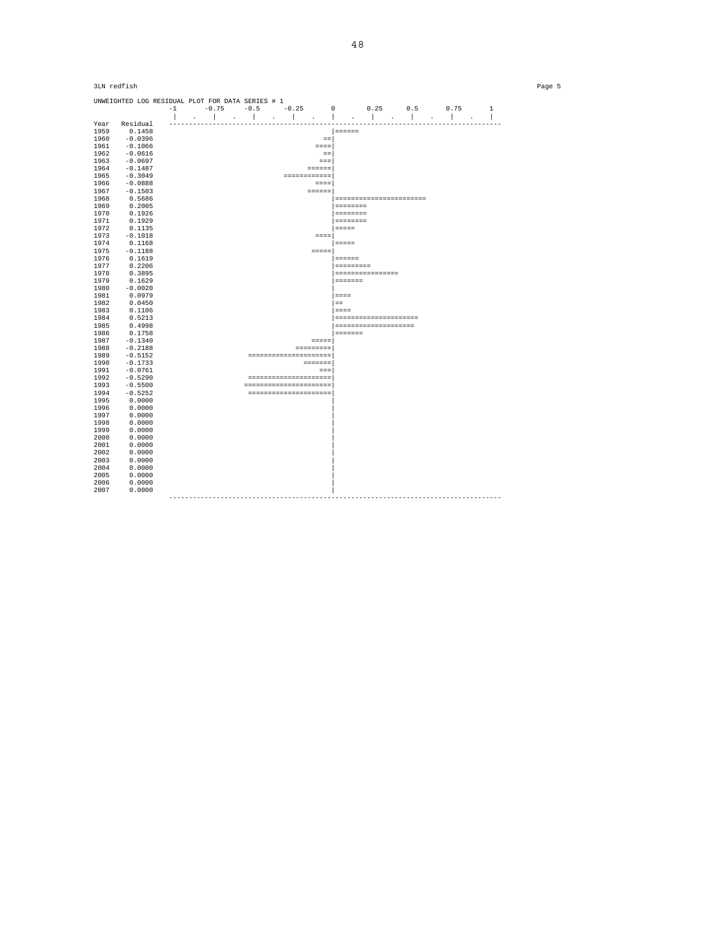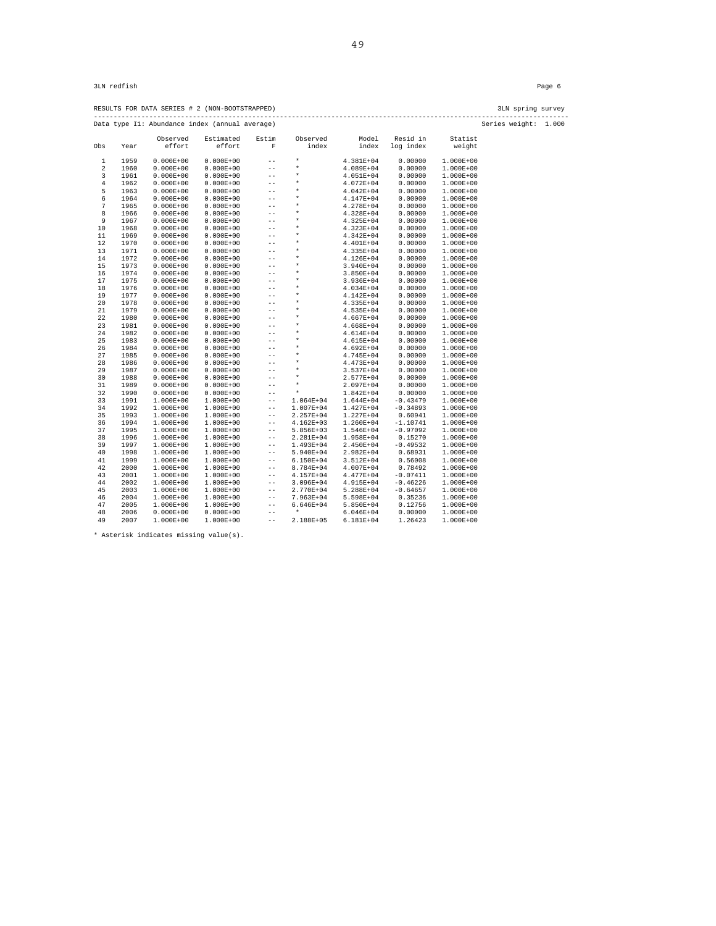RESULTS FOR DATA SERIES # 2 (NON-BOOTSTRAPPED) 3LN spring survey ------------------------------------------------------------------------------------------------------------------------ Data type I1: Abundance index (annual average) Series weight: 1.000

| baca cype               |      |               | mundance mack (annual averag |        |               |               |            |               |
|-------------------------|------|---------------|------------------------------|--------|---------------|---------------|------------|---------------|
|                         |      | Observed      | Estimated                    | Estim  | Observed      | Model         | Resid in   | Statist       |
| Obs                     | Year | effort        | effort                       | F      | index         | index         | log index  | weight        |
| $\mathbf{1}$            | 1959 | $0.000E + 00$ | $0.000E + 00$                | $-$    | $\star$       | 4.381E+04     | 0.00000    | $1.000E+00$   |
| $\overline{\mathbf{c}}$ | 1960 | $0.000E + 00$ | $0.000E + 00$                | $-$    | $\star$       | 4.089E+04     | 0.00000    | $1.000E+00$   |
| 3                       | 1961 | $0.000E + 00$ | $0.000E + 00$                | $- -$  | $\star$       | $4.051E + 04$ | 0.00000    | $1.000E+00$   |
| $\,4$                   | 1962 | $0.000E + 00$ | $0.000E + 00$                | $-$    | $\star$       | 4.072E+04     | 0.00000    | $1.000E + 00$ |
| 5                       | 1963 | $0.000E + 00$ | $0.000E + 00$                | $-$    | $\star$       | $4.042E + 04$ | 0.00000    | 1.000E+00     |
| 6                       | 1964 | $0.000E + 00$ | $0.000E + 00$                | $- -$  | $\star$       | 4.147E+04     | 0.00000    | 1.000E+00     |
| 7                       | 1965 | $0.000E + 00$ | $0.000E + 00$                | $-$    | $\star$       | 4.278E+04     | 0.00000    | $1.000E + 00$ |
| 8                       | 1966 | $0.000E + 00$ | $0.000E + 00$                | $-$    | $\star$       | 4.328E+04     | 0.00000    | $1.000E + 00$ |
| 9                       | 1967 | $0.000E + 00$ | $0.000E + 00$                | $-$    | $\star$       | 4.325E+04     | 0.00000    | 1.000E+00     |
| 10                      | 1968 | $0.000E + 00$ | $0.000E + 00$                | $-$    | $\star$       | 4.323E+04     | 0.00000    | 1.000E+00     |
| 11                      | 1969 | $0.000E + 00$ | $0.000E + 00$                | $-$    | $\star$       | 4.342E+04     | 0.00000    | $1.000E + 00$ |
| 12                      | 1970 | $0.000E + 00$ | $0.000E + 00$                | $- -$  | $\star$       | 4.401E+04     | 0.00000    | $1.000E + 00$ |
| 13                      | 1971 | $0.000E + 00$ | $0.000E + 00$                | $-$    | $^\ast$       | 4.335E+04     | 0.00000    | $1.000E + 00$ |
| 14                      | 1972 | $0.000E + 00$ | $0.000E + 00$                | $-$    | $\star$       | 4.126E+04     | 0.00000    | 1.000E+00     |
| 15                      | 1973 | $0.000E + 00$ | $0.000E + 00$                | $-$    | $\star$       | 3.940E+04     | 0.00000    | $1.000E + 00$ |
| 16                      | 1974 | $0.000E + 00$ | $0.000E + 00$                | $-$    | $\star$       | 3.850E+04     | 0.00000    | $1.000E + 00$ |
| 17                      | 1975 | $0.000E + 00$ | $0.000E + 00$                | $-$    | $\star$       | 3.936E+04     | 0.00000    | $1.000E + 00$ |
| 18                      | 1976 | $0.000E + 00$ | $0.000E + 00$                | $-$    | $\star$       | 4.034E+04     | 0.00000    | 1.000E+00     |
| 19                      | 1977 | $0.000E + 00$ | $0.000E + 00$                | $-$    | $\star$       | 4.142E+04     | 0.00000    | $1.000E + 00$ |
| 20                      | 1978 | $0.000E + 00$ | $0.000E + 00$                | $-$    | $\star$       | 4.335E+04     | 0.00000    | $1.000E + 00$ |
| 21                      | 1979 | $0.000E + 00$ | $0.000E + 00$                | $-$    | $\star$       | 4.535E+04     | 0.00000    | 1.000E+00     |
| 22                      | 1980 | $0.000E + 00$ | $0.000E + 00$                | $-$    | $\star$       | 4.667E+04     | 0.00000    | $1.000E + 00$ |
| 23                      | 1981 | $0.000E + 00$ | $0.000E + 00$                | $-$    | $\star$       | 4.668E+04     | 0.00000    | $1.000E + 00$ |
| 24                      | 1982 | $0.000E + 00$ | $0.000E + 00$                | $-$    | $\star$       | 4.614E+04     | 0.00000    | $1.000E + 00$ |
| 25                      | 1983 | $0.000E + 00$ | $0.000E + 00$                | $-$    | $\star$       | 4.615E+04     | 0.00000    | $1.000E + 00$ |
| 26                      | 1984 | $0.000E + 00$ | $0.000E + 00$                | $-$    | $\star$       | 4.692E+04     | 0.00000    | 1.000E+00     |
| 27                      | 1985 | $0.000E + 00$ | $0.000E + 00$                | $-$    | $\star$       | 4.745E+04     | 0.00000    | $1.000E + 00$ |
| 28                      | 1986 | $0.000E + 00$ | $0.000E + 00$                | $-$    | $\star$       | 4.473E+04     | 0.00000    | $1.000E + 00$ |
| 29                      | 1987 | $0.000E + 00$ | $0.000E + 00$                | $-$    | $\star$       | 3.537E+04     | 0.00000    | $1.000E + 00$ |
| 30                      | 1988 | $0.000E + 00$ | $0.000E + 00$                | $-$    | $\star$       | 2.577E+04     | 0.00000    | $1.000E + 00$ |
| 31                      | 1989 | $0.000E + 00$ | $0.000E + 00$                | $-$    | $\star$       | 2.097E+04     | 0.00000    | 1.000E+00     |
| 32                      | 1990 | $0.000E + 00$ | $0.000E + 00$                | $-$    | $\star$       | 1.842E+04     | 0.00000    | $1.000E + 00$ |
| 33                      | 1991 | $1.000E + 00$ | $1.000E + 00$                | $- -$  | 1.064E+04     | 1.644E+04     | $-0.43479$ | $1.000E + 00$ |
| 34                      | 1992 | $1.000E+00$   | $1.000E+00$                  | $- -$  | 1.007E+04     | 1.427E+04     | $-0.34893$ | $1.000E + 00$ |
| 35                      | 1993 | $1.000E+00$   | $1.000E+00$                  | $-$    | 2.257E+04     | 1.227E+04     | 0.60941    | $1.000E + 00$ |
| 36                      | 1994 | $1.000E+00$   | $1.000E+00$                  | $- -$  | $4.162E + 03$ | 1.260E+04     | $-1.10741$ | $1.000E + 00$ |
| 37                      | 1995 | $1.000E+00$   | $1.000E+00$                  | $-$    | $5.856E+03$   | 1.546E+04     | $-0.97092$ | $1.000E + 00$ |
| 38                      | 1996 | $1.000E+00$   | $1.000E+00$                  | $-$    | 2.281E+04     | 1.958E+04     | 0.15270    | 1.000E+00     |
| 39                      | 1997 | $1.000E+00$   | $1.000E+00$                  | $- -$  | 1.493E+04     | 2.450E+04     | $-0.49532$ | 1.000E+00     |
| 40                      | 1998 | 1.000E+00     | $1.000E+00$                  | $-$    | 5.940E+04     | 2.982E+04     | 0.68931    | $1.000E + 00$ |
| 41                      | 1999 | $1.000E+00$   | $1.000E+00$                  | $- -$  | 6.150E+04     | 3.512E+04     | 0.56008    | $1.000E + 00$ |
| 42                      | 2000 | 1.000E+00     | $1.000E+00$                  | $-$    | 8.784E+04     | 4.007E+04     | 0.78492    | $1.000E + 00$ |
| 43                      | 2001 | $1.000E+00$   | $1.000E+00$                  | $- -$  | 4.157E+04     | 4.477E+04     | $-0.07411$ | 1.000E+00     |
| 44                      | 2002 | $1.000E+00$   | $1.000E+00$                  | $- -$  | $3.096E + 04$ | 4.915E+04     | $-0.46226$ | $1.000E + 00$ |
| 45                      | 2003 | $1.000E+00$   | $1.000E + 00$                | $- -$  | 2.770E+04     | 5.288E+04     | $-0.64657$ | $1.000E + 00$ |
| 46                      | 2004 | $1.000E+00$   | 1.000E+00                    | $-\,-$ | 7.963E+04     | 5.598E+04     | 0.35236    | $1.000E + 00$ |
| 47                      | 2005 | 1.000E+00     | $1.000E+00$                  | $-$    | 6.646E+04     | 5.850E+04     | 0.12756    | 1.000E+00     |
| 48                      | 2006 | $0.000E + 00$ | $0.000E + 00$                | $-$    | $\star$       | 6.046E+04     | 0.00000    | $1.000E + 00$ |
| 49                      | 2007 | 1.000E+00     | 1.000E+00                    | $- -$  | 2.188E+05     | 6.181E+04     | 1.26423    | $1.000E + 00$ |
|                         |      |               |                              |        |               |               |            |               |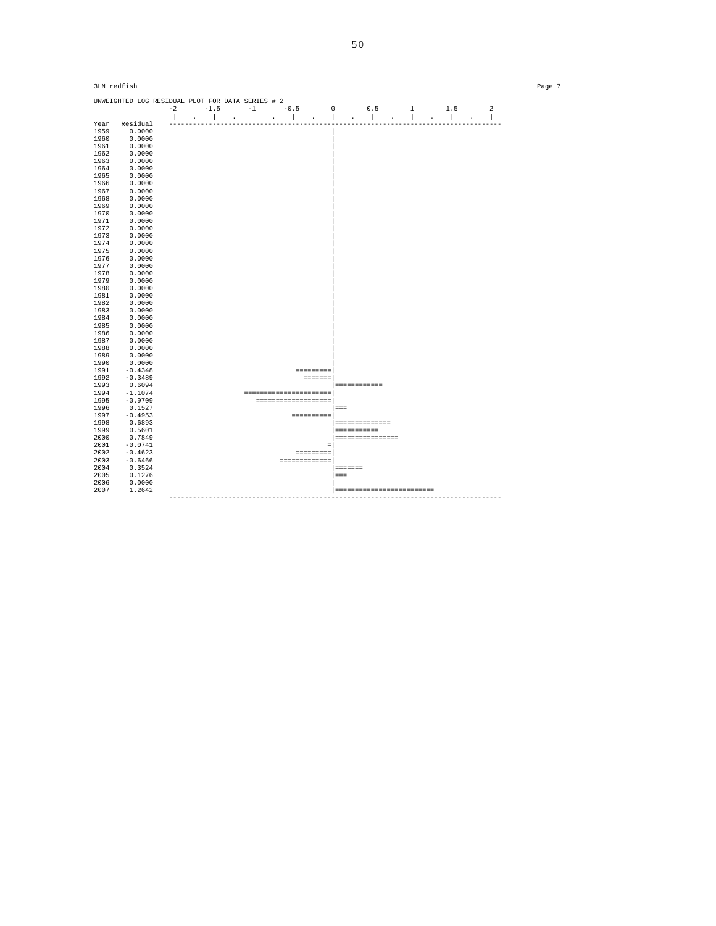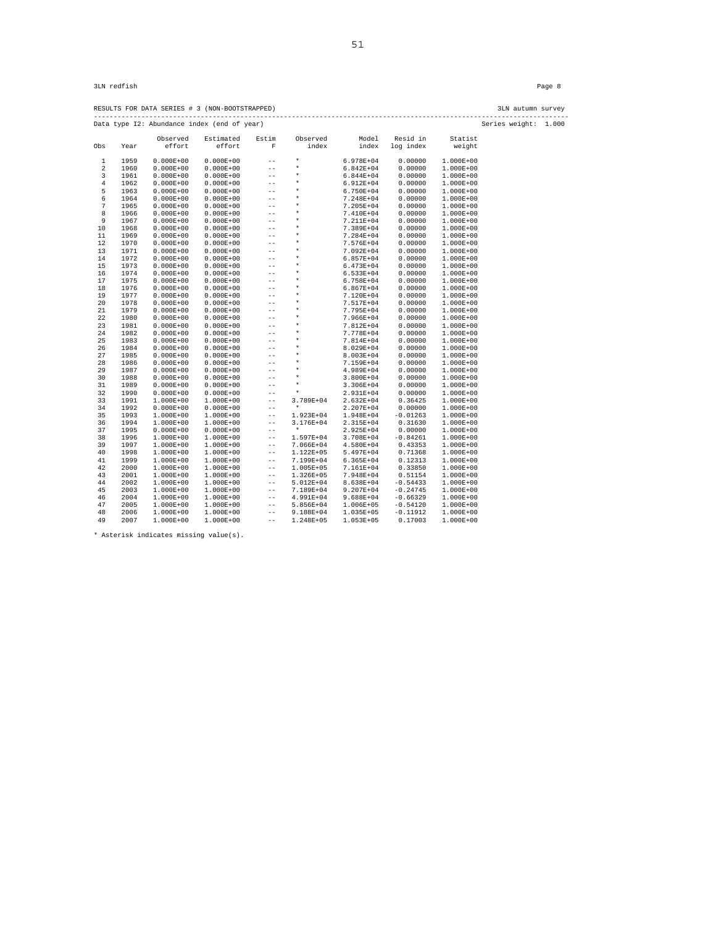|                                                                     |      | RESULTS FOR DATA SERIES # 3 (NON-BOOTSTRAPPED) |                     |       |                   |                |                       |                   | 3LN autumn survey |  |
|---------------------------------------------------------------------|------|------------------------------------------------|---------------------|-------|-------------------|----------------|-----------------------|-------------------|-------------------|--|
| Series weight: 1.000<br>Data type I2: Abundance index (end of year) |      |                                                |                     |       |                   |                |                       |                   |                   |  |
| Obs                                                                 | Year | Observed<br>effort                             | Estimated<br>effort | Estim | Observed<br>index | Model<br>index | Resid in<br>log index | Statist<br>weight |                   |  |

| 1                       | 1959 | $0.000E + 00$ | $0.000E + 00$ | $-$   | $\star$       | 6.978E+04     | 0.00000    | 1.000E+00     |
|-------------------------|------|---------------|---------------|-------|---------------|---------------|------------|---------------|
| $\overline{\mathbf{c}}$ | 1960 | $0.000E + 00$ | $0.000E + 00$ | $- -$ | $\star$       | 6.842E+04     | 0.00000    | $1.000E + 00$ |
| 3                       | 1961 | $0.000E + 00$ | $0.000E + 00$ | $- -$ | $\star$       | 6.844E+04     | 0.00000    | $1.000E + 00$ |
| $\,4$                   | 1962 | $0.000E + 00$ | $0.000E + 00$ | $- -$ | $\star$       | 6.912E+04     | 0.00000    | $1.000E + 00$ |
| 5                       | 1963 | $0.000E + 00$ | $0.000E + 00$ | $-$   | $\star$       | 6.750E+04     | 0.00000    | $1.000E + 00$ |
| 6                       | 1964 | $0.000E + 00$ | $0.000E + 00$ | $-$   | $\star$       | 7.248E+04     | 0.00000    | $1.000E + 00$ |
| 7                       | 1965 | $0.000E + 00$ | $0.000E + 00$ | $-$   | $\star$       | 7.205E+04     | 0.00000    | $1.000E + 00$ |
| 8                       | 1966 | $0.000E + 00$ | $0.000E + 00$ | $-$   | $\star$       | 7.410E+04     | 0.00000    | $1.000E + 00$ |
| 9                       | 1967 | $0.000E + 00$ | $0.000E + 00$ | $-$   | $\star$       | 7.211E+04     | 0.00000    | $1.000E + 00$ |
| 10                      | 1968 | $0.000E + 00$ | $0.000E + 00$ | $-$   | $\star$       | 7.389E+04     | 0.00000    | $1.000E + 00$ |
| 11                      | 1969 | $0.000E + 00$ | $0.000E + 00$ | $-$   | $\star$       | 7.284E+04     | 0.00000    | $1.000E + 00$ |
| 12                      | 1970 | $0.000E + 00$ | $0.000E + 00$ | $-$   | $\star$       | 7.576E+04     | 0.00000    | $1.000E + 00$ |
| 13                      | 1971 | $0.000E + 00$ | $0.000E + 00$ | $-$   | $\star$       | 7.092E+04     | 0.00000    | $1.000E + 00$ |
| 14                      | 1972 | $0.000E + 00$ | $0.000E + 00$ | $-$   | $\star$       | $6.857E + 04$ | 0.00000    | $1.000E + 00$ |
| 15                      | 1973 | $0.000E + 00$ | $0.000E + 00$ | $-$   | $\star$       | $6.473E + 04$ | 0.00000    | $1.000E + 00$ |
| 16                      | 1974 | $0.000E + 00$ | $0.000E + 00$ | $-$   | $\star$       | $6.533E+04$   | 0.00000    | $1.000E + 00$ |
| 17                      | 1975 | $0.000E + 00$ | $0.000E + 00$ | $- -$ | $\star$       | $6.758E + 04$ | 0.00000    | $1.000E + 00$ |
| 18                      | 1976 | $0.000E + 00$ | $0.000E + 00$ | $-$   | $\star$       | $6.867E + 04$ | 0.00000    | $1.000E + 00$ |
| 19                      | 1977 | $0.000E + 00$ | $0.000E + 00$ | $-$   | $\star$       | 7.120E+04     | 0.00000    | $1.000E + 00$ |
| 20                      | 1978 | $0.000E + 00$ | $0.000E + 00$ | $-$   | $\star$       | 7.517E+04     | 0.00000    | $1.000E + 00$ |
| 21                      | 1979 | $0.000E + 00$ | $0.000E + 00$ | $-$   | $\star$       | 7.795E+04     | 0.00000    | $1.000E + 00$ |
| 22                      | 1980 | $0.000E + 00$ | $0.000E + 00$ | $-$   | $\star$       | 7.966E+04     | 0.00000    | $1.000E + 00$ |
| 23                      | 1981 | $0.000E + 00$ | $0.000E + 00$ | $-$   | $\star$       | 7.812E+04     | 0.00000    | $1.000E + 00$ |
| 24                      | 1982 | $0.000E + 00$ | $0.000E + 00$ | $-$   | $\star$       | 7.778E+04     | 0.00000    | $1.000E + 00$ |
| 25                      | 1983 | $0.000E + 00$ | $0.000E + 00$ | $-$   | $\star$       | 7.814E+04     | 0.00000    | $1.000E + 00$ |
| 26                      | 1984 | $0.000E + 00$ | $0.000E + 00$ | $-$   | $\star$       | 8.029E+04     | 0.00000    | 1.000E+00     |
| 27                      | 1985 | $0.000E + 00$ | $0.000E + 00$ | $-$   | $\star$       | 8.003E+04     | 0.00000    | 1.000E+00     |
| 28                      | 1986 | $0.000E + 00$ | $0.000E + 00$ | $-$   | $\star$       | 7.159E+04     | 0.00000    | 1.000E+00     |
| 29                      | 1987 | $0.000E + 00$ | $0.000E + 00$ | $-$   | $\star$       | 4.989E+04     | 0.00000    | 1.000E+00     |
| 30                      | 1988 | $0.000E + 00$ | $0.000E + 00$ | $-$   | $\star$       | 3.800E+04     | 0.00000    | $1.000E + 00$ |
| 31                      | 1989 | $0.000E + 00$ | $0.000E + 00$ | $-$   | $\star$       | 3.306E+04     | 0.00000    | 1.000E+00     |
| 32                      | 1990 | $0.000E + 00$ | $0.000E + 00$ | $-$   | $\star$       | 2.931E+04     | 0.00000    | $1.000E + 00$ |
| 33                      | 1991 | $1.000E+00$   | $1.000E+00$   | $-$   | 3.789E+04     | 2.632E+04     | 0.36425    | $1.000E + 00$ |
| 34                      | 1992 | $0.000E + 00$ | $0.000E + 00$ | $-$   | $\star$       | 2.207E+04     | 0.00000    | $1.000E + 00$ |
| 35                      | 1993 | $1.000E+00$   | $1.000E+00$   | $- -$ | 1.923E+04     | 1.948E+04     | $-0.01263$ | $1.000E + 00$ |
| 36                      | 1994 | 1.000E+00     | $1.000E+00$   | $-$   | 3.176E+04     | 2.315E+04     | 0.31630    | $1.000E+00$   |
| 37                      | 1995 | $0.000E + 00$ | $0.000E + 00$ | $-$   | $\star$       | 2.925E+04     | 0.00000    | $1.000E + 00$ |
| 38                      | 1996 | $1.000E + 00$ | $1.000E + 00$ | $- -$ | 1.597E+04     | 3.708E+04     | $-0.84261$ | $1.000E + 00$ |
| 39                      | 1997 | $1.000E + 00$ | $1.000E + 00$ | $- -$ | 7.066E+04     | 4.580E+04     | 0.43353    | $1.000E + 00$ |
| 40                      | 1998 | 1.000E+00     | $1.000E + 00$ | $- -$ | 1.122E+05     | 5.497E+04     | 0.71368    | $1.000E + 00$ |
| 41                      | 1999 | 1.000E+00     | $1.000E + 00$ | $- -$ | 7.199E+04     | $6.365E+04$   | 0.12313    | $1.000E + 00$ |
| 42                      | 2000 | 1.000E+00     | $1.000E+00$   | $- -$ | $1.005E + 05$ | 7.161E+04     | 0.33850    | $1.000E + 00$ |
| 43                      | 2001 | 1.000E+00     | $1.000E+00$   | $- -$ | 1.326E+05     | 7.948E+04     | 0.51154    | $1.000E + 00$ |
| 44                      | 2002 | 1.000E+00     | $1.000E+00$   | $- -$ | 5.012E+04     | 8.638E+04     | $-0.54433$ | $1.000E + 00$ |
| 45                      | 2003 | 1.000E+00     | $1.000E+00$   | $- -$ | 7.189E+04     | 9.207E+04     | $-0.24745$ | $1.000E + 00$ |
| 46                      | 2004 | $1.000E+00$   | $1.000E+00$   | $- -$ | 4.991E+04     | 9.688E+04     | $-0.66329$ | $1.000E + 00$ |
| 47                      | 2005 | $1.000E+00$   | $1.000E+00$   | $- -$ | 5.856E+04     | 1.006E+05     | $-0.54120$ | $1.000E + 00$ |
| 48                      | 2006 | $1.000E+00$   | $1.000E+00$   | $- -$ | 9.188E+04     | $1.035E + 05$ | $-0.11912$ | $1.000E + 00$ |
| 49                      | 2007 | $1.000E+00$   | 1.000E+00     | $-$   | 1.248E+05     | $1.053E + 05$ | 0.17003    | $1.000E + 00$ |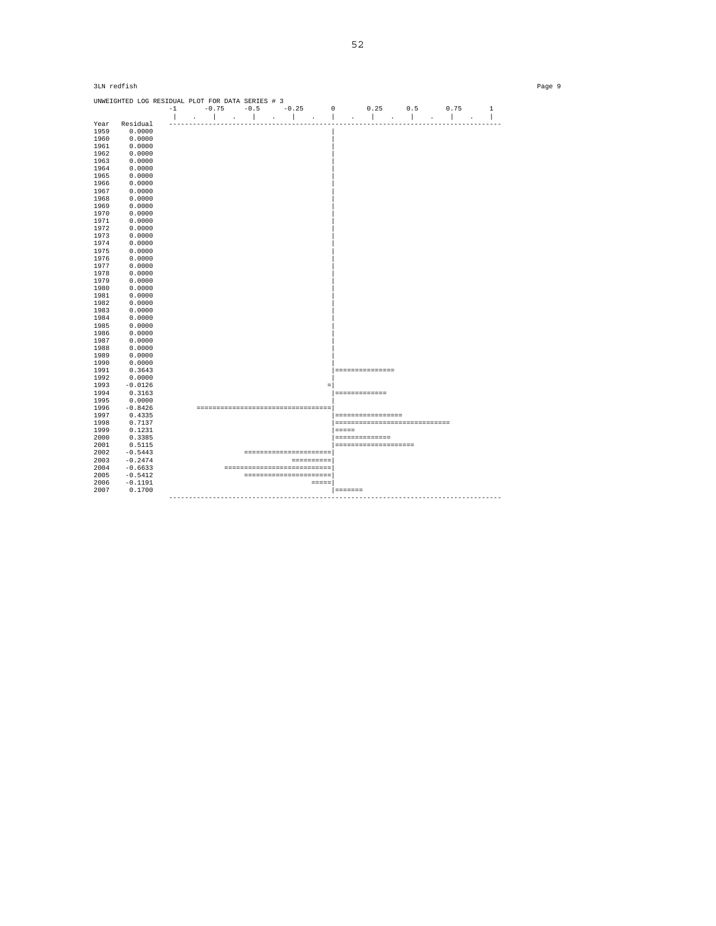| 3LN redfish<br>Page 9 |                                                  |  |  |  |  |  |  |                                   |  |           |                       |                                 |  |  |
|-----------------------|--------------------------------------------------|--|--|--|--|--|--|-----------------------------------|--|-----------|-----------------------|---------------------------------|--|--|
|                       | UNWEIGHTED LOG RESIDUAL PLOT FOR DATA SERIES # 3 |  |  |  |  |  |  |                                   |  |           |                       |                                 |  |  |
|                       |                                                  |  |  |  |  |  |  |                                   |  |           |                       |                                 |  |  |
| Year                  | Residual                                         |  |  |  |  |  |  |                                   |  |           |                       |                                 |  |  |
| 1959                  | 0.0000                                           |  |  |  |  |  |  |                                   |  |           |                       |                                 |  |  |
|                       | 0.0000                                           |  |  |  |  |  |  |                                   |  |           |                       |                                 |  |  |
| 1960                  |                                                  |  |  |  |  |  |  |                                   |  |           |                       |                                 |  |  |
| 1961                  | 0.0000                                           |  |  |  |  |  |  |                                   |  |           |                       |                                 |  |  |
| 1962                  | 0.0000                                           |  |  |  |  |  |  |                                   |  |           |                       |                                 |  |  |
| 1963                  | 0.0000                                           |  |  |  |  |  |  |                                   |  |           |                       |                                 |  |  |
| 1964                  | 0.0000                                           |  |  |  |  |  |  |                                   |  |           |                       |                                 |  |  |
| 1965                  | 0.0000                                           |  |  |  |  |  |  |                                   |  |           |                       |                                 |  |  |
| 1966                  | 0.0000                                           |  |  |  |  |  |  |                                   |  |           |                       |                                 |  |  |
| 1967                  | 0.0000                                           |  |  |  |  |  |  |                                   |  |           |                       |                                 |  |  |
| 1968                  | 0.0000                                           |  |  |  |  |  |  |                                   |  |           |                       |                                 |  |  |
| 1969                  | 0.0000                                           |  |  |  |  |  |  |                                   |  |           |                       |                                 |  |  |
| 1970                  | 0.0000                                           |  |  |  |  |  |  |                                   |  |           |                       |                                 |  |  |
| 1971                  | 0.0000                                           |  |  |  |  |  |  |                                   |  |           |                       |                                 |  |  |
| 1972                  | 0.0000                                           |  |  |  |  |  |  |                                   |  |           |                       |                                 |  |  |
| 1973                  | 0.0000                                           |  |  |  |  |  |  |                                   |  |           |                       |                                 |  |  |
|                       | 0.0000                                           |  |  |  |  |  |  |                                   |  |           |                       |                                 |  |  |
| 1974                  |                                                  |  |  |  |  |  |  |                                   |  |           |                       |                                 |  |  |
| 1975                  | 0.0000                                           |  |  |  |  |  |  |                                   |  |           |                       |                                 |  |  |
| 1976                  | 0.0000                                           |  |  |  |  |  |  |                                   |  |           |                       |                                 |  |  |
| 1977                  | 0.0000                                           |  |  |  |  |  |  |                                   |  |           |                       |                                 |  |  |
| 1978                  | 0.0000                                           |  |  |  |  |  |  |                                   |  |           |                       |                                 |  |  |
| 1979                  | 0.0000                                           |  |  |  |  |  |  |                                   |  |           |                       |                                 |  |  |
| 1980                  | 0.0000                                           |  |  |  |  |  |  |                                   |  |           |                       |                                 |  |  |
| 1981                  | 0.0000                                           |  |  |  |  |  |  |                                   |  |           |                       |                                 |  |  |
| 1982                  | 0.0000                                           |  |  |  |  |  |  |                                   |  |           |                       |                                 |  |  |
| 1983                  | 0.0000                                           |  |  |  |  |  |  |                                   |  |           |                       |                                 |  |  |
| 1984                  | 0.0000                                           |  |  |  |  |  |  |                                   |  |           |                       |                                 |  |  |
| 1985                  | 0.0000                                           |  |  |  |  |  |  |                                   |  |           |                       |                                 |  |  |
| 1986                  | 0.0000                                           |  |  |  |  |  |  |                                   |  |           |                       |                                 |  |  |
| 1987                  | 0.0000                                           |  |  |  |  |  |  |                                   |  |           |                       |                                 |  |  |
| 1988                  | 0.0000                                           |  |  |  |  |  |  |                                   |  |           |                       |                                 |  |  |
| 1989                  | 0.0000                                           |  |  |  |  |  |  |                                   |  |           |                       |                                 |  |  |
| 1990                  | 0.0000                                           |  |  |  |  |  |  |                                   |  |           |                       |                                 |  |  |
| 1991                  | 0.3643                                           |  |  |  |  |  |  |                                   |  |           | ================      |                                 |  |  |
| 1992                  | 0.0000                                           |  |  |  |  |  |  |                                   |  |           |                       |                                 |  |  |
|                       |                                                  |  |  |  |  |  |  |                                   |  |           |                       |                                 |  |  |
| 1993                  | $-0.0126$                                        |  |  |  |  |  |  |                                   |  |           |                       |                                 |  |  |
| 1994                  | 0.3163                                           |  |  |  |  |  |  |                                   |  |           | -------------         |                                 |  |  |
| 1995                  | 0.0000                                           |  |  |  |  |  |  |                                   |  |           |                       |                                 |  |  |
| 1996                  | $-0.8426$                                        |  |  |  |  |  |  |                                   |  |           |                       |                                 |  |  |
| 1997                  | 0.4335                                           |  |  |  |  |  |  |                                   |  |           | =================     |                                 |  |  |
| 1998                  | 0.7137                                           |  |  |  |  |  |  |                                   |  |           |                       | =============================== |  |  |
| 1999                  | 0.1231                                           |  |  |  |  |  |  |                                   |  | =====     |                       |                                 |  |  |
| 2000                  | 0.3385                                           |  |  |  |  |  |  |                                   |  |           | ==============        |                                 |  |  |
| 2001                  | 0.5115                                           |  |  |  |  |  |  |                                   |  |           | ===================== |                                 |  |  |
| 2002                  | $-0.5443$                                        |  |  |  |  |  |  | ----------------------            |  |           |                       |                                 |  |  |
| 2003                  | $-0.2474$                                        |  |  |  |  |  |  |                                   |  |           |                       |                                 |  |  |
| 2004                  | $-0.6633$                                        |  |  |  |  |  |  | -00000000000000000000000000000000 |  |           |                       |                                 |  |  |
| 2005                  | $-0.5412$                                        |  |  |  |  |  |  | =======================           |  |           |                       |                                 |  |  |
| 2006                  | $-0.1191$                                        |  |  |  |  |  |  | $=$ $=$ $=$ $=$ $\blacksquare$    |  |           |                       |                                 |  |  |
| 2007                  | 0.1700                                           |  |  |  |  |  |  |                                   |  | _________ |                       |                                 |  |  |
|                       |                                                  |  |  |  |  |  |  |                                   |  |           |                       |                                 |  |  |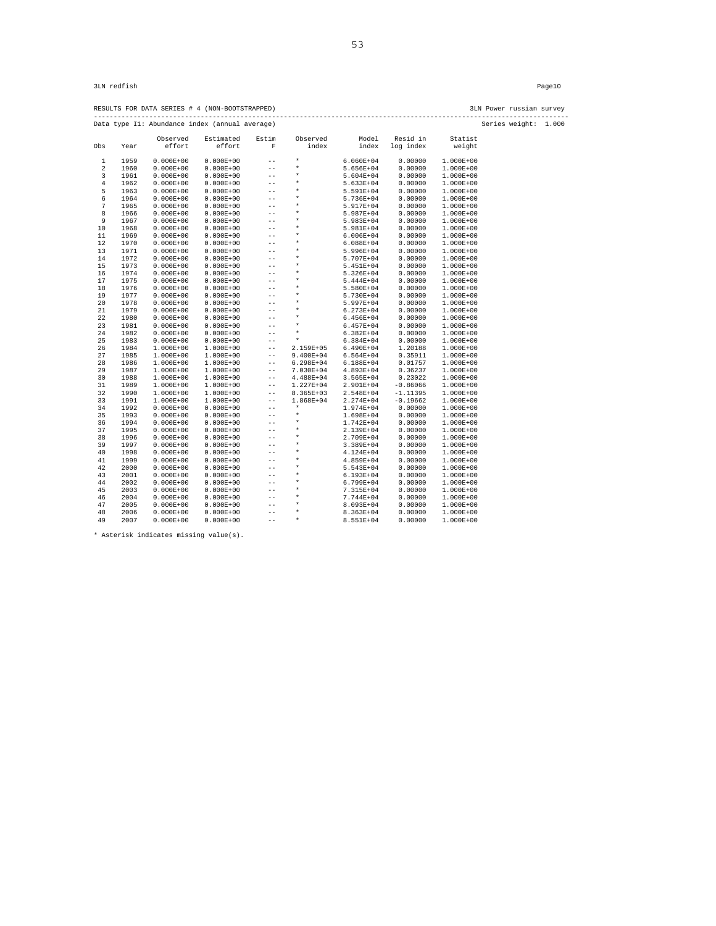RESULTS FOR DATA SERIES # 4 (NON-BOOTSTRAPPED) 3LN Power russian survey ------------------------------------------------------------------------------------------------------------------------ Data type I1: Abundance index (annual average) Series weight: 1.000

|                         |              |                                | mundance mack (annual average) |                   |               |                        |            |                                |
|-------------------------|--------------|--------------------------------|--------------------------------|-------------------|---------------|------------------------|------------|--------------------------------|
|                         |              | Observed                       | Estimated                      | Estim             | Observed      | Model                  | Resid in   | Statist                        |
| Obs                     | Year         | effort                         | effort                         | $\rm F$           | index         | index                  | log index  | weight                         |
| 1                       | 1959         | $0.000E + 00$                  | $0.000E + 00$                  | $-$               | $\star$       | $6.060E + 04$          | 0.00000    | $1.000E + 00$                  |
| $\overline{\mathbf{c}}$ | 1960         | $0.000E + 00$                  | $0.000E + 00$                  | $-$               | $\star$       | 5.656E+04              | 0.00000    | $1.000E + 00$                  |
| 3                       |              |                                |                                | $-$               | $\star$       |                        | 0.00000    |                                |
| $\overline{4}$          | 1961<br>1962 | $0.000E + 00$<br>$0.000E + 00$ | $0.000E + 00$<br>$0.000E + 00$ | $-$               | $\star$       | 5.604E+04<br>5.633E+04 | 0.00000    | $1.000E + 00$<br>$1.000E + 00$ |
|                         |              |                                |                                | $-$               | $\star$       |                        |            |                                |
| 5                       | 1963         | $0.000E + 00$                  | $0.000E + 00$                  |                   | $\star$       | 5.591E+04              | 0.00000    | $1.000E+00$                    |
| б                       | 1964         | $0.000E + 00$                  | $0.000E + 00$                  | $-$               | $\star$       | 5.736E+04              | 0.00000    | $1.000E + 00$                  |
| 7                       | 1965         | $0.000E + 00$                  | $0.000E + 00$                  | $-$               | $\star$       | 5.917E+04              | 0.00000    | $1.000E + 00$                  |
| 8                       | 1966         | $0.000E + 00$                  | $0.000E + 00$                  | $- -$             | $\star$       | 5.987E+04              | 0.00000    | $1.000E + 00$                  |
| 9                       | 1967         | $0.000E + 00$                  | $0.000E + 00$                  | $- -$             | $\star$       | 5.983E+04              | 0.00000    | $1.000E + 00$                  |
| 10                      | 1968         | $0.000E + 00$                  | $0.000E + 00$                  | $-$               | $\star$       | 5.981E+04              | 0.00000    | $1.000E + 00$                  |
| 11                      | 1969         | $0.000E + 00$                  | $0.000E + 00$                  | $-$               | $\star$       | 6.006E+04              | 0.00000    | $1.000E + 00$                  |
| 12                      | 1970         | $0.000E + 00$                  | $0.000E + 00$                  | $-$               | $\star$       | $6.088E + 04$          | 0.00000    | $1.000E + 00$                  |
| 13                      | 1971         | $0.000E + 00$                  | $0.000E + 00$                  | $- -$             | $\star$       | 5.996E+04              | 0.00000    | $1.000E + 00$                  |
| 14                      | 1972         | $0.000E + 00$                  | $0.000E + 00$                  | $- -$             | $\star$       | 5.707E+04              | 0.00000    | $1.000E + 00$                  |
| 15                      | 1973         | $0.000E + 00$                  | $0.000E + 00$                  | $-$               | $\star$       | 5.451E+04              | 0.00000    | $1.000E+00$                    |
| 16                      | 1974         | $0.000E + 00$                  | $0.000E + 00$                  | $-$               | $\star$       | 5.326E+04              | 0.00000    | $1.000E + 00$                  |
| 17                      | 1975         | $0.000E + 00$                  | $0.000E + 00$                  | $-$               | $\star$       | 5.444E+04              | 0.00000    | $1.000E + 00$                  |
| 18                      | 1976         | $0.000E + 00$                  | $0.000E + 00$                  | $-$               |               | 5.580E+04              | 0.00000    | $1.000E + 00$                  |
| 19                      | 1977         | $0.000E + 00$                  | $0.000E + 00$                  | $-$               | $\star$       | 5.730E+04              | 0.00000    | $1.000E + 00$                  |
| 20                      | 1978         | $0.000E + 00$                  | $0.000E + 00$                  | $-$               | $\star$       | 5.997E+04              | 0.00000    | $1.000E + 00$                  |
| 21                      | 1979         | $0.000E + 00$                  | $0.000E + 00$                  | $-$               | $\star$       | $6.273E + 04$          | 0.00000    | $1.000E + 00$                  |
| 22                      | 1980         | $0.000E + 00$                  | $0.000E + 00$                  | $- -$             | $\star$       | 6.456E+04              | 0.00000    | $1.000E+00$                    |
| 23                      | 1981         | $0.000E + 00$                  | $0.000E + 00$                  | $-$               | $\star$       | $6.457E + 04$          | 0.00000    | $1.000E + 00$                  |
| 24                      | 1982         | $0.000E + 00$                  | $0.000E + 00$                  | $-$               | $\star$       | $6.382E + 04$          | 0.00000    | $1.000E+00$                    |
| 25                      | 1983         | $0.000E + 00$                  | $0.000E + 00$                  | $- -$             | $\star$       | 6.384E+04              | 0.00000    | $1.000E+00$                    |
| 26                      | 1984         | $1.000E+00$                    | $1.000E+00$                    | $-$               | 2.159E+05     | 6.490E+04              | 1.20188    | $1.000E + 00$                  |
| 27                      | 1985         | $1.000E+00$                    | $1.000E+00$                    | $- -$             | $9.400E + 04$ | $6.564E + 04$          | 0.35911    | $1.000E+00$                    |
| 28                      | 1986         | $1.000E+00$                    | $1.000E+00$                    | $-$               | 6.298E+04     | 6.188E+04              | 0.01757    | $1.000E+00$                    |
| 29                      | 1987         | $1.000E+00$                    | $1.000E+00$                    | $- -$             | 7.030E+04     | 4.893E+04              | 0.36237    | $1.000E+00$                    |
| 30                      | 1988         | $1.000E+00$                    | 1.000E+00                      | $\qquad \qquad -$ | 4.488E+04     | 3.565E+04              | 0.23022    | $1.000E+00$                    |
| 31                      | 1989         | $1.000E+00$                    | $1.000E+00$                    | $- -$             | 1.227E+04     | 2.901E+04              | $-0.86066$ | $1.000E + 00$                  |
| 32                      | 1990         | $1.000E + 00$                  | $1.000E + 00$                  | $- -$             | 8.365E+03     | 2.548E+04              | $-1.11395$ | $1.000E+00$                    |
| 33                      | 1991         | $1.000E+00$                    | $1.000E+00$                    | $-$               | 1.868E+04     | 2.274E+04              | $-0.19662$ | $1.000E+00$                    |
| 34                      | 1992         | $0.000E + 00$                  | $0.000E + 00$                  | $- -$             | $\star$       | 1.974E+04              | 0.00000    | $1.000E+00$                    |
| 35                      | 1993         | $0.000E + 00$                  | $0.000E + 00$                  | $- -$             | $\star$       | 1.698E+04              | 0.00000    | $1.000E+00$                    |
| 36                      | 1994         | $0.000E + 00$                  | $0.000E + 00$                  | $-$               | $\star$       | 1.742E+04              | 0.00000    | 1.000E+00                      |
| 37                      | 1995         | $0.000E + 00$                  | $0.000E + 00$                  | $-$               | $\star$       | 2.139E+04              | 0.00000    | $1.000E + 00$                  |
| 38                      | 1996         | $0.000E + 00$                  | $0.000E + 00$                  | $-$               | $\star$       | 2.709E+04              | 0.00000    | $1.000E + 00$                  |
| 39                      | 1997         | $0.000E + 00$                  | $0.000E + 00$                  | $-$               | $\star$       | 3.389E+04              | 0.00000    | $1.000E + 00$                  |
| 40                      | 1998         | $0.000E + 00$                  | $0.000E + 00$                  | $-$               | $\star$       | 4.124E+04              | 0.00000    | $1.000E+00$                    |
| 41                      | 1999         | $0.000E + 00$                  | $0.000E + 00$                  | $-$               | $\star$       | 4.859E+04              | 0.00000    | $1.000E + 00$                  |
| 42                      | 2000         | $0.000E + 00$                  | $0.000E + 00$                  | $- -$             | $\star$       | 5.543E+04              | 0.00000    | $1.000E + 00$                  |
| 43                      | 2001         | $0.000E + 00$                  | $0.000E + 00$                  | $-$               | $\star$       | 6.193E+04              | 0.00000    | $1.000E + 00$                  |
| 44                      | 2002         | $0.000E + 00$                  | $0.000E + 00$                  | $- -$             | $\star$       | 6.799E+04              | 0.00000    | $1.000E + 00$                  |
| 45                      | 2003         | $0.000E + 00$                  | $0.000E + 00$                  | $-$               | $\star$       | 7.315E+04              | 0.00000    | $1.000E + 00$                  |
| 46                      | 2004         | $0.000E + 00$                  | $0.000E + 00$                  | $-$               | $\star$       | 7.744E+04              | 0.00000    | 1.000E+00                      |
| 47                      | 2005         | $0.000E + 00$                  | $0.000E + 00$                  | $- -$             | $\star$       | 8.093E+04              | 0.00000    | $1.000E + 00$                  |
| 48                      | 2006         | $0.000E + 00$                  | $0.000E + 00$                  | $-$               | $\star$       | 8.363E+04              | 0.00000    | $1.000E + 00$                  |
| 49                      | 2007         | $0.000E + 00$                  | $0.000E + 00$                  | $- -$             | $\star$       | 8.551E+04              | 0.00000    | $1.000E + 00$                  |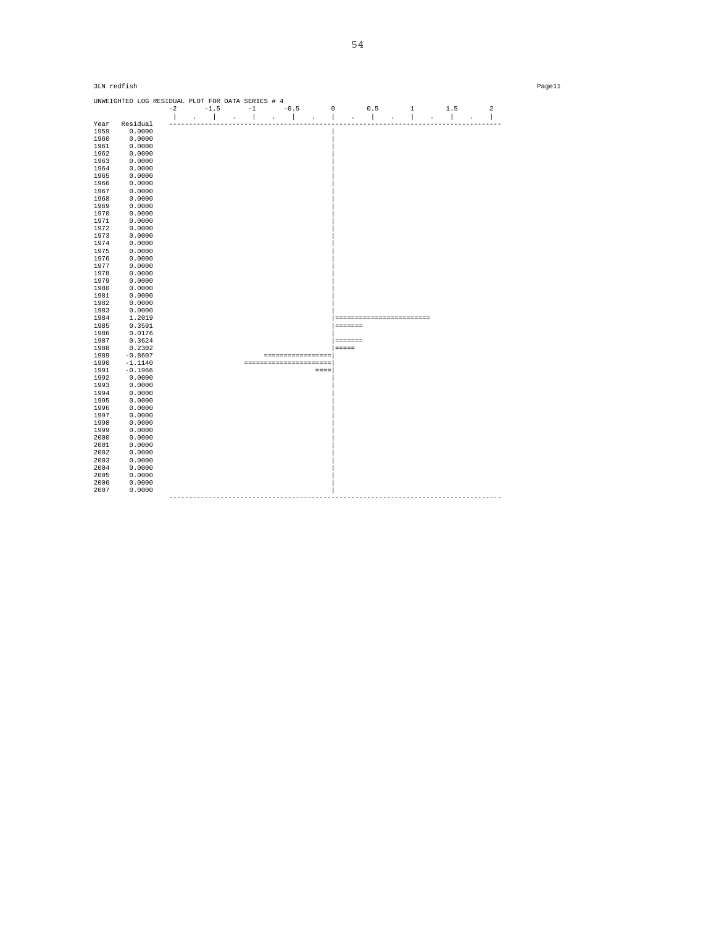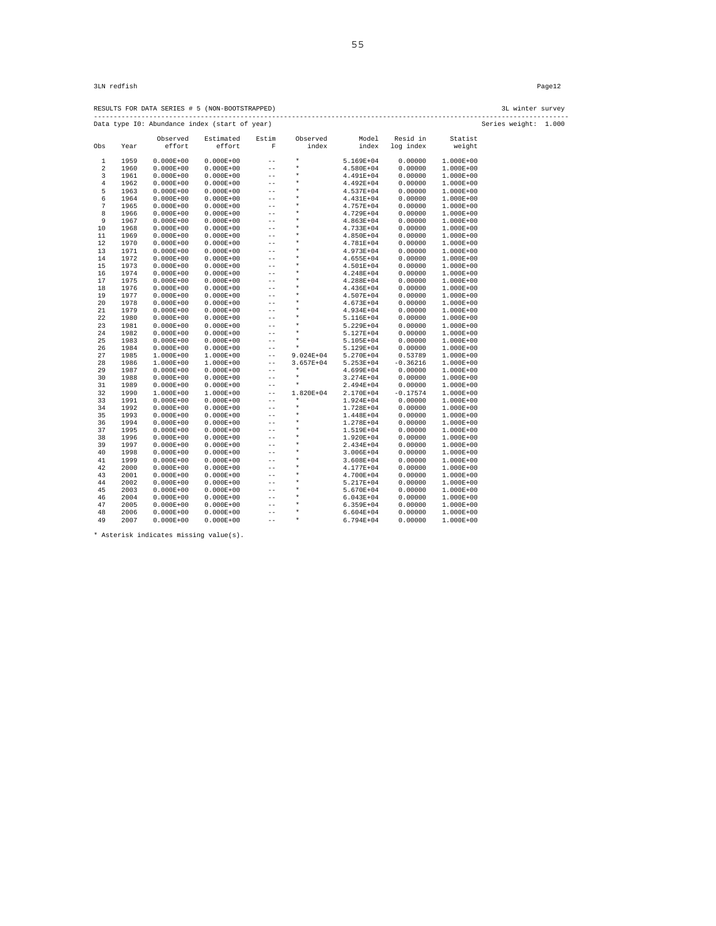RESULTS FOR DATA SERIES # 5 (NON-BOOTSTRAPPED) 3L winter survey ------------------------------------------------------------------------------------------------------------------------ Data type I0: Abundance index (start of year) Series weight: 1.000

|                  |      |               | Data type 10: Abundance index (start of year) |                   |           |               |            |               | se |
|------------------|------|---------------|-----------------------------------------------|-------------------|-----------|---------------|------------|---------------|----|
|                  |      | Observed      | Estimated                                     | Estim             | Observed  | Model         | Resid in   | Statist       |    |
| Obs              | Year | effort        | effort                                        | $\rm F$           | index     | index         | log index  | weight        |    |
| 1                | 1959 | $0.000E + 00$ | $0.000E + 00$                                 | $\qquad \qquad -$ | $\star$   | 5.169E+04     | 0.00000    | $1.000E + 00$ |    |
| $\boldsymbol{2}$ | 1960 | $0.000E + 00$ | $0.000E + 00$                                 | $- -$             | $\star$   | 4.580E+04     | 0.00000    | $1.000E + 00$ |    |
| 3                | 1961 | $0.000E + 00$ | $0.000E + 00$                                 | $- -$             | $\star$   | 4.491E+04     | 0.00000    | $1.000E + 00$ |    |
| $\overline{4}$   | 1962 | $0.000E + 00$ | $0.000E + 00$                                 | $- -$             | $\star$   | 4.492E+04     | 0.00000    | $1.000E + 00$ |    |
| 5                | 1963 | $0.000E + 00$ | $0.000E + 00$                                 | $ -$              | $\star$   | 4.537E+04     | 0.00000    | $1.000E + 00$ |    |
| б                | 1964 | $0.000E + 00$ | $0.000E + 00$                                 | $-$               | $\star$   | 4.431E+04     | 0.00000    | $1.000E + 00$ |    |
| 7                | 1965 | $0.000E + 00$ | $0.000E + 00$                                 | $- -$             | $\star$   | 4.757E+04     | 0.00000    | $1.000E + 00$ |    |
| 8                | 1966 | $0.000E + 00$ | $0.000E + 00$                                 | $-$               | $\star$   | 4.729E+04     | 0.00000    | $1.000E + 00$ |    |
| 9                | 1967 | $0.000E + 00$ | $0.000E + 00$                                 | $- -$             | $\star$   | 4.863E+04     | 0.00000    | $1.000E + 00$ |    |
| 10               | 1968 | $0.000E + 00$ | $0.000E + 00$                                 | $- -$             | $\star$   | 4.733E+04     | 0.00000    | $1.000E + 00$ |    |
| 11               | 1969 | $0.000E + 00$ | $0.000E + 00$                                 | $- -$             | $\star$   | 4.850E+04     | 0.00000    | $1.000E + 00$ |    |
| 12               | 1970 | $0.000E + 00$ | $0.000E + 00$                                 | $-$               | $\star$   | 4.781E+04     | 0.00000    | $1.000E + 00$ |    |
| 13               | 1971 | $0.000E + 00$ | $0.000E + 00$                                 | $-$               | $\star$   | 4.973E+04     | 0.00000    | $1.000E + 00$ |    |
| 14               | 1972 | $0.000E + 00$ | $0.000E + 00$                                 | $-$               | $\star$   | 4.655E+04     | 0.00000    | $1.000E + 00$ |    |
| 15               | 1973 | $0.000E + 00$ | $0.000E + 00$                                 | $- -$             | $\star$   | 4.501E+04     | 0.00000    | $1.000E + 00$ |    |
| 16               | 1974 | $0.000E + 00$ | $0.000E + 00$                                 | $- -$             | $\star$   | 4.248E+04     | 0.00000    | $1.000E + 00$ |    |
| 17               | 1975 | $0.000E + 00$ | $0.000E + 00$                                 | $- -$             | $^\ast$   | 4.288E+04     | 0.00000    | $1.000E + 00$ |    |
| 18               | 1976 | $0.000E + 00$ | $0.000E + 00$                                 | $-$               | $\star$   | 4.436E+04     | 0.00000    | $1.000E + 00$ |    |
| 19               | 1977 | $0.000E + 00$ | $0.000E + 00$                                 | $- -$             | $\star$   | 4.507E+04     | 0.00000    | $1.000E + 00$ |    |
| 20               | 1978 | $0.000E + 00$ | $0.000E + 00$                                 | $-$               | $\star$   | 4.673E+04     | 0.00000    | $1.000E + 00$ |    |
| 21               | 1979 | $0.000E + 00$ | $0.000E + 00$                                 | $-$               | $\star$   | 4.934E+04     | 0.00000    | $1.000E + 00$ |    |
| 22               | 1980 | $0.000E + 00$ | $0.000E + 00$                                 | $- -$             | $\star$   | 5.116E+04     | 0.00000    | $1.000E + 00$ |    |
| 23               | 1981 | $0.000E + 00$ | $0.000E + 00$                                 | $-$               | $\star$   | 5.229E+04     | 0.00000    | $1.000E + 00$ |    |
| 24               | 1982 | $0.000E + 00$ | $0.000E + 00$                                 | $-$               | $\star$   | 5.127E+04     | 0.00000    | $1.000E + 00$ |    |
| 25               | 1983 | $0.000E + 00$ | $0.000E + 00$                                 | $- -$             | $\star$   | 5.105E+04     | 0.00000    | 1.000E+00     |    |
| 26               | 1984 | $0.000E + 00$ | $0.000E + 00$                                 | $- -$             | $\star$   | 5.129E+04     | 0.00000    | $1.000E + 00$ |    |
| 27               | 1985 | 1.000E+00     | $1.000E+00$                                   | $\qquad \qquad -$ | 9.024E+04 | 5.270E+04     | 0.53789    | $1.000E + 00$ |    |
| 28               | 1986 | $1.000E+00$   | 1.000E+00                                     | $- -$             | 3.657E+04 | $5.253E+04$   | $-0.36216$ | $1.000E + 00$ |    |
| 29               | 1987 | $0.000E + 00$ | $0.000E + 00$                                 | $- -$             | $\star$   | 4.699E+04     | 0.00000    | $1.000E + 00$ |    |
| 30               | 1988 | $0.000E + 00$ | $0.000E + 00$                                 | $- -$             | $\star$   | 3.274E+04     | 0.00000    | $1.000E + 00$ |    |
| 31               | 1989 | $0.000E + 00$ | $0.000E + 00$                                 | $- -$             | $\star$   | 2.494E+04     | 0.00000    | $1.000E + 00$ |    |
| 32               | 1990 | $1.000E+00$   | $1.000E+00$                                   | $\qquad \qquad -$ | 1.820E+04 | 2.170E+04     | $-0.17574$ | $1.000E + 00$ |    |
| 33               | 1991 | $0.000E + 00$ | $0.000E + 00$                                 | $-$               | $\star$   | 1.924E+04     | 0.00000    | $1.000E + 00$ |    |
| 34               | 1992 | $0.000E + 00$ | $0.000E + 00$                                 | $- -$             | $\star$   | 1.728E+04     | 0.00000    | $1.000E + 00$ |    |
| 35               | 1993 | $0.000E + 00$ | $0.000E + 00$                                 | $-$               | $\star$   | 1.448E+04     | 0.00000    | 1.000E+00     |    |
| 36               | 1994 | $0.000E + 00$ | $0.000E + 00$                                 | $- -$             | $\star$   | 1.278E+04     | 0.00000    | $1.000E + 00$ |    |
| 37               | 1995 | $0.000E + 00$ | $0.000E + 00$                                 | $-$               | $\star$   | 1.519E+04     | 0.00000    | $1.000E + 00$ |    |
| 38               | 1996 | $0.000E + 00$ | $0.000E + 00$                                 | $-$               | $\star$   | 1.920E+04     | 0.00000    | $1.000E + 00$ |    |
| 39               | 1997 | $0.000E + 00$ | $0.000E + 00$                                 | $- -$             | $\star$   | 2.434E+04     | 0.00000    | $1.000E + 00$ |    |
| 40               | 1998 | $0.000E + 00$ | $0.000E + 00$                                 | $- -$             | $\star$   | 3.006E+04     | 0.00000    | $1.000E + 00$ |    |
| 41               | 1999 | $0.000E + 00$ | $0.000E + 00$                                 | $-$               | $\star$   | 3.608E+04     | 0.00000    | $1.000E + 00$ |    |
| 42               | 2000 | $0.000E + 00$ | $0.000E + 00$                                 | $- -$             | $^\ast$   | 4.177E+04     | 0.00000    | $1.000E + 00$ |    |
| 43               | 2001 | $0.000E + 00$ | $0.000E + 00$                                 | $-$               | $\star$   | 4.700E+04     | 0.00000    | $1.000E + 00$ |    |
| 44               | 2002 | $0.000E + 00$ | $0.000E + 00$                                 | $- -$             | $\star$   | 5.217E+04     | 0.00000    | $1.000E + 00$ |    |
| 45               | 2003 | $0.000E + 00$ | $0.000E + 00$                                 | $-$               | $\star$   | 5.670E+04     | 0.00000    | $1.000E + 00$ |    |
| 46               | 2004 | $0.000E + 00$ | $0.000E + 00$                                 | $ -$              | $\star$   | 6.043E+04     | 0.00000    | $1.000E + 00$ |    |
| 47               | 2005 | $0.000E + 00$ | $0.000E + 00$                                 | $- -$             | $\star$   | $6.359E + 04$ | 0.00000    | $1.000E + 00$ |    |
| 48               | 2006 | $0.000E + 00$ | $0.000E + 00$                                 | $- -$             | $\star$   | $6.604E + 04$ | 0.00000    | 1.000E+00     |    |
| 49               | 2007 | $0.000E + 00$ | $0.000E + 00$                                 | $- -$             | $\star$   | 6.794E+04     | 0.00000    | $1.000E + 00$ |    |
|                  |      |               |                                               |                   |           |               |            |               |    |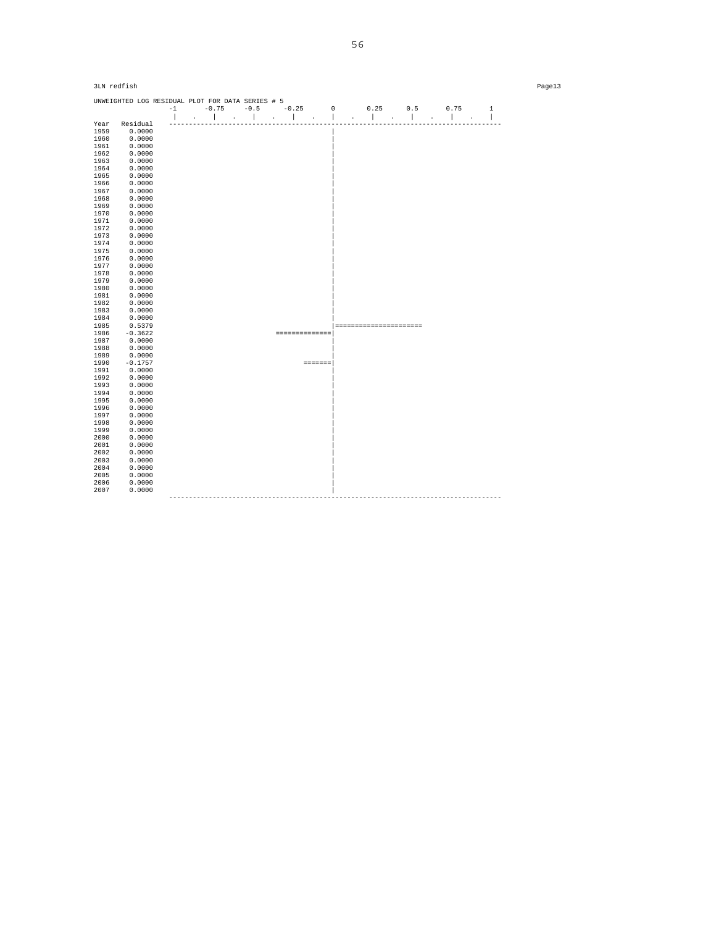|              | 3LN redfish<br>Page13                            |  |  |  |                                        |                |  |                         |  |      |                          |  |
|--------------|--------------------------------------------------|--|--|--|----------------------------------------|----------------|--|-------------------------|--|------|--------------------------|--|
|              | UNWEIGHTED LOG RESIDUAL PLOT FOR DATA SERIES # 5 |  |  |  | $-1$ $-0.75$ $-0.5$ $-0.25$ 0 0.25 0.5 |                |  |                         |  | 0.75 | $\mathbf{1}$             |  |
|              |                                                  |  |  |  |                                        |                |  |                         |  |      | $\overline{\phantom{a}}$ |  |
| Year         | Residual                                         |  |  |  |                                        |                |  |                         |  |      |                          |  |
| 1959         | 0.0000                                           |  |  |  |                                        |                |  |                         |  |      |                          |  |
| 1960         | 0.0000                                           |  |  |  |                                        |                |  |                         |  |      |                          |  |
| 1961         | 0.0000                                           |  |  |  |                                        |                |  |                         |  |      |                          |  |
| 1962         | 0.0000                                           |  |  |  |                                        |                |  |                         |  |      |                          |  |
| 1963         | 0.0000                                           |  |  |  |                                        |                |  |                         |  |      |                          |  |
| 1964         | 0.0000                                           |  |  |  |                                        |                |  |                         |  |      |                          |  |
| 1965         | 0.0000                                           |  |  |  |                                        |                |  |                         |  |      |                          |  |
| 1966         | 0.0000                                           |  |  |  |                                        |                |  |                         |  |      |                          |  |
| 1967         | 0.0000                                           |  |  |  |                                        |                |  |                         |  |      |                          |  |
| 1968         | 0.0000                                           |  |  |  |                                        |                |  |                         |  |      |                          |  |
| 1969         | 0.0000                                           |  |  |  |                                        |                |  |                         |  |      |                          |  |
| 1970         | 0.0000                                           |  |  |  |                                        |                |  |                         |  |      |                          |  |
| 1971         | 0.0000                                           |  |  |  |                                        |                |  |                         |  |      |                          |  |
| 1972         | 0.0000                                           |  |  |  |                                        |                |  |                         |  |      |                          |  |
| 1973         | 0.0000                                           |  |  |  |                                        |                |  |                         |  |      |                          |  |
| 1974         | 0.0000                                           |  |  |  |                                        |                |  |                         |  |      |                          |  |
| 1975         | 0.0000                                           |  |  |  |                                        |                |  |                         |  |      |                          |  |
| 1976         | 0.0000                                           |  |  |  |                                        |                |  |                         |  |      |                          |  |
| 1977         | 0.0000                                           |  |  |  |                                        |                |  |                         |  |      |                          |  |
| 1978         | 0.0000                                           |  |  |  |                                        |                |  |                         |  |      |                          |  |
| 1979         | 0.0000                                           |  |  |  |                                        |                |  |                         |  |      |                          |  |
| 1980         | 0.0000                                           |  |  |  |                                        |                |  |                         |  |      |                          |  |
| 1981         | 0.0000                                           |  |  |  |                                        |                |  |                         |  |      |                          |  |
| 1982         | 0.0000                                           |  |  |  |                                        |                |  |                         |  |      |                          |  |
| 1983         | 0.0000                                           |  |  |  |                                        |                |  |                         |  |      |                          |  |
| 1984<br>1985 | 0.0000<br>0.5379                                 |  |  |  |                                        |                |  |                         |  |      |                          |  |
| 1986         | $-0.3622$                                        |  |  |  | ---------------                        |                |  | ======================= |  |      |                          |  |
| 1987         | 0.0000                                           |  |  |  |                                        |                |  |                         |  |      |                          |  |
| 1988         | 0.0000                                           |  |  |  |                                        |                |  |                         |  |      |                          |  |
| 1989         | 0.0000                                           |  |  |  |                                        |                |  |                         |  |      |                          |  |
| 1990         | $-0.1757$                                        |  |  |  |                                        | <b>ESSESSE</b> |  |                         |  |      |                          |  |
| 1991         | 0.0000                                           |  |  |  |                                        |                |  |                         |  |      |                          |  |
| 1992         | 0.0000                                           |  |  |  |                                        |                |  |                         |  |      |                          |  |
| 1993         | 0.0000                                           |  |  |  |                                        |                |  |                         |  |      |                          |  |
| 1994         | 0.0000                                           |  |  |  |                                        |                |  |                         |  |      |                          |  |
| 1995         | 0.0000                                           |  |  |  |                                        |                |  |                         |  |      |                          |  |
| 1996         | 0.0000                                           |  |  |  |                                        |                |  |                         |  |      |                          |  |
| 1997         | 0.0000                                           |  |  |  |                                        |                |  |                         |  |      |                          |  |
| 1998         | 0.0000                                           |  |  |  |                                        |                |  |                         |  |      |                          |  |
| 1999         | 0.0000                                           |  |  |  |                                        |                |  |                         |  |      |                          |  |
| 2000         | 0.0000                                           |  |  |  |                                        |                |  |                         |  |      |                          |  |
| 2001         | 0.0000                                           |  |  |  |                                        |                |  |                         |  |      |                          |  |
| 2002         | 0.0000                                           |  |  |  |                                        |                |  |                         |  |      |                          |  |
| 2003         | 0.0000                                           |  |  |  |                                        |                |  |                         |  |      |                          |  |
| 2004         | 0.0000                                           |  |  |  |                                        |                |  |                         |  |      |                          |  |
| 2005         | 0.0000                                           |  |  |  |                                        |                |  |                         |  |      |                          |  |
| 2006         | 0.0000                                           |  |  |  |                                        |                |  |                         |  |      |                          |  |
| 2007         | 0.0000                                           |  |  |  |                                        |                |  |                         |  |      |                          |  |
|              |                                                  |  |  |  |                                        |                |  |                         |  |      |                          |  |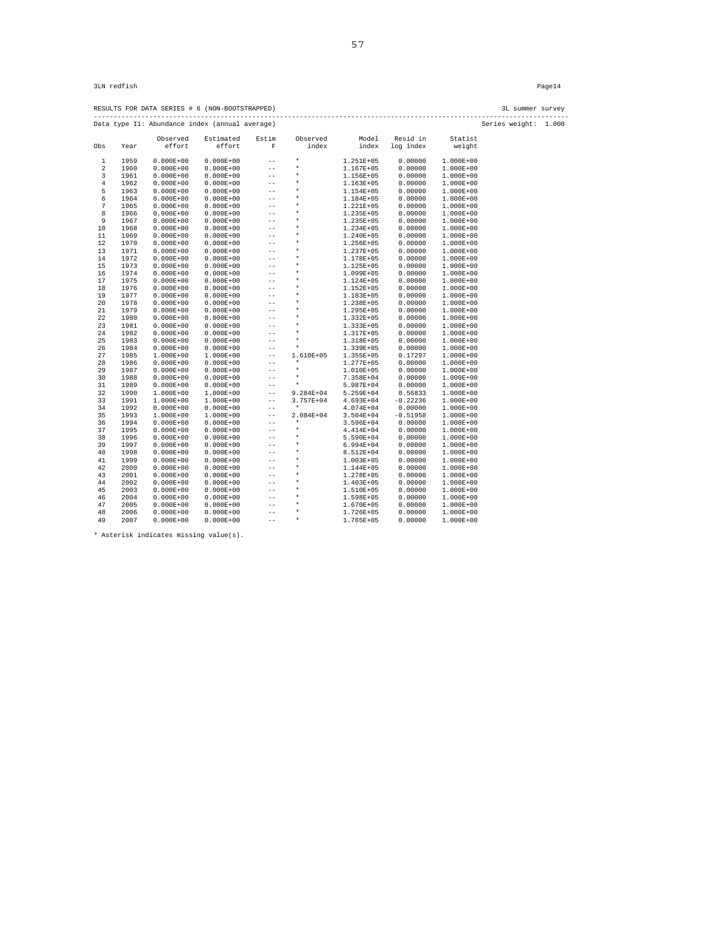RESULTS FOR DATA SERIES # 6 (NON-BOOTSTRAPPED) 3L summer survey ------------------------------------------------------------------------------------------------------------------------ Data type I1: Abundance index (annual average) Series weight: 1.000

| effort<br>effort<br>$\overline{F}$<br>index<br>index<br>Obs<br>Year<br>$\star$<br>$\mathbf 1$<br>1959<br>$0.000E + 00$<br>$0.000E + 00$<br>1.251E+05<br>$-$ | log index<br>0.00000<br>0.00000 | weight<br>$1.000E + 00$ |
|-------------------------------------------------------------------------------------------------------------------------------------------------------------|---------------------------------|-------------------------|
|                                                                                                                                                             |                                 |                         |
|                                                                                                                                                             |                                 |                         |
| $\star$<br>$-$                                                                                                                                              |                                 |                         |
| 2<br>1960<br>$0.000E + 00$<br>$0.000E + 00$<br>1.167E+05<br>$\star$                                                                                         |                                 | $1.000E + 00$           |
| 3<br>1961<br>$0.000E + 00$<br>$0.000E + 00$<br>1.156E+05<br>$-$<br>$\star$                                                                                  | 0.00000                         | $1.000E+00$             |
| $\overline{4}$<br>$0.000E + 00$<br>1962<br>$0.000E + 00$<br>1.163E+05<br>$- -$<br>$\star$                                                                   | 0.00000                         | $1.000E+00$             |
| 5<br>1963<br>$0.000E + 00$<br>$0.000E + 00$<br>1.154E+05<br>$-$<br>$\star$                                                                                  | 0.00000                         | $1.000E+00$             |
| 6<br>1964<br>$0.000E + 00$<br>$0.000E + 00$<br>1.184E+05<br>$-$<br>$\star$                                                                                  | 0.00000                         | $1.000E+00$             |
| $\sqrt{ }$<br>1965<br>$0.000E + 00$<br>$0.000E + 00$<br>1.221E+05<br>$-$<br>$\star$                                                                         | 0.00000                         | $1.000E+00$             |
| 8<br>1966<br>$0.000E + 00$<br>$0.000E + 00$<br>$-$<br>1.235E+05                                                                                             | 0.00000                         | $1.000E+00$             |
| 9<br>1967<br>$0.000E + 00$<br>$0.000E + 00$<br>$\star$<br>$-$<br>1.235E+05<br>$\star$                                                                       | 0.00000                         | $1.000E+00$             |
| 10<br>1968<br>$0.000E + 00$<br>$0.000E + 00$<br>1.234E+05<br>$-$                                                                                            | 0.00000                         | $1.000E + 00$           |
| 11<br>1969<br>$0.000E + 00$<br>$0.000E + 00$<br>$\star$<br>1.240E+05<br>$-$                                                                                 | 0.00000                         | $1.000E + 00$           |
| 12<br>1970<br>$0.000E + 00$<br>$0.000E + 00$<br>$\star$<br>1.256E+05<br>$-$                                                                                 | 0.00000                         | $1.000E+00$             |
| 13<br>1971<br>$\star$<br>$0.000E + 00$<br>$0.000E + 00$<br>$-$<br>1.237E+05                                                                                 | 0.00000                         | $1.000E + 00$           |
| $\star$<br>14<br>1972<br>$0.000E + 00$<br>$0.000E + 00$<br>1.178E+05<br>$-$                                                                                 | 0.00000                         | $1.000E + 00$           |
| $\star$<br>15<br>1973<br>$0.000E + 00$<br>$0.000E + 00$<br>1.125E+05<br>$- -$                                                                               | 0.00000                         | $1.000E+00$             |
| $\star$<br>16<br>1974<br>$0.000E + 00$<br>$0.000E + 00$<br>$1.099E + 05$<br>$-$                                                                             | 0.00000                         | $1.000E+00$             |
| $\star$<br>17<br>1975<br>$0.000E + 00$<br>$0.000E + 00$<br>1.124E+05<br>$-$                                                                                 | 0.00000                         | $1.000E + 00$           |
| 18<br>1976<br>$0.000E + 00$<br>$0.000E + 00$<br>$\star$<br>$-$<br>1.152E+05                                                                                 | 0.00000                         | $1.000E + 00$           |
| $\star$<br>19<br>1977<br>$0.000E + 00$<br>$0.000E + 00$<br>1.183E+05<br>$-$                                                                                 | 0.00000                         | 1.000E+00               |
| 20<br>1978<br>$0.000E + 00$<br>$0.000E + 00$<br>$\star$<br>1.238E+05<br>$-$                                                                                 | 0.00000                         | $1.000E+00$             |
| 21<br>1979<br>$0.000E + 00$<br>$0.000E + 00$<br>$\star$<br>$1.295E + 05$<br>$-$                                                                             | 0.00000                         | $1.000E+00$             |
| 22<br>1980<br>$0.000E + 00$<br>$0.000E + 00$<br>$\star$<br>$-$<br>1.332E+05                                                                                 | 0.00000                         | $1.000E + 00$           |
| $\star$<br>23<br>1981<br>$0.000E + 00$<br>$0.000E + 00$<br>1.333E+05<br>$- -$                                                                               | 0.00000                         | $1.000E+00$             |
| $\star$<br>24<br>1982<br>$0.000E + 00$<br>$0.000E + 00$<br>1.317E+05<br>$- -$                                                                               | 0.00000                         | $1.000E+00$             |
| $\star$<br>25<br>1983<br>$0.000E + 00$<br>$0.000E + 00$<br>1.318E+05<br>$-$                                                                                 | 0.00000                         | $1.000E+00$             |
| $\star$<br>26<br>1984<br>$0.000E + 00$<br>$0.000E + 00$<br>1.339E+05<br>$-$                                                                                 | 0.00000                         | $1.000E+00$             |
| 27<br>1985<br>1.000E+00<br>1.000E+00<br>1.610E+05<br>$1.355E+05$<br>$- -$                                                                                   | 0.17297                         | 1.000E+00               |
| $\star$<br>28<br>1986<br>$0.000E + 00$<br>$0.000E + 00$<br>1.277E+05<br>$- -$                                                                               | 0.00000                         | $1.000E + 00$           |
| $\star$<br>29<br>1987<br>$0.000E + 00$<br>$0.000E + 00$<br>1.010E+05<br>$-$                                                                                 | 0.00000                         | $1.000E+00$             |
| 1988<br>$\star$<br>30<br>$0.000E + 00$<br>$0.000E + 00$<br>7.358E+04<br>$-$                                                                                 | 0.00000                         | $1.000E+00$             |
| $\star$<br>31<br>1989<br>$0.000E + 00$<br>$0.000E + 00$<br>5.987E+04<br>$-$                                                                                 | 0.00000                         | $1.000E+00$             |
| 1990<br>32<br>1.000E+00<br>$1.000E+00$<br>9.284E+04<br>5.259E+04<br>$- -$                                                                                   | 0.56833                         | $1.000E+00$             |
| 3.757E+04<br>4.693E+04<br>33<br>1991<br>$1.000E+00$<br>$1.000E+00$<br>$-$                                                                                   | $-0.22236$                      | $1.000E+00$             |
| $\star$<br>34<br>1992<br>$0.000E + 00$<br>$0.000E + 00$<br>4.074E+04<br>$-$                                                                                 | 0.00000                         | $1.000E+00$             |
| 35<br>1993<br>$1.000E+00$<br>2.084E+04<br>3.504E+04<br>1.000E+00<br>$-$                                                                                     | $-0.51958$                      | 1.000E+00               |
| 1994<br>$0.000E + 00$<br>$\star$<br>36<br>$0.000E + 00$<br>3.596E+04<br>$- -$                                                                               | 0.00000                         | $1.000E + 00$           |
| 37<br>1995<br>$0.000E + 00$<br>$0.000E + 00$<br>$\star$<br>4.414E+04<br>$-$                                                                                 | 0.00000                         | $1.000E+00$             |
| $\star$<br>38<br>1996<br>$0.000E + 00$<br>$0.000E + 00$<br>5.590E+04<br>$-$                                                                                 | 0.00000                         | $1.000E+00$             |
| 1997<br>$\star$<br>39<br>$0.000E + 00$<br>$0.000E + 00$<br>6.994E+04<br>$-$                                                                                 | 0.00000                         | $1.000E+00$             |
| $\star$<br>40<br>1998<br>$0.000E + 00$<br>$0.000E + 00$<br>8.512E+04<br>$-$                                                                                 | 0.00000                         | $1.000E + 00$           |
| $\star$<br>1999<br>$0.000E + 00$<br>41<br>$0.000E + 00$<br>$-$<br>1.003E+05                                                                                 | 0.00000                         | $1.000E + 00$           |
| $\star$<br>42<br>2000<br>$0.000E + 00$<br>$0.000E + 00$<br>$-$<br>1.144E+05                                                                                 | 0.00000                         | $1.000E + 00$           |
| 43<br>2001<br>$0.000E + 00$<br>$\star$<br>$0.000E + 00$<br>1.278E+05<br>$-$                                                                                 | 0.00000                         | $1.000E + 00$           |
| $\star$<br>44<br>2002<br>$0.000E + 00$<br>$0.000E + 00$<br>1.403E+05<br>$-$                                                                                 | 0.00000                         | 1.000E+00               |
| 45<br>2003<br>$0.000E + 00$<br>$0.000E + 00$<br>$\star$<br>$-$<br>1.510E+05                                                                                 | 0.00000                         | $1.000E + 00$           |
| 46<br>2004<br>$\star$<br>$0.000E + 00$<br>$0.000E + 00$<br>1.598E+05<br>$- -$                                                                               | 0.00000                         | $1.000E + 00$           |
| $\star$<br>47<br>2005<br>$0.000E + 00$<br>$0.000E + 00$<br>1.670E+05<br>$-$                                                                                 | 0.00000                         | 1.000E+00               |
| $\star$<br>48<br>2006<br>$0.000E + 00$<br>$0.000E + 00$<br>1.726E+05<br>$- -$                                                                               | 0.00000                         | $1.000E+00$             |
| $\star$<br>49<br>2007<br>$0.000E + 00$<br>$0.000E + 00$<br>1.765E+05<br>$-$                                                                                 | 0.00000                         | 1.000E+00               |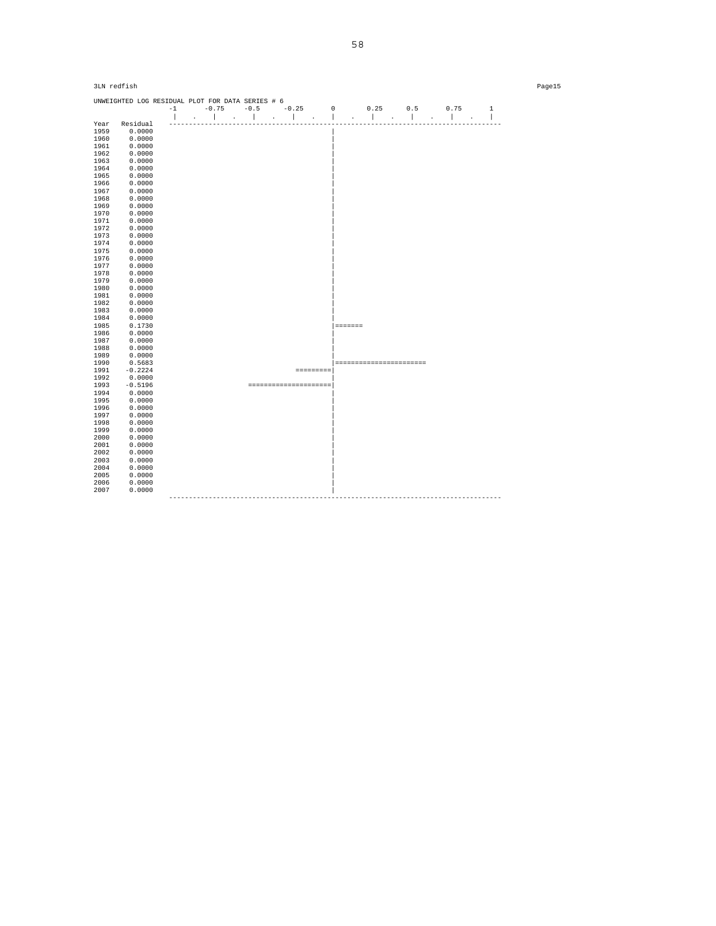| 3LN redfish  |                                                  |  |  |  |                                        |                          |  |  |      | Page15       |  |
|--------------|--------------------------------------------------|--|--|--|----------------------------------------|--------------------------|--|--|------|--------------|--|
|              | UNWEIGHTED LOG RESIDUAL PLOT FOR DATA SERIES # 6 |  |  |  | $-1$ $-0.75$ $-0.5$ $-0.25$ 0 0.25 0.5 |                          |  |  | 0.75 | $\mathbf{1}$ |  |
|              |                                                  |  |  |  |                                        |                          |  |  |      |              |  |
| Year         | Residual                                         |  |  |  |                                        |                          |  |  |      |              |  |
| 1959         | 0.0000                                           |  |  |  |                                        |                          |  |  |      |              |  |
| 1960         | 0.0000                                           |  |  |  |                                        |                          |  |  |      |              |  |
| 1961         | 0.0000                                           |  |  |  |                                        |                          |  |  |      |              |  |
| 1962         | 0.0000                                           |  |  |  |                                        |                          |  |  |      |              |  |
| 1963         | 0.0000                                           |  |  |  |                                        |                          |  |  |      |              |  |
| 1964         | 0.0000                                           |  |  |  |                                        |                          |  |  |      |              |  |
| 1965         | 0.0000                                           |  |  |  |                                        |                          |  |  |      |              |  |
| 1966         | 0.0000                                           |  |  |  |                                        |                          |  |  |      |              |  |
| 1967         | 0.0000                                           |  |  |  |                                        |                          |  |  |      |              |  |
| 1968         | 0.0000                                           |  |  |  |                                        |                          |  |  |      |              |  |
| 1969         | 0.0000                                           |  |  |  |                                        |                          |  |  |      |              |  |
| 1970<br>1971 | 0.0000<br>0.0000                                 |  |  |  |                                        |                          |  |  |      |              |  |
| 1972         | 0.0000                                           |  |  |  |                                        |                          |  |  |      |              |  |
| 1973         | 0.0000                                           |  |  |  |                                        |                          |  |  |      |              |  |
| 1974         | 0.0000                                           |  |  |  |                                        |                          |  |  |      |              |  |
| 1975         | 0.0000                                           |  |  |  |                                        |                          |  |  |      |              |  |
| 1976         | 0.0000                                           |  |  |  |                                        |                          |  |  |      |              |  |
| 1977         | 0.0000                                           |  |  |  |                                        |                          |  |  |      |              |  |
| 1978         | 0.0000                                           |  |  |  |                                        |                          |  |  |      |              |  |
| 1979         | 0.0000                                           |  |  |  |                                        |                          |  |  |      |              |  |
| 1980         | 0.0000                                           |  |  |  |                                        |                          |  |  |      |              |  |
| 1981         | 0.0000                                           |  |  |  |                                        |                          |  |  |      |              |  |
| 1982         | 0.0000                                           |  |  |  |                                        |                          |  |  |      |              |  |
| 1983         | 0.0000                                           |  |  |  |                                        |                          |  |  |      |              |  |
| 1984         | 0.0000                                           |  |  |  |                                        |                          |  |  |      |              |  |
| 1985         | 0.1730                                           |  |  |  |                                        | essaass                  |  |  |      |              |  |
| 1986         | 0.0000                                           |  |  |  |                                        |                          |  |  |      |              |  |
| 1987         | 0.0000                                           |  |  |  |                                        |                          |  |  |      |              |  |
| 1988<br>1989 | 0.0000<br>0.0000                                 |  |  |  |                                        |                          |  |  |      |              |  |
| 1990         | 0.5683                                           |  |  |  |                                        | ======================== |  |  |      |              |  |
| 1991         | $-0.2224$                                        |  |  |  | <b>SESSESSES</b>                       |                          |  |  |      |              |  |
| 1992         | 0.0000                                           |  |  |  |                                        |                          |  |  |      |              |  |
| 1993         | $-0.5196$                                        |  |  |  | ---------------------                  |                          |  |  |      |              |  |
| 1994         | 0.0000                                           |  |  |  |                                        |                          |  |  |      |              |  |
| 1995         | 0.0000                                           |  |  |  |                                        |                          |  |  |      |              |  |
| 1996         | 0.0000                                           |  |  |  |                                        |                          |  |  |      |              |  |
| 1997         | 0.0000                                           |  |  |  |                                        |                          |  |  |      |              |  |
| 1998         | 0.0000                                           |  |  |  |                                        |                          |  |  |      |              |  |
| 1999         | 0.0000                                           |  |  |  |                                        |                          |  |  |      |              |  |
| 2000         | 0.0000                                           |  |  |  |                                        |                          |  |  |      |              |  |
| 2001         | 0.0000                                           |  |  |  |                                        |                          |  |  |      |              |  |
| 2002         | 0.0000                                           |  |  |  |                                        |                          |  |  |      |              |  |
| 2003         | 0.0000                                           |  |  |  |                                        |                          |  |  |      |              |  |
| 2004         | 0.0000                                           |  |  |  |                                        |                          |  |  |      |              |  |
| 2005         | 0.0000                                           |  |  |  |                                        |                          |  |  |      |              |  |
| 2006<br>2007 | 0.0000<br>0.0000                                 |  |  |  |                                        |                          |  |  |      |              |  |
|              |                                                  |  |  |  |                                        |                          |  |  |      |              |  |
|              |                                                  |  |  |  |                                        |                          |  |  |      |              |  |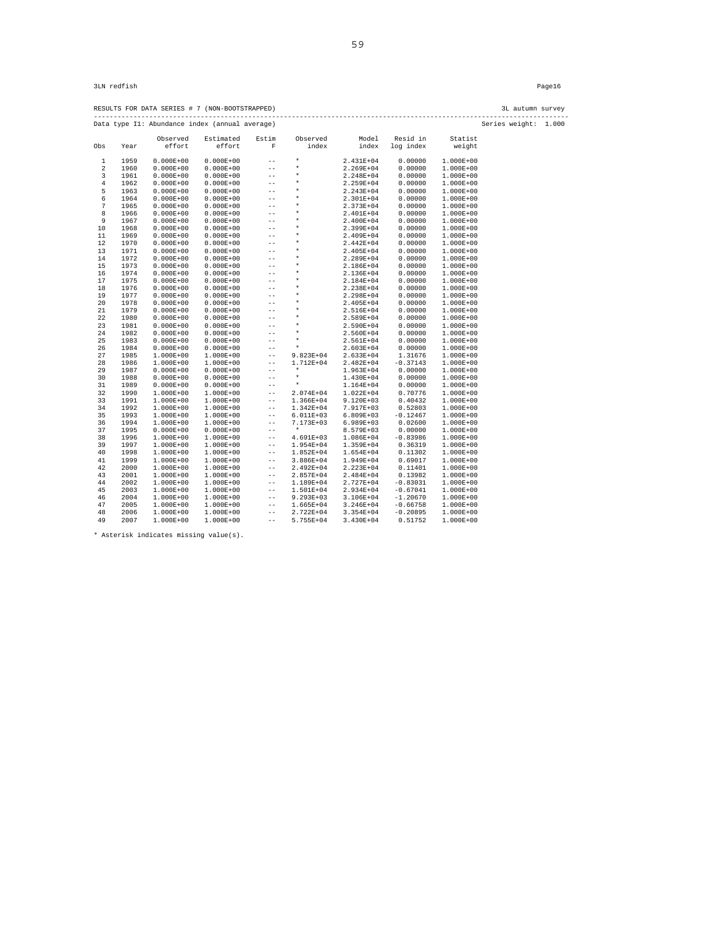RESULTS FOR DATA SERIES # 7 (NON-BOOTSTRAPPED) 3L autumn survey ------------------------------------------------------------------------------------------------------------------------ Data type I1: Abundance index (annual average) Series weight: 1.000

|                |      | Observed      | Estimated     | Estim             | Observed      | Model         | Resid in   | Statist       |
|----------------|------|---------------|---------------|-------------------|---------------|---------------|------------|---------------|
| Obs            | Year | effort        | effort        | $\mathbf F$       | index         | index         | log index  | weight        |
|                |      |               |               |                   |               |               |            |               |
| 1              | 1959 | $0.000E + 00$ | $0.000E + 00$ | $-$               | $\star$       | 2.431E+04     | 0.00000    | $1.000E + 00$ |
| $\overline{a}$ | 1960 | $0.000E + 00$ | $0.000E + 00$ | $-$               | $\star$       | 2.269E+04     | 0.00000    | $1.000E + 00$ |
| 3              | 1961 | $0.000E + 00$ | $0.000E + 00$ | $- -$             | $\star$       | 2.248E+04     | 0.00000    | $1.000E+00$   |
| $\,4$          | 1962 | $0.000E + 00$ | $0.000E + 00$ | $-$               | $\star$       | 2.259E+04     | 0.00000    | $1.000E + 00$ |
| 5              | 1963 | $0.000E + 00$ | $0.000E + 00$ | $- -$             | $\star$       | 2.243E+04     | 0.00000    | $1.000E + 00$ |
| 6              | 1964 | $0.000E + 00$ | $0.000E + 00$ | $-$               | $\star$       | 2.301E+04     | 0.00000    | $1.000E + 00$ |
| $\sqrt{ }$     | 1965 | $0.000E + 00$ | $0.000E + 00$ | $-$               | $\star$       | 2.373E+04     | 0.00000    | $1.000E + 00$ |
| 8              | 1966 | $0.000E + 00$ | $0.000E + 00$ | $-$               | $\star$       | 2.401E+04     | 0.00000    | $1.000E + 00$ |
| 9              | 1967 | $0.000E + 00$ | $0.000E + 00$ | $- -$             | $\star$       | 2.400E+04     | 0.00000    | $1.000E + 00$ |
| 10             | 1968 | $0.000E + 00$ | $0.000E + 00$ | $-$               | $\star$       | 2.399E+04     | 0.00000    | $1.000E + 00$ |
| 11             | 1969 | $0.000E + 00$ | $0.000E + 00$ | $-$               | $\star$       | 2.409E+04     | 0.00000    | $1.000E + 00$ |
| 12             | 1970 | $0.000E + 00$ | $0.000E + 00$ | $-$               | $\star$       | 2.442E+04     | 0.00000    | $1.000E+00$   |
| 13             | 1971 | $0.000E + 00$ | $0.000E + 00$ | $-$               | $\star$       | 2.405E+04     | 0.00000    | $1.000E+00$   |
| 14             | 1972 | $0.000E + 00$ | $0.000E + 00$ | $-$               | $\star$       | 2.289E+04     | 0.00000    | $1.000E + 00$ |
| 15             | 1973 | $0.000E + 00$ | $0.000E + 00$ | $-$               | $\star$       | 2.186E+04     | 0.00000    | $1.000E+00$   |
| 16             | 1974 | $0.000E + 00$ | $0.000E + 00$ | $-$               | $\star$       | 2.136E+04     | 0.00000    | $1.000E + 00$ |
| 17             | 1975 | $0.000E + 00$ | $0.000E + 00$ | $-$               | $\star$       | 2.184E+04     | 0.00000    | $1.000E + 00$ |
| 18             | 1976 | $0.000E + 00$ | $0.000E + 00$ | $-$               | $\star$       | 2.238E+04     | 0.00000    | $1.000E + 00$ |
| 19             | 1977 | $0.000E + 00$ | $0.000E + 00$ | $-$               | $\star$       | 2.298E+04     | 0.00000    | $1.000E + 00$ |
| 20             | 1978 | $0.000E + 00$ | $0.000E + 00$ | $-$               | $\star$       | 2.405E+04     | 0.00000    | $1.000E+00$   |
| 21             | 1979 | $0.000E + 00$ | $0.000E + 00$ | $-$               | $\star$       | 2.516E+04     | 0.00000    | $1.000E + 00$ |
| 22             | 1980 | $0.000E + 00$ | $0.000E + 00$ | $- -$             | $\star$       | 2.589E+04     | 0.00000    | $1.000E + 00$ |
| 23             | 1981 | $0.000E + 00$ | $0.000E + 00$ | $-$               | $\star$       | 2.590E+04     | 0.00000    | $1.000E + 00$ |
| 24             | 1982 | $0.000E + 00$ | $0.000E + 00$ | $-$               | $\star$       | 2.560E+04     | 0.00000    | $1.000E+00$   |
| 25             | 1983 | $0.000E + 00$ | $0.000E + 00$ | $-$               | $\star$       | 2.561E+04     | 0.00000    | $1.000E + 00$ |
| 26             | 1984 | $0.000E + 00$ | $0.000E + 00$ | $- -$             | $\star$       | $2.603E+04$   | 0.00000    | $1.000E + 00$ |
| 27             | 1985 | 1.000E+00     | $1.000E+00$   | $-$               | $9.823E + 04$ | 2.633E+04     | 1.31676    | $1.000E + 00$ |
| 28             | 1986 | 1.000E+00     | $1.000E+00$   | $- -$             | 1.712E+04     | 2.482E+04     | $-0.37143$ | $1.000E + 00$ |
| 29             | 1987 | $0.000E + 00$ | $0.000E + 00$ | $-$               | $\star$       | 1.963E+04     | 0.00000    | $1.000E+00$   |
| 30             | 1988 | $0.000E + 00$ | $0.000E + 00$ | $-$               | $\star$       | 1.430E+04     | 0.00000    | $1.000E+00$   |
| 31             | 1989 | $0.000E + 00$ | $0.000E + 00$ | $-$               | $\star$       | 1.164E+04     | 0.00000    | $1.000E + 00$ |
| 32             | 1990 | $1.000E+00$   | $1.000E+00$   | $-$               | 2.074E+04     | 1.022E+04     | 0.70776    | $1.000E + 00$ |
| 33             | 1991 | $1.000E+00$   | $1.000E + 00$ | $- -$             | 1.366E+04     | $9.120E + 03$ | 0.40432    | $1.000E + 00$ |
| 34             | 1992 | $1.000E+00$   | $1.000E+00$   | $- -$             | 1.342E+04     | 7.917E+03     | 0.52803    | $1.000E + 00$ |
| 35             | 1993 | $1.000E+00$   | $1.000E+00$   | $- -$             | 6.011E+03     | $6.809E + 03$ | $-0.12467$ | $1.000E + 00$ |
| 36             | 1994 | $1.000E+00$   | $1.000E+00$   | $- -$             | 7.173E+03     | 6.989E+03     | 0.02600    | $1.000E + 00$ |
| 37             | 1995 | $0.000E + 00$ | $0.000E + 00$ | $-$               | $\star$       | 8.579E+03     | 0.00000    | $1.000E + 00$ |
| 38             | 1996 | $1.000E+00$   | $1.000E+00$   | $-$               | 4.691E+03     | 1.086E+04     | $-0.83986$ | $1.000E + 00$ |
| 39             | 1997 | 1.000E+00     | $1.000E+00$   | $- -$             | $1.954E+04$   | 1.359E+04     | 0.36319    | $1.000E + 00$ |
| 40             | 1998 | 1.000E+00     | $1.000E+00$   | $- -$             | $1.852E+04$   | $1.654E+04$   | 0.11302    | $1.000E + 00$ |
| 41             | 1999 | $1.000E+00$   | $1.000E+00$   | $\qquad \qquad -$ | 3.886E+04     | 1.949E+04     | 0.69017    | $1.000E + 00$ |
| 42             | 2000 | $1.000E+00$   | $1.000E+00$   | $- -$             | 2.492E+04     | 2.223E+04     | 0.11401    | $1.000E + 00$ |
| 43             | 2001 | 1.000E+00     | $1.000E+00$   | $- -$             | 2.857E+04     | 2.484E+04     | 0.13982    | $1.000E + 00$ |
| 44             | 2002 | 1.000E+00     | $1.000E+00$   | $- -$             | 1.189E+04     | 2.727E+04     | $-0.83031$ | $1.000E+00$   |
| 45             | 2003 | $1.000E+00$   | $1.000E+00$   | $- -$             | 1.501E+04     | 2.934E+04     | $-0.67041$ | $1.000E + 00$ |
| 46             | 2004 | $1.000E+00$   | $1.000E+00$   | $- -$             | $9.293E + 03$ | 3.106E+04     | $-1.20670$ | $1.000E + 00$ |
| 47             | 2005 | $1.000E+00$   | $1.000E+00$   | $- -$             | 1.665E+04     | 3.246E+04     | $-0.66758$ | $1.000E + 00$ |
| 48             | 2006 | $1.000E+00$   | $1.000E+00$   | $- -$             | 2.722E+04     | 3.354E+04     | $-0.20895$ | $1.000E + 00$ |
| 49             | 2007 | $1.000E+00$   | 1.000E+00     | $-$               | 5.755E+04     | 3.430E+04     | 0.51752    | $1.000E + 00$ |
|                |      |               |               |                   |               |               |            |               |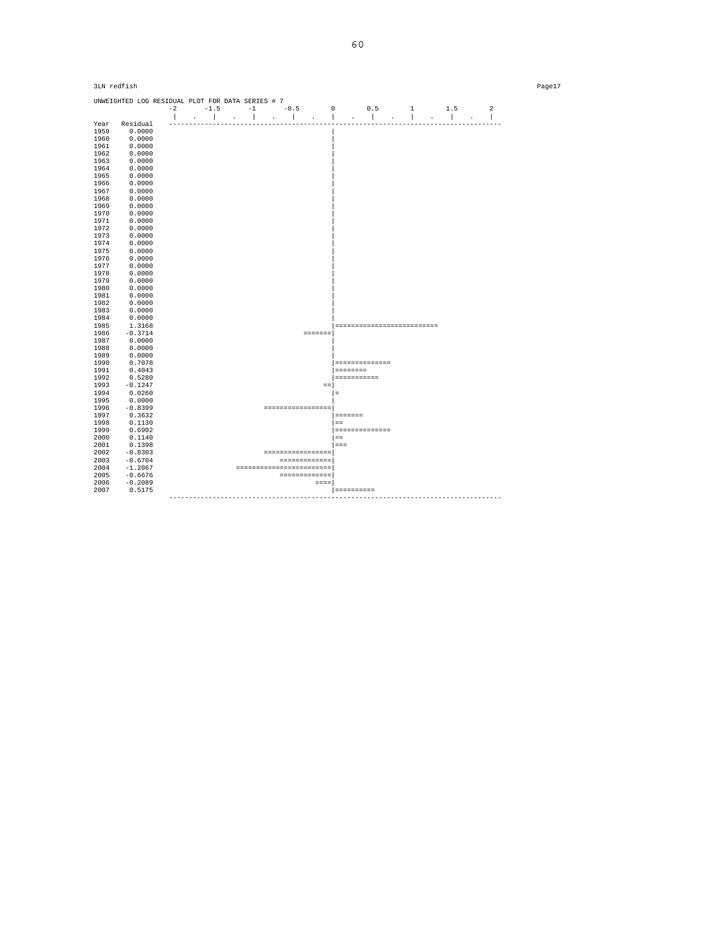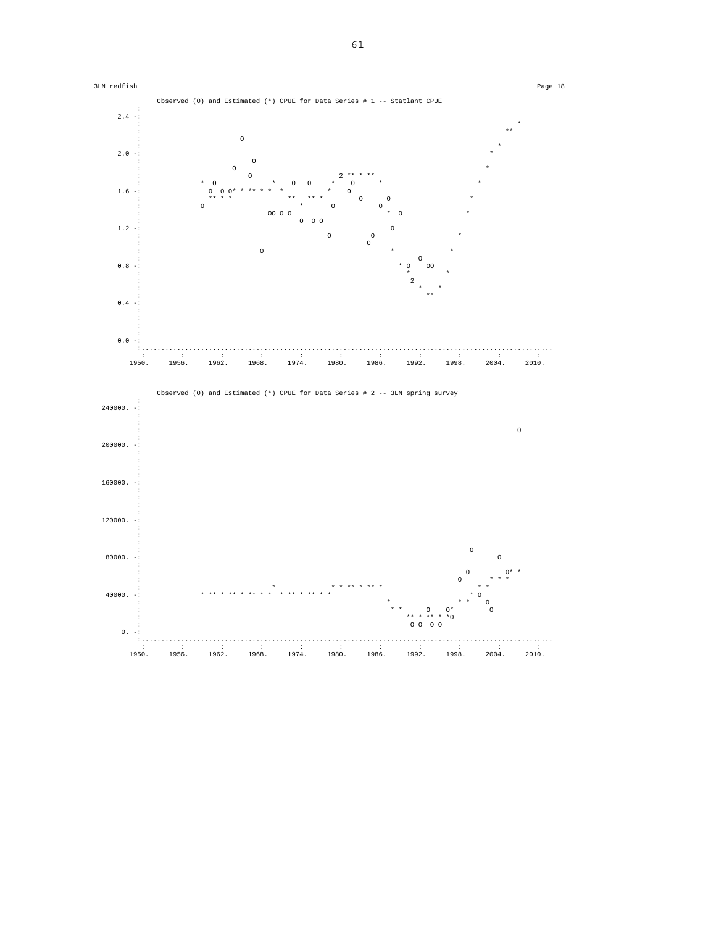

61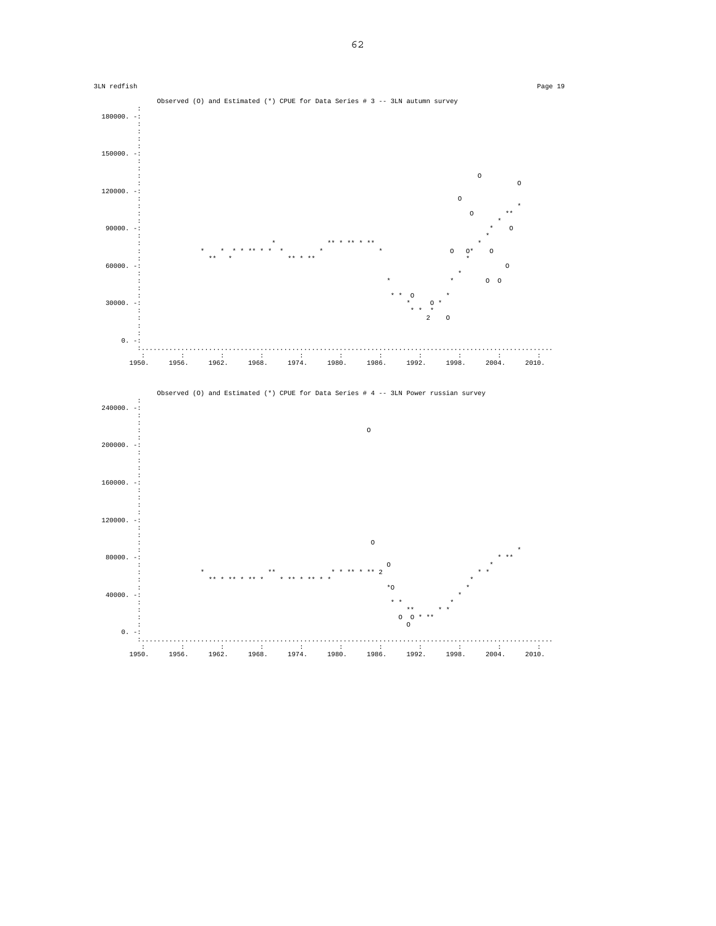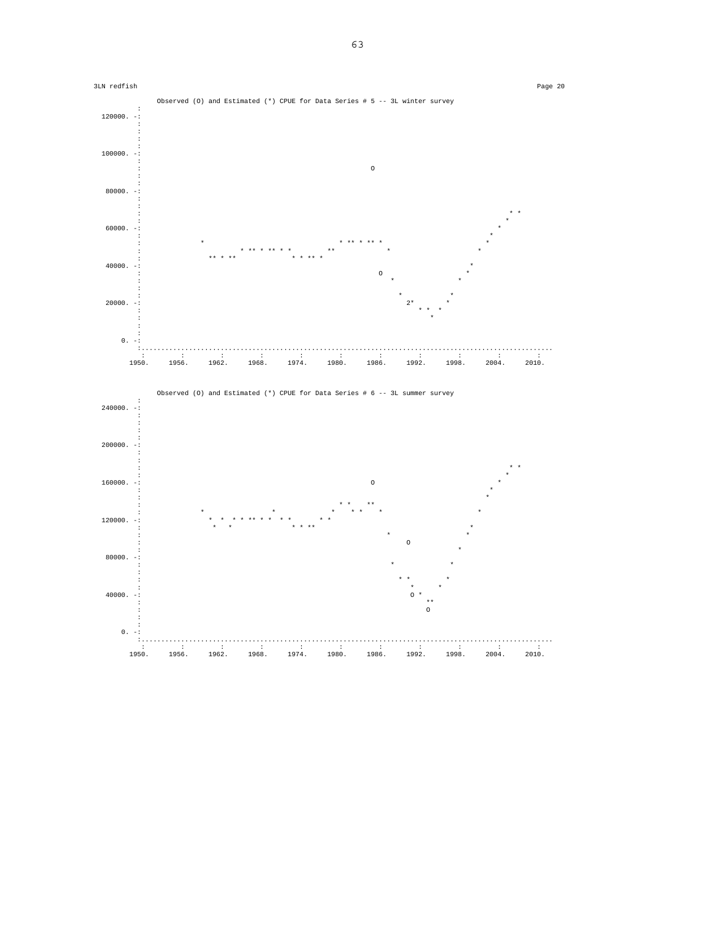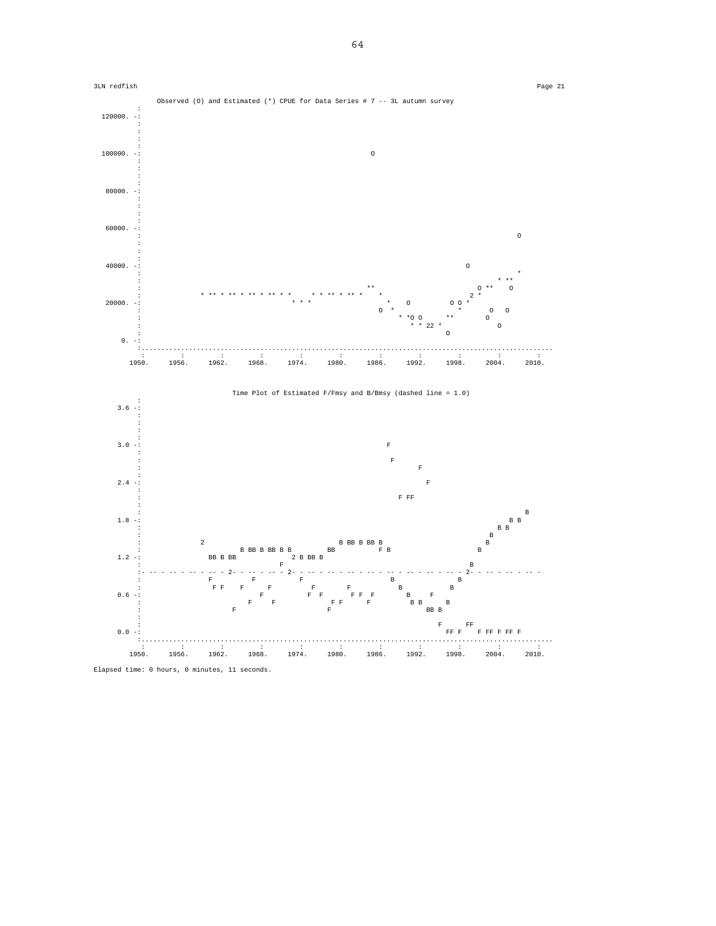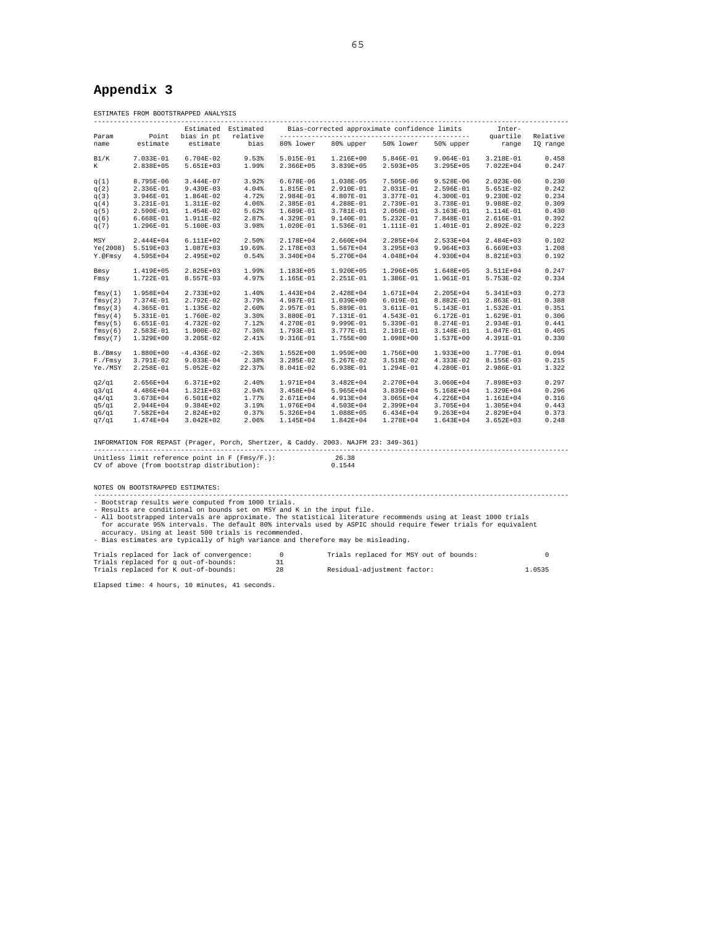# **Appendix 3**

|               |                                                                                     | ESTIMATES FROM BOOTSTRAPPED ANALYSIS                                                                                                         |                     |                |                                                                                                                                                                                                                                                                                                                                                                                                 |                     |                                        |                   |                      |
|---------------|-------------------------------------------------------------------------------------|----------------------------------------------------------------------------------------------------------------------------------------------|---------------------|----------------|-------------------------------------------------------------------------------------------------------------------------------------------------------------------------------------------------------------------------------------------------------------------------------------------------------------------------------------------------------------------------------------------------|---------------------|----------------------------------------|-------------------|----------------------|
|               |                                                                                     |                                                                                                                                              | Estimated Estimated |                | Bias-corrected approximate confidence limits                                                                                                                                                                                                                                                                                                                                                    |                     |                                        | Inter-            |                      |
| Param<br>name | Point<br>estimate                                                                   | bias in pt<br>estimate                                                                                                                       | relative<br>bias    | 80% lower      |                                                                                                                                                                                                                                                                                                                                                                                                 | 80% upper 50% lower | 50% upper                              | quartile<br>range | Relative<br>IQ range |
|               |                                                                                     |                                                                                                                                              |                     |                |                                                                                                                                                                                                                                                                                                                                                                                                 |                     |                                        |                   |                      |
| B1/K          | 7.033E-01                                                                           | $6.704E-02$                                                                                                                                  | 9.53%               | 5.015E-01      | 1.216E+00                                                                                                                                                                                                                                                                                                                                                                                       | 5.846E-01           | $9.064E-01$                            | 3.218E-01         | 0.458                |
| K             | 2.838E+05                                                                           | 5.651E+03                                                                                                                                    | 1.99%               | 2.366E+05      | 3.839E+05                                                                                                                                                                                                                                                                                                                                                                                       | 2.593E+05           | $3.295E + 05$                          | 7.022E+04         | 0.247                |
| q(1)          | 8.795E-06                                                                           | 3.444E-07                                                                                                                                    | 3.92%               | $6.678E-06$    | 1.038E-05                                                                                                                                                                                                                                                                                                                                                                                       | 7.505E-06           | $9.528E-06$                            | $2.023E-06$       | 0.230                |
| q(2)          | 2.336E-01                                                                           | 9.439E-03                                                                                                                                    | 4.04%               | 1.815E-01      | 2.910E-01                                                                                                                                                                                                                                                                                                                                                                                       | 2.031E-01           | 2.596E-01                              | 5.651E-02         | 0.242                |
| q(3)          | 3.946E-01                                                                           | 1.864E-02                                                                                                                                    | 4.72%               | 2.984E-01      | 4.807E-01                                                                                                                                                                                                                                                                                                                                                                                       | 3.377E-01           | 4.300E-01                              | $9.230E-02$       | 0.234                |
| q(4)          | 3.231E-01                                                                           | 1.311E-02                                                                                                                                    | 4.06%               | 2.385E-01      | 4.288E-01                                                                                                                                                                                                                                                                                                                                                                                       | 2.739E-01           | 3.738E-01                              | 9.988E-02         | 0.309                |
| q(5)          | 2.590E-01                                                                           | 1.454E-02                                                                                                                                    | 5.62%               | 1.689E-01      | 3.781E-01                                                                                                                                                                                                                                                                                                                                                                                       | 2.050E-01           | 3.163E-01                              | 1.114E-01         | 0.430                |
| q(6)          | $6.668E-01$                                                                         | 1.911E-02                                                                                                                                    | 2.87%               | 4.329E-01      | 9.140E-01                                                                                                                                                                                                                                                                                                                                                                                       | 5.232E-01           | 7.848E-01                              | 2.616E-01         | 0.392                |
| q(7)          | 1.296E-01                                                                           | 5.160E-03                                                                                                                                    | 3.98%               | 1.020E-01      | 1.536E-01                                                                                                                                                                                                                                                                                                                                                                                       | 1.111E-01           | 1.401E-01                              | 2.892E-02         | 0.223                |
| MSY           | $2.444E+04$                                                                         | $6.111E+02$                                                                                                                                  | 2.50%               | 2.178E+04      | 2.660E+04                                                                                                                                                                                                                                                                                                                                                                                       | 2.285E+04           | $2.533E+04$                            | $2.484E+03$       | 0.102                |
|               | Ye(2008) 5.519E+03                                                                  | 1.087E+03                                                                                                                                    | 19.69%              | 2.178E+03      | 1.567E+04                                                                                                                                                                                                                                                                                                                                                                                       | $3.295E+03$         | $9.964E + 03$                          | $6.669E+03$       | 1.208                |
| Y.@Fmsy       | 4.595E+04                                                                           | 2.495E+02                                                                                                                                    | 0.54%               | 3.340E+04      | 5.270E+04                                                                                                                                                                                                                                                                                                                                                                                       | 4.048E+04           | 4.930E+04                              | 8.821E+03         | 0.192                |
|               |                                                                                     |                                                                                                                                              |                     |                |                                                                                                                                                                                                                                                                                                                                                                                                 |                     |                                        |                   |                      |
| Bmsy          | 1.419E+05                                                                           | 2.825E+03                                                                                                                                    | 1.99%               | 1.183E+05      | 1.920E+05                                                                                                                                                                                                                                                                                                                                                                                       | 1.296E+05           | 1.648E+05                              | 3.511E+04         | 0.247                |
| Fmsy          | 1.722E-01                                                                           | 8.557E-03                                                                                                                                    | 4.97%               | 1.165E-01      | 2.251E-01                                                                                                                                                                                                                                                                                                                                                                                       | 1.386E-01           | 1.961E-01                              | 5.753E-02         | 0.334                |
| fmsy(1)       | 1.958E+04                                                                           | 2.733E+02                                                                                                                                    | 1.40%               | 1.443E+04      | 2.428E+04                                                                                                                                                                                                                                                                                                                                                                                       | 1.671E+04           | 2.205E+04                              | 5.341E+03         | 0.273                |
| fmsy(2)       | 7.374E-01                                                                           | 2.792E-02                                                                                                                                    | 3.79%               | 4.987E-01      | 1.039E+00                                                                                                                                                                                                                                                                                                                                                                                       | 6.019E-01           | 8.882E-01                              | $2.863E-01$       | 0.388                |
| fmsy(3)       | 4.365E-01                                                                           | 1.135E-02                                                                                                                                    | 2.60%               | 2.957E-01      | 5.889E-01                                                                                                                                                                                                                                                                                                                                                                                       | 3.611E-01           | 5.143E-01                              | $1.532E-01$       | 0.351                |
| fmsy(4)       | 5.331E-01                                                                           | 1.760E-02                                                                                                                                    | 3.30%               | 3.880E-01      | 7.131E-01                                                                                                                                                                                                                                                                                                                                                                                       | 4.543E-01           | 6.172E-01                              | 1.629E-01         | 0.306                |
| fmsy(5)       | $6.651E-01$                                                                         | 4.732E-02                                                                                                                                    | 7.12%               | 4.270E-01      | 9.999E-01                                                                                                                                                                                                                                                                                                                                                                                       | 5.339E-01           | 8.274E-01                              | 2.934E-01         | 0.441                |
| fmsy(6)       | 2.583E-01                                                                           | 1.900E-02                                                                                                                                    | 7.36%               | 1.793E-01      | 3.777E-01                                                                                                                                                                                                                                                                                                                                                                                       | 2.101E-01           | 3.148E-01                              | 1.047E-01         | 0.405                |
| fmsy(7)       | 1.329E+00                                                                           | $3.205E-02$                                                                                                                                  | 2.41%               | 9.316E-01      | 1.755E+00                                                                                                                                                                                                                                                                                                                                                                                       | 1.098E+00           | 1.537E+00                              | 4.391E-01         | 0.330                |
| B./Bmsy       | 1.880E+00                                                                           | $-4.436E-02$                                                                                                                                 | $-2.36%$            | $1.552E+00$    | 1.959E+00                                                                                                                                                                                                                                                                                                                                                                                       | 1.756E+00           | 1.933E+00                              | 1.770E-01         | 0.094                |
| F./Fmsy       | 3.791E-02                                                                           | $9.033E-04$                                                                                                                                  | 2.38%               | $3.285E-02$    | $5.267E-02$                                                                                                                                                                                                                                                                                                                                                                                     | 3.518E-02           | 4.333E-02                              | 8.155E-03         | 0.215                |
| Ye./MSY       | 2.258E-01                                                                           | $5.052E-02$                                                                                                                                  | 22.37%              | 8.041E-02      | 6.938E-01                                                                                                                                                                                                                                                                                                                                                                                       | $1.294E-01$         | 4.280E-01                              | 2.986E-01         | 1.322                |
|               |                                                                                     |                                                                                                                                              |                     |                |                                                                                                                                                                                                                                                                                                                                                                                                 |                     |                                        |                   |                      |
| q2/q1         | $2.656E+04$                                                                         | 6.371E+02                                                                                                                                    | 2.40%               | 1.971E+04      | $3.482E + 04$                                                                                                                                                                                                                                                                                                                                                                                   | 2.270E+04           | $3.060E + 04$                          | 7.898E+03         | 0.297                |
| q3/q1         | $4.486E + 04$                                                                       | $1.321E+03$                                                                                                                                  | 2.94%               | 3.458E+04      | 5.965E+04                                                                                                                                                                                                                                                                                                                                                                                       | 3.839E+04           | 5.168E+04                              | 1.329E+04         | 0.296                |
| q4/q1         | $3.673E + 04$                                                                       | 6.501E+02                                                                                                                                    | 1.77%               | 2.671E+04      | 4.913E+04                                                                                                                                                                                                                                                                                                                                                                                       | $3.065E + 04$       | 4.226E+04                              | 1.161E+04         | 0.316                |
| q5/q1         | $2.944E+04$                                                                         | 9.384E+02                                                                                                                                    | 3.19%               | 1.976E+04      | $4.503E+04$                                                                                                                                                                                                                                                                                                                                                                                     | 2.399E+04           | 3.705E+04                              | 1.305E+04         | 0.443                |
| q6/q1         | 7.582E+04                                                                           | 2.824E+02                                                                                                                                    | 0.37%               | 5.326E+04      | 1.088E+05                                                                                                                                                                                                                                                                                                                                                                                       | 6.434E+04           | $9.263E + 04$                          | 2.829E+04         | 0.373                |
| q7/q1         | $1.474E+04$                                                                         | $3.042E + 02$                                                                                                                                | 2.06%               | 1.145E+04      | 1.842E+04                                                                                                                                                                                                                                                                                                                                                                                       | 1.278E+04           | $1.643E+04$                            | $3.652E+03$       | 0.248                |
|               |                                                                                     |                                                                                                                                              |                     |                | INFORMATION FOR REPAST (Prager, Porch, Shertzer, & Caddy. 2003. NAJFM 23: 349-361)                                                                                                                                                                                                                                                                                                              |                     |                                        |                   |                      |
|               |                                                                                     | Unitless limit reference point in $F$ (Fmsy/F.):<br>CV of above (from bootstrap distribution):<br>CV of above (from bootstrap distribution): |                     |                | 26.38<br>0.1544                                                                                                                                                                                                                                                                                                                                                                                 |                     |                                        |                   |                      |
|               |                                                                                     |                                                                                                                                              |                     |                |                                                                                                                                                                                                                                                                                                                                                                                                 |                     |                                        |                   |                      |
|               |                                                                                     | NOTES ON BOOTSTRAPPED ESTIMATES:                                                                                                             |                     |                |                                                                                                                                                                                                                                                                                                                                                                                                 |                     |                                        |                   |                      |
|               |                                                                                     | - Bootstrap results were computed from 1000 trials.<br>accuracy. Using at least 500 trials is recommended.                                   |                     |                | - Results are conditional on bounds set on MSY and K in the input file.<br>- All bootstrapped intervals are approximate. The statistical literature recommends using at least 1000 trials<br>for accurate 95% intervals. The default 80% intervals used by ASPIC should require fewer trials for equivalent<br>- Bias estimates are typically of high variance and therefore may be misleading. |                     |                                        |                   |                      |
|               |                                                                                     | Trials replaced for lack of convergence:                                                                                                     |                     | $\overline{0}$ |                                                                                                                                                                                                                                                                                                                                                                                                 |                     | Trials replaced for MSY out of bounds: |                   | $\circ$              |
|               |                                                                                     | Trials replaced for q out-of-bounds:                                                                                                         |                     | 31             |                                                                                                                                                                                                                                                                                                                                                                                                 |                     |                                        |                   |                      |
|               | Trials replaced for K out-of-bounds:<br>28<br>Residual-adjustment factor:<br>1.0535 |                                                                                                                                              |                     |                |                                                                                                                                                                                                                                                                                                                                                                                                 |                     |                                        |                   |                      |

Elapsed time: 4 hours, 10 minutes, 41 seconds.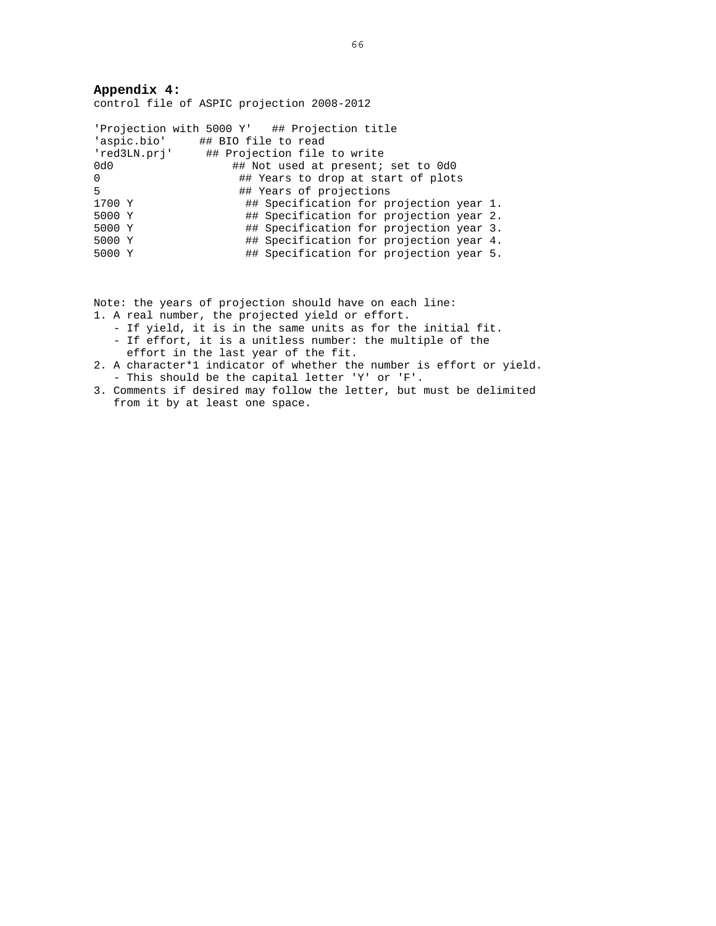**Appendix 4:**  control file of ASPIC projection 2008-2012

|        | 'Projection with 5000 Y' ## Projection title |
|--------|----------------------------------------------|
|        | 'aspic.bio' ## BIO file to read              |
|        | 'red3LN.prj' ## Projection file to write     |
| 0d0    | ## Not used at present; set to 0d0           |
| 0      | ## Years to drop at start of plots           |
| 5      | ## Years of projections                      |
| 1700 Y | ## Specification for projection year 1.      |
| 5000 Y | ## Specification for projection year 2.      |
| 5000 Y | ## Specification for projection year 3.      |
| 5000 Y | ## Specification for projection year 4.      |
| 5000 Y | ## Specification for projection year 5.      |

Note: the years of projection should have on each line:

- 1. A real number, the projected yield or effort.
	- If yield, it is in the same units as for the initial fit. - If effort, it is a unitless number: the multiple of the
	- effort in the last year of the fit.
- 2. A character\*1 indicator of whether the number is effort or yield. - This should be the capital letter 'Y' or 'F'.
- 3. Comments if desired may follow the letter, but must be delimited from it by at least one space.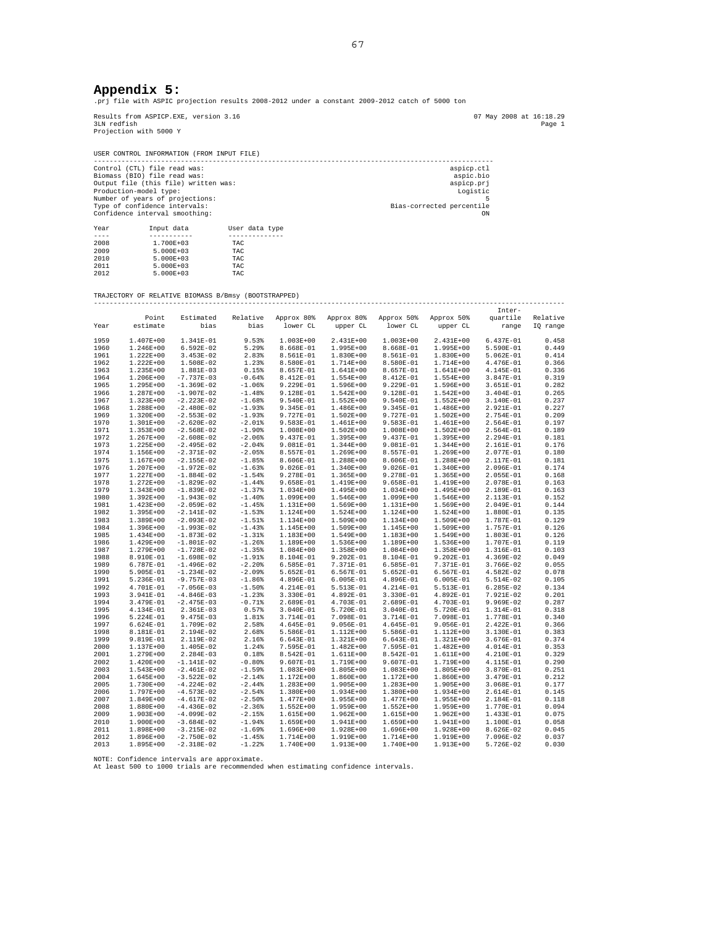### **Appendix 5:**

.prj file with ASPIC projection results 2008-2012 under a constant 2009-2012 catch of 5000 ton

Results from ASPICP.EXE, version 3.16 07 May 2008 at 16:18.29 3LN redfish Page 1 Projection with 5000 Y

USER CONTROL INFORMATION (FROM INPUT FILE) ----------------------------------------------------------------------------------------------------- Control (CTL) file read was: aspicp.ctl Biomass (BIO) file read was: aspic.bio Output file (this file) written was: aspicp.prj Production-model type: Logistic Number of years of projections: 5 Type of confidence intervals: Bias-corrected percentile Confidence interval smoothing: ON Year Input data User data type

| ICGL | tiput uata    | USEL UGLG LYPE |
|------|---------------|----------------|
|      |               |                |
| 2008 | 1.700E+03     | <b>TAC</b>     |
| 2009 | $5.000E + 03$ | <b>TAC</b>     |
| 2010 | $5.000E + 03$ | <b>TAC</b>     |
| 2011 | $5.000E + 03$ | <b>TAC</b>     |
| 2012 | $5.000E + 03$ | TAC            |
|      |               |                |

#### TRAJECTORY OF RELATIVE BIOMASS B/Bmsy (BOOTSTRAPPED) -----------------------------------------------------------------------------------------------------------------------

|      |               |              |                       |               |             |               |               | Inter-      |          |
|------|---------------|--------------|-----------------------|---------------|-------------|---------------|---------------|-------------|----------|
|      | Point         | Estimated    | Relative              | Approx 80%    | Approx 80%  | Approx 50%    | Approx 50%    | quartile    | Relative |
| Year | estimate      | bias         | bias                  | lower CL      | upper CL    | lower CL      | upper CL      | range       | IQ range |
|      |               |              |                       |               |             |               |               |             |          |
| 1959 | 1.407E+00     | 1.341E-01    | 9.53%                 | $1.003E+00$   | 2.431E+00   | $1.003E + 00$ | 2.431E+00     | 6.437E-01   | 0.458    |
| 1960 | 1.246E+00     | $6.592E-02$  | 5.29%                 | 8.668E-01     | $1.995E+00$ | 8.668E-01     | 1.995E+00     | 5.590E-01   | 0.449    |
| 1961 | $1.222E + 00$ | $3.453E-02$  | 2.83%                 | 8.561E-01     | $1.830E+00$ | 8.561E-01     | 1.830E+00     | $5.062E-01$ | 0.414    |
| 1962 | $1.222E + 00$ | 1.508E-02    | 1.23%                 | 8.580E-01     | 1.714E+00   | 8.580E-01     | 1.714E+00     | 4.476E-01   | 0.366    |
|      |               |              |                       |               |             |               |               |             |          |
| 1963 | 1.235E+00     | 1.881E-03    | 0.15%                 | 8.657E-01     | 1.641E+00   | 8.657E-01     | 1.641E+00     | 4.145E-01   | 0.336    |
| 1964 | 1.206E+00     | $-7.737E-03$ | $-0.64%$              | 8.412E-01     | $1.554E+00$ | 8.412E-01     | 1.554E+00     | 3.847E-01   | 0.319    |
| 1965 | 1.295E+00     | $-1.369E-02$ | $-1.06%$              | 9.229E-01     | 1.596E+00   | 9.229E-01     | 1.596E+00     | $3.651E-01$ | 0.282    |
| 1966 | 1.287E+00     | $-1.907E-02$ | $-1.48%$              | 9.128E-01     | $1.542E+00$ | 9.128E-01     | 1.542E+00     | $3.404E-01$ | 0.265    |
| 1967 | 1.323E+00     | $-2.223E-02$ | $-1.68%$              | 9.540E-01     | $1.552E+00$ | 9.540E-01     | $1.552E+00$   | 3.140E-01   | 0.237    |
| 1968 | 1.288E+00     | $-2.480E-02$ | $-1.93%$              | $9.345E-01$   | $1.486E+00$ | 9.345E-01     | 1.486E+00     | 2.921E-01   | 0.227    |
| 1969 | 1.320E+00     | $-2.553E-02$ | $-1.93%$              | 9.727E-01     | 1.502E+00   | 9.727E-01     | $1.502E+00$   | 2.754E-01   | 0.209    |
| 1970 | 1.301E+00     | $-2.620E-02$ | $-2.01$ $% -2.01$     | 9.583E-01     | $1.461E+00$ | 9.583E-01     | 1.461E+00     | $2.564E-01$ | 0.197    |
| 1971 | $1.353E+00$   | $-2.568E-02$ | $-1.90%$              | 1.008E+00     | $1.502E+00$ | 1.008E+00     | $1.502E+00$   | $2.564E-01$ | 0.189    |
| 1972 | 1.267E+00     | $-2.608E-02$ | $-2.06%$              | 9.437E-01     | $1.395E+00$ | 9.437E-01     | 1.395E+00     | $2.294E-01$ | 0.181    |
| 1973 | 1.225E+00     | $-2.495E-02$ | $-2.04%$              | 9.081E-01     | $1.344E+00$ | 9.081E-01     | 1.344E+00     | 2.161E-01   | 0.176    |
| 1974 | 1.156E+00     | $-2.371E-02$ | $-2.05%$              | 8.557E-01     | 1.269E+00   | 8.557E-01     | 1.269E+00     | 2.077E-01   | 0.180    |
| 1975 | 1.167E+00     | $-2.155E-02$ | $-1.85%$              | 8.606E-01     | 1.288E+00   | 8.606E-01     | 1.288E+00     | 2.117E-01   | 0.181    |
| 1976 | $1.207E + 00$ | $-1.972E-02$ |                       | $9.026E - 01$ | 1.340E+00   | $9.026E - 01$ |               | 2.096E-01   |          |
|      |               |              | $-1.63%$              |               |             |               | $1.340E+00$   |             | 0.174    |
| 1977 | 1.227E+00     | $-1.884E-02$ | $-1.54%$              | 9.278E-01     | $1.365E+00$ | 9.278E-01     | 1.365E+00     | $2.055E-01$ | 0.168    |
| 1978 | 1.272E+00     | $-1.829E-02$ | $-1.44%$              | $9.658E-01$   | 1.419E+00   | 9.658E-01     | 1.419E+00     | 2.078E-01   | 0.163    |
| 1979 | 1.343E+00     | $-1.839E-02$ | $-1.37%$              | $1.034E + 00$ | $1.495E+00$ | $1.034E + 00$ | 1.495E+00     | 2.189E-01   | 0.163    |
| 1980 | $1.392E + 00$ | $-1.943E-02$ | $-1.40%$              | 1.099E+00     | 1.546E+00   | 1.099E+00     | 1.546E+00     | 2.113E-01   | 0.152    |
| 1981 | 1.423E+00     | $-2.059E-02$ | $-1.45%$              | 1.131E+00     | 1.569E+00   | 1.131E+00     | 1.569E+00     | 2.049E-01   | 0.144    |
| 1982 | 1.395E+00     | $-2.141E-02$ | $-1.53%$              | 1.124E+00     | $1.524E+00$ | 1.124E+00     | $1.524E+00$   | 1.880E-01   | 0.135    |
| 1983 | 1.389E+00     | $-2.093E-02$ | $-1.51%$              | 1.134E+00     | 1.509E+00   | 1.134E+00     | 1.509E+00     | 1.787E-01   | 0.129    |
| 1984 | 1.396E+00     | $-1.993E-02$ | $-1.43%$              | 1.145E+00     | 1.509E+00   | 1.145E+00     | 1.509E+00     | 1.757E-01   | 0.126    |
| 1985 | 1.434E+00     | $-1.873E-02$ | $-1.31%$              | 1.183E+00     | $1.549E+00$ | 1.183E+00     | 1.549E+00     | 1.803E-01   | 0.126    |
| 1986 | 1.429E+00     | $-1.801E-02$ | $-1.26%$              | 1.189E+00     | $1.536E+00$ | 1.189E+00     | 1.536E+00     | 1.707E-01   | 0.119    |
| 1987 | 1.279E+00     | $-1.728E-02$ | $-1.35%$              | 1.084E+00     | 1.358E+00   | 1.084E+00     | 1.358E+00     | 1.316E-01   | 0.103    |
| 1988 | 8.910E-01     | $-1.698E-02$ | $-1.91$ <sup>\$</sup> | 8.104E-01     | $9.202E-01$ | 8.104E-01     | $9.202E-01$   | 4.369E-02   | 0.049    |
| 1989 | 6.787E-01     | $-1.496E-02$ | $-2.20%$              | $6.585E-01$   | 7.371E-01   | $6.585E-01$   | 7.371E-01     | 3.766E-02   | 0.055    |
| 1990 | 5.905E-01     | $-1.234E-02$ | $-2.09%$              | $5.652E-01$   | $6.567E-01$ | $5.652E-01$   | $6.567E-01$   | $4.582E-02$ | 0.078    |
| 1991 | 5.236E-01     | $-9.757E-03$ | $-1.86%$              | 4.896E-01     | $6.005E-01$ | 4.896E-01     | $6.005E-01$   | 5.514E-02   | 0.105    |
|      |               |              |                       |               |             |               |               |             |          |
| 1992 | 4.701E-01     | $-7.056E-03$ | $-1.50%$              | 4.214E-01     | 5.513E-01   | 4.214E-01     | 5.513E-01     | $6.285E-02$ | 0.134    |
| 1993 | 3.941E-01     | $-4.846E-03$ | $-1.23%$              | 3.330E-01     | 4.892E-01   | 3.330E-01     | 4.892E-01     | 7.921E-02   | 0.201    |
| 1994 | 3.479E-01     | $-2.475E-03$ | $-0.71%$              | 2.689E-01     | 4.703E-01   | 2.689E-01     | 4.703E-01     | 9.969E-02   | 0.287    |
| 1995 | 4.134E-01     | $2.361E-03$  | 0.57%                 | $3.040E-01$   | 5.720E-01   | 3.040E-01     | 5.720E-01     | 1.314E-01   | 0.318    |
| 1996 | 5.224E-01     | $9.475E-03$  | 1.81%                 | 3.714E-01     | 7.098E-01   | 3.714E-01     | 7.098E-01     | 1.778E-01   | 0.340    |
| 1997 | $6.624E-01$   | 1.709E-02    | 2.58%                 | 4.645E-01     | $9.056E-01$ | 4.645E-01     | $9.056E-01$   | 2.422E-01   | 0.366    |
| 1998 | 8.181E-01     | 2.194E-02    | 2.68%                 | 5.586E-01     | 1.112E+00   | 5.586E-01     | 1.112E+00     | 3.130E-01   | 0.383    |
| 1999 | 9.819E-01     | 2.119E-02    | 2.16%                 | $6.643E-01$   | 1.321E+00   | $6.643E-01$   | 1.321E+00     | $3.676E-01$ | 0.374    |
| 2000 | 1.137E+00     | 1.405E-02    | 1.24%                 | 7.595E-01     | $1.482E+00$ | 7.595E-01     | $1.482E + 00$ | 4.014E-01   | 0.353    |
| 2001 | 1.279E+00     | $2.284E-03$  | 0.18%                 | 8.542E-01     | 1.611E+00   | 8.542E-01     | 1.611E+00     | 4.210E-01   | 0.329    |
| 2002 | 1.420E+00     | $-1.141E-02$ | $-0.80%$              | $9.607E-01$   | 1.719E+00   | 9.607E-01     | 1.719E+00     | 4.115E-01   | 0.290    |
| 2003 | 1.543E+00     | $-2.461E-02$ | $-1.59%$              | 1.083E+00     | $1.805E+00$ | $1.083E+00$   | 1.805E+00     | 3.870E-01   | 0.251    |
| 2004 | 1.645E+00     | $-3.522E-02$ | $-2.14%$              | 1.172E+00     | $1.860E+00$ | 1.172E+00     | 1.860E+00     | 3.479E-01   | 0.212    |
| 2005 | 1.730E+00     | $-4.224E-02$ | $-2.44%$              | 1.283E+00     | $1.905E+00$ | 1.283E+00     | 1.905E+00     | $3.068E-01$ | 0.177    |
| 2006 | 1.797E+00     | $-4.573E-02$ | $-2.54%$              | $1.380E+00$   | $1.934E+00$ | 1.380E+00     | 1.934E+00     | $2.614E-01$ | 0.145    |
| 2007 | 1.849E+00     | $-4.617E-02$ | $-2.50%$              | 1.477E+00     | $1.955E+00$ | 1.477E+00     | 1.955E+00     | 2.184E-01   | 0.118    |
|      |               |              |                       |               |             |               |               |             |          |
| 2008 | 1.880E+00     | $-4.436E-02$ | $-2.36%$              | $1.552E+00$   | 1.959E+00   | $1.552E+00$   | 1.959E+00     | 1.770E-01   | 0.094    |
| 2009 | $1.903E + 00$ | $-4.099E-02$ | $-2.15%$              | 1.615E+00     | $1.962E+00$ | 1.615E+00     | $1.962E + 00$ | $1.433E-01$ | 0.075    |
| 2010 | 1.900E+00     | $-3.684E-02$ | $-1.94%$              | 1.659E+00     | 1.941E+00   | 1.659E+00     | 1.941E+00     | 1.100E-01   | 0.058    |
| 2011 | 1.898E+00     | $-3.215E-02$ | $-1.69%$              | 1.696E+00     | 1.928E+00   | 1.696E+00     | 1.928E+00     | 8.626E-02   | 0.045    |
| 2012 | 1.896E+00     | $-2.750E-02$ | $-1.45%$              | 1.714E+00     | 1.919E+00   | 1.714E+00     | 1.919E+00     | 7.096E-02   | 0.037    |
| 2013 | 1.895E+00     | $-2.318E-02$ | $-1.22$ %             | 1.740E+00     | 1.913E+00   | 1.740E+00     | 1.913E+00     | 5.726E-02   | 0.030    |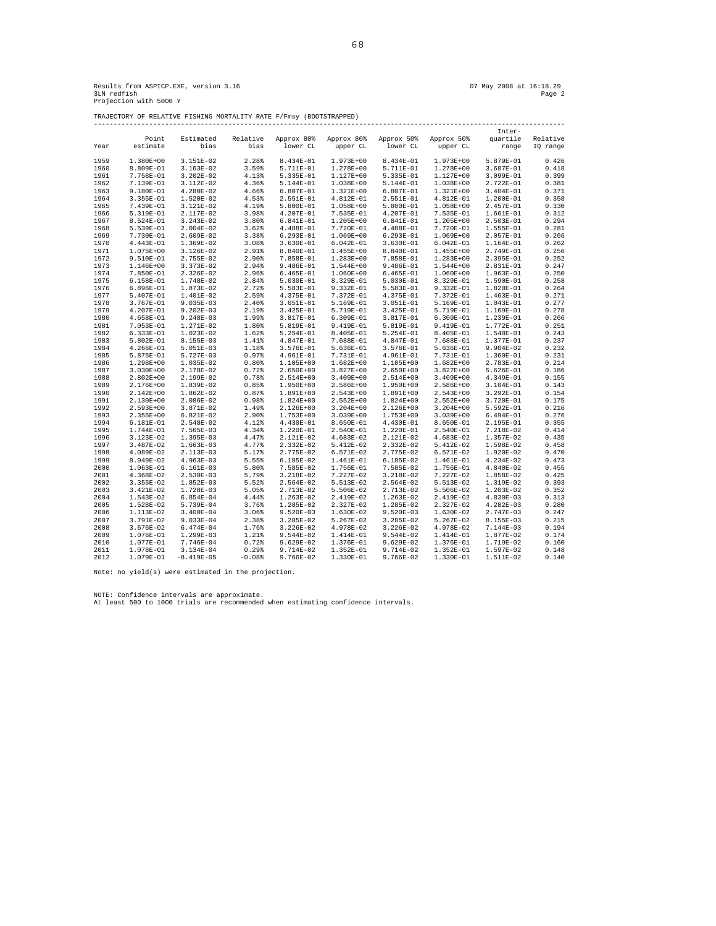TRAJECTORY OF RELATIVE FISHING MORTALITY RATE F/Fmsy (BOOTSTRAPPED)

|      |               |              |          |             |               |                       |               | Inter-      |          |
|------|---------------|--------------|----------|-------------|---------------|-----------------------|---------------|-------------|----------|
|      | Point         | Estimated    | Relative | Approx 80%  | Approx 80%    | Approx 50% Approx 50% |               | quartile    | Relative |
| Year | estimate      | bias         | bias     | lower CL    | upper CL      | lower CL              | upper CL      | range       | IQ range |
| 1959 | 1.380E+00     | 3.151E-02    | 2.28%    | 8.434E-01   | 1.973E+00     | 8.434E-01             | 1.973E+00     | 5.879E-01   | 0.426    |
| 1960 | 8.809E-01     | $3.163E-02$  | 3.59%    | 5.711E-01   | 1.278E+00     | 5.711E-01             | 1.278E+00     | 3.687E-01   | 0.418    |
| 1961 | 7.758E-01     | $3.202E-02$  | 4.13%    | 5.335E-01   | 1.127E+00     | 5.335E-01             | 1.127E+00     | 3.099E-01   | 0.399    |
| 1962 | 7.139E-01     | 3.112E-02    | 4.36%    | 5.144E-01   | 1.038E+00     | 5.144E-01             | 1.038E+00     | 2.722E-01   | 0.381    |
| 1963 | 9.180E-01     | 4.280E-02    | 4.66%    | $6.807E-01$ | 1.321E+00     | 6.807E-01             | $1.321E+00$   | 3.404E-01   | 0.371    |
| 1964 | 3.355E-01     | 1.520E-02    | 4.53%    | 2.551E-01   | 4.812E-01     | 2.551E-01             | 4.812E-01     | 1.200E-01   | 0.358    |
| 1965 | 7.439E-01     | 3.121E-02    | 4.19%    | 5.800E-01   | 1.058E+00     | 5.800E-01             | 1.058E+00     | 2.457E-01   | 0.330    |
| 1966 | 5.319E-01     | 2.117E-02    | 3.98%    | 4.207E-01   | 7.535E-01     | 4.207E-01             | 7.535E-01     | 1.661E-01   | 0.312    |
|      | 8.524E-01     | $3.243E-02$  | 3.80%    | 6.841E-01   | $1.205E+00$   | 6.841E-01             | 1.205E+00     | $2.503E-01$ | 0.294    |
| 1967 |               |              |          |             |               |                       |               |             |          |
| 1968 | 5.539E-01     | $2.004E-02$  | 3.62%    | 4.488E-01   | 7.720E-01     | 4.488E-01             | 7.720E-01     | 1.555E-01   | 0.281    |
| 1969 | 7.730E-01     | 2.609E-02    | 3.38%    | $6.293E-01$ | 1.069E+00     | $6.293E-01$           | 1.069E+00     | 2.057E-01   | 0.266    |
| 1970 | 4.443E-01     | 1.369E-02    | 3.08%    | $3.630E-01$ | $6.042E-01$   | 3.630E-01             | $6.042E - 01$ | 1.164E-01   | 0.262    |
| 1971 | 1.075E+00     | 3.126E-02    | 2.91%    | 8.840E-01   | 1.455E+00     | 8.840E-01             | $1.455E+00$   | 2.749E-01   | 0.256    |
| 1972 | 9.510E-01     | 2.755E-02    | 2.90%    | 7.858E-01   | $1.283E+00$   | 7.858E-01             | $1.283E+00$   | 2.395E-01   | 0.252    |
| 1973 | 1.146E+00     | $3.373E-02$  | 2.94%    | $9.486E-01$ | $1.544E+00$   | $9.486E-01$           | $1.544E+00$   | 2.831E-01   | 0.247    |
| 1974 | 7.850E-01     | $2.326E-02$  | 2.96%    | $6.465E-01$ | 1.060E+00     | $6.465E-01$           | 1.060E+00     | 1.963E-01   | 0.250    |
| 1975 | 6.158E-01     | 1.748E-02    | 2.84%    | 5.030E-01   | 8.329E-01     | 5.030E-01             | 8.329E-01     | 1.590E-01   | 0.258    |
| 1976 | 6.896E-01     | 1.873E-02    | 2.72%    | 5.583E-01   | $9.332E-01$   | 5.583E-01             | 9.332E-01     | 1.820E-01   | 0.264    |
| 1977 | 5.407E-01     | 1.401E-02    | 2.59%    | 4.375E-01   | 7.372E-01     | 4.375E-01             | 7.372E-01     | 1.463E-01   | 0.271    |
| 1978 | 3.767E-01     | $9.035E-03$  | 2.40%    | $3.051E-01$ | 5.169E-01     | 3.051E-01             | 5.169E-01     | 1.043E-01   | 0.277    |
| 1979 | 4.207E-01     | $9.202E-03$  | 2.19%    | $3.425E-01$ | 5.719E-01     | $3.425E-01$           | 5.719E-01     | 1.169E-01   | 0.278    |
| 1980 | 4.658E-01     | $9.248E-03$  | 1.99%    | 3.817E-01   | $6.309E-01$   | 3.817E-01             | 6.309E-01     | 1.239E-01   | 0.266    |
| 1981 | 7.053E-01     | 1.271E-02    | 1.80%    | 5.819E-01   | 9.419E-01     | 5.819E-01             | 9.419E-01     | 1.772E-01   | 0.251    |
| 1982 | 6.333E-01     | 1.023E-02    | 1.62%    | 5.254E-01   | 8.405E-01     | 5.254E-01             | 8.405E-01     | 1.540E-01   | 0.243    |
| 1983 | 5.802E-01     | 8.155E-03    | 1.41%    | 4.847E-01   | 7.688E-01     | 4.847E-01             | 7.688E-01     | 1.377E-01   | 0.237    |
| 1984 | 4.266E-01     | 5.051E-03    | 1.18%    | 3.576E-01   | 5.636E-01     | 3.576E-01             | 5.636E-01     | $9.904E-02$ | 0.232    |
| 1985 | 5.875E-01     | 5.727E-03    | 0.97%    | 4.961E-01   | 7.731E-01     | 4.961E-01             | 7.731E-01     | 1.360E-01   | 0.231    |
| 1986 | 1.298E+00     | 1.035E-02    | 0.80%    | 1.105E+00   | $1.682E+00$   | 1.105E+00             | $1.682E+00$   | 2.783E-01   | 0.214    |
| 1987 | $3.030E + 00$ | 2.178E-02    | 0.72%    | $2.650E+00$ | $3.827E + 00$ | $2.650E+00$           | $3.827E + 00$ | 5.626E-01   | 0.186    |
| 1988 | $2.802E+00$   | 2.199E-02    | 0.78%    | $2.514E+00$ | $3.409E + 00$ | 2.514E+00             | $3.409E + 00$ | 4.349E-01   | 0.155    |
| 1989 | 2.176E+00     | 1.839E-02    | 0.85%    | $1.950E+00$ | 2.586E+00     | 1.950E+00             | 2.586E+00     | 3.104E-01   | 0.143    |
| 1990 | 2.142E+00     | 1.862E-02    | 0.87%    | 1.891E+00   | 2.543E+00     | 1.891E+00             | $2.543E+00$   | 3.292E-01   | 0.154    |
| 1991 | 2.130E+00     | 2.086E-02    | 0.98%    | $1.824E+00$ | $2.552E+00$   | $1.824E+00$           | $2.552E+00$   | 3.720E-01   | 0.175    |
| 1992 | 2.593E+00     | 3.871E-02    | 1.49%    | 2.126E+00   | $3.204E + 00$ | 2.126E+00             | $3.204E + 00$ | 5.592E-01   | 0.216    |
| 1993 | 2.355E+00     | 6.821E-02    | 2.90%    | 1.753E+00   | $3.039E + 00$ | 1.753E+00             | $3.039E + 00$ | 6.494E-01   | 0.276    |
| 1994 | 6.181E-01     | 2.548E-02    | 4.12%    | 4.430E-01   | 8.650E-01     | 4.430E-01             | 8.650E-01     | 2.195E-01   | 0.355    |
| 1995 | 1.744E-01     | 7.565E-03    | 4.34%    | 1.220E-01   | 2.540E-01     | 1.220E-01             | 2.540E-01     | 7.218E-02   | 0.414    |
|      |               |              |          |             |               |                       |               |             | 0.435    |
| 1996 | 3.123E-02     | 1.395E-03    | 4.47%    | 2.121E-02   | 4.683E-02     | 2.121E-02             | 4.683E-02     | 1.357E-02   |          |
| 1997 | 3.487E-02     | 1.663E-03    | 4.77%    | 2.332E-02   | 5.412E-02     | 2.332E-02             | 5.412E-02     | 1.598E-02   | 0.458    |
| 1998 | 4.089E-02     | 2.113E-03    | 5.17%    | 2.775E-02   | 6.571E-02     | 2.775E-02             | 6.571E-02     | 1.920E-02   | 0.470    |
| 1999 | 8.949E-02     | $4.963E-03$  | 5.55%    | $6.185E-02$ | 1.461E-01     | 6.185E-02             | 1.461E-01     | 4.234E-02   | 0.473    |
| 2000 | 1.063E-01     | 6.161E-03    | 5.80%    | 7.585E-02   | 1.756E-01     | 7.585E-02             | 1.756E-01     | 4.840E-02   | 0.455    |
| 2001 | 4.368E-02     | 2.530E-03    | 5.79%    | 3.218E-02   | 7.227E-02     | 3.218E-02             | 7.227E-02     | 1.858E-02   | 0.425    |
| 2002 | $3.355E-02$   | $1.852E-03$  | 5.52%    | 2.564E-02   | 5.513E-02     | 2.564E-02             | 5.513E-02     | 1.319E-02   | 0.393    |
| 2003 | 3.421E-02     | 1.728E-03    | 5.05%    | 2.713E-02   | 5.506E-02     | 2.713E-02             | 5.506E-02     | $1.203E-02$ | 0.352    |
| 2004 | 1.543E-02     | $6.854E-04$  | 4.44%    | 1.263E-02   | 2.419E-02     | 1.263E-02             | 2.419E-02     | 4.830E-03   | 0.313    |
| 2005 | 1.528E-02     | 5.739E-04    | 3.76%    | 1.285E-02   | 2.327E-02     | 1.285E-02             | 2.327E-02     | $4.282E-03$ | 0.280    |
| 2006 | 1.113E-02     | $3.400E-04$  | 3.06%    | $9.520E-03$ | 1.630E-02     | $9.520E-03$           | 1.630E-02     | 2.747E-03   | 0.247    |
| 2007 | 3.791E-02     | $9.033E-04$  | 2.38%    | $3.285E-02$ | $5.267E-02$   | $3.285E-02$           | $5.267E-02$   | 8.155E-03   | 0.215    |
| 2008 | 3.676E-02     | 6.474E-04    | 1.76%    | $3.226E-02$ | 4.978E-02     | $3.226E-02$           | 4.978E-02     | 7.144E-03   | 0.194    |
| 2009 | 1.076E-01     | 1.299E-03    | 1.21%    | 9.544E-02   | 1.414E-01     | 9.544E-02             | 1.414E-01     | 1.877E-02   | 0.174    |
| 2010 | 1.077E-01     | 7.746E-04    | 0.72%    | $9.629E-02$ | 1.376E-01     | $9.629E-02$           | 1.376E-01     | 1.719E-02   | 0.160    |
| 2011 | 1.078E-01     | 3.134E-04    | 0.29%    | 9.714E-02   | 1.352E-01     | 9.714E-02             | 1.352E-01     | 1.597E-02   | 0.148    |
| 2012 | 1.079E-01     | $-8.419E-05$ | $-0.08%$ | 9.766E-02   | 1.330E-01     | 9.766E-02             | 1.330E-01     | 1.511E-02   | 0.140    |
|      |               |              |          |             |               |                       |               |             |          |

Note: no yield(s) were estimated in the projection.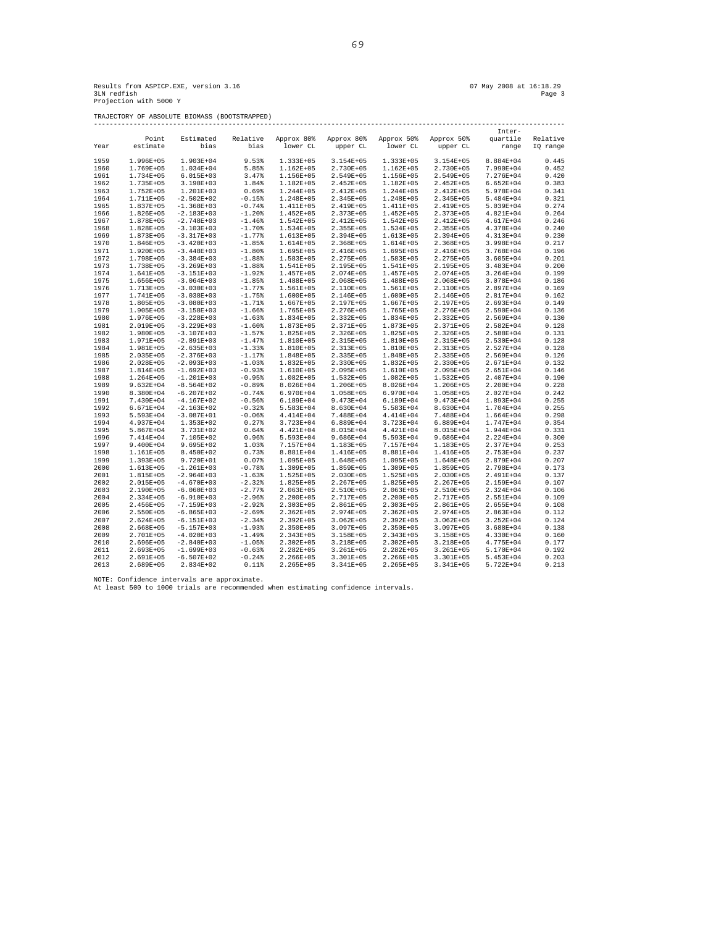Results from ASPICP.EXE, version 3.16<br>3LM redfish Page 3 (16:18.29 Page 3 )<br>Projection with 5000 Y

TRAJECTORY OF ABSOLUTE BIOMASS (BOOTSTRAPPED)

|      |               |                |                   |               |               |                       |               | Inter-        |          |
|------|---------------|----------------|-------------------|---------------|---------------|-----------------------|---------------|---------------|----------|
|      | Point         | Estimated      | Relative          | Approx 80%    | Approx 80%    | Approx 50% Approx 50% |               | quartile      | Relative |
| Year | estimate      | bias           | bias              | lower CL      | upper CL      | lower CL              | upper CL      | range         | IQ range |
|      |               |                |                   |               |               |                       |               |               |          |
| 1959 | 1.996E+05     | 1.903E+04      | 9.53%             | 1.333E+05     | 3.154E+05     | 1.333E+05             | 3.154E+05     | 8.884E+04     | 0.445    |
| 1960 | 1.769E+05     | 1.034E+04      | 5.85%             | 1.162E+05     | 2.730E+05     | $1.162E + 05$         | 2.730E+05     | 7.990E+04     | 0.452    |
|      |               | $6.015E+03$    | 3.47%             | 1.156E+05     | 2.549E+05     | 1.156E+05             | 2.549E+05     | 7.276E+04     | 0.420    |
| 1961 | 1.734E+05     |                |                   |               |               |                       |               |               |          |
| 1962 | 1.735E+05     | 3.198E+03      | 1.84%             | 1.182E+05     | $2.452E + 05$ | 1.182E+05             | $2.452E+05$   | $6.652E + 04$ | 0.383    |
| 1963 | 1.752E+05     | 1.201E+03      | 0.69%             | 1.244E+05     | 2.412E+05     | 1.244E+05             | 2.412E+05     | 5.978E+04     | 0.341    |
| 1964 | 1.711E+05     | $-2.502E+02$   | $-0.15%$          | 1.248E+05     | 2.345E+05     | 1.248E+05             | 2.345E+05     | 5.484E+04     | 0.321    |
| 1965 | 1.837E+05     | $-1.368E+03$   | $-0.74%$          | 1.411E+05     | 2.419E+05     | 1.411E+05             | 2.419E+05     | 5.039E+04     | 0.274    |
| 1966 | 1.826E+05     | $-2.183E+03$   | $-1.20%$          | $1.452E + 05$ | 2.373E+05     | 1.452E+05             | 2.373E+05     | 4.821E+04     | 0.264    |
| 1967 | 1.878E+05     | $-2.748E + 03$ | $-1.46%$          | $1.542E + 05$ | 2.412E+05     | 1.542E+05             | 2.412E+05     | 4.617E+04     | 0.246    |
| 1968 | 1.828E+05     | $-3.103E+03$   | $-1.70%$          | 1.534E+05     | 2.355E+05     | 1.534E+05             | 2.355E+05     | 4.378E+04     | 0.240    |
| 1969 | 1.873E+05     | $-3.317E+03$   | $-1.77%$          | 1.613E+05     | 2.394E+05     | 1.613E+05             | 2.394E+05     | 4.313E+04     | 0.230    |
| 1970 | 1.846E+05     | $-3.420E+03$   | $-1.85%$          | 1.614E+05     | 2.368E+05     | 1.614E+05             | 2.368E+05     | 3.998E+04     | 0.217    |
| 1971 | 1.920E+05     | $-3.448E+03$   | $-1.80%$          | 1.695E+05     | 2.416E+05     | 1.695E+05             | 2.416E+05     | 3.768E+04     | 0.196    |
| 1972 | 1.798E+05     | $-3.384E+03$   | $-1.88%$          | 1.583E+05     | 2.275E+05     | 1.583E+05             | 2.275E+05     | $3.605E + 04$ | 0.201    |
| 1973 | 1.738E+05     | $-3.269E+03$   | $-1.88%$          | 1.541E+05     | 2.195E+05     | 1.541E+05             | 2.195E+05     | $3.483E+04$   | 0.200    |
| 1974 | 1.641E+05     | $-3.151E+03$   | $-1.92%$          | 1.457E+05     | 2.074E+05     | 1.457E+05             | 2.074E+05     | $3.264E + 04$ | 0.199    |
| 1975 | 1.656E+05     | $-3.064E+03$   | $-1.85%$          | 1.488E+05     | 2.068E+05     | 1.488E+05             | 2.068E+05     | 3.078E+04     | 0.186    |
| 1976 | 1.713E+05     | $-3.030E+03$   | $-1.77%$          | 1.561E+05     | 2.110E+05     | 1.561E+05             | 2.110E+05     | 2.897E+04     | 0.169    |
| 1977 | 1.741E+05     | $-3.038E+03$   | $-1.75%$          | 1.600E+05     | 2.146E+05     | 1.600E+05             | 2.146E+05     | 2.817E+04     | 0.162    |
|      |               |                |                   |               |               |                       |               |               | 0.149    |
| 1978 | 1.805E+05     | $-3.080E+03$   | $-1.71$ $% -1.75$ | 1.667E+05     | 2.197E+05     | 1.667E+05             | 2.197E+05     | $2.693E+04$   |          |
| 1979 | 1.905E+05     | $-3.158E+03$   | $-1.66%$          | 1.765E+05     | 2.276E+05     | 1.765E+05             | $2.276E + 05$ | 2.590E+04     | 0.136    |
| 1980 | 1.976E+05     | $-3.228E+03$   | $-1.63%$          | 1.834E+05     | 2.332E+05     | 1.834E+05             | 2.332E+05     | 2.569E+04     | 0.130    |
| 1981 | 2.019E+05     | $-3.229E+03$   | $-1.60%$          | 1.873E+05     | 2.371E+05     | 1.873E+05             | 2.371E+05     | 2.582E+04     | 0.128    |
| 1982 | 1.980E+05     | $-3.107E+03$   | $-1.57%$          | 1.825E+05     | 2.326E+05     | 1.825E+05             | 2.326E+05     | 2.588E+04     | 0.131    |
| 1983 | 1.971E+05     | $-2.891E+03$   | $-1.47%$          | 1.810E+05     | 2.315E+05     | 1.810E+05             | 2.315E+05     | 2.530E+04     | 0.128    |
| 1984 | 1.981E+05     | $-2.635E+03$   | $-1.33%$          | 1.810E+05     | 2.313E+05     | 1.810E+05             | 2.313E+05     | $2.527E + 04$ | 0.128    |
| 1985 | 2.035E+05     | $-2.376E+03$   | $-1.17%$          | 1.848E+05     | 2.335E+05     | 1.848E+05             | $2.335E+05$   | 2.569E+04     | 0.126    |
| 1986 | 2.028E+05     | $-2.093E+03$   | $-1.03%$          | 1.832E+05     | 2.330E+05     | 1.832E+05             | 2.330E+05     | 2.671E+04     | 0.132    |
| 1987 | 1.814E+05     | $-1.692E+03$   | $-0.93%$          | 1.610E+05     | $2.095E + 05$ | 1.610E+05             | $2.095E + 05$ | $2.651E+04$   | 0.146    |
| 1988 | $1.264E + 05$ | $-1.201E+03$   | $-0.95%$          | $1.082E + 05$ | $1.532E + 05$ | $1.082E + 05$         | $1.532E + 05$ | 2.407E+04     | 0.190    |
| 1989 | $9.632E + 04$ | $-8.564E+02$   | $-0.89%$          | 8.026E+04     | 1.206E+05     | 8.026E+04             | 1.206E+05     | 2.200E+04     | 0.228    |
| 1990 | 8.380E+04     | $-6.207E+02$   | $-0.74%$          | 6.970E+04     | 1.058E+05     | 6.970E+04             | 1.058E+05     | 2.027E+04     | 0.242    |
| 1991 | 7.430E+04     | $-4.167E+02$   | $-0.56%$          | 6.189E+04     | 9.473E+04     | 6.189E+04             | 9.473E+04     | 1.893E+04     | 0.255    |
| 1992 | 6.671E+04     | $-2.163E+02$   | $-0.32$ %         | 5.583E+04     | 8.630E+04     | 5.583E+04             | 8.630E+04     | $1.704E + 04$ | 0.255    |
| 1993 | 5.593E+04     | $-3.087E + 01$ | $-0.06%$          | 4.414E+04     | 7.488E+04     | 4.414E+04             | 7.488E+04     | $1.664E+04$   | 0.298    |
| 1994 | 4.937E+04     | 1.353E+02      | 0.27%             | 3.723E+04     | 6.889E+04     | 3.723E+04             | 6.889E+04     | 1.747E+04     | 0.354    |
| 1995 | 5.867E+04     | 3.731E+02      | 0.64%             | 4.421E+04     | 8.015E+04     | 4.421E+04             | 8.015E+04     | $1.944E + 04$ | 0.331    |
| 1996 | 7.414E+04     | 7.105E+02      | 0.96%             | 5.593E+04     | $9.686E + 04$ | 5.593E+04             | $9.686E + 04$ | $2.224E+04$   | 0.300    |
| 1997 | 9.400E+04     | $9.695E + 02$  | 1.03%             | 7.157E+04     | 1.183E+05     | 7.157E+04             | 1.183E+05     | 2.377E+04     | 0.253    |
| 1998 | 1.161E+05     | 8.450E+02      | 0.73%             | 8.881E+04     | 1.416E+05     | 8.881E+04             | 1.416E+05     | 2.753E+04     | 0.237    |
|      |               |                |                   |               |               |                       |               |               |          |
| 1999 | 1.393E+05     | 9.720E+01      | 0.07%             | 1.095E+05     | 1.648E+05     | 1.095E+05             | 1.648E+05     | 2.879E+04     | 0.207    |
| 2000 | 1.613E+05     | $-1.261E+03$   | $-0.78%$          | 1.309E+05     | 1.859E+05     | 1.309E+05             | 1.859E+05     | 2.798E+04     | 0.173    |
| 2001 | 1.815E+05     | $-2.964E+03$   | $-1.63%$          | $1.525E + 05$ | 2.030E+05     | 1.525E+05             | 2.030E+05     | 2.491E+04     | 0.137    |
| 2002 | 2.015E+05     | $-4.670E+03$   | $-2.32%$          | 1.825E+05     | $2.267E + 05$ | 1.825E+05             | $2.267E + 05$ | 2.159E+04     | 0.107    |
| 2003 | 2.190E+05     | $-6.060E+03$   | $-2.77%$          | $2.063E + 05$ | 2.510E+05     | 2.063E+05             | 2.510E+05     | 2.324E+04     | 0.106    |
| 2004 | 2.334E+05     | $-6.910E+03$   | $-2.96%$          | 2.200E+05     | 2.717E+05     | 2.200E+05             | 2.717E+05     | 2.551E+04     | 0.109    |
| 2005 | 2.456E+05     | $-7.159E+03$   | $-2.92%$          | 2.303E+05     | 2.861E+05     | 2.303E+05             | 2.861E+05     | 2.655E+04     | 0.108    |
| 2006 | 2.550E+05     | $-6.865E+03$   | $-2.69%$          | $2.362E + 05$ | 2.974E+05     | 2.362E+05             | 2.974E+05     | 2.863E+04     | 0.112    |
| 2007 | 2.624E+05     | $-6.151E+03$   | $-2.34%$          | $2.392E + 05$ | $3.062E + 05$ | 2.392E+05             | $3.062E + 05$ | $3.252E+04$   | 0.124    |
| 2008 | 2.668E+05     | $-5.157E+03$   | $-1.93%$          | 2.350E+05     | $3.097E + 05$ | 2.350E+05             | $3.097E + 05$ | $3.688E + 04$ | 0.138    |
| 2009 | 2.701E+05     | $-4.020E+03$   | $-1.49%$          | 2.343E+05     | $3.158E + 05$ | 2.343E+05             | 3.158E+05     | 4.330E+04     | 0.160    |
| 2010 | 2.696E+05     | $-2.840E+03$   | $-1.05%$          | $2.302E + 05$ | $3.218E+05$   | 2.302E+05             | 3.218E+05     | 4.775E+04     | 0.177    |
| 2011 | 2.693E+05     | $-1.699E+03$   | $-0.63%$          | $2.282E + 05$ | $3.261E + 05$ | 2.282E+05             | $3.261E + 05$ | 5.170E+04     | 0.192    |
| 2012 | 2.691E+05     | $-6.507E+02$   | $-0.24%$          | 2.266E+05     | $3.301E+05$   | 2.266E+05             | $3.301E + 05$ | $5.453E+04$   | 0.203    |
| 2013 | 2.689E+05     | 2.834E+02      | $0.11$ %          | $2.265E+05$   | 3.341E+05     | $2.265E+05$           | $3.341E + 05$ | 5.722E+04     | 0.213    |
|      |               |                |                   |               |               |                       |               |               |          |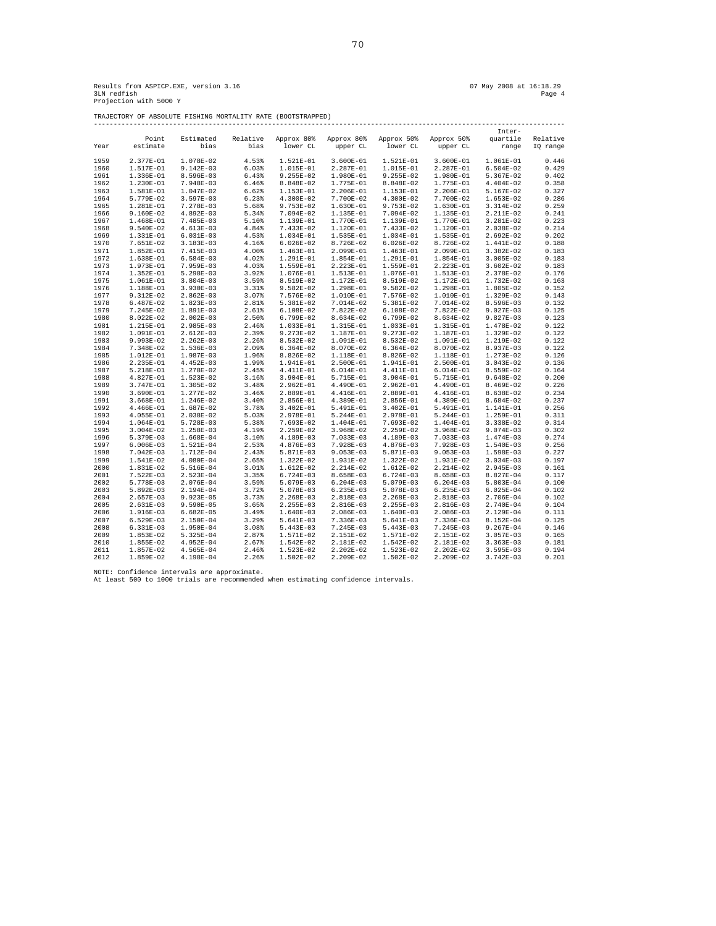TRAJECTORY OF ABSOLUTE FISHING MORTALITY RATE (BOOTSTRAPPED)

|      |             |             |          |             |             |             |             | Inter-        |          |
|------|-------------|-------------|----------|-------------|-------------|-------------|-------------|---------------|----------|
|      | Point       | Estimated   | Relative | Approx 80%  | Approx 80%  | Approx 50%  | Approx 50%  | quartile      | Relative |
| Year | estimate    | bias        | bias     | lower CL    | upper CL    | lower CL    | upper CL    | range         | IQ range |
|      |             |             |          |             |             |             |             |               |          |
| 1959 | 2.377E-01   | 1.078E-02   | 4.53%    | 1.521E-01   | $3.600E-01$ | 1.521E-01   | 3.600E-01   | 1.061E-01     | 0.446    |
| 1960 | 1.517E-01   | $9.142E-03$ | 6.03%    | 1.015E-01   | 2.287E-01   | 1.015E-01   | 2.287E-01   | $6.504E-02$   | 0.429    |
| 1961 | 1.336E-01   | 8.596E-03   | 6.43%    | $9.255E-02$ | 1.980E-01   | $9.255E-02$ | 1.980E-01   | 5.367E-02     | 0.402    |
| 1962 | 1.230E-01   | 7.948E-03   | 6.46%    | 8.848E-02   | 1.775E-01   | 8.848E-02   | 1.775E-01   | 4.404E-02     | 0.358    |
| 1963 | 1.581E-01   | 1.047E-02   | 6.62%    | 1.153E-01   | 2.206E-01   | 1.153E-01   | 2.206E-01   | 5.167E-02     | 0.327    |
| 1964 | 5.779E-02   | $3.597E-03$ | 6.23%    | 4.300E-02   | 7.700E-02   | 4.300E-02   | 7.700E-02   | $1.653E-02$   | 0.286    |
| 1965 | 1.281E-01   | 7.278E-03   | 5.68%    | $9.753E-02$ | 1.630E-01   | 9.753E-02   | 1.630E-01   | 3.314E-02     | 0.259    |
| 1966 | 9.160E-02   | 4.892E-03   | 5.34%    | 7.094E-02   | 1.135E-01   | 7.094E-02   | 1.135E-01   | 2.211E-02     | 0.241    |
| 1967 | 1.468E-01   | 7.485E-03   | 5.10%    | 1.139E-01   | 1.770E-01   | 1.139E-01   | 1.770E-01   | 3.281E-02     | 0.223    |
| 1968 | 9.540E-02   | 4.613E-03   | 4.84%    | 7.433E-02   | 1.120E-01   | 7.433E-02   | 1.120E-01   | 2.038E-02     | 0.214    |
| 1969 | 1.331E-01   | 6.031E-03   | 4.53%    | 1.034E-01   | 1.535E-01   | 1.034E-01   | 1.535E-01   | 2.692E-02     | 0.202    |
| 1970 | 7.651E-02   | 3.183E-03   | 4.16%    | $6.026E-02$ | 8.726E-02   | $6.026E-02$ | 8.726E-02   | 1.441E-02     | 0.188    |
| 1971 | 1.852E-01   | 7.415E-03   | 4.00%    | 1.463E-01   | 2.099E-01   | 1.463E-01   | 2.099E-01   | $3.382E-02$   | 0.183    |
| 1972 | 1.638E-01   | $6.584E-03$ | 4.02%    | 1.291E-01   | 1.854E-01   | 1.291E-01   | 1.854E-01   | $3.005E-02$   | 0.183    |
| 1973 | 1.973E-01   | 7.959E-03   | 4.03%    | 1.559E-01   | 2.223E-01   | 1.559E-01   | 2.223E-01   | $3.602E-02$   | 0.183    |
| 1974 | 1.352E-01   | 5.298E-03   | 3.92%    | 1.076E-01   | 1.513E-01   | 1.076E-01   | 1.513E-01   | 2.378E-02     | 0.176    |
| 1975 | 1.061E-01   | $3.804E-03$ | 3.59%    | 8.519E-02   | 1.172E-01   | 8.519E-02   | 1.172E-01   | 1.732E-02     | 0.163    |
| 1976 | 1.188E-01   | $3.930E-03$ | 3.31%    | $9.582E-02$ | 1.298E-01   | $9.582E-02$ | 1.298E-01   | 1.805E-02     | 0.152    |
| 1977 | 9.312E-02   | $2.862E-03$ | 3.07%    | 7.576E-02   | 1.010E-01   | 7.576E-02   | 1.010E-01   | 1.329E-02     | 0.143    |
| 1978 | 6.487E-02   | 1.823E-03   | 2.81%    | 5.381E-02   | 7.014E-02   | 5.381E-02   | 7.014E-02   | 8.596E-03     | 0.132    |
| 1979 | 7.245E-02   | 1.891E-03   | 2.61%    | 6.108E-02   | 7.822E-02   | 6.108E-02   | 7.822E-02   | $9.027E-03$   | 0.125    |
| 1980 | 8.022E-02   | $2.002E-03$ | 2.50%    | 6.799E-02   | 8.634E-02   | 6.799E-02   | 8.634E-02   | $9.827E-03$   | 0.123    |
| 1981 | 1.215E-01   | 2.985E-03   | 2.46%    | 1.033E-01   | 1.315E-01   | 1.033E-01   | 1.315E-01   | 1.478E-02     | 0.122    |
| 1982 | 1.091E-01   | $2.612E-03$ | 2.39%    | $9.273E-02$ | 1.187E-01   | $9.273E-02$ | 1.187E-01   | 1.329E-02     | 0.122    |
| 1983 | 9.993E-02   | $2.262E-03$ | 2.26%    | 8.532E-02   | 1.091E-01   | 8.532E-02   | 1.091E-01   | 1.219E-02     | 0.122    |
| 1984 | 7.348E-02   | 1.536E-03   | 2.09%    | $6.364E-02$ | 8.070E-02   | $6.364E-02$ | 8.070E-02   | 8.937E-03     | 0.122    |
| 1985 | 1.012E-01   | 1.987E-03   | 1.96%    | 8.826E-02   | 1.118E-01   | 8.826E-02   | 1.118E-01   | 1.273E-02     | 0.126    |
| 1986 | 2.235E-01   | $4.452E-03$ | 1.99%    | 1.941E-01   | 2.500E-01   | 1.941E-01   | 2.500E-01   | $3.043E-02$   | 0.136    |
| 1987 | 5.218E-01   | 1.278E-02   | 2.45%    | 4.411E-01   | $6.014E-01$ | 4.411E-01   | 6.014E-01   | 8.559E-02     | 0.164    |
| 1988 | 4.827E-01   | 1.523E-02   | 3.16%    | $3.904E-01$ | 5.715E-01   | 3.904E-01   | 5.715E-01   | $9.648E-02$   | 0.200    |
| 1989 | 3.747E-01   | 1.305E-02   | 3.48%    | 2.962E-01   | 4.490E-01   | 2.962E-01   | 4.490E-01   | 8.469E-02     | 0.226    |
| 1990 | 3.690E-01   | 1.277E-02   | 3.46%    | 2.889E-01   | 4.416E-01   | 2.889E-01   | 4.416E-01   | 8.638E-02     | 0.234    |
| 1991 | 3.668E-01   | 1.246E-02   | 3.40%    | 2.856E-01   | 4.389E-01   | 2.856E-01   | 4.389E-01   | 8.684E-02     | 0.237    |
| 1992 | 4.466E-01   | 1.687E-02   | 3.78%    | $3.402E-01$ | 5.491E-01   | 3.402E-01   | 5.491E-01   | 1.141E-01     | 0.256    |
| 1993 | 4.055E-01   | 2.038E-02   | 5.03%    | 2.978E-01   | 5.244E-01   | 2.978E-01   | 5.244E-01   | 1.259E-01     | 0.311    |
| 1994 | 1.064E-01   | 5.728E-03   | 5.38%    | 7.693E-02   | 1.404E-01   | 7.693E-02   | 1.404E-01   | 3.338E-02     | 0.314    |
| 1995 | $3.004E-02$ | 1.258E-03   | 4.19%    | $2.259E-02$ | $3.968E-02$ | 2.259E-02   | $3.968E-02$ | $9.074E-03$   | 0.302    |
| 1996 | 5.379E-03   | 1.668E-04   | 3.10%    | 4.189E-03   | 7.033E-03   | 4.189E-03   | $7.033E-03$ | 1.474E-03     | 0.274    |
| 1997 | $6.006E-03$ | 1.521E-04   | 2.53%    | $4.876E-03$ | 7.928E-03   | 4.876E-03   | 7.928E-03   | 1.540E-03     | 0.256    |
| 1998 | $7.042E-03$ | 1.712E-04   | 2.43%    | 5.871E-03   | $9.053E-03$ | 5.871E-03   | $9.053E-03$ | 1.598E-03     | 0.227    |
| 1999 | 1.541E-02   | 4.080E-04   | 2.65%    | $1.322E-02$ | 1.931E-02   | $1.322E-02$ | 1.931E-02   | $3.034E-03$   | 0.197    |
| 2000 | 1.831E-02   | 5.516E-04   | 3.01%    | 1.612E-02   | 2.214E-02   | 1.612E-02   | 2.214E-02   | 2.945E-03     | 0.161    |
| 2001 | 7.522E-03   | $2.523E-04$ | 3.35%    | $6.724E-03$ | 8.658E-03   | 6.724E-03   | 8.658E-03   | 8.827E-04     | 0.117    |
| 2002 | 5.778E-03   | 2.076E-04   | 3.59%    | 5.079E-03   | $6.204E-03$ | 5.079E-03   | $6.204E-03$ | 5.803E-04     | 0.100    |
| 2003 | 5.892E-03   | 2.194E-04   | 3.72%    | 5.078E-03   | $6.235E-03$ | 5.078E-03   | $6.235E-03$ | $6.025E-04$   | 0.102    |
| 2004 | $2.657E-03$ | $9.923E-05$ | 3.73%    | $2.268E-03$ | 2.818E-03   | 2.268E-03   | 2.818E-03   | 2.706E-04     | 0.102    |
| 2005 | 2.631E-03   | $9.590E-05$ | 3.65%    | $2.255E-03$ | 2.816E-03   | 2.255E-03   | 2.816E-03   | 2.740E-04     | 0.104    |
| 2006 | 1.916E-03   | $6.682E-05$ | 3.49%    | 1.640E-03   | 2.086E-03   | 1.640E-03   | 2.086E-03   | 2.129E-04     | 0.111    |
| 2007 | $6.529E-03$ | 2.150E-04   | 3.29%    | 5.641E-03   | 7.336E-03   | 5.641E-03   | 7.336E-03   | 8.152E-04     | 0.125    |
| 2008 | 6.331E-03   | 1.950E-04   | 3.08%    | 5.443E-03   | 7.245E-03   | $5.443E-03$ | 7.245E-03   | $9.267E-04$   | 0.146    |
| 2009 | 1.853E-02   | 5.325E-04   | 2.87%    | 1.571E-02   | 2.151E-02   | 1.571E-02   | 2.151E-02   | $3.057E-03$   | 0.165    |
| 2010 | 1.855E-02   | $4.952E-04$ | 2.67%    | 1.542E-02   | 2.181E-02   | 1.542E-02   | 2.181E-02   | $3.363E-03$   | 0.181    |
| 2011 | 1.857E-02   | 4.565E-04   | 2.46%    | 1.523E-02   | $2.202E-02$ | 1.523E-02   | $2.202E-02$ | $3.595E-03$   | 0.194    |
| 2012 | 1.859E-02   | 4.198E-04   | 2.26%    | 1.502E-02   | 2.209E-02   | 1.502E-02   | 2.209E-02   | $3.742E - 03$ | 0.201    |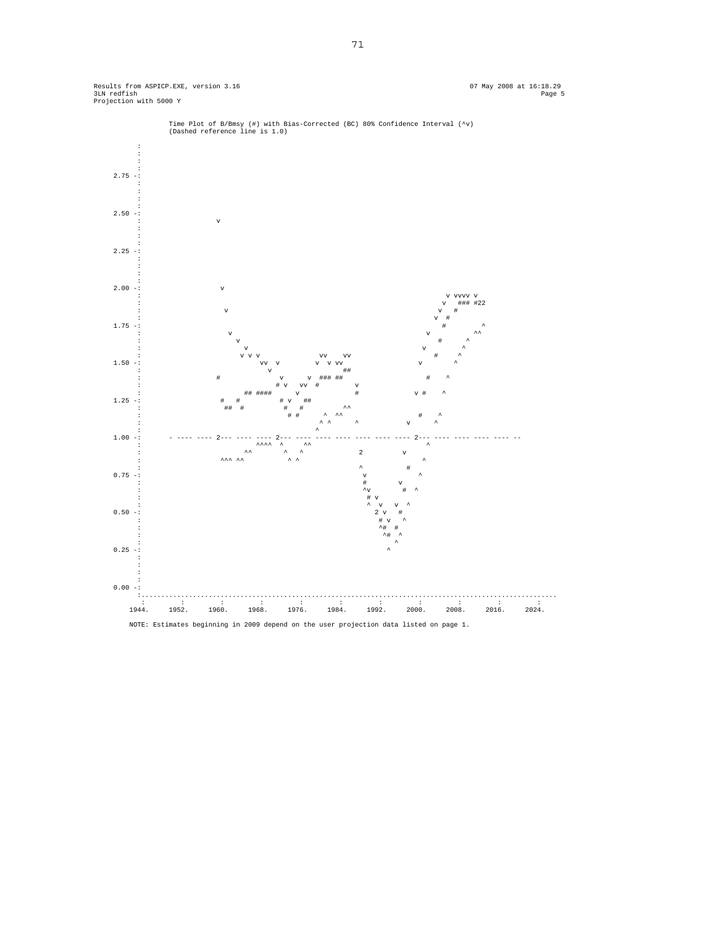Results from ASPICP.EXE, version 3.16 07 May 2008 at 16:18.29 Page 5<br>3LM redfish (1) 1999 07 3LN redfish Page 5 Projection with 5000 Y



Time Plot of B/Bmsy (#) with Bias-Corrected (BC) 80% Confidence Interval (^v) (Dashed reference line is 1.0)

NOTE: Estimates beginning in 2009 depend on the user projection data listed on page 1.